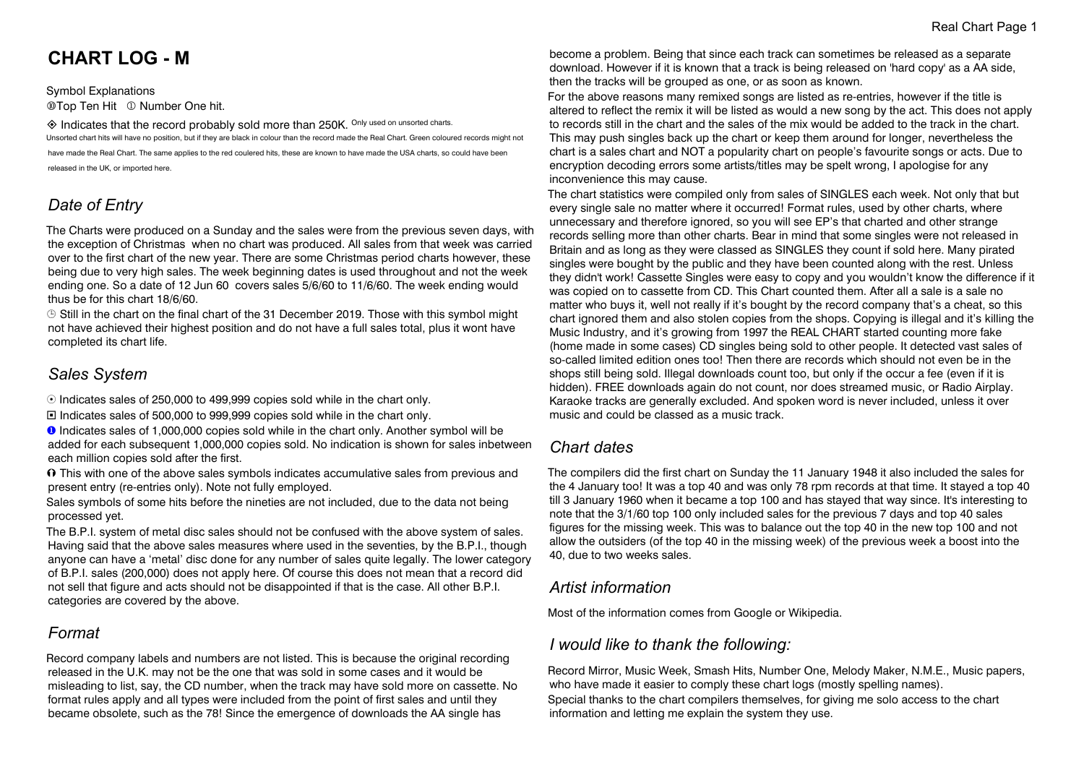# **CHART LOG - M**

Symbol Explanations **@Top Ten Hit © Number One hit.** 

 $\diamondsuit$  Indicates that the record probably sold more than 250K. Only used on unsorted charts. Unsorted chart hits will have no position, but if they are black in colour than the record made the Real Chart. Green coloured records might not have made the Real Chart. The same applies to the red coulered hits, these are known to have made the USA charts, so could have been released in the UK, or imported here.

## *Date of Entry*

The Charts were produced on a Sunday and the sales were from the previous seven days, with the exception of Christmas when no chart was produced. All sales from that week was carried over to the first chart of the new year. There are some Christmas period charts however, these being due to very high sales. The week beginning dates is used throughout and not the week ending one. So a date of 12 Jun 60 covers sales 5/6/60 to 11/6/60. The week ending would thus be for this chart 18/6/60.

 $\odot$  Still in the chart on the final chart of the 31 December 2019. Those with this symbol might not have achieved their highest position and do not have a full sales total, plus it wont have completed its chart life.

## *Sales System*

 $\odot$  Indicates sales of 250,000 to 499,999 copies sold while in the chart only.

® Indicates sales of 500,000 to 999,999 copies sold while in the chart only.

**O** Indicates sales of 1,000,000 copies sold while in the chart only. Another symbol will be added for each subsequent 1,000,000 copies sold. No indication is shown for sales inbetween each million copies sold after the first.

 $\Omega$  This with one of the above sales symbols indicates accumulative sales from previous and present entry (re-entries only). Note not fully employed.

Sales symbols of some hits before the nineties are not included, due to the data not being processed yet.

The B.P.I. system of metal disc sales should not be confused with the above system of sales. Having said that the above sales measures where used in the seventies, by the B.P.I., though anyone can have a 'metal' disc done for any number of sales quite legally. The lower category of B.P.I. sales (200,000) does not apply here. Of course this does not mean that a record did not sell that figure and acts should not be disappointed if that is the case. All other B.P.I. categories are covered by the above.

## *Format*

Record company labels and numbers are not listed. This is because the original recording released in the U.K. may not be the one that was sold in some cases and it would be misleading to list, say, the CD number, when the track may have sold more on cassette. No format rules apply and all types were included from the point of first sales and until they became obsolete, such as the 78! Since the emergence of downloads the AA single has

become a problem. Being that since each track can sometimes be released as a separate download. However if it is known that a track is being released on 'hard copy' as a AA side, then the tracks will be grouped as one, or as soon as known.

For the above reasons many remixed songs are listed as re-entries, however if the title is altered to reflect the remix it will be listed as would a new song by the act. This does not apply to records still in the chart and the sales of the mix would be added to the track in the chart. This may push singles back up the chart or keep them around for longer, nevertheless the chart is a sales chart and NOT a popularity chart on people's favourite songs or acts. Due to encryption decoding errors some artists/titles may be spelt wrong, I apologise for any inconvenience this may cause.

The chart statistics were compiled only from sales of SINGLES each week. Not only that but every single sale no matter where it occurred! Format rules, used by other charts, where unnecessary and therefore ignored, so you will see EP's that charted and other strange records selling more than other charts. Bear in mind that some singles were not released in Britain and as long as they were classed as SINGLES they count if sold here. Many pirated singles were bought by the public and they have been counted along with the rest. Unless they didn't work! Cassette Singles were easy to copy and you wouldn't know the difference if it was copied on to cassette from CD. This Chart counted them. After all a sale is a sale no matter who buys it, well not really if it's bought by the record company that's a cheat, so this chart ignored them and also stolen copies from the shops. Copying is illegal and it's killing the Music Industry, and it's growing from 1997 the REAL CHART started counting more fake (home made in some cases) CD singles being sold to other people. It detected vast sales of so-called limited edition ones too! Then there are records which should not even be in the shops still being sold. Illegal downloads count too, but only if the occur a fee (even if it is hidden). FREE downloads again do not count, nor does streamed music, or Radio Airplay. Karaoke tracks are generally excluded. And spoken word is never included, unless it over music and could be classed as a music track.

## *Chart dates*

The compilers did the first chart on Sunday the 11 January 1948 it also included the sales for the 4 January too! It was a top 40 and was only 78 rpm records at that time. It stayed a top 40 till 3 January 1960 when it became a top 100 and has stayed that way since. It's interesting to note that the 3/1/60 top 100 only included sales for the previous 7 days and top 40 sales figures for the missing week. This was to balance out the top 40 in the new top 100 and not allow the outsiders (of the top 40 in the missing week) of the previous week a boost into the 40, due to two weeks sales.

## *Artist information*

Most of the information comes from Google or Wikipedia.

## *I would like to thank the following:*

Record Mirror, Music Week, Smash Hits, Number One, Melody Maker, N.M.E., Music papers, who have made it easier to comply these chart logs (mostly spelling names). Special thanks to the chart compilers themselves, for giving me solo access to the chart information and letting me explain the system they use.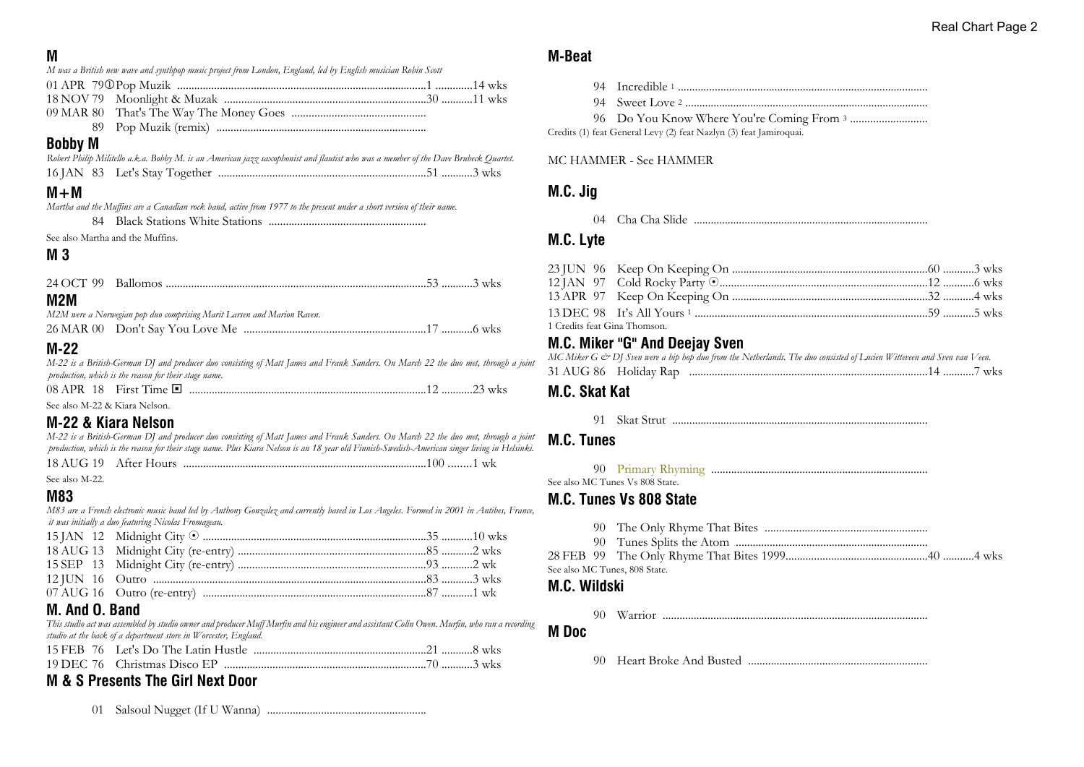## **M**

| IVІ                           |                                                                                                                                               |  |
|-------------------------------|-----------------------------------------------------------------------------------------------------------------------------------------------|--|
|                               | M was a British new wave and synthpop music project from London, England, led by English musician Robin Scott                                 |  |
|                               |                                                                                                                                               |  |
| 18 NOV 79                     |                                                                                                                                               |  |
| 09 MAR 80                     |                                                                                                                                               |  |
| 89.                           |                                                                                                                                               |  |
| <b>Bobby M</b>                |                                                                                                                                               |  |
|                               | Robert Philip Militello a.k.a. Bobby M. is an American jazz saxophonist and flautist who was a member of the Dave Brubeck Quartet.            |  |
|                               |                                                                                                                                               |  |
| $M + M$                       |                                                                                                                                               |  |
|                               | Martha and the Muffins are a Canadian rock band, active from 1977 to the present under a short version of their name.                         |  |
| 84                            |                                                                                                                                               |  |
|                               | See also Martha and the Muffins.                                                                                                              |  |
| M 3                           |                                                                                                                                               |  |
|                               |                                                                                                                                               |  |
| 24 OCT 99                     |                                                                                                                                               |  |
| M2M                           |                                                                                                                                               |  |
|                               | M2M were a Norwegian pop duo comprising Marit Larsen and Marion Raven.                                                                        |  |
|                               |                                                                                                                                               |  |
| $M-22$                        |                                                                                                                                               |  |
|                               | M-22 is a British-German DJ and producer duo consisting of Matt James and Frank Sanders. On March 22 the duo met, through a joint             |  |
|                               | production, which is the reason for their stage name.                                                                                         |  |
|                               |                                                                                                                                               |  |
| See also M-22 & Kiara Nelson. |                                                                                                                                               |  |
|                               | M-22 & Kiara Nelson                                                                                                                           |  |
|                               | M-22 is a British-German DJ and producer duo consisting of Matt James and Frank Sanders. On March 22 the duo met, through a joint             |  |
|                               | production, which is the reason for their stage name. Plus Kiara Nelson is an 18 year old Finnish-Swedish-American singer living in Helsinki. |  |
| 18 AUG 19                     |                                                                                                                                               |  |
| See also M-22.                |                                                                                                                                               |  |
| <b>M83</b>                    |                                                                                                                                               |  |
|                               | M83 are a French electronic music band led by Anthony Gonzalez and currently based in Los Angeles. Formed in 2001 in Antibes, France,         |  |
|                               | it was initially a duo featuring Nicolas Fromageau.                                                                                           |  |
| 15 JAN 12                     |                                                                                                                                               |  |
| 18 AUG 13                     |                                                                                                                                               |  |
| 15 SEP 13                     |                                                                                                                                               |  |
| 12 JUN 16                     |                                                                                                                                               |  |
| 07 AUG 16                     |                                                                                                                                               |  |
| M. And O. Band                |                                                                                                                                               |  |
|                               | This studio act was assembled by studio owner and producer Muff Murfin and his engineer and assistant Colin Owen. Murfin, who ran a recording |  |
|                               | studio at the back of a department store in Worcester, England.                                                                               |  |

#### 15 FEB 76 Let's Do The Latin Hustle .............................................................21 ...........8 wks 19 DEC 76 Christmas Disco EP .......................................................................70 ...........3 wks

## **M & S Presents The Girl Next Door**

01 Salsoul Nugget (If U Wanna) ........................................................

## **M-Beat**

94 Incredible <sup>1</sup> ........................................................................................

94 Sweet Love <sup>2</sup> ......................................................................................

96 Do You Know Where You're Coming From <sup>3</sup> ...........................

Credits (1) feat General Levy (2) feat Nazlyn (3) feat Jamiroquai.

#### MC HAMMER - See HAMMER

## **M.C. Jig**

04 Cha Cha Slide ...................................................................................

## **M.C. Lyte**

| 1 Credits feat Gina Thomson. |  |  |
|------------------------------|--|--|

## **M.C. Miker "G" And Deejay Sven**

|  | MC Miker G & DJ Sven were a hip hop duo from the Netherlands. The duo consisted of Lucien Witteveen and Sven van Veen. |  |  |
|--|------------------------------------------------------------------------------------------------------------------------|--|--|
|  |                                                                                                                        |  |  |

## **M.C. Skat Kat**

91 Skat Strut ..........................................................................................

## **M.C. Tunes**

90 Primary Rhyming ............................................................................

See also MC Tunes Vs 808 State.

## **M.C. Tunes Vs 808 State**

- 90 The Only Rhyme That Bites .........................................................
- 90 Tunes Splits the Atom ....................................................................
- 28 FEB 99 The Only Rhyme That Bites 1999..................................................40 ...........4 wks See also MC Tunes, 808 State.

## **M.C. Wildski**

90 Warrior ..............................................................................................

**M Doc**

90 Heart Broke And Busted ...............................................................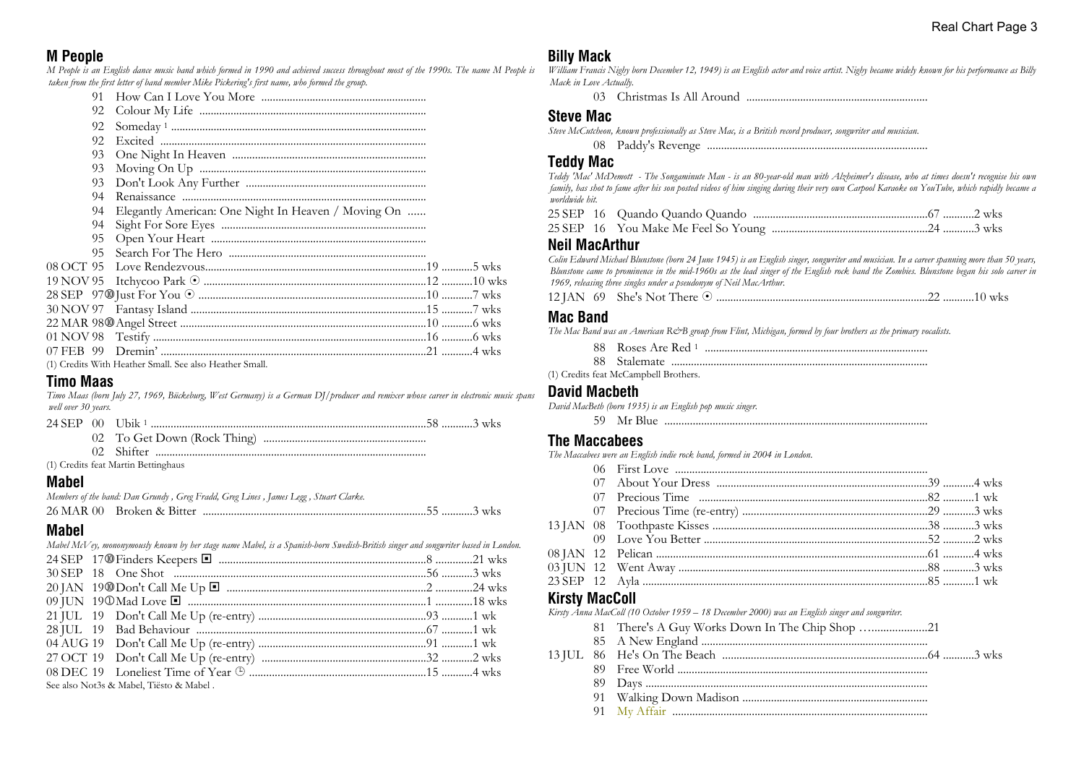## **M People**

*M People is an English dance music band which formed in 1990 and achieved success throughout most of the 1990s. The name M People is taken from the first letter of band member Mike Pickering's first name, who formed the group.*

|           | 91. |                                                         |  |
|-----------|-----|---------------------------------------------------------|--|
|           | 92  |                                                         |  |
|           | 92  |                                                         |  |
|           | 92  |                                                         |  |
|           | 93  |                                                         |  |
|           | 93  |                                                         |  |
|           | 93  |                                                         |  |
|           | 94  |                                                         |  |
|           | 94  | Elegantly American: One Night In Heaven / Moving On     |  |
|           | 94  |                                                         |  |
|           | 95  |                                                         |  |
|           | 95  |                                                         |  |
| 08 OCT 95 |     |                                                         |  |
|           |     |                                                         |  |
|           |     |                                                         |  |
|           |     |                                                         |  |
|           |     |                                                         |  |
|           |     |                                                         |  |
|           |     |                                                         |  |
|           |     | (1) Credits With Heather Small. See also Heather Small. |  |

#### **Timo Maas**

*Timo Maas (born July 27, 1969, Bückeburg, West Germany) is a German DJ/producer and remixer whose career in electronic music spans well over 30 years.*

| 24 SEP | $-00$ | Jbik                     |
|--------|-------|--------------------------|
|        |       | To Get Down (Rock Thing) |

02 Shifter ................................................................................................

(1) Credits feat Martin Bettinghaus

#### **Mabel**

*Members of the band: Dan Grundy , Greg Fradd, Greg Lines , James Legg , Stuart Clarke.*

|  | 26 MAR 00 Broken & Bitter |  |  |
|--|---------------------------|--|--|
|--|---------------------------|--|--|

## **Mabel**

|  | Mabel McV ey, mononymously known by her stage name Mabel, is a Spanish-born Swedish-British singer and songwriter based in London. |  |
|--|------------------------------------------------------------------------------------------------------------------------------------|--|
|  |                                                                                                                                    |  |
|  |                                                                                                                                    |  |
|  |                                                                                                                                    |  |
|  |                                                                                                                                    |  |
|  |                                                                                                                                    |  |
|  |                                                                                                                                    |  |
|  |                                                                                                                                    |  |
|  |                                                                                                                                    |  |
|  |                                                                                                                                    |  |
|  | See also Not3s & Mabel, Tiësto & Mabel.                                                                                            |  |
|  |                                                                                                                                    |  |

## **Billy Mack**

*William Francis Nighy born December 12, 1949) is an English actor and voice artist. Nighy became widely known for his performance as Billy Mack in Love Actually.*

03 Christmas Is All Around ................................................................

#### **Steve Mac**

*Steve McCutcheon, known professionally as Steve Mac, is a British record producer, songwriter and musician.*

|--|--|--|

### **Teddy Mac**

*Teddy 'Mac' McDemott - The Songaminute Man - is an 80-year-old man with Alzheimer's disease, who at times doesn't recognise his own family, has shot to fame after his son posted videos of him singing during their very own Carpool Karaoke on YouTube, which rapidly became a worldwide hit.*

### **Neil MacArthur**

*Colin Edward Michael Blunstone (born 24 June 1945) is an English singer, songwriter and musician. In a career spanning more than 50 years, Blunstone came to prominence in the mid-1960s as the lead singer of the English rock band the Zombies. Blunstone began his solo career in 1969, releasing three singles under a pseudonym of Neil MacArthur.*

88 Roses Are Red <sup>1</sup> ...............................................................................

|--|--|--|--|

## **Mac Band**

*The Mac Band was an American R&B group from Flint, Michigan, formed by four brothers as the primary vocalists.*

| 88. | Roses Are Red 1 |  |
|-----|-----------------|--|
|     |                 |  |

|  | манентан |  |
|--|----------|--|
|--|----------|--|

(1) Credits feat McCampbell Brothers.

#### **David Macbeth**

*David MacBeth (born 1935) is an English pop music singer.*

59 Mr Blue .............................................................................................

#### **The Maccabees**

*The Maccabees were an English indie rock band, formed in 2004 in London.*

## **Kirsty MacColl**

*Kirsty Anna MacColl (10 October 1959 – 18 December 2000) was an English singer and songwriter.*

- 81 There's A Guy Works Down In The Chip Shop …...................21 85 A New England ................................................................................ 13 JUL 86 He's On The Beach ........................................................................64 ...........3 wks 89 Free World ........................................................................................ 89 Days .................................................................................................... 91 Walking Down Madison .................................................................
	-

#### 91 My Affair ..........................................................................................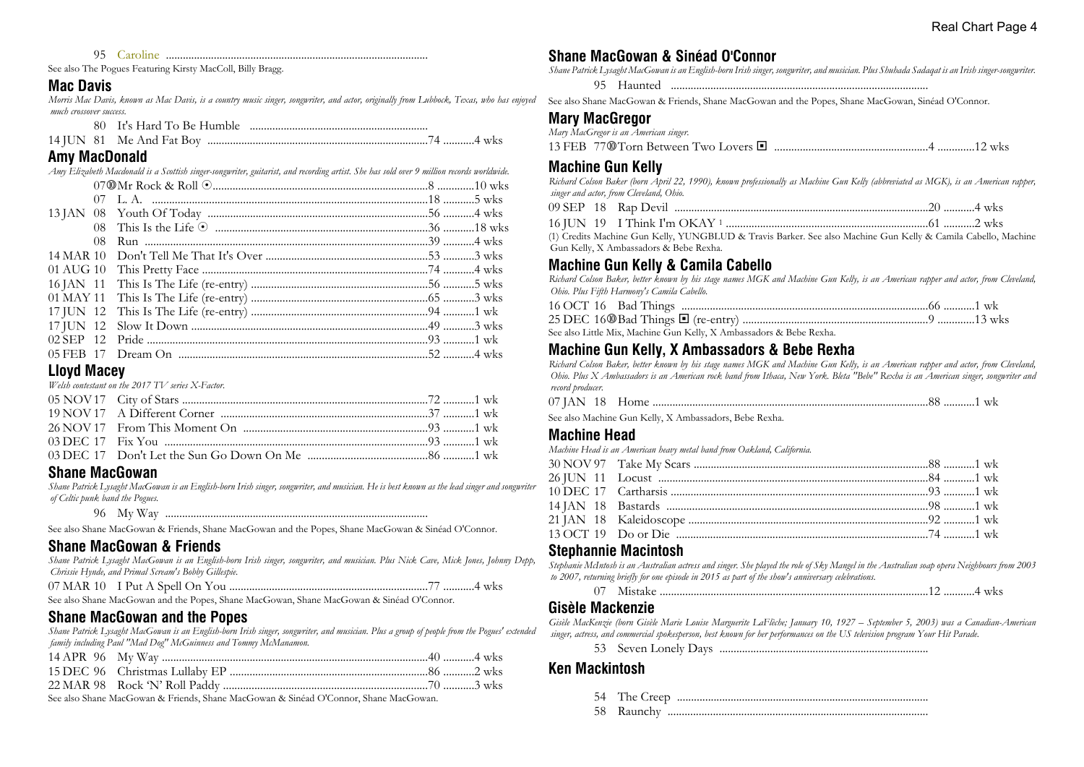95 Caroline .............................................................................................

See also The Pogues Featuring Kirsty MacColl, Billy Bragg.

#### **Mac Davis**

*Morris Mac Davis, known as Mac Davis, is a country music singer, songwriter, and actor, originally from Lubbock, Texas, who has enjoyed much crossover success.*

|  | 74 4 wks |
|--|----------|

### **Amy MacDonald**

|           | Amy Elizabeth Macdonald is a Scottish singer-songwriter, guitarist, and recording artist. She has sold over 9 million records worldwide. |  |
|-----------|------------------------------------------------------------------------------------------------------------------------------------------|--|
|           |                                                                                                                                          |  |
|           |                                                                                                                                          |  |
|           |                                                                                                                                          |  |
|           |                                                                                                                                          |  |
| 08        |                                                                                                                                          |  |
| 14 MAR 10 |                                                                                                                                          |  |
|           |                                                                                                                                          |  |
|           |                                                                                                                                          |  |
|           |                                                                                                                                          |  |
|           |                                                                                                                                          |  |
|           |                                                                                                                                          |  |
|           |                                                                                                                                          |  |
|           |                                                                                                                                          |  |
|           |                                                                                                                                          |  |

#### **Lloyd Macey**

*Welsh contestant on the 2017 TV series X-Factor.*

## **Shane MacGowan**

*Shane Patrick Lysaght MacGowan is an English-born Irish singer, songwriter, and musician. He is best known as the lead singer and songwriter of Celtic punk band the Pogues.*

96 My Way .............................................................................................

See also Shane MacGowan & Friends, Shane MacGowan and the Popes, Shane MacGowan & Sinéad O'Connor.

## **Shane MacGowan & Friends**

*Shane Patrick Lysaght MacGowan is an English-born Irish singer, songwriter, and musician. Plus Nick Cave, Mick Jones, Johnny Depp, Chrissie Hynde, and Primal Scream's Bobby Gillespie.*

|  | 7 4 wks |  |
|--|---------|--|
|  |         |  |

See also Shane MacGowan and the Popes, Shane MacGowan, Shane MacGowan & Sinéad O'Connor.

## **Shane MacGowan and the Popes**

*Shane Patrick Lysaght MacGowan is an English-born Irish singer, songwriter, and musician. Plus a group of people from the Pogues' extended family including Paul "Mad Dog" McGuinness and Tommy McManamon.*

See also Shane MacGowan & Friends, Shane MacGowan & Sinéad O'Connor, Shane MacGowan.

## **Shane MacGowan & Sinéad O'Connor**

*Shane Patrick Lysaght MacGowan is an English-born Irish singer, songwriter, and musician. Plus Shuhada Sadaqat is an Irish singer-songwriter.* 95 Haunted ...........................................................................................

See also Shane MacGowan & Friends, Shane MacGowan and the Popes, Shane MacGowan, Sinéad O'Connor.

## **Mary MacGregor**

| Mary MacGregor is an American singer. |  |
|---------------------------------------|--|
|                                       |  |

## **Machine Gun Kelly**

*Richard Colson Baker (born April 22, 1990), known professionally as Machine Gun Kelly (abbreviated as MGK), is an American rapper, singer and actor, from Cleveland, Ohio.*

|              | 09 SEP 18 Rap Devil |  |  |
|--------------|---------------------|--|--|
| . . <b>.</b> |                     |  |  |

16 JUN 19 I Think I'm OKAY <sup>1</sup> .......................................................................61 ...........2 wks

(1) Credits Machine Gun Kelly, YUNGBLUD & Travis Barker. See also Machine Gun Kelly & Camila Cabello, Machine Gun Kelly, X Ambassadors & Bebe Rexha.

## **Machine Gun Kelly & Camila Cabello**

*Richard Colson Baker, better known by his stage names MGK and Machine Gun Kelly, is an American rapper and actor, from Cleveland, Ohio. Plus Fifth Harmony's Camila Cabello.*

| See also Little Mix, Machine Gun Kelly, X Ambassadors & Bebe Rexha. |  |
|---------------------------------------------------------------------|--|

## **Machine Gun Kelly, X Ambassadors & Bebe Rexha**

*Richard Colson Baker, better known by his stage names MGK and Machine Gun Kelly, is an American rapper and actor, from Cleveland, Ohio. Plus X Ambassadors is an American rock band from Ithaca, New York. Bleta "Bebe" Rexha is an American singer, songwriter and record producer.*

| 07 IAN |  |  |  |  |  |  |
|--------|--|--|--|--|--|--|
|--------|--|--|--|--|--|--|

See also Machine Gun Kelly, X Ambassadors, Bebe Rexha.

#### **Machine Head**

*Machine Head is an American heavy metal band from Oakland, California.*

## **Stephannie Macintosh**

*Stephanie McIntosh is an Australian actress and singer. She played the role of Sky Mangel in the Australian soap opera Neighbours from 2003 to 2007, returning briefly for one episode in 2015 as part of the show's anniversary celebrations.*

07 Mistake ...............................................................................................12 ...........4 wks

#### **Gisèle Mackenzie**

*Gisèle MacKenzie (born Gisèle Marie Louise Marguerite LaFlèche; January 10, 1927 – September 5, 2003) was a Canadian-American singer, actress, and commercial spokesperson, best known for her performances on the US television program Your Hit Parade.*

53 Seven Lonely Days ..........................................................................

## **Ken Mackintosh**

- 54 The Creep .........................................................................................
- 58 Raunchy ............................................................................................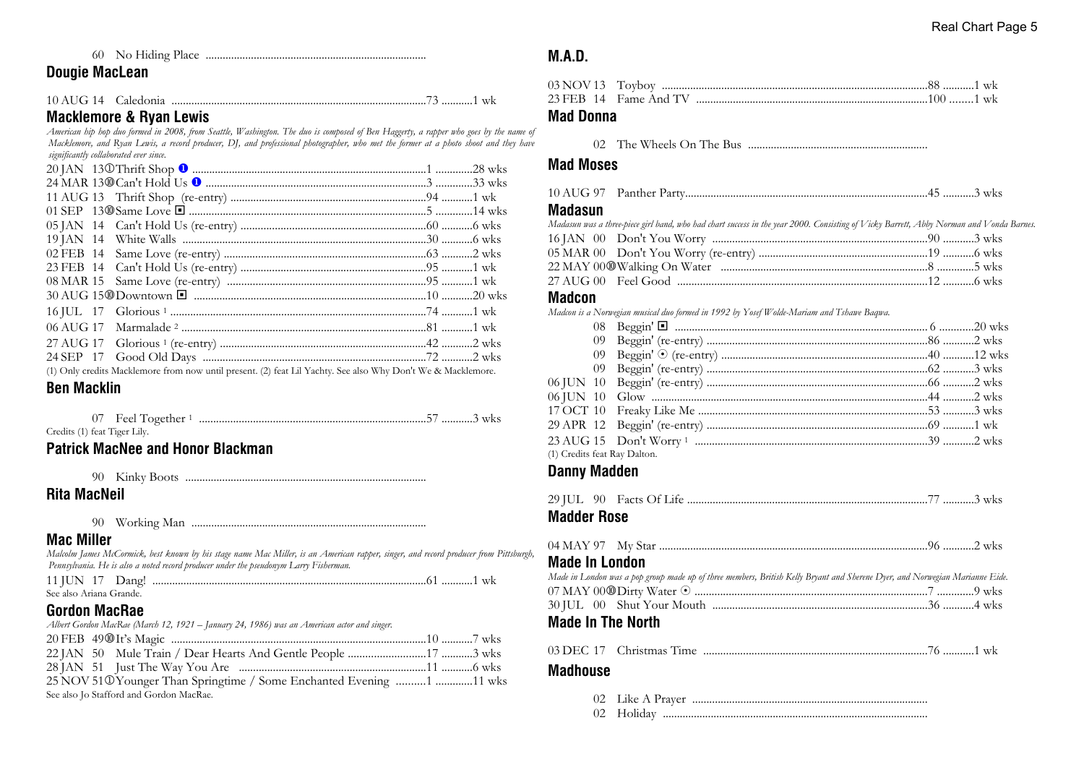## 60 No Hiding Place ..............................................................................

## **Dougie MacLean**

| 10 AUG 14 Caledonia |  |  |  |  |
|---------------------|--|--|--|--|
|---------------------|--|--|--|--|

## **Macklemore & Ryan Lewis**

*American hip hop duo formed in 2008, from Seattle, Washington. The duo is composed of Ben Haggerty, a rapper who goes by the name of Macklemore, and Ryan Lewis, a record producer, DJ, and professional photographer, who met the former at a photo shoot and they have significantly collaborated ever since.*

|  | (1) Only credite Macklemore from now until present (2) feet I il Vachty, See also Why Don't We & Macklemore |  |
|--|-------------------------------------------------------------------------------------------------------------|--|

(1) Only credits Macklemore from now until present. (2) feat Lil Yachty. See also Why Don't We & Macklemore.

## **Ben Macklin**

| 07 Feel Together 1           |  |
|------------------------------|--|
| Credits (1) feat Tiger Lily. |  |

## **Patrick MacNee and Honor Blackman**

| 90 | Kinky Boots |  |
|----|-------------|--|
|----|-------------|--|

## **Rita MacNeil**

90 Working Man ...................................................................................

#### **Mac Miller**

*Malcolm James McCormick, best known by his stage name Mac Miller, is an American rapper, singer, and record producer from Pittsburgh, Pennsylvania. He is also a noted record producer under the pseudonym Larry Fisherman.*

| See also Ariana Grande. |  |  |
|-------------------------|--|--|

## **Gordon MacRae**

| Albert Gordon MacRae (March 12, 1921 – January 24, 1986) was an American actor and singer. |  |
|--------------------------------------------------------------------------------------------|--|
|                                                                                            |  |
|                                                                                            |  |
|                                                                                            |  |
| 25 NOV 51 ® Younger Than Springtime / Some Enchanted Evening 1 11 wks                      |  |
| See also Jo Stafford and Gordon MacRae.                                                    |  |

## **M.A.D.**

| 23 FEB 14 Fame And TV ………………………………………………………………………100 ………1 wk |  |  |
|--------------------------------------------------------------|--|--|

## **Mad Donna**

02 The Wheels On The Bus ...............................................................

## **Mad Moses**

|--|--|--|--|

### **Madasun**

| Madasun was a three-piece girl band, who had chart success in the year 2000. Consisting of Vicky Barrett, Abby Norman and Vonda Barnes. |  |
|-----------------------------------------------------------------------------------------------------------------------------------------|--|
|                                                                                                                                         |  |
|                                                                                                                                         |  |
|                                                                                                                                         |  |
|                                                                                                                                         |  |

### **Madcon**

*Madcon is a Norwegian musical duo formed in 1992 by Yosef Wolde-Mariam and Tshawe Baqwa.*

## **Danny Madden**

| <b>Madder Rose</b>    |                                                                                                                                   |  |
|-----------------------|-----------------------------------------------------------------------------------------------------------------------------------|--|
|                       |                                                                                                                                   |  |
| <b>Made In London</b> |                                                                                                                                   |  |
|                       | .<br>Made in London was a pop group made up of three members, British Kelly Bryant and Sherene Dyer, and Norwegian Marianne Eide. |  |
|                       |                                                                                                                                   |  |
|                       |                                                                                                                                   |  |
|                       | $M = J - I_0$ . The Algorithm of the contract of $\overline{M}$                                                                   |  |

### **Made In The North**

| 03 DEC 17 | Christmas I<br><sub>1</sub> me |  |
|-----------|--------------------------------|--|
|-----------|--------------------------------|--|

### **Madhouse**

| 02 Holiday |
|------------|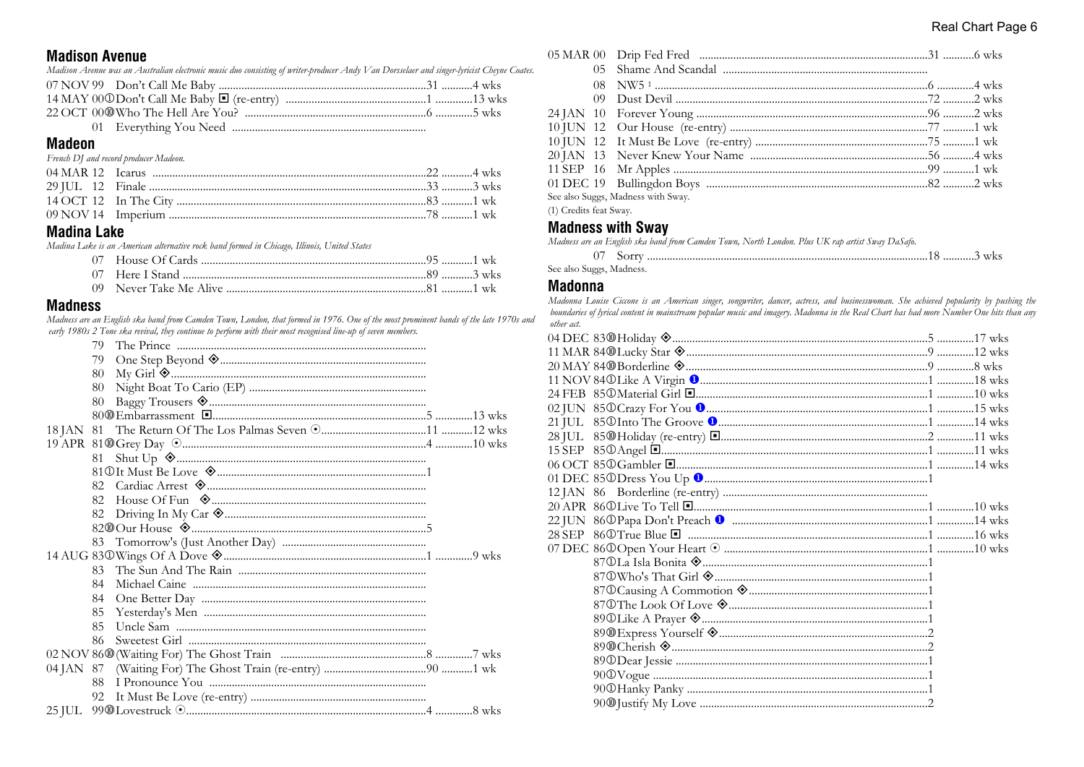#### **Madison Avenue**

Madison Avenue was an Australian electronic music duo consisting of writer-producer Andy Van Dorsselaer and singer-lyricist Cheyne Coates.

#### **Madeon**

#### French DJ and record producer Madeon.

## **Madina Lake**

Madina Lake is an American alternative rock band formed in Chicago, Illinois, United States

#### **Madness**

Madness are an English ska band from Camden Town, London, that formed in 1976. One of the most prominent bands of the late 1970s and early 1980s 2 Tone ska revival, they continue to perform with their most recognised line-up of seven members. LE 1920-1930

|           | 79. |  |
|-----------|-----|--|
|           | 79  |  |
|           | 80  |  |
|           | 80  |  |
|           | 80  |  |
|           |     |  |
| 18 JAN 81 |     |  |
|           |     |  |
|           | 81  |  |
|           |     |  |
|           | 82  |  |
|           | 82. |  |
|           | 82  |  |
|           |     |  |
|           |     |  |
|           |     |  |
|           | 83  |  |
|           | 84  |  |
|           | 84  |  |
|           | 85  |  |
|           | 85  |  |
|           | 86  |  |
|           |     |  |
|           |     |  |
|           | 88  |  |
|           | 92  |  |
|           |     |  |
|           |     |  |

| See also Suggs, Madness with Sway. |  |
|------------------------------------|--|

(1) Credits feat Sway.

#### **Madness with Sway**

Madness are an English ska band from Camden Town, North London. Plus UK rap artist Sway DaSafo.

| See also Suggs, Madness. |  |  |
|--------------------------|--|--|

#### **Madonna**

Madonna Louise Ciccone is an American singer, songwriter, dancer, actress, and businesswoman. She achieved popularity by pushing the boundaries of lyrical content in mainstream popular music and imagery. Madonna in the Real Chart has had more Number One hits than any other act.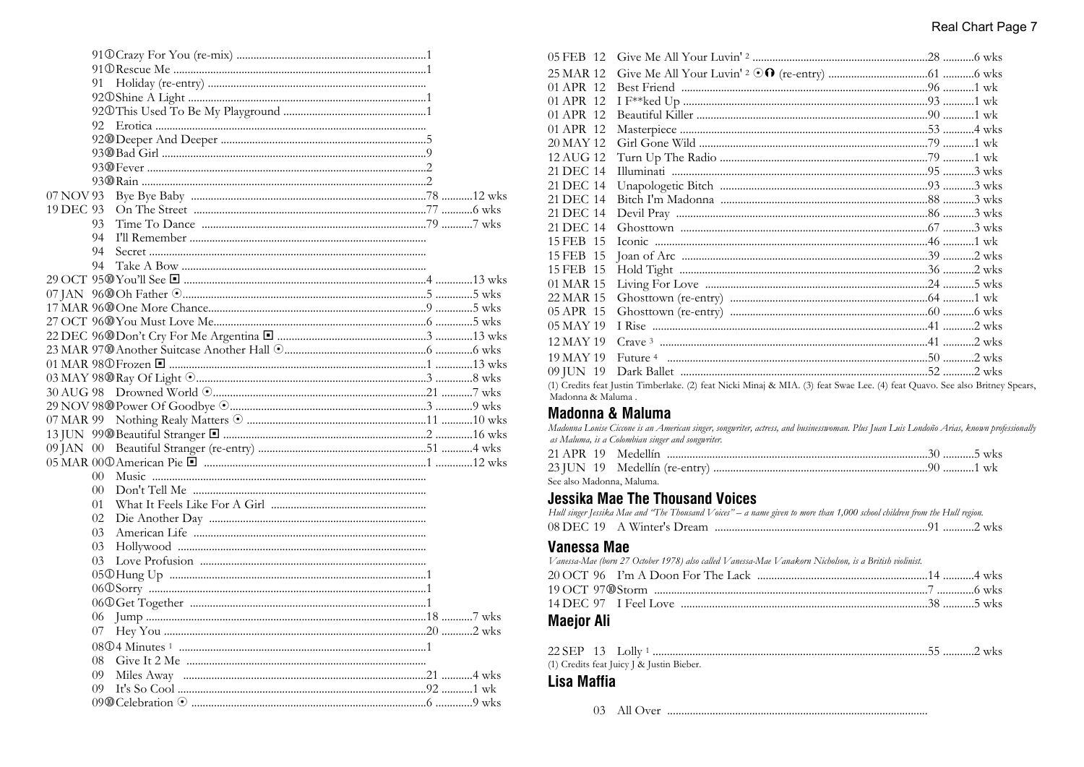|           | 91     |  |  |
|-----------|--------|--|--|
|           |        |  |  |
|           |        |  |  |
|           | 92     |  |  |
|           |        |  |  |
|           |        |  |  |
|           |        |  |  |
|           |        |  |  |
| 07 NOV 93 |        |  |  |
| 19 DEC 93 |        |  |  |
|           | 93     |  |  |
|           | 94     |  |  |
|           | 94     |  |  |
|           | 94     |  |  |
|           |        |  |  |
|           |        |  |  |
|           |        |  |  |
|           |        |  |  |
|           |        |  |  |
|           |        |  |  |
|           |        |  |  |
|           |        |  |  |
|           |        |  |  |
|           |        |  |  |
|           |        |  |  |
|           |        |  |  |
|           |        |  |  |
|           |        |  |  |
|           | $00 -$ |  |  |
|           | 00     |  |  |
|           | 01     |  |  |
|           | 02     |  |  |
|           | 03     |  |  |
|           | 03     |  |  |
|           | 03.    |  |  |
|           |        |  |  |
|           |        |  |  |
|           |        |  |  |
|           | 06     |  |  |
|           | 07     |  |  |
|           |        |  |  |
|           |        |  |  |
|           | 09     |  |  |
|           | 09 =   |  |  |
|           |        |  |  |
|           |        |  |  |

| 05 FEB 12 |                                                                                                                     |  |
|-----------|---------------------------------------------------------------------------------------------------------------------|--|
| 25 MAR 12 |                                                                                                                     |  |
| 01 APR 12 |                                                                                                                     |  |
| 01 APR 12 |                                                                                                                     |  |
| 01 APR 12 |                                                                                                                     |  |
| 01 APR 12 |                                                                                                                     |  |
| 20 MAY 12 |                                                                                                                     |  |
| 12 AUG 12 |                                                                                                                     |  |
| 21 DEC 14 |                                                                                                                     |  |
| 21 DEC 14 |                                                                                                                     |  |
| 21 DEC 14 |                                                                                                                     |  |
| 21 DEC 14 |                                                                                                                     |  |
| 21 DEC 14 |                                                                                                                     |  |
| 15 FEB 15 |                                                                                                                     |  |
| 15 FEB 15 |                                                                                                                     |  |
| 15 FEB 15 |                                                                                                                     |  |
| 01 MAR 15 |                                                                                                                     |  |
| 22 MAR 15 |                                                                                                                     |  |
| 05 APR 15 |                                                                                                                     |  |
| 05 MAY 19 |                                                                                                                     |  |
| 12 MAY 19 |                                                                                                                     |  |
| 19 MAY 19 |                                                                                                                     |  |
| 09 JUN 19 |                                                                                                                     |  |
|           | (1) Credits feat Justin Timberlake. (2) feat Nicki Minai & MIA. (3) feat Swae Lee. (4) feat Ouavo. See also Britney |  |

ey Spears,  $(2)$ 1aj :  $(3)$ . (4) Madonna & Maluma

## **Madonna & Maluma**

Madonna Louise Ciccone is an American singer, songwriter, actress, and businesswoman. Plus Juan Luis Londoño Arias, known professionally as Maluma, is a Colombian singer and songwriter.

|  | See also Madonna. Maluma. |  |
|--|---------------------------|--|

## **Jessika Mae The Thousand Voices**

|  | Hull singer Jessika Mae and 'The Thousand Voices" – a name given to more than 1,000 school children from the Hull region. |  |
|--|---------------------------------------------------------------------------------------------------------------------------|--|
|  |                                                                                                                           |  |

## **Vanessa Mae**

Vanessa-Mae (born 27 October 1978) also called Vanessa-Mae Vanakorn Nicholson, is a British violinist.

## **Maejor Ali**

(1) Credits feat Juicy J & Justin Bieber.

## Lisa Maffia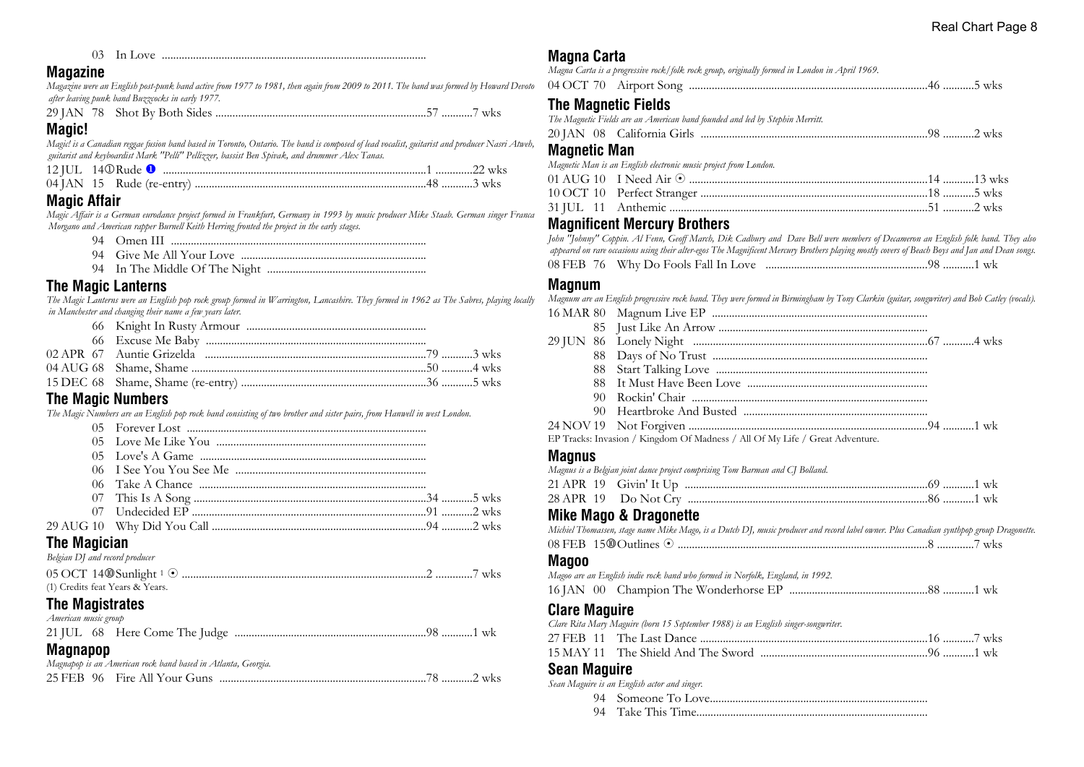03 In Love .............................................................................................

#### **Magazine**

*Magazine were an English post-punk band active from 1977 to 1981, then again from 2009 to 2011. The band was formed by Howard Devoto after leaving punk band Buzzcocks in early 1977.*

29 JAN 78 Shot By Both Sides ..........................................................................57 ...........7 wks

### **Magic!**

*Magic! is a Canadian reggae fusion band based in Toronto, Ontario. The band is composed of lead vocalist, guitarist and producer Nasri Atweh, guitarist and keyboardist Mark "Pelli" Pellizzer, bassist Ben Spivak, and drummer Alex Tanas.*

## **Magic Affair**

*Magic Affair is a German eurodance project formed in Frankfurt, Germany in 1993 by music producer Mike Staab. German singer Franca Morgano and American rapper Burnell Keith Herring fronted the project in the early stages.*

- 94 Omen III ..........................................................................................
- 94 Give Me All Your Love .................................................................
- 94 In The Middle Of The Night ........................................................

## **The Magic Lanterns**

*The Magic Lanterns were an English pop rock group formed in Warrington, Lancashire. They formed in 1962 as The Sabres, playing locally in Manchester and changing their name a few years later.*

## **The Magic Numbers**

*The Magic Numbers are an English pop rock band consisting of two brother and sister pairs, from Hanwell in west London.*

## **The Magician**

| Belgian DJ and record producer  |  |
|---------------------------------|--|
|                                 |  |
| (1) Credits feat Years & Years. |  |

## **The Magistrates**

*American music group*

## **Magnapop**

| Magnapop is an American rock band based in Atlanta, Georgia. |  |  |  |  |  |  |  |  |
|--------------------------------------------------------------|--|--|--|--|--|--|--|--|
|                                                              |  |  |  |  |  |  |  |  |

## **Magna Carta**

*Magna Carta is a progressive rock/folk rock group, originally formed in London in April 1969.*

|  | $\mathcal{L}$<br>7()<br>()4 ( | Airport Song | ` WK. |
|--|-------------------------------|--------------|-------|
|--|-------------------------------|--------------|-------|

## **The Magnetic Fields**

|  | The Magnetic Fields are an American band founded and led by Stephin Merritt. |  |
|--|------------------------------------------------------------------------------|--|
|  |                                                                              |  |

## **Magnetic Man**

*Magnetic Man is an English electronic music project from London.* 01 AUG 10 I Need Air 8 ....................................................................................14 ...........13 wks 10 OCT 10 Perfect Stranger ................................................................................18 ...........5 wks 31 JUL 11 Anthemic ...........................................................................................51 ...........2 wks

## **Magnificent Mercury Brothers**

*John "Johnny" Coppin. Al Fenn, Geoff March, Dik Cadbury and Dave Bell were members of Decameron an English folk band. They also appeared on rare occasions using their alter-egos The Magnificent Mercury Brothers playing mostly covers of Beach Boys and Jan and Dean songs.* 08 FEB 76 Why Do Fools Fall In Love .........................................................98 ...........1 wk

## **Magnum**

*Magnum are an English progressive rock band. They were formed in Birmingham by Tony Clarkin (guitar, songwriter) and Bob Catley (vocals).* 16 MAR 80 Magnum Live EP ............................................................................

| EP Tracks: Invasion / Kingdom Of Madness / All Of My Life / Great Adventure. |  |
|------------------------------------------------------------------------------|--|

## **Magnus**

|  | Magnus is a Belgian joint dance project comprising Tom Barman and CJ Bolland. |  |
|--|-------------------------------------------------------------------------------|--|
|  |                                                                               |  |
|  |                                                                               |  |

## **Mike Mago & Dragonette**

*Michiel Thomassen, stage name Mike Mago, is a Dutch DJ, music producer and record label owner. Plus Canadian synthpop group Dragonette.*

|  | 08 FEB 15 <sup>®</sup> Outlines |  |  |  | WKS |  |
|--|---------------------------------|--|--|--|-----|--|
|--|---------------------------------|--|--|--|-----|--|

#### **Magoo**

*Magoo are an English indie rock band who formed in Norfolk, England, in 1992.* 16 JAN 00 Champion The Wonderhorse EP .................................................88 ...........1 wk

## **Clare Maguire**

*Clare Rita Mary Maguire (born 15 September 1988) is an English singer-songwriter.*

27 FEB 11 The Last Dance ................................................................................16 ...........7 wks

|--|--|

#### **Sean Maguire** *Sean Maguire is an English actor and singer.*

| Sean Maguire is an English actor and singer. |
|----------------------------------------------|
|                                              |
|                                              |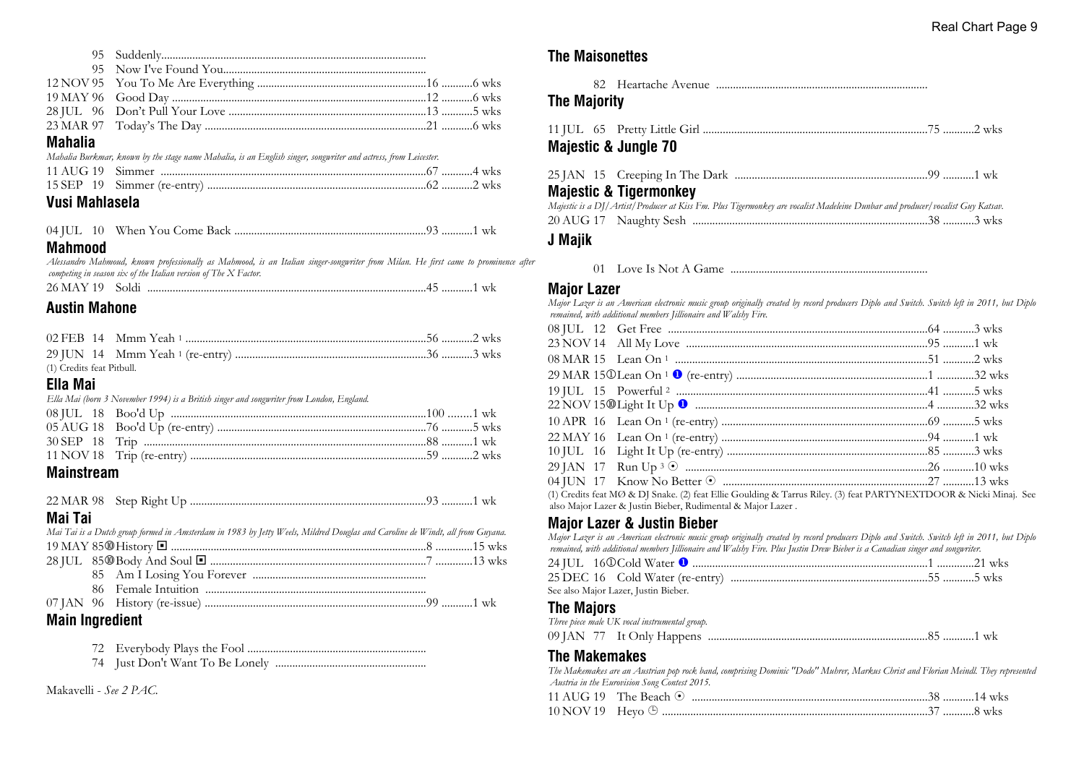| <b>Mahalia</b> |                                                                                                                 |  |
|----------------|-----------------------------------------------------------------------------------------------------------------|--|
|                | Mahalia Burkmar, known by the stage name Mahalia, is an English singer, songwriter and actress, from Leicester. |  |
|                |                                                                                                                 |  |

#### 15 SEP 19 Simmer (re-entry) .............................................................................62 ...........2 wks **Vusi Mahlasela**

### **Mahmood**

*Alessandro Mahmoud, known professionally as Mahmood, is an Italian singer-songwriter from Milan. He first came to prominence after competing in season six of the Italian version of The X Factor.*

|--|--|--|--|--|

## **Austin Mahone**

| (1) Credits feat Pitbull. |  |  |
|---------------------------|--|--|

#### **Ella Mai**

|  |  | Ella Mai (born 3 November 1994) is a British singer and songwriter from London, England. |  |
|--|--|------------------------------------------------------------------------------------------|--|
|--|--|------------------------------------------------------------------------------------------|--|

| <b>BALLACE COMPANY AND RESIDENTS</b> |  |  |
|--------------------------------------|--|--|

#### **Mainstream**

## **Mai Tai**

|                  | Mai Tai is a Dutch group formed in Amsterdam in 1983 by Jetty Weels, Mildred Douglas and Caroline de Windt, all from Guyana. |  |
|------------------|------------------------------------------------------------------------------------------------------------------------------|--|
|                  |                                                                                                                              |  |
|                  |                                                                                                                              |  |
|                  |                                                                                                                              |  |
|                  |                                                                                                                              |  |
|                  |                                                                                                                              |  |
| Main Increalized |                                                                                                                              |  |

## **Main Ingredient**

- 72 Everybody Plays the Fool ...............................................................
- 74 Just Don't Want To Be Lonely .....................................................

Makavelli - *See 2 PAC.*

## **The Maisonettes**

82 Heartache Avenue ...........................................................................

## **The Majority**

| <b>Majestic &amp; Jungle 70</b>                                                                                                                                               |
|-------------------------------------------------------------------------------------------------------------------------------------------------------------------------------|
| <b>Majestic &amp; Tigermonkey</b><br>Majestic is a DJ/Artist/Producer at Kiss Fm. Plus Tigermonkey are vocalist Madeleine Dunbar and producer/vocalist Guy Katsav.<br>J Majik |

01 Love Is Not A Game ......................................................................

### **Major Lazer**

*Major Lazer is an American electronic music group originally created by record producers Diplo and Switch. Switch left in 2011, but Diplo remained, with additional members Jillionaire and Walshy Fire.*

| (1) Credits feat MØ & DJ Snake. (2) feat Ellie Goulding & Tarrus Riley. (3) feat PARTYNEXTDOOR & Nicki Minaj. See |  |
|-------------------------------------------------------------------------------------------------------------------|--|

also Major Lazer & Justin Bieber, Rudimental & Major Lazer .

## **Major Lazer & Justin Bieber**

| Major Lazer is an American electronic music group originally created by record producers Diplo and Switch. Switch left in 2011, but Diplo |  |
|-------------------------------------------------------------------------------------------------------------------------------------------|--|
| remained, with additional members [illionaire and Walshy Fire. Plus Justin Drew Bieber is a Canadian singer and songwriter.               |  |
|                                                                                                                                           |  |
|                                                                                                                                           |  |
| See also Major Lazer, Justin Bieber.                                                                                                      |  |
| <b>The Majors</b>                                                                                                                         |  |
| Three piece male UK vocal instrumental group.                                                                                             |  |

09 JAN 77 It Only Happens ..............................................................................85 ...........1 wk

## **The Makemakes**

*The Makemakes are an Austrian pop rock band, comprising Dominic "Dodo" Muhrer, Markus Christ and Florian Meindl. They represented Austria in the Eurovision Song Contest 2015.*  $11 \text{AUC } 10 \text{ T}^{\dagger} \text{ D} 1 \text{ } \odot$ 

|                         | 11 AUG 19 The Beach $\odot$ |          |  |
|-------------------------|-----------------------------|----------|--|
| 10 NOV 19 Hevo $\oplus$ |                             | 37 8 wks |  |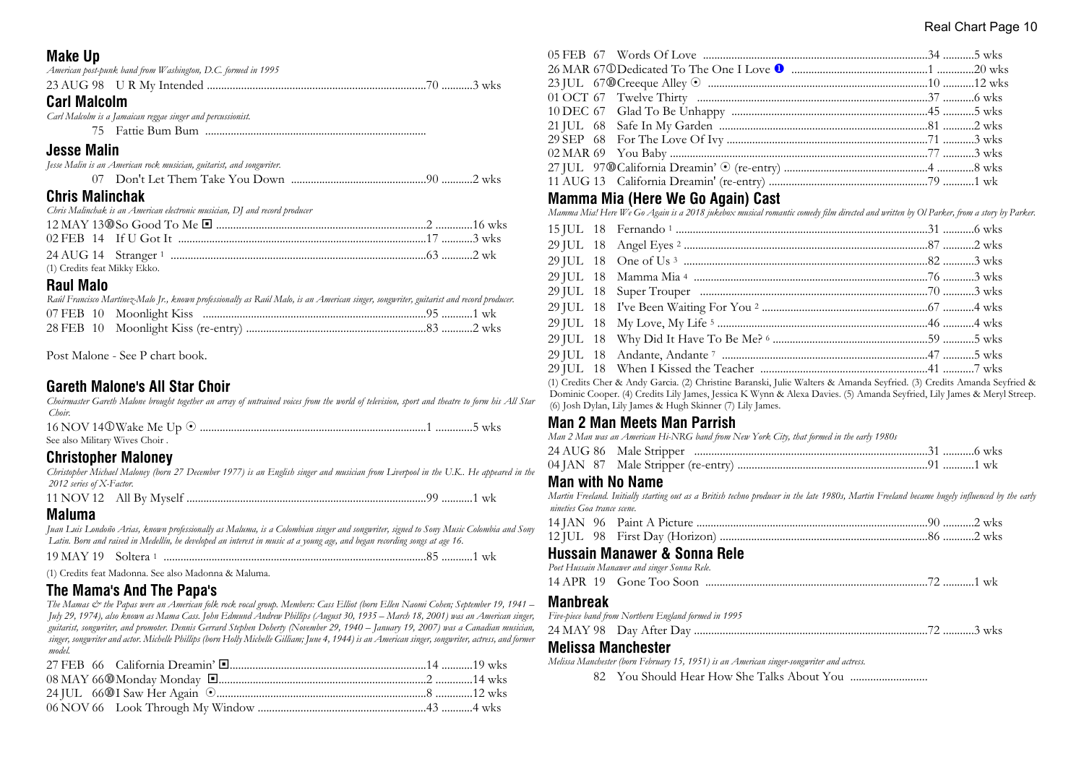#### Real Chart Page 10

## **Make Up**

| <b>Carl Malcolm</b> |                                                              |  |  |
|---------------------|--------------------------------------------------------------|--|--|
|                     |                                                              |  |  |
|                     | American post-punk band from Washington, D.C. formed in 1995 |  |  |

| Carl Malcolm is a Jamaican reggae singer and percussionist. |  |
|-------------------------------------------------------------|--|
|                                                             |  |

## **Jesse Malin**

| Jesse Malin is an American rock musician, guitarist, and songwriter. |  |
|----------------------------------------------------------------------|--|
|                                                                      |  |

## **Chris Malinchak**

| Chris Malinchak is an American electronic musician, DJ and record producer           |  |  |  |
|--------------------------------------------------------------------------------------|--|--|--|
| $12$ MAV $12$ Me <sub>o</sub> $C_{\text{cool}}$ T <sub>o</sub> M <sub>e</sub> $\Box$ |  |  |  |

| (1) Credits feat Mikky Ekko. |  |
|------------------------------|--|

## **Raul Malo**

|  | Raúl Francisco Martínez-Malo Jr., known professionally as Raúl Malo, is an American singer, songwriter, guitarist and record producer. |  |
|--|----------------------------------------------------------------------------------------------------------------------------------------|--|
|  |                                                                                                                                        |  |
|  |                                                                                                                                        |  |

Post Malone - See P chart book.

## **Gareth Malone's All Star Choir**

*Choirmaster Gareth Malone brought together an array of untrained voices from the world of television, sport and theatre to form his All Star Choir.*

| See also Military Wives Choir. |  |  |
|--------------------------------|--|--|

## **Christopher Maloney**

*Christopher Michael Maloney (born 27 December 1977) is an English singer and musician from Liverpool in the U.K.. He appeared in the 2012 series of X-Factor.* 11 NOV 12 All By Myself .....................................................................................99 ...........1 wk

## **Maluma**

*Juan Luis Londoño Arias, known professionally as Maluma, is a Colombian singer and songwriter, signed to Sony Music Colombia and Sony Latin. Born and raised in Medellín, he developed an interest in music at a young age, and began recording songs at age 16.*

| $19$ MAY 19 Soltera 1. |                                                      |  |
|------------------------|------------------------------------------------------|--|
|                        | (1) Credits feat Madonna. See also Madonna & Maluma. |  |

## **The Mama's And The Papa's**

*The Mamas & the Papas were an American folk rock vocal group. Members: Cass Elliot (born Ellen Naomi Cohen; September 19, 1941 – July 29, 1974), also known as Mama Cass. John Edmund Andrew Phillips (August 30, 1935 – March 18, 2001) was an American singer, guitarist, songwriter, and promoter. Dennis Gerrard Stephen Doherty (November 29, 1940 – January 19, 2007) was a Canadian musician, singer, songwriter and actor. Michelle Phillips (born Holly Michelle Gilliam; June 4, 1944) is an American singer, songwriter, actress, and former model.*

## **Mamma Mia (Here We Go Again) Cast**

*Mamma Mia! Here We Go Again is a 2018 jukebox musical romantic comedy film directed and written by Ol Parker, from a story by Parker.*

|  | (1) Credits Cher & Andy Garcia. (2) Christine Baranski, Julie Walters & Amanda Seyfried. (3) Credits Amanda Seyfried & |
|--|------------------------------------------------------------------------------------------------------------------------|
|  | Dominic Cooper (4) Crookes Live James Josepa K Wynn 8, Alova Daviss (5) Amanda Sovieted Live James 8, Moral Stroom     |

Dominic Cooper. (4) Credits Lily James, Jessica K Wynn & Alexa Davies. (5) Amanda Seyfried, Lily James & Meryl Streep. (6) Josh Dylan, Lily James & Hugh Skinner (7) Lily James.

## **Man 2 Man Meets Man Parrish**

*Man 2 Man was an American Hi-NRG band from New York City, that formed in the early 1980s*

## **Man with No Name**

*Martin Freeland. Initially starting out as a British techno producer in the late 1980s, Martin Freeland became hugely influenced by the early nineties Goa trance scene.*

## **Hussain Manawer & Sonna Rele**

| Poet Hussain Manawer and singer Sonna Rele. |  |
|---------------------------------------------|--|
|                                             |  |

## **Manbreak**

*Five-piece band from Northern England formed in 1995*

|--|--|--|--|--|

## **Melissa Manchester**

*Melissa Manchester (born February 15, 1951) is an American singer-songwriter and actress.*

82 You Should Hear How She Talks About You ...........................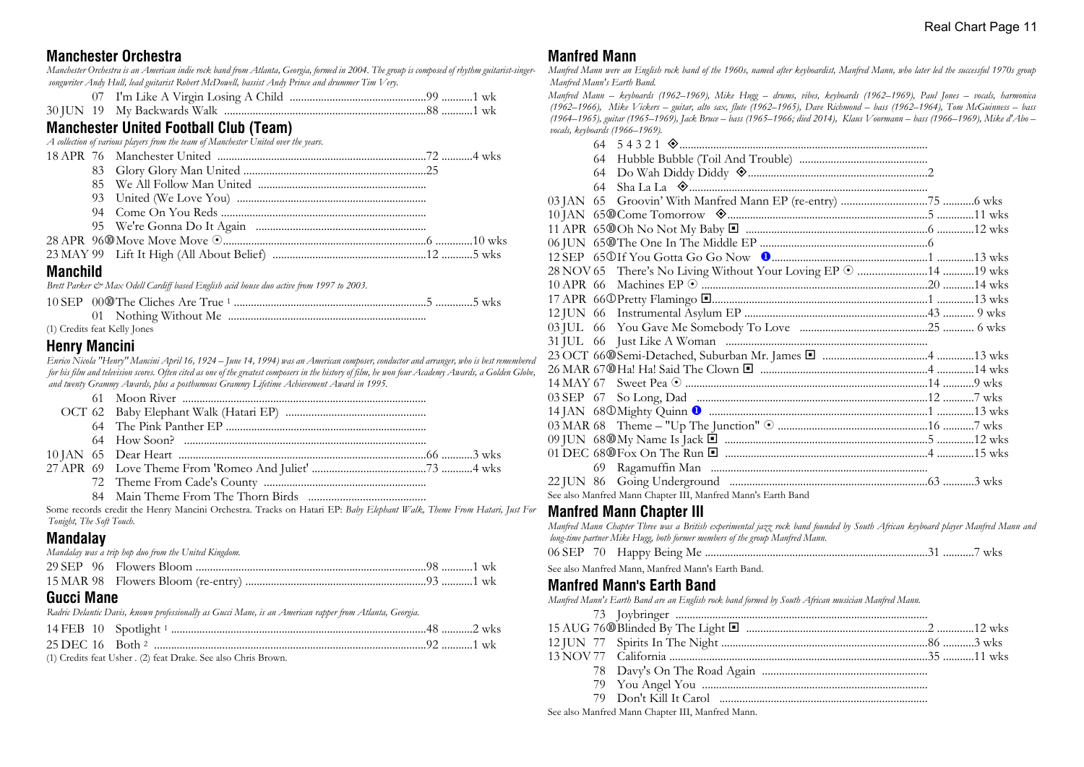### **Manchester Orchestra**

*Manchester Orchestra is an American indie rock band from Atlanta, Georgia, formed in 2004. The group is composed of rhythm guitarist-singersongwriter Andy Hull, lead guitarist Robert McDowell, bassist Andy Prince and drummer Tim Very.*

|--|--|--|--|--|

|  |  |  |  | 30 JUN 19 My Backwards Walk. |  |  |  |  |  |
|--|--|--|--|------------------------------|--|--|--|--|--|
|--|--|--|--|------------------------------|--|--|--|--|--|

## **Manchester United Football Club (Team)**

*A collection of various players from the team of Manchester United over the years.*

| <b>Manchild</b> |  |  |
|-----------------|--|--|
|                 |  |  |
|                 |  |  |
|                 |  |  |
|                 |  |  |
|                 |  |  |
|                 |  |  |
|                 |  |  |
|                 |  |  |

*Brett Parker & Max Odell Cardiff based English acid house duo active from 1997 to 2003.*

#### (1) Credits feat Kelly Jones

#### **Henry Mancini**

*Enrico Nicola "Henry" Mancini April 16, 1924 – June 14, 1994) was an American composer, conductor and arranger, who is best remembered for his film and television scores. Often cited as one of the greatest composers in the history of film, he won four Academy Awards, a Golden Globe, and twenty Grammy Awards, plus a posthumous Grammy Lifetime Achievement Award in 1995.*

|  | $\alpha$ , that $\alpha$ , $\alpha$ , $\alpha$ , $\alpha$ , $\alpha$ , $\alpha$ , $\alpha$ , $\alpha$ , $\alpha$ , $\alpha$ , $\alpha$ , $\alpha$ , $\alpha$ |
|--|--------------------------------------------------------------------------------------------------------------------------------------------------------------|

Some records credit the Henry Mancini Orchestra. Tracks on Hatari EP: *Baby Elephant Walk, Theme From Hatari, Just For Tonight, The Soft Touch.*

## **Mandalay**

| Mandalay was a trip hop duo from the United Kingdom. |  |  |
|------------------------------------------------------|--|--|
|                                                      |  |  |
|                                                      |  |  |
|                                                      |  |  |

#### **Gucci Mane**

*Radric Delantic Davis, known professionally as Gucci Mane, is an American rapper from Atlanta, Georgia.*

(1) Credits feat Usher *.* (2) feat Drake. See also Chris Brown.

#### **Manfred Mann**

*Manfred Mann were an English rock band of the 1960s, named after keyboardist, Manfred Mann, who later led the successful 1970s group Manfred Mann's Earth Band.*

*Manfred Mann – keyboards (1962–1969), Mike Hugg – drums, vibes, keyboards (1962–1969), Paul Jones – vocals, harmonica (1962–1966), Mike Vickers – guitar, alto sax, flute (1962–1965), Dave Richmond – bass (1962–1964), Tom McGuinness – bass (1964–1965), guitar (1965–1969), Jack Bruce – bass (1965–1966; died 2014), Klaus Voormann – bass (1966–1969), Mike d'Abo – vocals, keyboards (1966–1969).*

| 64 |                                                                   |  |
|----|-------------------------------------------------------------------|--|
|    |                                                                   |  |
|    |                                                                   |  |
|    |                                                                   |  |
|    |                                                                   |  |
|    |                                                                   |  |
|    | 28 NOV 65 There's No Living Without Your Loving EP $\odot$ 19 wks |  |
|    |                                                                   |  |
|    |                                                                   |  |
|    |                                                                   |  |
|    |                                                                   |  |
|    |                                                                   |  |
|    |                                                                   |  |
|    |                                                                   |  |
|    |                                                                   |  |
|    |                                                                   |  |
|    |                                                                   |  |
|    |                                                                   |  |
|    |                                                                   |  |
|    |                                                                   |  |
|    |                                                                   |  |
|    |                                                                   |  |
|    | See also Manfred Mann Chapter III, Manfred Mann's Earth Band      |  |

#### **Manfred Mann Chapter III**

| Manfred Mann Chapter Three was a British experimental jazz rock band founded by South African keyboard player Manfred Mann and |
|--------------------------------------------------------------------------------------------------------------------------------|
| long-time partner Mike Hugg, both former members of the group Manfred Mann.                                                    |
|                                                                                                                                |
| See also Manfred Mann, Manfred Mann's Earth Band.                                                                              |
| <b>Manfred Mann's Earth Band</b>                                                                                               |

*Manfred Mann's Earth Band are an English rock band formed by South African musician Manfred Mann.*

See also Manfred Mann Chapter III, Manfred Mann.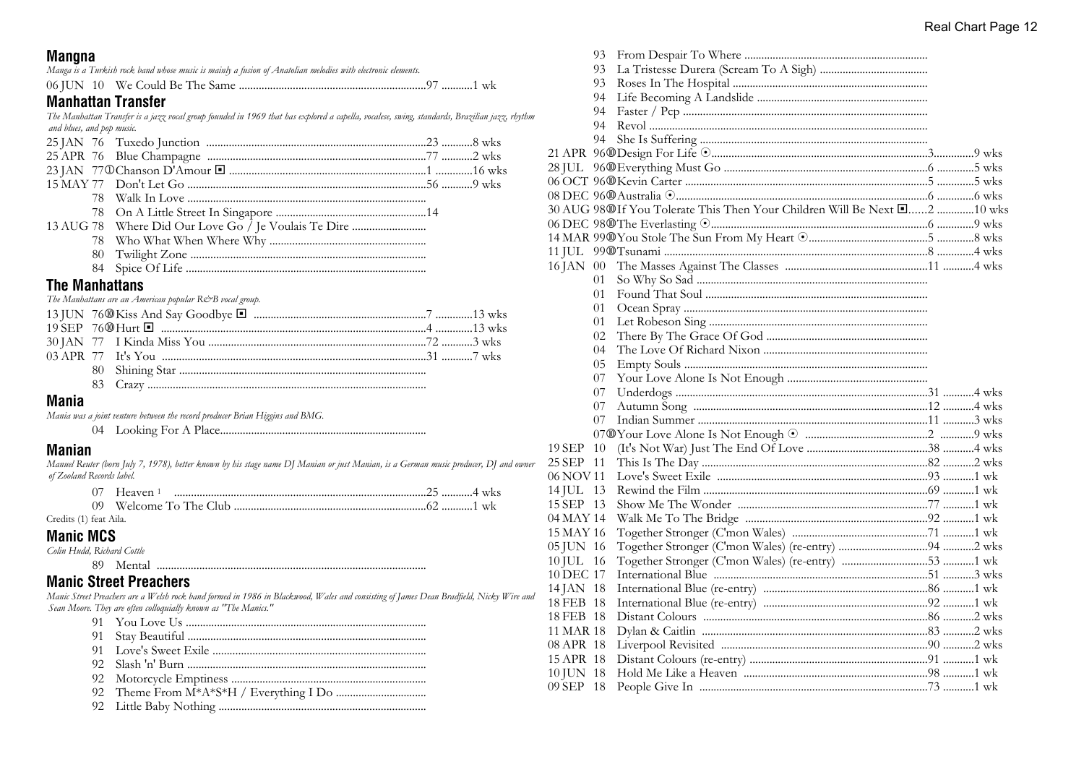### **Mangna**

|  | Manga is a Turkish rock band whose music is mainly a fusion of Anatolian melodies with electronic elements. |  |  |  |  |  |  |
|--|-------------------------------------------------------------------------------------------------------------|--|--|--|--|--|--|
|  |                                                                                                             |  |  |  |  |  |  |

## **Manhattan Transfer**

*The Manhattan Transfer is a jazz vocal group founded in 1969 that has explored a capella, vocalese, swing, standards, Brazilian jazz, rhythm and blues, and pop music.*

|  | 13 AUG 78 Where Did Our Love Go / Je Voulais Te Dire |  |
|--|------------------------------------------------------|--|
|  |                                                      |  |
|  |                                                      |  |
|  |                                                      |  |

### **The Manhattans**

|  | The Manhattans are an American popular R&B vocal group. |  |
|--|---------------------------------------------------------|--|
|  |                                                         |  |
|  |                                                         |  |
|  |                                                         |  |
|  |                                                         |  |
|  |                                                         |  |
|  |                                                         |  |
|  |                                                         |  |

#### **Mania**

*Mania was a joint venture between the record producer Brian Higgins and BMG.*

04 Looking For A Place.........................................................................

#### **Manian**

*Manuel Reuter (born July 7, 1978), better known by his stage name DJ Manian or just Manian, is a German music producer, DJ and owner of Zooland Records label.*

| Heaven 1 |
|----------|
|          |

#### Credits (1) feat Aila.

**Manic MCS**

*Colin Hudd, Richard Cottle* 89 Mental ...............................................................................................

## **Manic Street Preachers**

*Manic Street Preachers are a Welsh rock band formed in 1986 in Blackwood, Wales and consisting of James Dean Bradfield, Nicky Wire and Sean Moore. They are often colloquially known as "The Manics."*

- 91 You Love Us .....................................................................................
- 91 Stay Beautiful ....................................................................................
- 91 Love's Sweet Exile ...........................................................................
- 92 Slash 'n' Burn ....................................................................................
- 92 Motorcycle Emptiness .....................................................................
- 92 Theme From M\*A\*S\*H / Everything I Do ................................
- 92 Little Baby Nothing .........................................................................

|           | 93     |                                                                          |  |
|-----------|--------|--------------------------------------------------------------------------|--|
|           | 93     |                                                                          |  |
|           | 93     |                                                                          |  |
|           | 94     |                                                                          |  |
|           | 94     |                                                                          |  |
|           | 94     |                                                                          |  |
|           | 94     |                                                                          |  |
|           |        |                                                                          |  |
| 28 JUL    |        |                                                                          |  |
|           |        |                                                                          |  |
|           |        |                                                                          |  |
|           |        | 30 AUG 98@If You Tolerate This Then Your Children Will Be Next [2 10 wks |  |
|           |        |                                                                          |  |
|           |        |                                                                          |  |
| 11 JUL    |        |                                                                          |  |
| 16 JAN    | $00\,$ |                                                                          |  |
|           | 01     |                                                                          |  |
|           | 01     |                                                                          |  |
|           | 01     |                                                                          |  |
|           | 01     |                                                                          |  |
|           | 02     |                                                                          |  |
|           | 04     |                                                                          |  |
|           | 05     |                                                                          |  |
|           | 07     |                                                                          |  |
|           | 07     |                                                                          |  |
|           | 07     |                                                                          |  |
|           | 07     |                                                                          |  |
|           |        |                                                                          |  |
| 19 SEP    | 10     |                                                                          |  |
| 25 SEP 11 |        |                                                                          |  |
| 06 NOV 11 |        |                                                                          |  |
| 14 JUL 13 |        |                                                                          |  |
| 15 SEP 13 |        |                                                                          |  |
| 04 MAY 14 |        |                                                                          |  |
| 15 MAY 16 |        |                                                                          |  |
| 05 JUN 16 |        |                                                                          |  |
| 10 JUL 16 |        |                                                                          |  |
| 10 DEC 17 |        |                                                                          |  |
| 14 JAN 18 |        |                                                                          |  |
| 18 FEB 18 |        |                                                                          |  |
| 18 FEB 18 |        |                                                                          |  |
| 11 MAR 18 |        |                                                                          |  |
| 08 APR 18 |        |                                                                          |  |
| 15 APR 18 |        |                                                                          |  |
| 10 JUN 18 |        |                                                                          |  |
| 09 SEP    | -18    |                                                                          |  |
|           |        |                                                                          |  |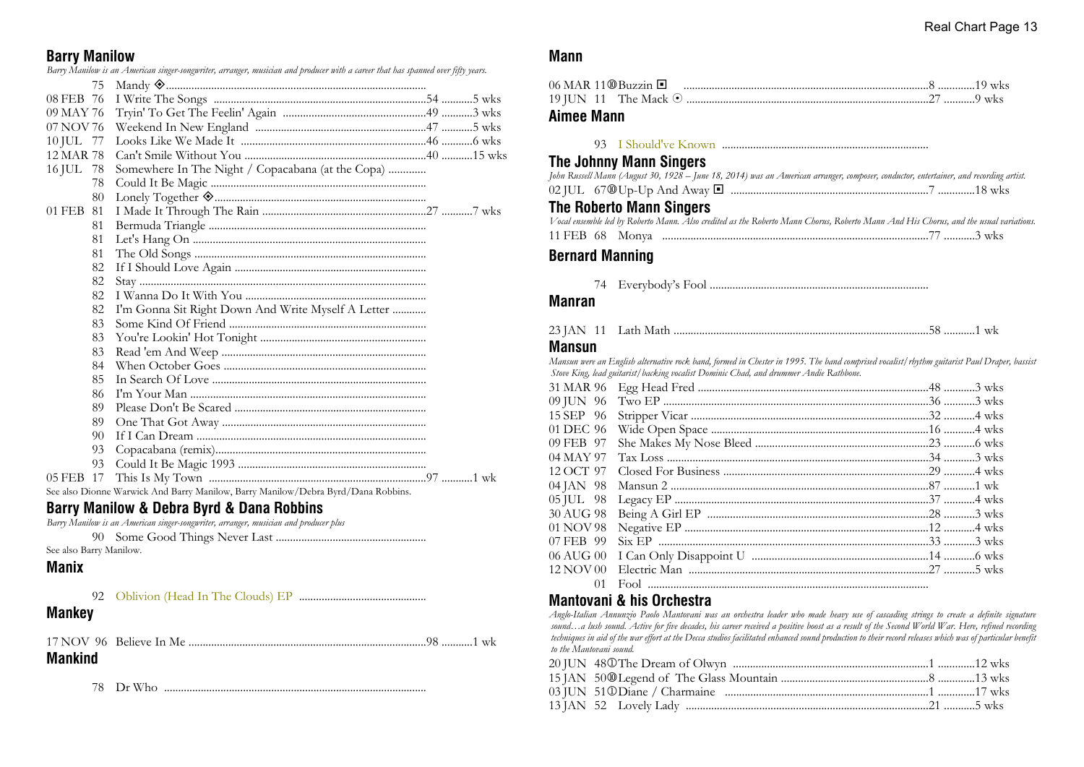## **Barry Manilow**

*Barry Manilow is an American singer-songwriter, arranger, musician and producer with a career that has spanned over fifty years.*

|           | 75 |                                                                                   |
|-----------|----|-----------------------------------------------------------------------------------|
| 08 FEB 76 |    |                                                                                   |
| 09 MAY 76 |    |                                                                                   |
| 07 NOV 76 |    |                                                                                   |
| 10 JUL 77 |    |                                                                                   |
| 12 MAR 78 |    |                                                                                   |
| 16 JUL 78 |    | Somewhere In The Night / Copacabana (at the Copa)                                 |
|           | 78 |                                                                                   |
|           | 80 | Lonely Together <a>&gt;</a> Summunimum<br>munimum                                 |
| 01 FEB    | 81 |                                                                                   |
|           | 81 |                                                                                   |
|           | 81 |                                                                                   |
|           | 81 |                                                                                   |
|           | 82 |                                                                                   |
|           | 82 |                                                                                   |
|           | 82 |                                                                                   |
|           | 82 | I'm Gonna Sit Right Down And Write Myself A Letter                                |
|           | 83 |                                                                                   |
|           | 83 |                                                                                   |
|           | 83 |                                                                                   |
|           | 84 |                                                                                   |
|           | 85 |                                                                                   |
|           | 86 |                                                                                   |
|           | 89 |                                                                                   |
|           | 89 |                                                                                   |
|           | 90 |                                                                                   |
|           | 93 |                                                                                   |
|           | 93 |                                                                                   |
| 05 FEB 17 |    |                                                                                   |
|           |    | See also Dionne Warwick And Barry Manilow, Barry Manilow/Debra Byrd/Dana Robbins. |
|           |    |                                                                                   |

#### **Barry Manilow & Debra Byrd & Dana Robbins**

*Barry Manilow is an American singer-songwriter, arranger, musician and producer plus*

90 Some Good Things Never Last .....................................................

See also Barry Manilow.

## **Manix**

92 Oblivion (Head In The Clouds) EP .............................................

## **Mankey**

| <b>Mankind</b> |  |  |
|----------------|--|--|

78 Dr Who .............................................................................................

### **Mann**

|  | 06 MAR 11⑩Buzzin □ |  |  |  |
|--|--------------------|--|--|--|
|  |                    |  |  |  |

### **Aimee Mann**

93 I Should've Known .........................................................................

## **The Johnny Mann Singers**

| John Russell Mann (August 30, 1928 – June 18, 2014) was an American arranger, composer, conductor, entertainer, and recording artist. |  |  |
|---------------------------------------------------------------------------------------------------------------------------------------|--|--|
|                                                                                                                                       |  |  |

| $67@$ Up-Up And Away $\blacksquare$<br>02 IUL |  |  | 18 wks |  |
|-----------------------------------------------|--|--|--------|--|
|-----------------------------------------------|--|--|--------|--|

### **The Roberto Mann Singers**

|  | Vocal ensemble led by Roberto Mann. Also credited as the Roberto Mann Chorus, Roberto Mann And His Chorus, and the usual variations. |
|--|--------------------------------------------------------------------------------------------------------------------------------------|
|  |                                                                                                                                      |

## **Bernard Manning**

74 Everybody's Fool .............................................................................

### **Manran**

| 23 JAN 11 |  |  |  |  |  |
|-----------|--|--|--|--|--|
|-----------|--|--|--|--|--|

#### **Mansun**

*Mansun were an English alternative rock band, formed in Chester in 1995. The band comprised vocalist/rhythm guitarist Paul Draper, bassist Stove King, lead guitarist/backing vocalist Dominic Chad, and drummer Andie Rathbone.*

| 15 SEP 96 |  |
|-----------|--|
| 01 DEC 96 |  |
| 09 FEB 97 |  |
| 04 MAY 97 |  |
| 12 OCT 97 |  |
| 04 JAN 98 |  |
| 05 JUL 98 |  |
| 30 AUG 98 |  |
| 01 NOV 98 |  |
| 07 FEB 99 |  |
| 06 AUG 00 |  |
| 12 NOV 00 |  |
| 01        |  |
|           |  |

## **Mantovani & his Orchestra**

*Anglo-Italian Annunzio Paolo Mantovani was an orchestra leader who made heavy use of cascading strings to create a definite signature sound…a lush sound. Active for five decades, his career received a positive boost as a result of the Second World War. Here, refined recording techniques in aid of the war effort at the Decca studios facilitated enhanced sound production to their record releases which was of particular benefit to the Mantovani sound.*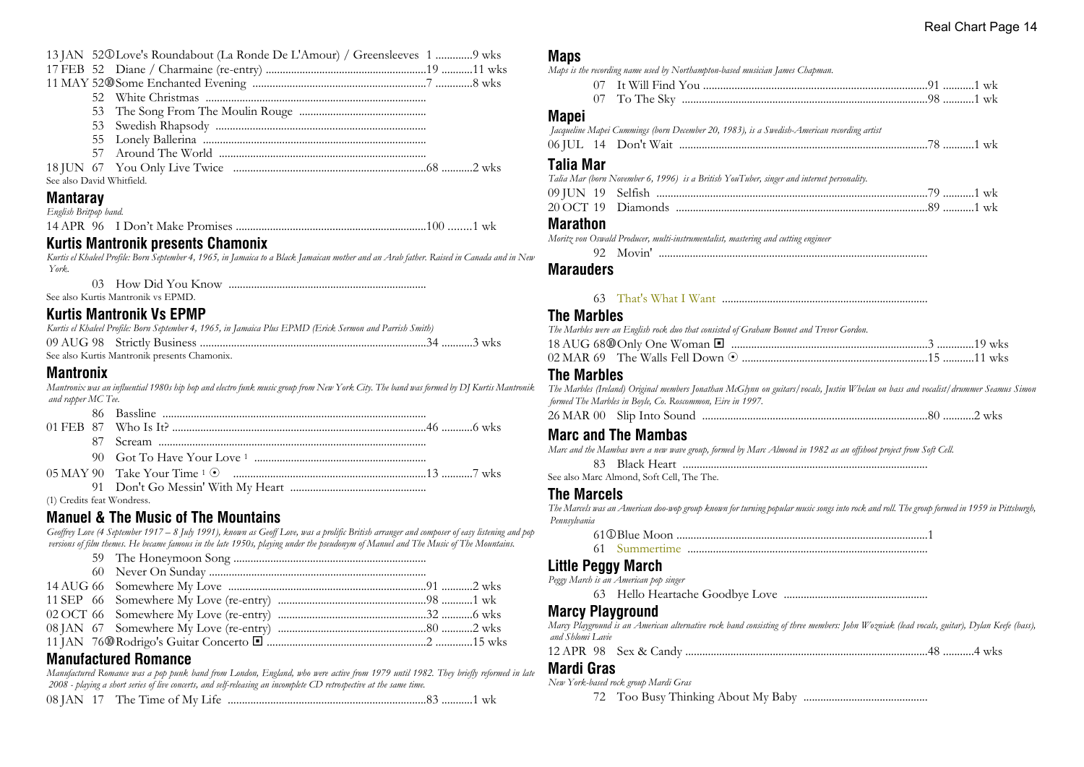|                           | 13 JAN 520 Love's Roundabout (La Ronde De L'Amour) / Greensleeves 1 9 wks |  |
|---------------------------|---------------------------------------------------------------------------|--|
|                           |                                                                           |  |
|                           |                                                                           |  |
|                           |                                                                           |  |
|                           |                                                                           |  |
|                           |                                                                           |  |
|                           |                                                                           |  |
|                           |                                                                           |  |
|                           |                                                                           |  |
| See also David Whitfield. |                                                                           |  |
|                           |                                                                           |  |

## **Mantaray**

| English Britpop band. |  |  |
|-----------------------|--|--|
|                       |  |  |
|                       |  |  |

#### **Kurtis Mantronik presents Chamonix**

*Kurtis el Khaleel Profile: Born September 4, 1965, in Jamaica to a Black Jamaican mother and an Arab father. Raised in Canada and in New York.*

03 How Did You Know ......................................................................

See also Kurtis Mantronik vs EPMD.

### **Kurtis Mantronik Vs EPMP**

| Kurtis el Khaleel Profile: Born September 4, 1965, in Jamaica Plus EPMD (Erick Sermon and Parrish Smith) |  |
|----------------------------------------------------------------------------------------------------------|--|
|                                                                                                          |  |
| See also Kurtis Mantronik presents Chamonix.                                                             |  |

### **Mantronix**

*Mantronix was an influential 1980s hip hop and electro funk music group from New York City. The band was formed by DJ Kurtis Mantronik and rapper MC Tee.*

(1) Credits feat Wondress.

## **Manuel & The Music of The Mountains**

*Geoffrey Love (4 September 1917 – 8 July 1991), known as Geoff Love, was a prolific British arranger and composer of easy listening and pop versions of film themes. He became famous in the late 1950s, playing under the pseudonym of Manuel and The Music of The Mountains.*

## **Manufactured Romance**

*Manufactured Romance was a pop punk band from London, England, who were active from 1979 until 1982. They briefly reformed in late 2008 - playing a short series of live concerts, and self-releasing an incomplete CD retrospective at the same time.*

|  | 08 JAN 17 The Time of My Life |  |  |  |
|--|-------------------------------|--|--|--|
|--|-------------------------------|--|--|--|

# **Maps**

|  | Maps is the recording name used by Northampton-based musician James Chapman. |  |  |
|--|------------------------------------------------------------------------------|--|--|

| 07 To The Sky |  |  |
|---------------|--|--|

#### **Mapei**

|  | Jacqueline Mapei Cummings (born December 20, 1983), is a Swedish-American recording artist |  |
|--|--------------------------------------------------------------------------------------------|--|
|  |                                                                                            |  |

#### **Talia Mar**

| Talia Mar (born November 6, 1996) is a British YouTuber, singer and internet personality. |  |
|-------------------------------------------------------------------------------------------|--|
|                                                                                           |  |
|                                                                                           |  |

#### **Marathon**

*Moritz von Oswald Producer, multi-instrumentalist, mastering and cutting engineer*

92 Movin' ...............................................................................................

#### **Marauders**

#### 63 That's What I Want .........................................................................

#### **The Marbles**

| The Marbles were an English rock duo that consisted of Graham Bonnet and Trevor Gordon. |  |  |
|-----------------------------------------------------------------------------------------|--|--|
|                                                                                         |  |  |
| 02 MAR 69 The Walls Fell Down ⊙ …………………………………………………………15 …………11 wks                     |  |  |

#### **The Marbles**

*The Marbles (Ireland) Original members Jonathan McGlynn on guitars/vocals, Justin Whelan on bass and vocalist/drummer Seamus Simon formed The Marbles in Boyle, Co. Roscommon, Eire in 1997.*

26 MAR 00 Slip Into Sound ................................................................................80 ...........2 wks

## **Marc and The Mambas**

*Marc and the Mambas were a new wave group, formed by Marc Almond in 1982 as an offshoot project from Soft Cell.*

83 Black Heart .......................................................................................

See also Marc Almond, Soft Cell, The The.

#### **The Marcels**

*The Marcels was an American doo-wop group known for turning popular music songs into rock and roll. The group formed in 1959 in Pittsburgh, Pennsylvania*

61j Blue Moon .........................................................................................1

61 Summertime .....................................................................................

## **Little Peggy March**

*Peggy March is an American pop singer*

63 Hello Heartache Goodbye Love ...................................................

## **Marcy Playground**

*Marcy Playground is an American alternative rock band consisting of three members: John Wozniak (lead vocals, guitar), Dylan Keefe (bass), and Shlomi Lavie*

|--|--|--|--|--|

#### **Mardi Gras**

*New York-based rock group Mardi Gras*

72 Too Busy Thinking About My Baby ............................................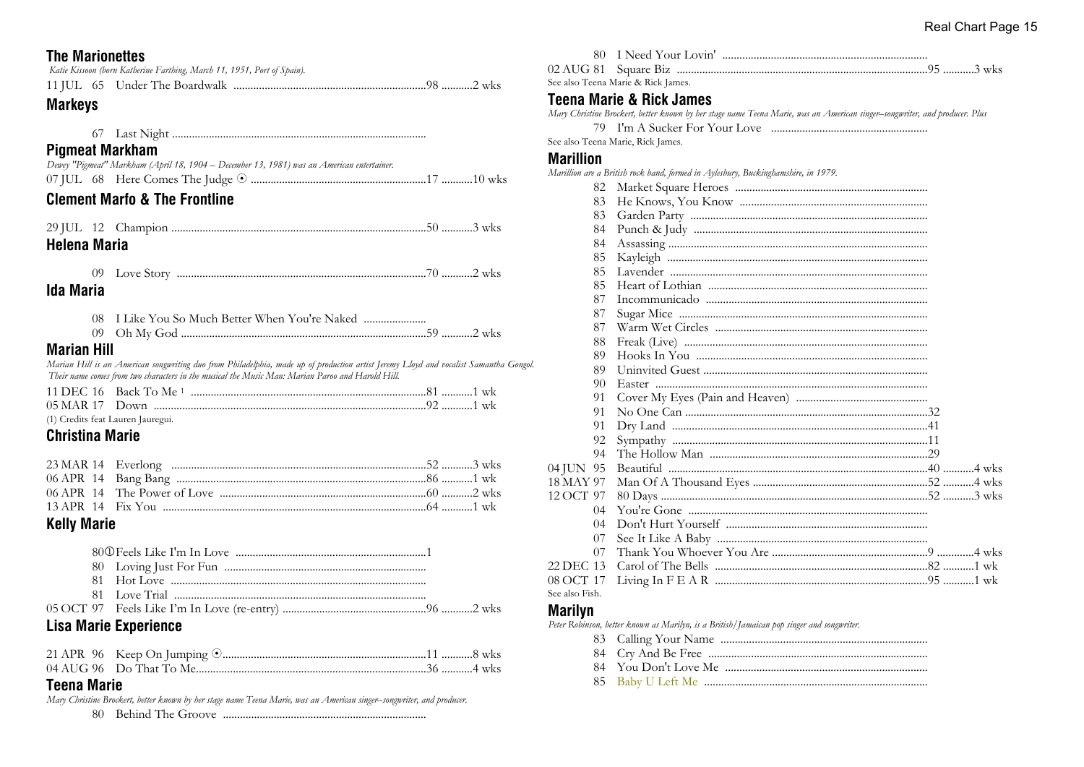## **The Marionettes**

|  | Katie Kissoon (born Katherine Farthing, March 11, 1951, Port of Spain). |  |
|--|-------------------------------------------------------------------------|--|
|  |                                                                         |  |

## **Markeys**

## **Pigmeat Markham**

| Dewey "Pigmeat" Markham (April 18, 1904 – December 13, 1981) was an American entertainer. |  |
|-------------------------------------------------------------------------------------------|--|
|                                                                                           |  |

## **Clement Marto & The Frontline**

| <b>Helena Maria</b> |  |  |
|---------------------|--|--|

| <b>NTP</b><br>11<br>זו - |  | WK5 |
|--------------------------|--|-----|
|                          |  |     |

## **Ida Maria**

| 08 I Like You So Much Better When You're Naked |
|------------------------------------------------|
|                                                |

### **Marian Hill**

Marian Hill is an American songwriting duo from Philadelphia, made up of production artist Jeremy Lloyd and vocalist Samantha Gongol. Their name comes from two characters in the musical the Music Man: Marian Paroo and Harold Hill.

(1) Credits feat Lauren Jauregui.

## **Christina Marie**

## **Kelly Marie**

## **Lisa Marie Experience**

### **Teena Marie**

Mary Christine Brockert, better known by her stage name Teena Marie, was an American singer-songwriter, and producer. 

|                  |         | See also Teena Marie & Rick James.                                                                                         |
|------------------|---------|----------------------------------------------------------------------------------------------------------------------------|
|                  |         |                                                                                                                            |
|                  |         | <b>Teena Marie &amp; Rick James</b>                                                                                        |
|                  |         | Mary Christine Brockert, better known by her stage name Teena Marie, was an American singer-songwriter, and producer. Plus |
|                  | 79      |                                                                                                                            |
|                  |         | See also Teena Marie, Rick James.                                                                                          |
| <b>Marillion</b> |         |                                                                                                                            |
|                  |         | Marillion are a British rock band, formed in Aylesbury, Buckinghamshire, in 1979.                                          |
|                  | 82      |                                                                                                                            |
|                  | 83      |                                                                                                                            |
|                  | 83      |                                                                                                                            |
|                  | 84      |                                                                                                                            |
|                  | 84      |                                                                                                                            |
|                  | 85      |                                                                                                                            |
|                  | 85      |                                                                                                                            |
|                  | 85      |                                                                                                                            |
|                  | 87      |                                                                                                                            |
|                  | 87      |                                                                                                                            |
|                  | 87      |                                                                                                                            |
|                  | 88      |                                                                                                                            |
|                  | 89      |                                                                                                                            |
|                  | 89      |                                                                                                                            |
|                  | 90      |                                                                                                                            |
|                  | 91      |                                                                                                                            |
|                  | 91      |                                                                                                                            |
|                  | 91      |                                                                                                                            |
|                  | 92      |                                                                                                                            |
|                  | 94      |                                                                                                                            |
| 04 JUN 95        |         |                                                                                                                            |
| 18 MAY 97        |         |                                                                                                                            |
| 12 OCT 97        |         |                                                                                                                            |
|                  | $^{04}$ |                                                                                                                            |
|                  | 04      |                                                                                                                            |
|                  | 07      |                                                                                                                            |
|                  | 07      |                                                                                                                            |
| 22 DEC 13        |         |                                                                                                                            |
| 08 OCT 17        |         |                                                                                                                            |
| See also Fish.   |         |                                                                                                                            |

#### **Marilyn**

Peter Robinson, better known as Marilyn, is a British/Jamaican pop singer and songwriter.

80 I Need Your Lovin'

- 
- 
-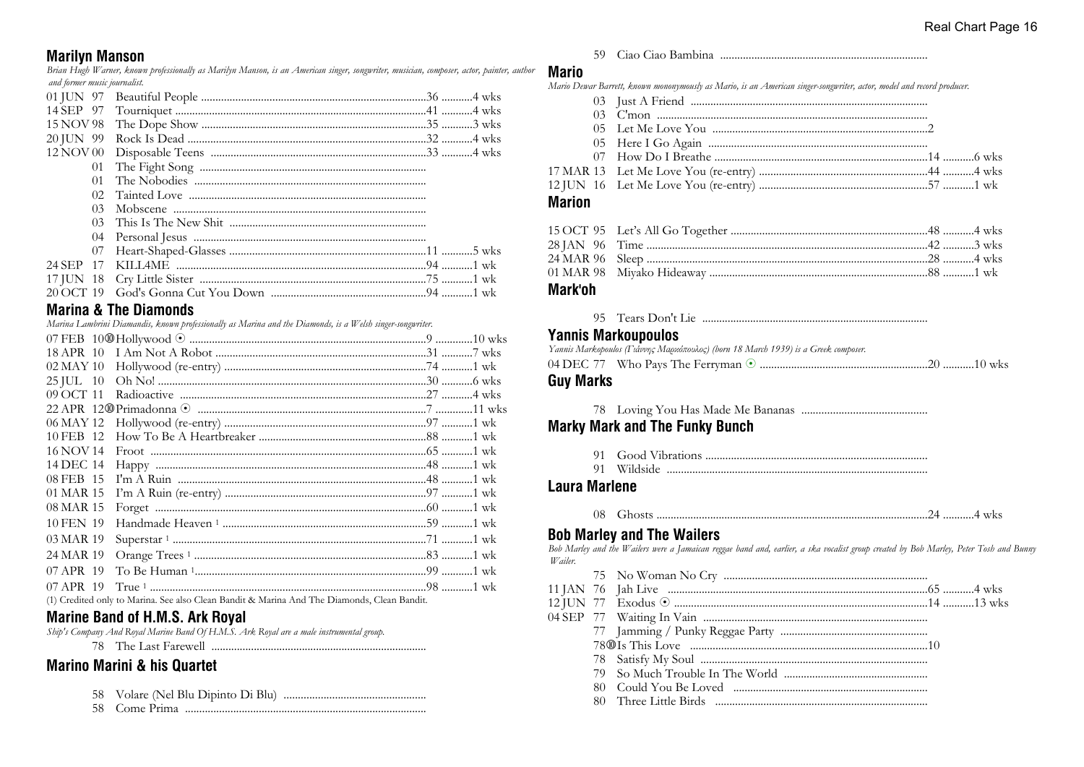## **Marilyn Manson**

Brian Hugh Warner, known professionally as Marilyn Manson, is an American singer, songwriter, musician, composer, actor, painter, author and former music journalist.

| 01        |  |
|-----------|--|
| 01        |  |
| 02.       |  |
| 03        |  |
| 03        |  |
|           |  |
| 07        |  |
| 24 SEP 17 |  |
|           |  |
|           |  |

## **Marina & The Diamonds**

Marina Lambrini Diamandis, known professionally as Marina and the Diamonds, is a Welsh singer-songwriter.

| $02$ MAY $10$ |  |  |
|---------------|--|--|
| $25$ JUL $10$ |  |  |
| 09 OCT 11     |  |  |
|               |  |  |
| 06 MAY 12     |  |  |
| 10 FEB 12     |  |  |
| 16 NOV 14     |  |  |
| 14 DEC 14     |  |  |
| 08 FEB 15     |  |  |
| 01 MAR 15     |  |  |
| 08 MAR 15     |  |  |
| 10 FEN 19     |  |  |
| 03 MAR 19     |  |  |
| 24 MAR 19     |  |  |
| 07 APR 19     |  |  |
| 07 APR 19     |  |  |

(1) Credited only to Marina. See also Clean Bandit & Marina And The Diamonds, Clean Bandit.

## **Marine Band of H.M.S. Ark Royal**

Ship's Company And Royal Marine Band Of H.M.S. Ark Royal are a male instrumental group.

## **Marino Marini & his Quartet**

- 
- 

#### 

#### **Mario**

Mario Dewar Barrett, known mononymously as Mario, is an American singer-songwriter, actor, model and record producer.

| <b>Marion</b> |  |  |
|---------------|--|--|
|               |  |  |
|               |  |  |
|               |  |  |
|               |  |  |
|               |  |  |
|               |  |  |
|               |  |  |

| <b>RA</b> contact to the contact of the contact of the contact of the contact of the contact of the contact of the contact of the contact of the contact of the contact of the contact of the contact of the contact of the contact |  |
|-------------------------------------------------------------------------------------------------------------------------------------------------------------------------------------------------------------------------------------|--|

#### Mark'oh

#### **Yannis Markoupoulos**

| Yannis Markopoulos (Γιάννης Μαρκόπουλος) (born 18 March 1939) is a Greek composer. |
|------------------------------------------------------------------------------------|
|                                                                                    |
| Guy Marks                                                                          |

## **Marky Mark and The Funky Bunch**

## **Laura Marlene**

## **Bob Marley and The Wailers**

Bob Marley and the Wailers were a Jamaican reggae band and, earlier, a ska vocalist group created by Bob Marley, Peter Tosh and Bunny  $W$ ailer  $75 \text{ N} \text{ W}$  N C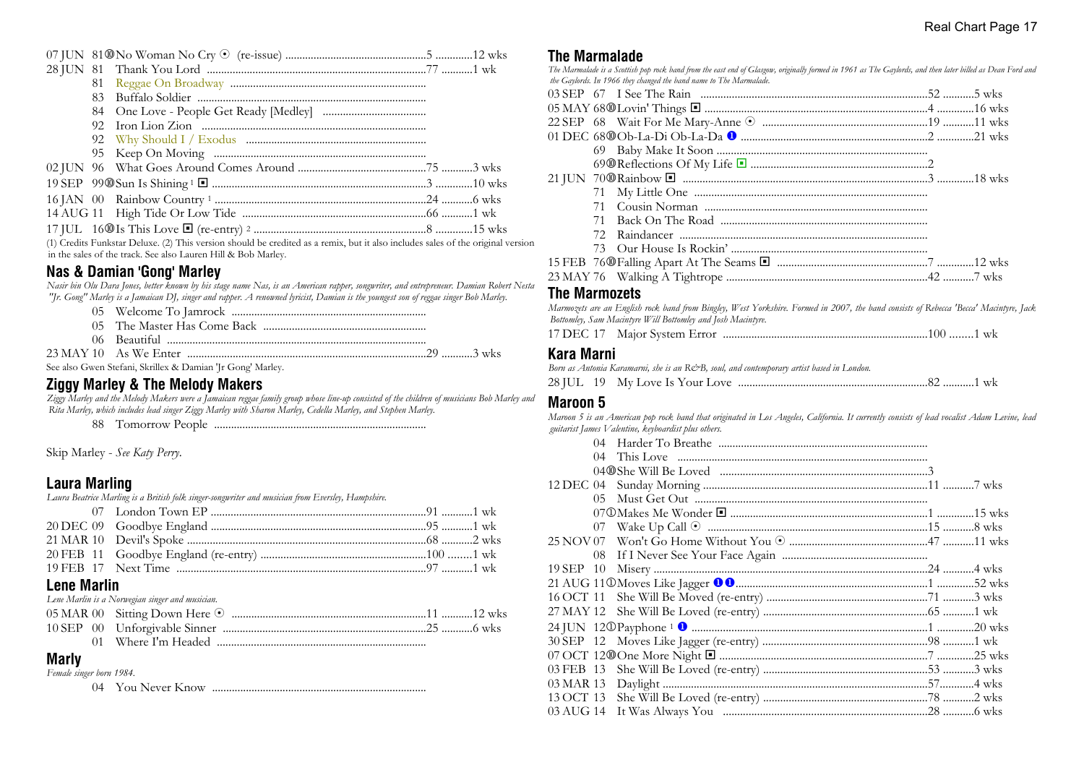| and the theory and an annual the three three controls of the three controls of the three controls of the three controls of the three controls of the three controls of the three controls of the three controls of the three c |  |  |
|--------------------------------------------------------------------------------------------------------------------------------------------------------------------------------------------------------------------------------|--|--|

(1) Credits Funkstar Deluxe. (2) This version should be credited as a remix, but it also includes sales of the original version in the sales of the track. See also Lauren Hill & Bob Marley.

## **Nas & Damian 'Gong' Marley**

*Nasir bin Olu Dara Jones, better known by his stage name Nas, is an American rapper, songwriter, and entrepreneur. Damian Robert Nesta "Jr. Gong" Marley is a Jamaican DJ, singer and rapper. A renowned lyricist, Damian is the youngest son of reggae singer Bob Marley.*

| See also Gwen Stefani, Skrillex & Damian 'Jr Gong' Marley. |  |
|------------------------------------------------------------|--|

## **Ziggy Marley & The Melody Makers**

*Ziggy Marley and the Melody Makers were a Jamaican reggae family group whose line-up consisted of the children of musicians Bob Marley and Rita Marley, which includes lead singer Ziggy Marley with Sharon Marley, Cedella Marley, and Stephen Marley.*

88 Tomorrow People ...........................................................................

Skip Marley - *See Katy Perry*.

## **Laura Marling**

*Laura Beatrice Marling is a British folk singer-songwriter and musician from Eversley, Hampshire.*

| <b>Lene Marlin</b> |                                                 |  |
|--------------------|-------------------------------------------------|--|
|                    | Lene Marlin is a Norwegian singer and musician. |  |
|                    |                                                 |  |

## **Marly**

*Female singer born 1984.*

04 You Never Know ............................................................................

### **The Marmalade**

*The Marmalade is a Scottish pop rock band from the east end of Glasgow, originally formed in 1961 as The Gaylords, and then later billed as Dean Ford and the Gaylords. In 1966 they changed the band name to The Marmalade.*

| 71 |  |  |
|----|--|--|
|    |  |  |
|    |  |  |
|    |  |  |
|    |  |  |
|    |  |  |

#### **The Marmozets**

*Marmozets are an English rock band from Bingley, West Yorkshire. Formed in 2007, the band consists of Rebecca 'Becca' Macintyre, Jack Bottomley, Sam Macintyre Will Bottomley and Josh Macintyre.* 17 DEC 17 Major System Error ........................................................................100 ........1 wk

#### **Kara Marni**

*Born as Antonia Karamarni, she is an R&B, soul, and contemporary artist based in London.*

28 JUL 19 My Love Is Your Love ...................................................................82 ...........1 wk

#### **Maroon 5**

*Maroon 5 is an American pop rock band that originated in Los Angeles, California. It currently consists of lead vocalist Adam Levine, lead guitarist James Valentine, keyboardist plus others.*

| 04        |  |
|-----------|--|
|           |  |
|           |  |
| 12 DEC 04 |  |
| 05.       |  |
|           |  |
| 07        |  |
|           |  |
|           |  |
| 19 SEP 10 |  |
|           |  |
|           |  |
|           |  |
|           |  |
|           |  |
|           |  |
|           |  |
|           |  |
|           |  |
|           |  |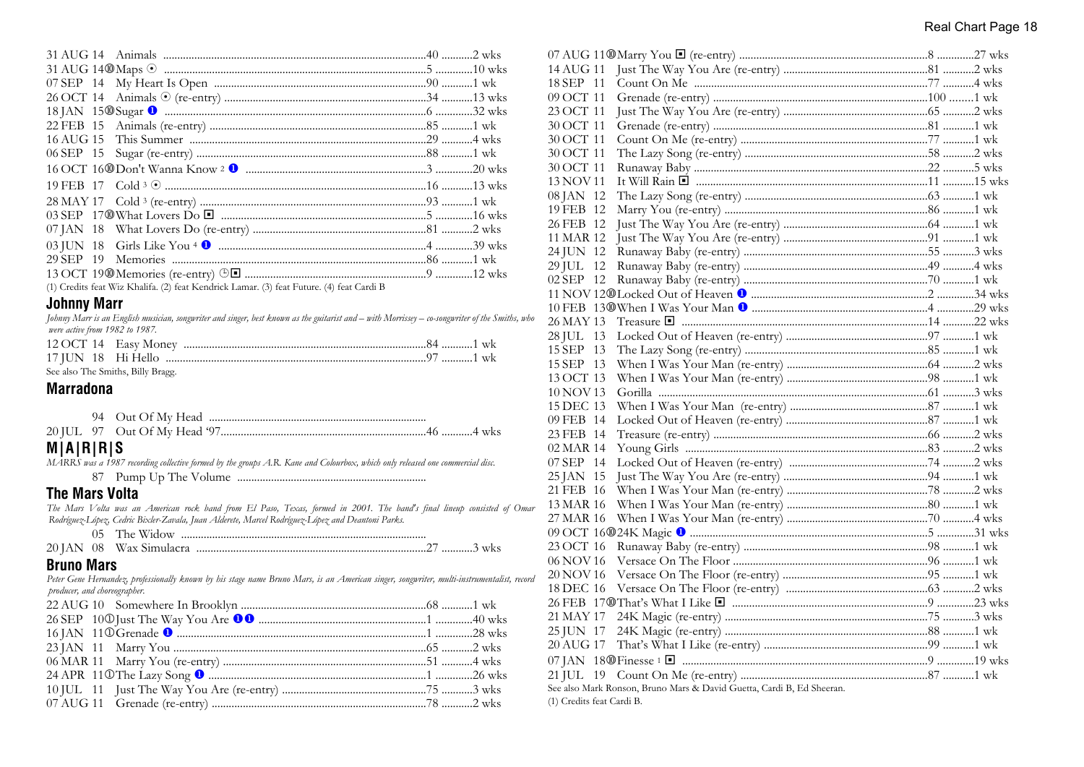|  | (1) Credits feat Wiz Khalifa. (2) feat Kendrick Lamar. (3) feat Future. (4) feat Cardi B |  |
|--|------------------------------------------------------------------------------------------|--|

### **Johnny Marr**

*Johnny Marr is an English musician, songwriter and singer, best known as the guitarist and – with Morrissey – co-songwriter of the Smiths, who were active from 1982 to 1987.*

| See also The Smiths, Billy Bragg. |  |
|-----------------------------------|--|

### **Marradona**

|  | 20 IUL 97 Out Of My Head '97. |
|--|-------------------------------|

## **M|A|R|R|S**

*MARRS was a 1987 recording collective formed by the groups A.R. Kane and Colourbox, which only released one commercial disc.*

87 Pump Up The Volume ...................................................................

### **The Mars Volta**

*The Mars Volta was an American rock band from El Paso, Texas, formed in 2001. The band's final lineup consisted of Omar Rodríguez-López, Cedric Bixler-Zavala, Juan Alderete, Marcel Rodríguez-López and Deantoni Parks.*

| 05 | The Widow |  |
|----|-----------|--|
|----|-----------|--|

|  |  | 20 JAN 08 Wax Simulacra |  |  |  |
|--|--|-------------------------|--|--|--|
|--|--|-------------------------|--|--|--|

## **Bruno Mars**

*Peter Gene Hernandez, professionally known by his stage name Bruno Mars, is an American singer, songwriter, multi-instrumentalist, record producer, and choreographer.*  $22 \text{ AUC } 40 \text{ A}^2 = 1 \text{ I} \cdot \text{I} \cdot \text{I} \cdot \text{I} \cdot \text{I} \cdot \text{I} \cdot \text{I} \cdot \text{I} \cdot \text{I} \cdot \text{I} \cdot \text{I} \cdot \text{I} \cdot \text{I} \cdot \text{I} \cdot \text{I} \cdot \text{I} \cdot \text{I} \cdot \text{I} \cdot \text{I} \cdot \text{I} \cdot \text{I} \cdot \text{I} \cdot \text{I} \cdot \text{I} \cdot \text{I} \cdot \text{I} \cdot \text{I} \cdot \text{I} \cdot \text{$ 

| 14 AUG 11                                                                                                                                                                                                                     |  |
|-------------------------------------------------------------------------------------------------------------------------------------------------------------------------------------------------------------------------------|--|
| 18 SEP 11                                                                                                                                                                                                                     |  |
| 09 OCT 11                                                                                                                                                                                                                     |  |
| 23 OCT 11                                                                                                                                                                                                                     |  |
| 30 OCT 11                                                                                                                                                                                                                     |  |
| 30 OCT 11                                                                                                                                                                                                                     |  |
| 30 OCT 11                                                                                                                                                                                                                     |  |
| 30 OCT 11                                                                                                                                                                                                                     |  |
| 13 NOV 11                                                                                                                                                                                                                     |  |
| 08 JAN 12                                                                                                                                                                                                                     |  |
| 19 FEB 12                                                                                                                                                                                                                     |  |
| 26 FEB 12                                                                                                                                                                                                                     |  |
| 11 MAR 12                                                                                                                                                                                                                     |  |
| 24 JUN 12                                                                                                                                                                                                                     |  |
| 29 JUL 12                                                                                                                                                                                                                     |  |
| 02 SEP 12                                                                                                                                                                                                                     |  |
|                                                                                                                                                                                                                               |  |
|                                                                                                                                                                                                                               |  |
| 26 MAY 13                                                                                                                                                                                                                     |  |
| 28 JUL 13                                                                                                                                                                                                                     |  |
| 15 SEP 13                                                                                                                                                                                                                     |  |
| 15 SEP 13                                                                                                                                                                                                                     |  |
| 13 OCT 13                                                                                                                                                                                                                     |  |
| 10 NOV 13                                                                                                                                                                                                                     |  |
| 15 DEC 13                                                                                                                                                                                                                     |  |
| 09 FEB 14                                                                                                                                                                                                                     |  |
| 23 FEB 14                                                                                                                                                                                                                     |  |
| 02 MAR 14                                                                                                                                                                                                                     |  |
| 07 SEP 14                                                                                                                                                                                                                     |  |
| 25 JAN 15                                                                                                                                                                                                                     |  |
| 21 FEB 16                                                                                                                                                                                                                     |  |
| 13 MAR 16                                                                                                                                                                                                                     |  |
| 27 MAR 16                                                                                                                                                                                                                     |  |
|                                                                                                                                                                                                                               |  |
| 23 OCT 16                                                                                                                                                                                                                     |  |
| 06 NOV 16                                                                                                                                                                                                                     |  |
| 20 NOV 16                                                                                                                                                                                                                     |  |
| 18 DEC 16                                                                                                                                                                                                                     |  |
|                                                                                                                                                                                                                               |  |
| 21 MAY 17                                                                                                                                                                                                                     |  |
| 25 JUN 17                                                                                                                                                                                                                     |  |
| 20 AUG 17                                                                                                                                                                                                                     |  |
| 07 JAN 18@Finesse 1 lateration and the metal of the set of the metal of the metal of the metal of the set of the metal of the set of the metal of the set of the metal of the set of the metal of the set of the metal of the |  |
|                                                                                                                                                                                                                               |  |
| See also Mark Ronson, Bruno Mars & David Guetta, Cardi B, Ed Sheeran.                                                                                                                                                         |  |
|                                                                                                                                                                                                                               |  |

(1) Credits feat Cardi B.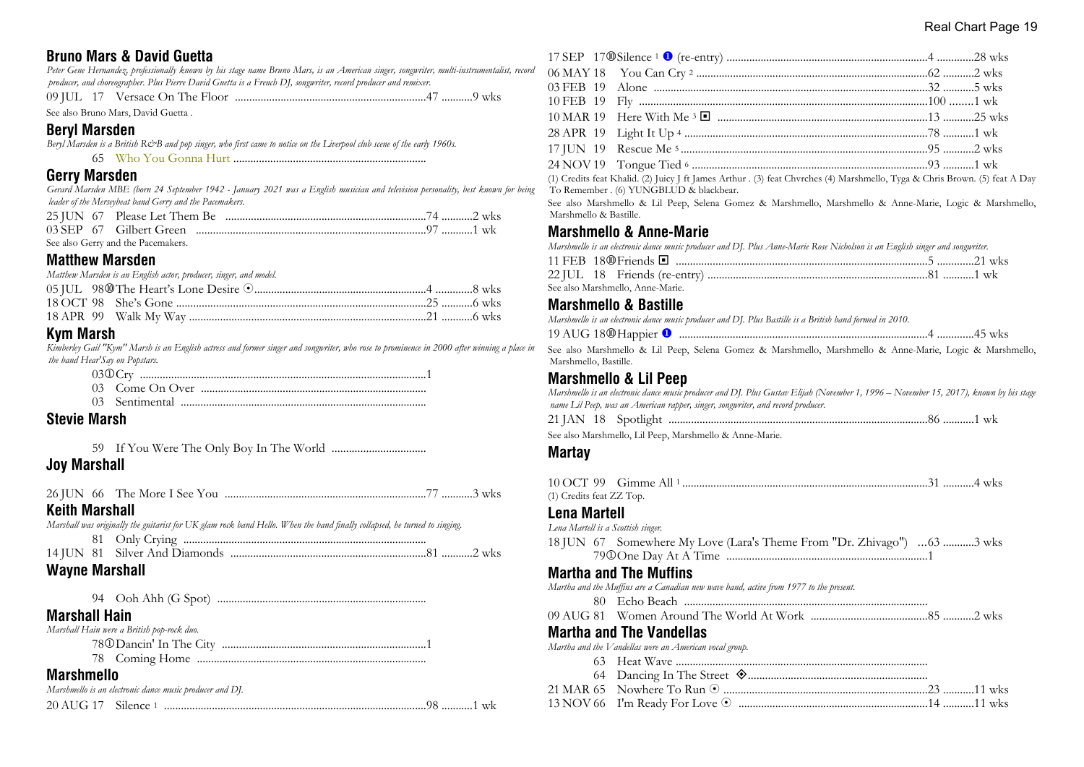## **Bruno Mars & David Guetta**

*Peter Gene Hernandez, professionally known by his stage name Bruno Mars, is an American singer, songwriter, multi-instrumentalist, record producer, and choreographer. Plus Pierre David Guetta is a French DJ, songwriter, record producer and remixer.*

09 JUL 17 Versace On The Floor ...................................................................47 ...........9 wks

See also Bruno Mars, David Guetta .

## **Beryl Marsden**

*Beryl Marsden is a British R&B and pop singer, who first came to notice on the Liverpool club scene of the early 1960s.*

65 Who You Gonna Hurt ....................................................................

### **Gerry Marsden**

*Gerard Marsden MBE (born 24 September 1942 - January 2021 was a English musician and television personality, best known for being leader of the Merseybeat band Gerry and the Pacemakers.*

| See also Gerry and the Pacemakers. |  |
|------------------------------------|--|

## **Matthew Marsden**

*Matthew Marsden is an English actor, producer, singer, and model.*

## **Kym Marsh**

*Kimberley Gail "Kym" Marsh is an English actress and former singer and songwriter, who rose to prominence in 2000 after winning a place in the band Hear'Say on Popstars.*

## **Stevie Marsh**

59 If You Were The Only Boy In The World .................................

## **Joy Marshall**

| <b>Keith Marshall</b>                                                                                                     |  |
|---------------------------------------------------------------------------------------------------------------------------|--|
| Marshall was originally the guitarist for UK glam rock band Hello. When the band finally collapsed, he turned to singing. |  |
|                                                                                                                           |  |
|                                                                                                                           |  |
| <b>Wayne Marshall</b>                                                                                                     |  |
|                                                                                                                           |  |
| <b>Marshall Hain</b>                                                                                                      |  |
| Marshall Hain were a British pop-rock duo.                                                                                |  |
|                                                                                                                           |  |
|                                                                                                                           |  |

## **Marshmello**

|  | Marshmello is an electronic dance music producer and DJ. |  |
|--|----------------------------------------------------------|--|
|  |                                                          |  |

(1) Credits feat Khalid. (2) Juicy J ft James Arthur . (3) feat Chvrches (4) Marshmello, Tyga & Chris Brown. (5) feat A Day To Remember . (6) YUNGBLUD & blackbear.

See also Marshmello & Lil Peep, Selena Gomez & Marshmello, Marshmello & Anne-Marie, Logic & Marshmello, Marshmello & Bastille.

## **Marshmello & Anne-Marie**

*Marshmello is an electronic dance music producer and DJ. Plus Anne-Marie Rose Nicholson is an English singer and songwriter.*

|  | See also Marshmello, Anne-Marie. |  |  |
|--|----------------------------------|--|--|

## **Marshmello & Bastille**

*Marshmello is an electronic dance music producer and DJ. Plus Bastille is a British band formed in 2010.*

| 19 AUG 18 <sup>®</sup> Happier <sup>0</sup> | WK. |
|---------------------------------------------|-----|
|---------------------------------------------|-----|

See also Marshmello & Lil Peep, Selena Gomez & Marshmello, Marshmello & Anne-Marie, Logic & Marshmello, Marshmello, Bastille.

## **Marshmello & Lil Peep**

*Marshmello is an electronic dance music producer and DJ. Plus Gustav Elijah (November 1, 1996 – November 15, 2017), known by his stage name Lil Peep, was an American rapper, singer, songwriter, and record producer.*

| 21 JAN<br>ZETAT | 18 | $C = -11.1$<br>- ADOLHED. | . WK 1 www.marrare.com/married.com/marrare.com/marrare.com/marrare.com/marrare.com/marrare.com/marra |  |
|-----------------|----|---------------------------|------------------------------------------------------------------------------------------------------|--|
|                 |    |                           |                                                                                                      |  |

See also Marshmello, Lil Peep, Marshmello & Anne-Marie.

## **Martay**

| (1) Credits feat ZZ Top.           |                                                                                       |
|------------------------------------|---------------------------------------------------------------------------------------|
| Lena Martell                       |                                                                                       |
| Lena Martell is a Scottish singer. |                                                                                       |
|                                    | 18 JUN 67 Somewhere My Love (Lara's Theme From "Dr. Zhivago") 63 3 wks                |
|                                    |                                                                                       |
|                                    | Martha and The Muffins                                                                |
|                                    | Martha and the Muffins are a Canadian new wave band, active from 1977 to the present. |
|                                    |                                                                                       |
|                                    |                                                                                       |
|                                    | Martha and The Vandellas                                                              |
|                                    | Martha and the Vandellas were an American vocal group.                                |
|                                    |                                                                                       |
|                                    |                                                                                       |
|                                    |                                                                                       |
|                                    |                                                                                       |
|                                    |                                                                                       |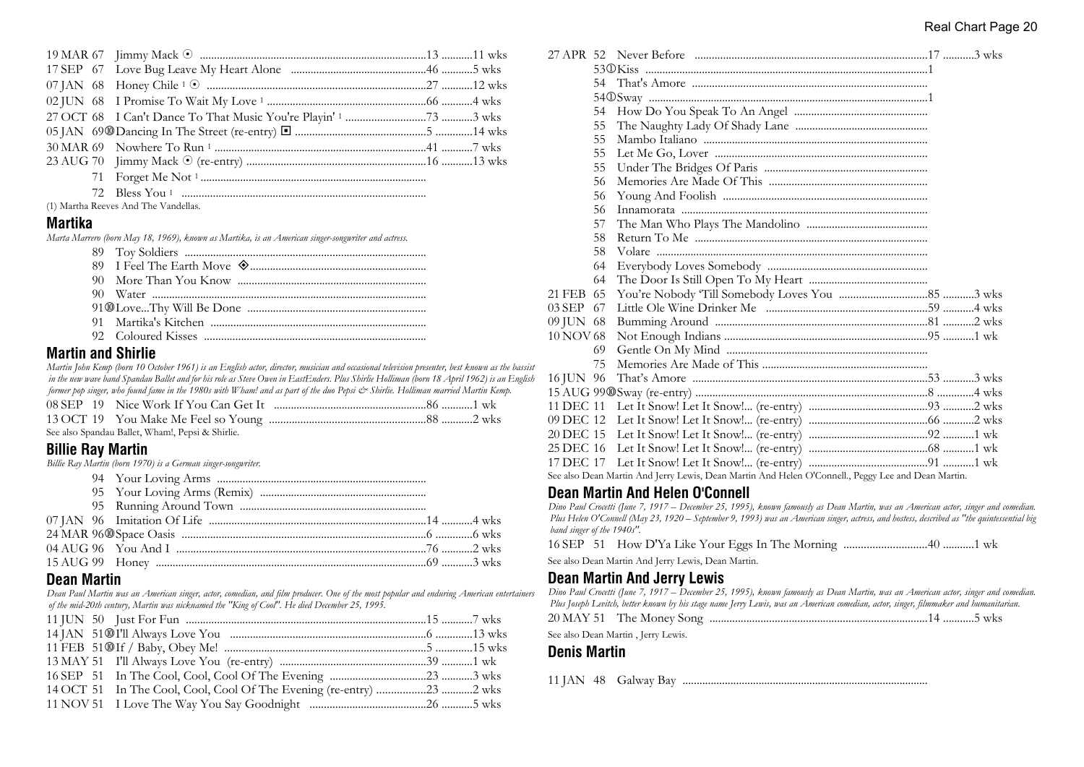(1) Martha Reeves And The Vandellas.

#### **Martika**

*Marta Marrero (born May 18, 1969), known as Martika, is an American singer-songwriter and actress.*

## **Martin and Shirlie**

*Martin John Kemp (born 10 October 1961) is an English actor, director, musician and occasional television presenter, best known as the bassist in the new wave band Spandau Ballet and for his role as Steve Owen in EastEnders. Plus Shirlie Holliman (born 18 April 1962) is an English former pop singer, who found fame in the 1980s with Wham! and as part of the duo Pepsi & Shirlie. Holliman married Martin Kemp.*

|  | See also Spandau Ballet, Wham!, Pepsi & Shirlie. |  |
|--|--------------------------------------------------|--|

## **Billie Ray Martin**

*Billie Ray Martin (born 1970) is a German singer-songwriter.*

## **Dean Martin**

*Dean Paul Martin was an American singer, actor, comedian, and film producer. One of the most popular and enduring American entertainers of the mid-20th century, Martin was nicknamed the "King of Cool". He died December 25, 1995.*

| 14 OCT 51 In The Cool, Cool, Cool Of The Evening (re-entry) 23 2 wks |  |
|----------------------------------------------------------------------|--|
|                                                                      |  |

|             | 54 |                                                                                                    |
|-------------|----|----------------------------------------------------------------------------------------------------|
|             | 55 |                                                                                                    |
|             | 55 |                                                                                                    |
|             | 55 |                                                                                                    |
|             | 55 |                                                                                                    |
|             | 56 |                                                                                                    |
|             | 56 |                                                                                                    |
|             | 56 |                                                                                                    |
|             | 57 |                                                                                                    |
|             | 58 |                                                                                                    |
|             | 58 |                                                                                                    |
|             | 64 |                                                                                                    |
|             | 64 |                                                                                                    |
| 21 FEB 65   |    |                                                                                                    |
| $03$ SEP 67 |    |                                                                                                    |
| 09 JUN 68   |    |                                                                                                    |
| 10 NOV 68   |    |                                                                                                    |
|             | 69 |                                                                                                    |
|             | 75 |                                                                                                    |
| 16 JUN 96   |    |                                                                                                    |
|             |    |                                                                                                    |
|             |    |                                                                                                    |
| 09 DEC 12   |    |                                                                                                    |
| 20 DEC 15   |    |                                                                                                    |
|             |    |                                                                                                    |
| 17 DEC 17   |    |                                                                                                    |
|             |    | See also Dean Martin And Jerry Lewis, Dean Martin And Helen O'Connell., Peggy Lee and Dean Martin. |
|             |    |                                                                                                    |

## **Dean Martin And Helen O'Connell**

*Dino Paul Crocetti (June 7, 1917 – December 25, 1995), known famously as Dean Martin, was an American actor, singer and comedian. Plus Helen O'Connell (May 23, 1920 – September 9, 1993) was an American singer, actress, and hostess, described as "the quintessential big band singer of the 1940s".*

|--|--|--|--|

See also Dean Martin And Jerry Lewis, Dean Martin.

## **Dean Martin And Jerry Lewis**

*Dino Paul Crocetti (June 7, 1917 – December 25, 1995), known famously as Dean Martin, was an American actor, singer and comedian. Plus Joseph Levitch, better known by his stage name Jerry Lewis, was an American comedian, actor, singer, filmmaker and humanitarian.* 20 MAY 51 The Money Song .............................................................................14 ...........5 wks

See also Dean Martin , Jerry Lewis.

#### **Denis Martin**

11 JAN 48 Galway Bay .......................................................................................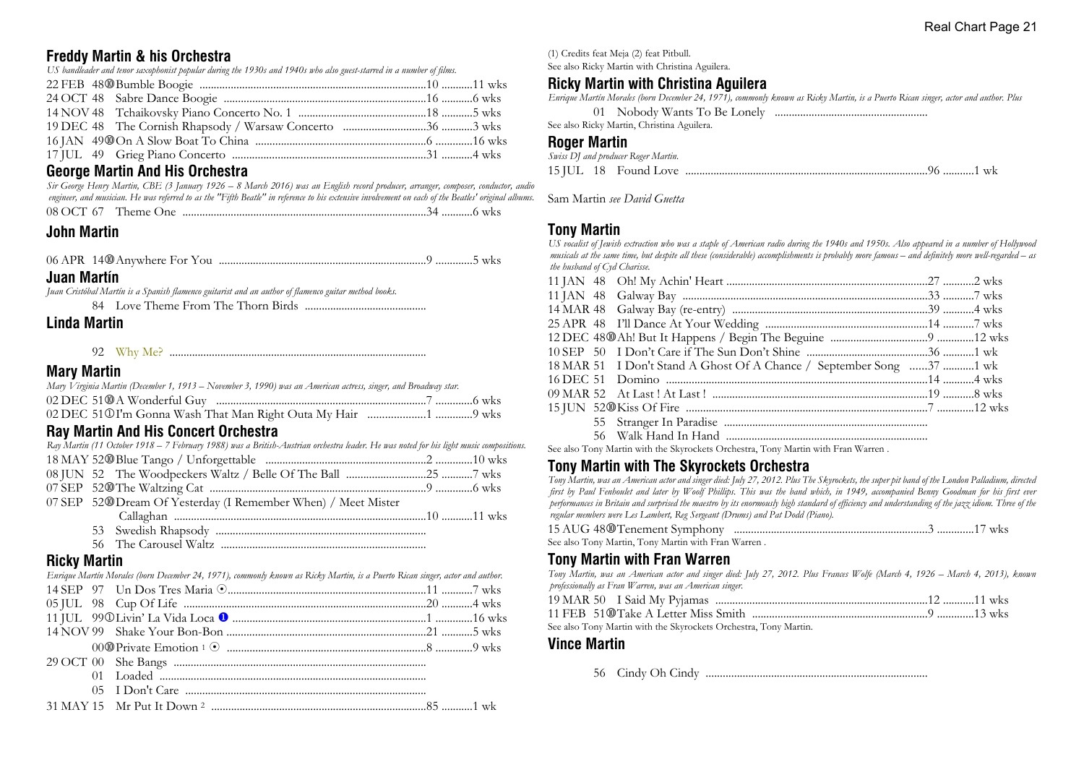## **Freddy Martin & his Orchestra**

*US bandleader and tenor saxophonist popular during the 1930s and 1940s who also guest-starred in a number of films.*

## **George Martin And His Orchestra**

*Sir George Henry Martin, CBE (3 January 1926 – 8 March 2016) was an English record producer, arranger, composer, conductor, audio engineer, and musician. He was referred to as the "Fifth Beatle" in reference to his extensive involvement on each of the Beatles' original albums.*

| 08 OCT 67 |  |
|-----------|--|
|-----------|--|

## **John Martin**

06 APR 14s Anywhere For You .........................................................................9 .............5 wks

### **Juan Martín**

*Juan Cristóbal Martín is a Spanish flamenco guitarist and an author of flamenco guitar method books.*

84 Love Theme From The Thorn Birds ...........................................

## **Linda Martin**

92 Why Me? ...........................................................................................

## **Mary Martin**

| Mary Virginia Martin (December 1, 1913 – November 3, 1990) was an American actress, singer, and Broadway star. |  |
|----------------------------------------------------------------------------------------------------------------|--|
|                                                                                                                |  |
|                                                                                                                |  |

## **Ray Martin And His Concert Orchestra**

*Ray Martin (11 October 1918 – 7 February 1988) was a British-Austrian orchestra leader. He was noted for his light music compositions.*

07 SEP 52<sup>®</sup> Dream Of Yesterday (I Remember When) / Meet Mister Callaghan .........................................................................................10 ...........11 wks

- 53 Swedish Rhapsody ..........................................................................
- 56 The Carousel Waltz ........................................................................

## **Ricky Martin**

*Enrique Martín Morales (born December 24, 1971), commonly known as Ricky Martin, is a Puerto Rican singer, actor and author.* 14 SEP 97 Un Dos Tres Maria 8......................................................................11 ...........7 wks 05 JUL 98 Cup Of Life ......................................................................................20 ...........4 wks 11 JUL 99j Livin' La Vida Loca u ....................................................................1 .............16 wks 14 NOV 99 Shake Your Bon-Bon ......................................................................21 ...........5 wks 00s Private Emotion <sup>1</sup> 8 ......................................................................8 .............9 wks 29 OCT 00 She Bangs ......................................................................................... 01 Loaded .............................................................................................. 05 I Don't Care .....................................................................................

```
31 MAY 15 Mr Put It Down 2 ............................................................................85 ...........1 wk
```
(1) Credits feat Meja (2) feat Pitbull.

See also Ricky Martin with Christina Aguilera.

## **Ricky Martin with Christina Aguilera**

*Enrique Martín Morales (born December 24, 1971), commonly known as Ricky Martin, is a Puerto Rican singer, actor and author. Plus* 01 Nobody Wants To Be Lonely ......................................................

See also Ricky Martin, Christina Aguilera.

#### **Roger Martin**

|  | Swiss DJ and producer Roger Martin. |  |
|--|-------------------------------------|--|
|  |                                     |  |

Sam Martin *see David Guetta*

## **Tony Martin**

*US vocalist of Jewish extraction who was a staple of American radio during the 1940s and 1950s. Also appeared in a number of Hollywood musicals at the same time, but despite all these (considerable) accomplishments is probably more famous – and definitely more well-regarded – as the husband of Cyd Charisse.*

| 18 MAR 51 I Don't Stand A Ghost Of A Chance / September Song 37 1 wk |  |
|----------------------------------------------------------------------|--|
|                                                                      |  |
|                                                                      |  |
|                                                                      |  |
|                                                                      |  |
|                                                                      |  |

See also Tony Martin with the Skyrockets Orchestra, Tony Martin with Fran Warren .

## **Tony Martin with The Skyrockets Orchestra**

*Tony Martin, was an American actor and singer died: July 27, 2012. Plus The Skyrockets, the super pit band of the London Palladium, directed first by Paul Fenhoulet and later by Woolf Phillips. This was the band which, in 1949, accompanied Benny Goodman for his first ever performances in Britain and surprised the maestro by its enormously high standard of efficiency and understanding of the jazz idiom. Three of the regular members were Les Lambert, Reg Sergeant (Drums) and Pat Dodd (Piano).*

| See also Tony Martin, Tony Martin with Fran Warren . |  |  |
|------------------------------------------------------|--|--|

## **Tony Martin with Fran Warren**

*Tony Martin, was an American actor and singer died: July 27, 2012. Plus Frances Wolfe (March 4, 1926 – March 4, 2013), known professionally as Fran Warren, was an American singer.*

See also Tony Martin with the Skyrockets Orchestra, Tony Martin.

## **Vince Martin**

56 Cindy Oh Cindy ..............................................................................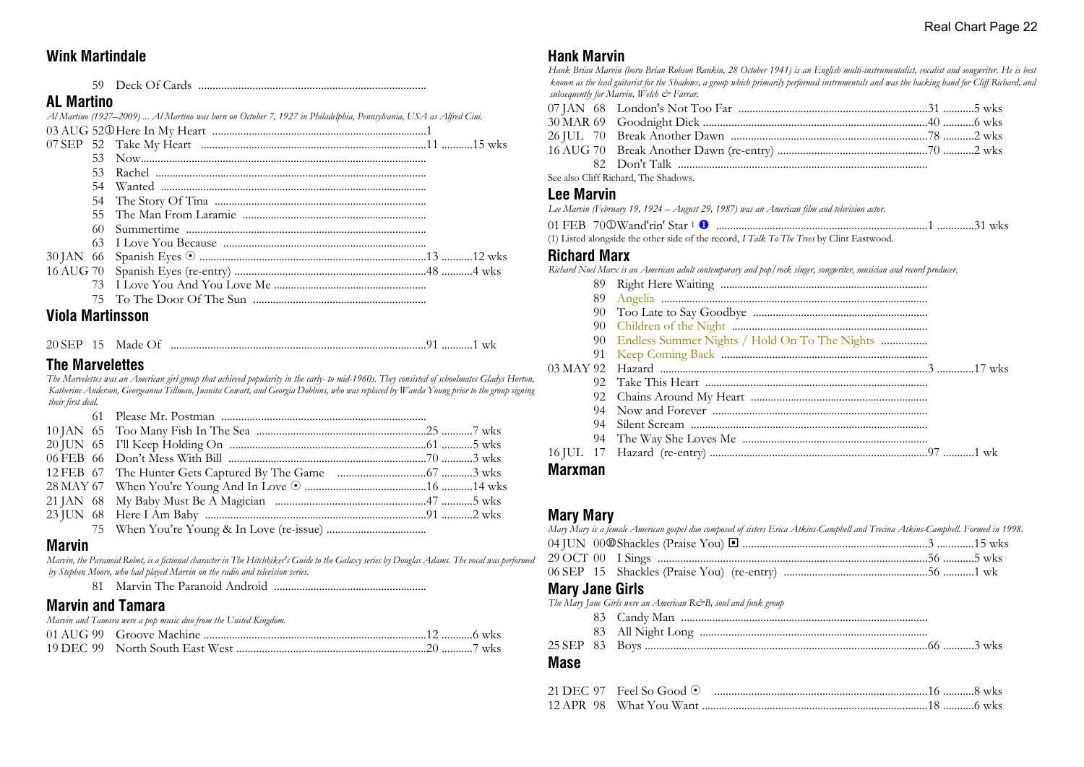## **Wink Martindale**

59 Deck Of Cards ................................................................................

## **AL Martino**

|  | Al Martino (1927–2009)  Al Martino was born on October 7, 1927 in Philadelphia, Pennsylvania, USA as Alfred Cini. |  |
|--|-------------------------------------------------------------------------------------------------------------------|--|
|  |                                                                                                                   |  |
|  |                                                                                                                   |  |
|  |                                                                                                                   |  |
|  |                                                                                                                   |  |
|  |                                                                                                                   |  |
|  |                                                                                                                   |  |
|  |                                                                                                                   |  |
|  |                                                                                                                   |  |
|  |                                                                                                                   |  |
|  |                                                                                                                   |  |
|  |                                                                                                                   |  |
|  |                                                                                                                   |  |
|  |                                                                                                                   |  |

## **Viola Martinsson**

20 SEP 15 Made Of ..........................................................................................91 ...........1 wk

## **The Marvelettes**

*The Marvelettes was an American girl group that achieved popularity in the early- to mid-1960s. They consisted of schoolmates Gladys Horton, Katherine Anderson, Georgeanna Tillman, Juanita Cowart, and Georgia Dobbins, who was replaced by Wanda Young prior to the group signing their first deal.*

## **Marvin**

*Marvin, the Paranoid Robot, is a fictional character in The Hitchhiker's Guide to the Galaxy series by Douglas Adams. The vocal was performed by Stephen Moore, who had played Marvin on the radio and television series.*

81 Marvin The Paranoid Android ......................................................

## **Marvin and Tamara**

| Marvin and Tamara were a pop music duo from the United Kingdom. |  |
|-----------------------------------------------------------------|--|
|                                                                 |  |
|                                                                 |  |

## **Hank Marvin**

*Hank Brian Marvin (born Brian Robson Rankin, 28 October 1941) is an English multi-instrumentalist, vocalist and songwriter. He is best known as the lead guitarist for the Shadows, a group which primarily performed instrumentals and was the backing band for Cliff Richard, and subsequently for Marvin, Welch & Farrar.*

|                   | See also Cliff Richard, The Shadows.                                                        |  |
|-------------------|---------------------------------------------------------------------------------------------|--|
| <b>Lee Marvin</b> |                                                                                             |  |
|                   | Lee Marvin (February 19, 1924 – August 29, 1987) was an American film and television actor. |  |
|                   |                                                                                             |  |

(1) Listed alongside the other side of the record, *I Talk To The Trees* by Clint Eastwood.

#### **Richard Marx**

*Richard Noel Marx is an American adult contemporary and pop/rock singer, songwriter, musician and record producer.*

| <b>Marxman</b> |     |                                                  |
|----------------|-----|--------------------------------------------------|
|                |     |                                                  |
|                | 94  |                                                  |
|                | 94  |                                                  |
|                | 94. |                                                  |
|                | 92  |                                                  |
|                |     |                                                  |
|                |     |                                                  |
|                | 91  |                                                  |
|                |     | 90 Endless Summer Nights / Hold On To The Nights |
|                |     |                                                  |
|                | 90  |                                                  |
|                | 89  |                                                  |
|                | 89  |                                                  |

## **Mary Mary**

|                                                               | Mary Mary is a female American gospel duo composed of sisters Erica Atkins-Campbell and Trecina Atkins-Campbell. Formed in 1998. |  |  |
|---------------------------------------------------------------|----------------------------------------------------------------------------------------------------------------------------------|--|--|
|                                                               |                                                                                                                                  |  |  |
|                                                               |                                                                                                                                  |  |  |
|                                                               |                                                                                                                                  |  |  |
| <b>Mary Jane Girls</b>                                        |                                                                                                                                  |  |  |
| The Mary Jane Girls were an American R&B, soul and funk group |                                                                                                                                  |  |  |

- 83 Candy Man ....................................................................................... 83 All Night Long ................................................................................
- 25 SEP 83 Boys ....................................................................................................66 ...........3 wks

## **Mase**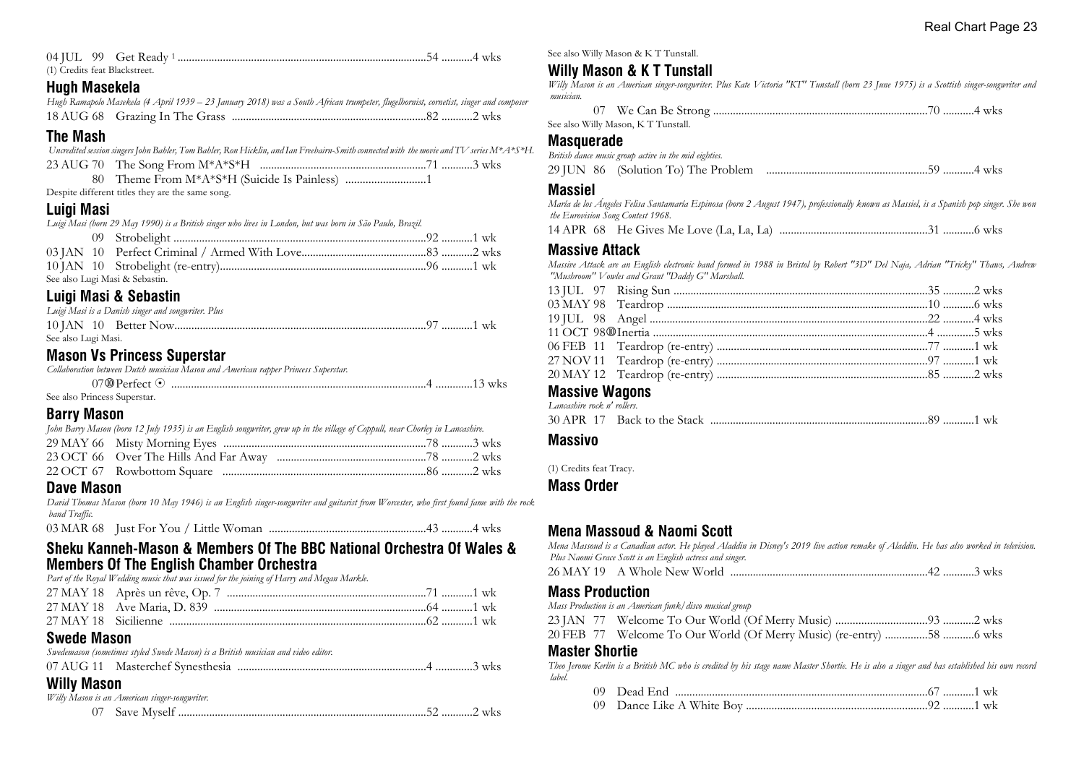| (1) Credits feat Blackstreet.   |  |
|---------------------------------|--|
| $\mathbf{H}$ , and $\mathbf{H}$ |  |

### **Hugh Masekela**

| Hugh Ramapolo Masekela (4 April 1939 – 23 January 2018) was a South African trumpeter, flugelhornist, cornetist, singer and composer |  |  |
|--------------------------------------------------------------------------------------------------------------------------------------|--|--|
|                                                                                                                                      |  |  |

## **The Mash**

|  | Uncredited session singers John Bahler, Tom Bahler, Ron Hicklin, and Ian Freehairn-Smith connected with the movie and TV series M*A*S*H. |  |
|--|------------------------------------------------------------------------------------------------------------------------------------------|--|
|--|------------------------------------------------------------------------------------------------------------------------------------------|--|

Despite different titles they are the same song.

## **Luigi Masi**

*Luigi Masi (born 29 May 1990) is a British singer who lives in London, but was born in São Paulo, Brazil.*

| See also Lugi Masi & Sebastin. |  |
|--------------------------------|--|

## **Luigi Masi & Sebastin**

|                     | Luigi Masi is a Danish singer and songwriter. Plus |  |
|---------------------|----------------------------------------------------|--|
|                     |                                                    |  |
| See also Lugi Masi. |                                                    |  |

## **Mason Vs Princess Superstar**

| Collaboration between Dutch musician Mason and American rapper Princess Superstar. |  |
|------------------------------------------------------------------------------------|--|
|                                                                                    |  |
| See also Princess Superstar.                                                       |  |

## **Barry Mason**

| John Barry Mason (born 12 July 1935) is an English songwriter, grew up in the village of Coppull, near Chorley in Lancashire. |  |
|-------------------------------------------------------------------------------------------------------------------------------|--|
|                                                                                                                               |  |
|                                                                                                                               |  |
|                                                                                                                               |  |
|                                                                                                                               |  |

## **Dave Mason**

*David Thomas Mason (born 10 May 1946) is an English singer-songwriter and guitarist from Worcester, who first found fame with the rock band Traffic.*

|--|--|

### **Sheku Kanneh-Mason & Members Of The BBC National Orchestra Of Wales & Members Of The English Chamber Orchestra**

*Part of the Royal Wedding music that was issued for the joining of Harry and Megan Markle.*

## **Swede Mason**

| Swedemason (sometimes styled Swede Mason) is a British musician and video editor. |  |  |
|-----------------------------------------------------------------------------------|--|--|
|                                                                                   |  |  |

## **Willy Mason**

*Willy Mason is an American singer-songwriter.*

|  | WKS |
|--|-----|
|--|-----|

See also Willy Mason & K T Tunstall.

## **Willy Mason & K T Tunstall**

*Willy Mason is an American singer-songwriter. Plus Kate Victoria "KT" Tunstall (born 23 June 1975) is a Scottish singer-songwriter and musician.*

| See also Willy Mason, KT Tunstall. |  |
|------------------------------------|--|

#### **Masquerade**

*British dance music group active in the mid eighties.* 29 JUN 86 (Solution To) The Problem .........................................................59 ...........4 wks

## **Massiel**

*María de los Ángeles Felisa Santamaría Espinosa (born 2 August 1947), professionally known as Massiel, is a Spanish pop singer. She won the Eurovision Song Contest 1968.*

14 APR 68 He Gives Me Love (La, La, La) ....................................................31 ...........6 wks

## **Massive Attack**

*Massive Attack are an English electronic band formed in 1988 in Bristol by Robert "3D" Del Naja, Adrian "Tricky" Thaws, Andrew "Mushroom" Vowles and Grant "Daddy G" Marshall.*

#### **Massive Wagons** *Lancashire rock n' rollers.*

| <i>Langashite fook n fouers.</i> |  |  |
|----------------------------------|--|--|
|                                  |  |  |

## **Massivo**

(1) Credits feat Tracy.

## **Mass Order**

## **Mena Massoud & Naomi Scott**

*Mena Massoud is a Canadian actor. He played Aladdin in Disney's 2019 live action remake of Aladdin. He has also worked in television. Plus Naomi Grace Scott is an English actress and singer.*

26 MAY 19 A Whole New World ......................................................................42 ...........3 wks

## **Mass Production**

*Mass Production is an American funk/disco musical group*

23 JAN 77 Welcome To Our World (Of Merry Music) ................................93 ...........2 wks

|  |  |  |  |  |  |  |  |  | 20 FEB 77 Welcome To Our World (Of Merry Music) (re-entry) 58 6 wks |
|--|--|--|--|--|--|--|--|--|---------------------------------------------------------------------|
|--|--|--|--|--|--|--|--|--|---------------------------------------------------------------------|

#### **Master Shortie**

*Theo Jerome Kerlin is a British MC who is credited by his stage name Master Shortie. He is also a singer and has established his own record label.*

| 74 R.<br>74 O |       | 1 | WK |
|---------------|-------|---|----|
|               | _____ |   |    |

|  | Dance Like A White Boy |  |  |
|--|------------------------|--|--|
|--|------------------------|--|--|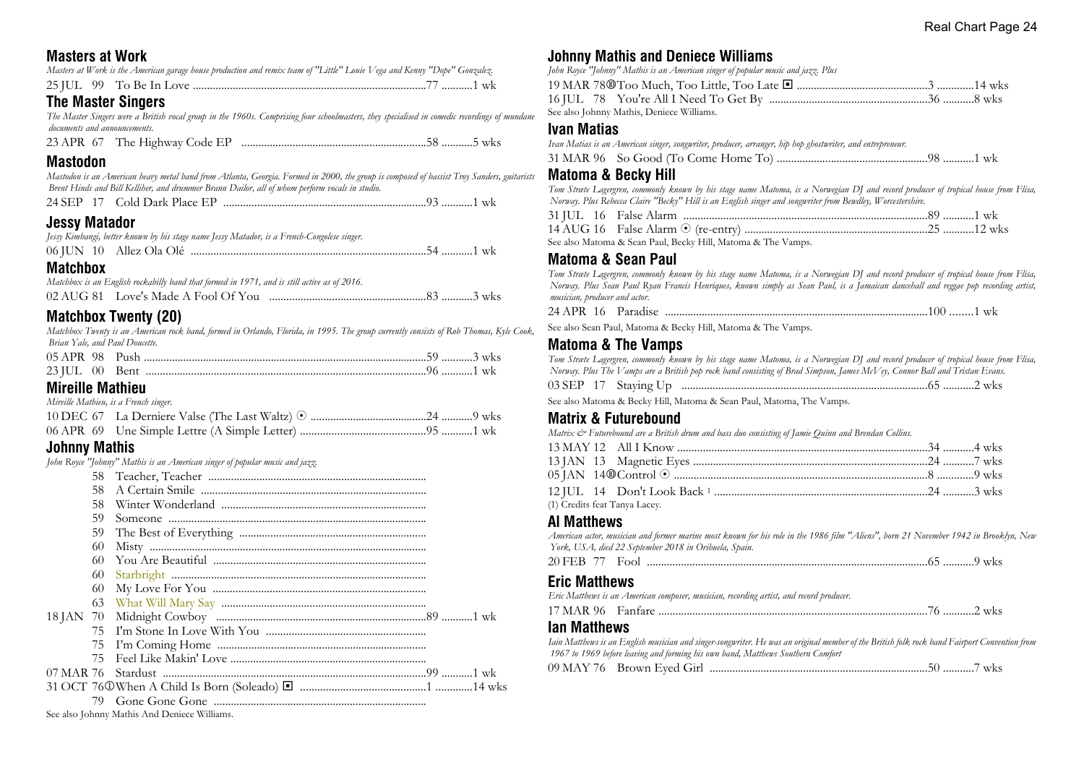## **Masters at Work**

|  | Masters at Work is the American garage house production and remix team of "Little" Louie Vega and Kenny "Dope" Gonzalez. |  |  |  |
|--|--------------------------------------------------------------------------------------------------------------------------|--|--|--|
|  |                                                                                                                          |  |  |  |

## **The Master Singers**

*The Master Singers were a British vocal group in the 1960s. Comprising four schoolmasters, they specialised in comedic recordings of mundane documents and announcements.*

| 23 APR 67 The Highway Code EP |  |  |
|-------------------------------|--|--|
|-------------------------------|--|--|

## **Mastodon**

*Mastodon is an American heavy metal band from Atlanta, Georgia. Formed in 2000, the group is composed of bassist Troy Sanders, guitarists Brent Hinds and Bill Kelliher, and drummer Brann Dailor, all of whom perform vocals in studio.*

|  |  | 24 SEP 17 Cold Dark Place EP |  |  |  |
|--|--|------------------------------|--|--|--|
|--|--|------------------------------|--|--|--|

## **Jessy Matador**

|  | Jessy Kimbangi, better known by his stage name Jessy Matador, is a French-Congolese singer. |  |  |
|--|---------------------------------------------------------------------------------------------|--|--|
|  |                                                                                             |  |  |
|  |                                                                                             |  |  |

## **Matchbox**

| Matchbox is an English rockabilly band that formed in 1971, and is still active as of 2016. |  |
|---------------------------------------------------------------------------------------------|--|
|                                                                                             |  |

## **Matchbox Twenty (20)**

*Matchbox Twenty is an American rock band, formed in Orlando, Florida, in 1995. The group currently consists of Rob Thomas, Kyle Cook, Brian Yale, and Paul Doucette.*

| $23$ IUL $00$ Bent |  |  |  |
|--------------------|--|--|--|

## **Mireille Mathieu**

*Mireille Mathieu, is a French singer.*

## **Johnny Mathis**

*John Royce "Johnny" Mathis is an American singer of popular music and jazz.*

| 58. |  |
|-----|--|
| 58  |  |
| 59  |  |
| 59  |  |
| 60  |  |
|     |  |
| 60  |  |
| 60  |  |
|     |  |
|     |  |
|     |  |
|     |  |
| 75. |  |
|     |  |
|     |  |
|     |  |
|     |  |

## **Johnny Mathis and Deniece Williams**

| John Royce "Johnny" Mathis is an American singer of popular music and jazz. Plus |  |
|----------------------------------------------------------------------------------|--|
|                                                                                  |  |
|                                                                                  |  |
| See also Johnny Mathis, Deniece Williams.                                        |  |

#### **Ivan Matias**

*Ivan Matias is an American singer, songwriter, producer, arranger, hip hop ghostwriter, and entrepreneur.*

31 MAR 96 So Good (To Come Home To) .....................................................98 ...........1 wk

### **Matoma & Becky Hill**

*Tom Stræte Lagergren, commonly known by his stage name Matoma, is a Norwegian DJ and record producer of tropical house from Flisa, Norway. Plus Rebecca Claire "Becky" Hill is an English singer and songwriter from Bewdley, Worcestershire.*

See also Matoma & Sean Paul, Becky Hill, Matoma & The Vamps.

## **Matoma & Sean Paul**

*Tom Stræte Lagergren, commonly known by his stage name Matoma, is a Norwegian DJ and record producer of tropical house from Flisa, Norway. Plus Sean Paul Ryan Francis Henriques, known simply as Sean Paul, is a Jamaican dancehall and reggae pop recording artist, musician, producer and actor.*

24 APR 16 Paradise .............................................................................................100 ........1 wk

See also Sean Paul, Matoma & Becky Hill, Matoma & The Vamps.

## **Matoma & The Vamps**

*Tom Stræte Lagergren, commonly known by his stage name Matoma, is a Norwegian DJ and record producer of tropical house from Flisa, Norway. Plus The Vamps are a British pop rock band consisting of Brad Simpson, James McVey, Connor Ball and Tristan Evans.* 03 SEP 17 Staying Up .......................................................................................65 ...........2 wks

See also Matoma & Becky Hill, Matoma & Sean Paul, Matoma, The Vamps.

## **Matrix & Futurebound**

*Matrix & Futurebound are a British drum and bass duo consisting of Jamie Quinn and Brendan Collins.*

|  | (1) Credits feat Tanya Lacey. |  |
|--|-------------------------------|--|

## **Al Matthews**

*American actor, musician and former marine most known for his role in the 1986 film "Aliens", born 21 November 1942 in Brooklyn, New York, USA, died 22 September 2018 in Orihuela, Spain.*

| 20. |  |
|-----|--|
|-----|--|

## **Eric Matthews**

| Eric Matthews is an American composer, musician, recording artist, and record producer. |  |  |  |
|-----------------------------------------------------------------------------------------|--|--|--|
|                                                                                         |  |  |  |

## **Ian Matthews**

*Iain Matthews is an English musician and singer-songwriter. He was an original member of the British folk rock band Fairport Convention from 1967 to 1969 before leaving and forming his own band, Matthews Southern Comfort* 09 MAY 76 Brown Eyed Girl .............................................................................50 ...........7 wks

See also Johnny Mathis And Deniece Williams.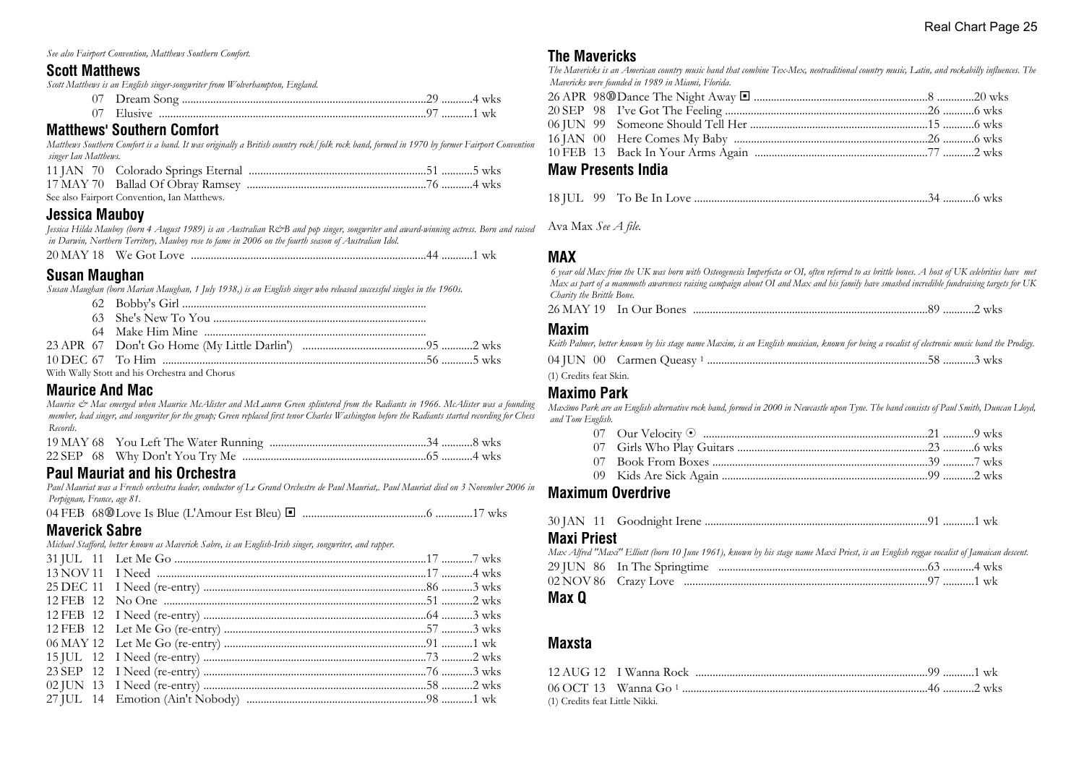*See also Fairport Convention, Matthews Southern Comfort.*

#### **Scott Matthews**

*Scott Matthews is an English singer-songwriter from Wolverhampton, England.*

|  | <u> 기 /  1</u> | 1 wk |
|--|----------------|------|

## **Matthews' Southern Comfort**

*Matthews Southern Comfort is a band. It was originally a British country rock/folk rock band, formed in 1970 by former Fairport Convention singer Ian Matthews.*

| See also Fairport Convention, Ian Matthews. |  |
|---------------------------------------------|--|

## **Jessica Mauboy**

*Jessica Hilda Mauboy (born 4 August 1989) is an Australian R&B and pop singer, songwriter and award-winning actress. Born and raised in Darwin, Northern Territory, Mauboy rose to fame in 2006 on the fourth season of Australian Idol.*

| 20 MAY 18<br>We Got Love<br>. 1 |  | WК |  |
|---------------------------------|--|----|--|
|---------------------------------|--|----|--|

## **Susan Maughan**

*Susan Maughan (born Marian Maughan, 1 July 1938,) is an English singer who released successful singles in the 1960s.*

|  | With Wally Stott and his Orchestra and Chorus |  |
|--|-----------------------------------------------|--|

## **Maurice And Mac**

*Maurice & Mac emerged when Maurice McAlister and McLauren Green splintered from the Radiants in 1966. McAlister was a founding member, lead singer, and songwriter for the group; Green replaced first tenor Charles Washington before the Radiants started recording for Chess Records.*

## **Paul Mauriat and his Orchestra**

*Paul Mauriat was a French orchestra leader, conductor of Le Grand Orchestre de Paul Mauriat,. Paul Mauriat died on 3 November 2006 in Perpignan, France, age 81.*

04 FEB 68s Love Is Blue (L'Amour Est Bleu) ® ...........................................6 .............17 wks

#### **Maverick Sabre**

*Michael Stafford, better known as Maverick Sabre, is an English-Irish singer, songwriter, and rapper.*

## **The Mavericks**

*The Mavericks is an American country music band that combine Tex-Mex, neotraditional country music, Latin, and rockabilly influences. The Mavericks were founded in 1989 in Miami, Florida.*

#### **Maw Presents India**

|--|--|--|--|--|--|

Ava Max *See A file.*

### **MAX**

 *6 year old Max frim the UK was born with Osteogenesis Imperfecta or OI, often referred to as brittle bones. A host of UK celebrities have met Max as part of a mammoth awareness raising campaign about OI and Max and his family have smashed incredible fundraising targets for UK Charity the Brittle Bone.*

26 MAY 19 In Our Bones ...................................................................................89 ...........2 wks

#### **Maxim**

*Keith Palmer, better known by his stage name Maxim, is an English musician, known for being a vocalist of electronic music band the Prodigy.*

04 JUN 00 Carmen Queasy <sup>1</sup> ..............................................................................58 ...........3 wks

(1) Credits feat Skin.

#### **Maximo Park**

*Maxïmo Park are an English alternative rock band, formed in 2000 in Newcastle upon Tyne. The band consists of Paul Smith, Duncan Lloyd, and Tom English.*

## **Maximum Overdrive**

|--|--|--|--|--|

### **Maxi Priest**

*Max Alfred "Maxi" Elliott (born 10 June 1961), known by his stage name Maxi Priest, is an English reggae vocalist of Jamaican descent.*

#### **Max Q**

## **Maxsta**

| (1) Credits feat Little Nikki. |  |  |
|--------------------------------|--|--|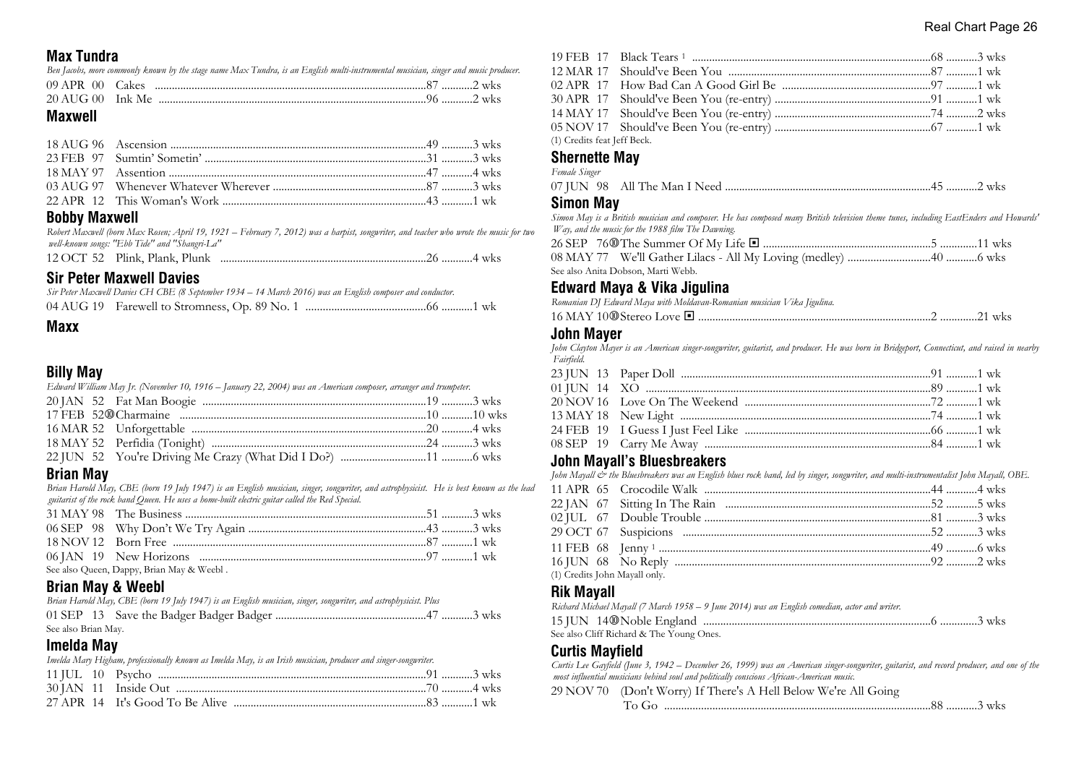## **Max Tundra**

*Ben Jacobs, more commonly known by the stage name Max Tundra, is an English multi-instrumental musician, singer and music producer.*

### **Maxwell**

## **Bobby Maxwell**

*Robert Maxwell (born Max Rosen; April 19, 1921 – February 7, 2012) was a harpist, songwriter, and teacher who wrote the music for two well-known songs: "Ebb Tide" and "Shangri-La"*

|  | 12 OCT 52 Plink, Plank, Plunk |  |
|--|-------------------------------|--|
|--|-------------------------------|--|

## **Sir Peter Maxwell Davies**

| Sir Peter Maxwell Davies CH CBE (8 September 1934 – 14 March 2016) was an English composer and conductor. |  |
|-----------------------------------------------------------------------------------------------------------|--|
|                                                                                                           |  |

## **Billy May**

| Edward William May Jr. (November 10, 1916 – January 22, 2004) was an American composer, arranger and trumpeter. |  |
|-----------------------------------------------------------------------------------------------------------------|--|
|                                                                                                                 |  |
|                                                                                                                 |  |
|                                                                                                                 |  |
|                                                                                                                 |  |
|                                                                                                                 |  |

## **Brian May**

*Brian Harold May, CBE (born 19 July 1947) is an English musician, singer, songwriter, and astrophysicist. He is best known as the lead guitarist of the rock band Queen. He uses a home-built electric guitar called the Red Special.*

| See also Queen, Dappy, Brian May & Weebl. |  |  |
|-------------------------------------------|--|--|

## **Brian May & Weebl**

|                     |  | Brian Harold May, CBE (born 19 July 1947) is an English musician, singer, songwriter, and astrophysicist. Plus |  |  |  |
|---------------------|--|----------------------------------------------------------------------------------------------------------------|--|--|--|
|                     |  |                                                                                                                |  |  |  |
| See also Brian May. |  |                                                                                                                |  |  |  |

## **Imelda May**

*Imelda Mary Higham, professionally known as Imelda May, is an Irish musician, producer and singer-songwriter.*

| (1) Credits feat Jeff Beck. |  |  |
|-----------------------------|--|--|

#### **Shernette May** *Female Singer*

| 1 <i>concerc Serigor</i> |  |  |
|--------------------------|--|--|
|                          |  |  |

## **Simon May**

*Simon May is a British musician and composer. He has composed many British television theme tunes, including EastEnders and Howards' Way, and the music for the 1988 film The Dawning.*

| See also Anita Dobson, Marti Webb. |  |
|------------------------------------|--|

## **Edward Maya & Vika Jigulina**

*Romanian DJ Edward Maya with Moldavan-Romanian musician Vika Jigulina.*

|  |  |  |  |  | WKS. |
|--|--|--|--|--|------|
|--|--|--|--|--|------|

#### **John Mayer**

*John Clayton Mayer is an American singer-songwriter, guitarist, and producer. He was born in Bridgeport, Connecticut, and raised in nearby Fairfield.*

#### **John Mayall's Bluesbreakers**

*John Mayall & the Bluesbreakers was an English blues rock band, led by singer, songwriter, and multi-instrumentalist John Mayall, OBE.*

| (1) Credits John Mayall only. |  |  |
|-------------------------------|--|--|
|                               |  |  |

## **Rik Mayall**

*Richard Michael Mayall (7 March 1958 – 9 June 2014) was an English comedian, actor and writer.*

```
See also Cliff Richard & The Young Ones.
```
## **Curtis Mayfield**

*Curtis Lee Gayfield (June 3, 1942 – December 26, 1999) was an American singer-songwriter, guitarist, and record producer, and one of the most influential musicians behind soul and politically conscious African-American music.*

29 NOV 70 (Don't Worry) If There's A Hell Below We're All Going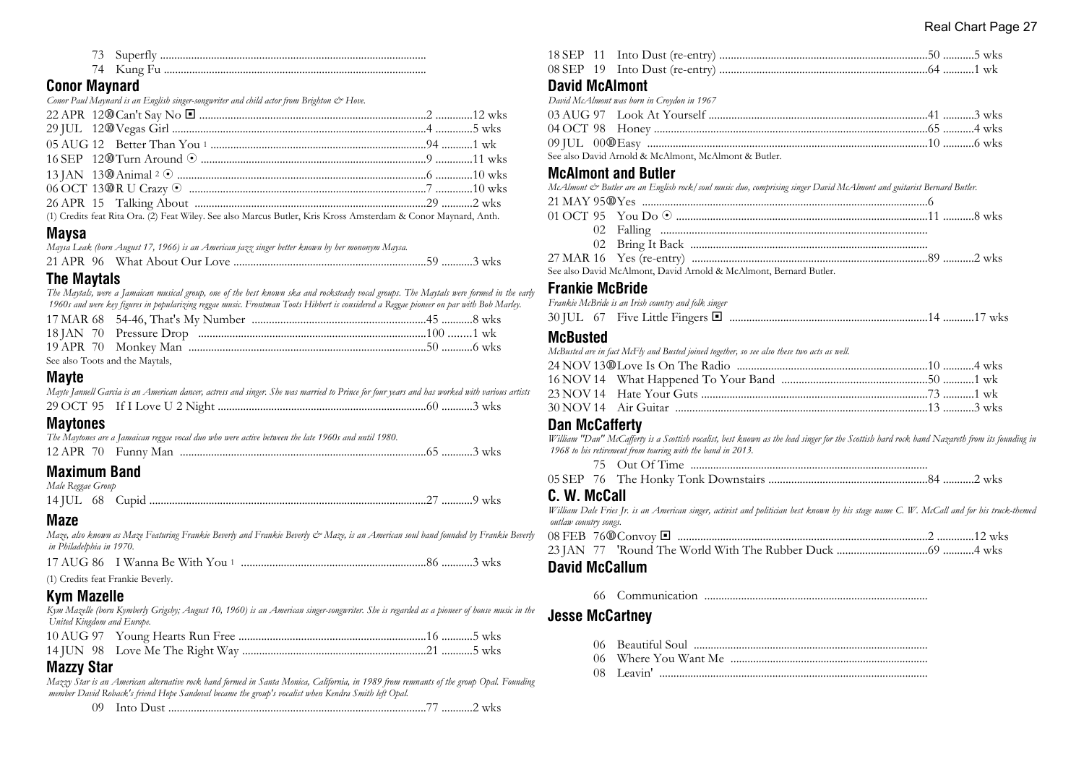| 73 Superfly |
|-------------|
|             |

## **Conor Maynard**

| Conor Paul Maynard is an English singer-songwriter and child actor from Brighton & Hove. |  |  |
|------------------------------------------------------------------------------------------|--|--|

| (1) Credits feat Rita Ora. (2) Feat Wiley. See also Marcus Butler, Kris Kross Amsterdam & Conor Maynard, Anth. |  |
|----------------------------------------------------------------------------------------------------------------|--|

**Maysa**

|  | Maysa Leak (born August 17, 1966) is an American jazz singer better known by her mononym Maysa. |  |
|--|-------------------------------------------------------------------------------------------------|--|
|  |                                                                                                 |  |

## **The Maytals**

*The Maytals, were a Jamaican musical group, one of the best known ska and rocksteady vocal groups. The Maytals were formed in the early 1960s and were key figures in popularizing reggae music. Frontman Toots Hibbert is considered a Reggae pioneer on par with Bob Marley.*

| See also Toots and the Maytals, |  |
|---------------------------------|--|

## **Mayte**

| $M = -1 - 1 - 1$ |                                                                                                                                              |  |  |
|------------------|----------------------------------------------------------------------------------------------------------------------------------------------|--|--|
|                  |                                                                                                                                              |  |  |
|                  | Mayte Jannell Garcia is an American dancer, actress and singer. She was married to Prince for four years and has worked with various artists |  |  |

## **Maytones**

|  | The Maytones are a Jamaican reggae vocal duo who were active between the late 1960s and until 1980. |  |
|--|-----------------------------------------------------------------------------------------------------|--|
|  |                                                                                                     |  |

## **Maximum Band**

| Male Reggae Group |  |  |
|-------------------|--|--|
|                   |  |  |

## **Maze**

*Maze, also known as Maze Featuring Frankie Beverly and Frankie Beverly & Maze, is an American soul band founded by Frankie Beverly in Philadelphia in 1970.*

|                                                  | 17 AUG 86 I Wanna Be With You 1 |  |
|--------------------------------------------------|---------------------------------|--|
| $\sim$ $\sim$ $\sim$ $\sim$ $\sim$ $\sim$ $\sim$ |                                 |  |

(1) Credits feat Frankie Beverly.

## **Kym Mazelle**

*Kym Mazelle (born Kymberly Grigsby; August 10, 1960) is an American singer-songwriter. She is regarded as a pioneer of house music in the United Kingdom and Europe.*

## **Mazzy Star**

*Mazzy Star is an American alternative rock band formed in Santa Monica, California, in 1989 from remnants of the group Opal. Founding member David Roback's friend Hope Sandoval became the group's vocalist when Kendra Smith left Opal.*

| ٠н. |  |  |  | -WKS |  |
|-----|--|--|--|------|--|
|-----|--|--|--|------|--|

| <b>David McAlmont</b>                                                                  |  |
|----------------------------------------------------------------------------------------|--|
| David McAlmont was born in Croydon in 1967                                             |  |
|                                                                                        |  |
|                                                                                        |  |
|                                                                                        |  |
| $\mathcal{O}$ in the light at all $\mathcal{M}$ at all $\mathcal{O}$ and $\mathcal{O}$ |  |

#### See also David Arnold & McAlmont, McAlmont & Butler.

## **McAlmont and Butler**

| McAlmont & Butler are an English rock/soul music duo, comprising singer David McAlmont and guitarist Bernard Butler. |  |
|----------------------------------------------------------------------------------------------------------------------|--|
|                                                                                                                      |  |
|                                                                                                                      |  |
|                                                                                                                      |  |
|                                                                                                                      |  |
|                                                                                                                      |  |
| See also David McAlmont. David Arnold & McAlmont. Bernard Butler.                                                    |  |

#### **Frankie McBride**

|  | Frankie McBride is an Irish country and folk singer |  |
|--|-----------------------------------------------------|--|
|  |                                                     |  |

#### **McBusted**

*McBusted are in fact McFly and Busted joined together, so see also these two acts as well.*

## **Dan McCafferty**

*William "Dan" McCafferty is a Scottish vocalist, best known as the lead singer for the Scottish hard rock band Nazareth from its founding in 1968 to his retirement from touring with the band in 2013.*

| AE CED | 7 <sup>7</sup> | T1.7 |  |
|--------|----------------|------|--|

|--|--|--|

## **C. W. McCall**

*William Dale Fries Jr. is an American singer, activist and politician best known by his stage name C. W. McCall and for his truck-themed outlaw country songs.*

| _ _ _ |  |  |  |  |
|-------|--|--|--|--|

## **David McCallum**

66 Communication ...............................................................................

## **Jesse McCartney**

- 
- 06 Beautiful Soul ................................................................................... 06 Where You Want Me ......................................................................
- 08 Leavin' ...............................................................................................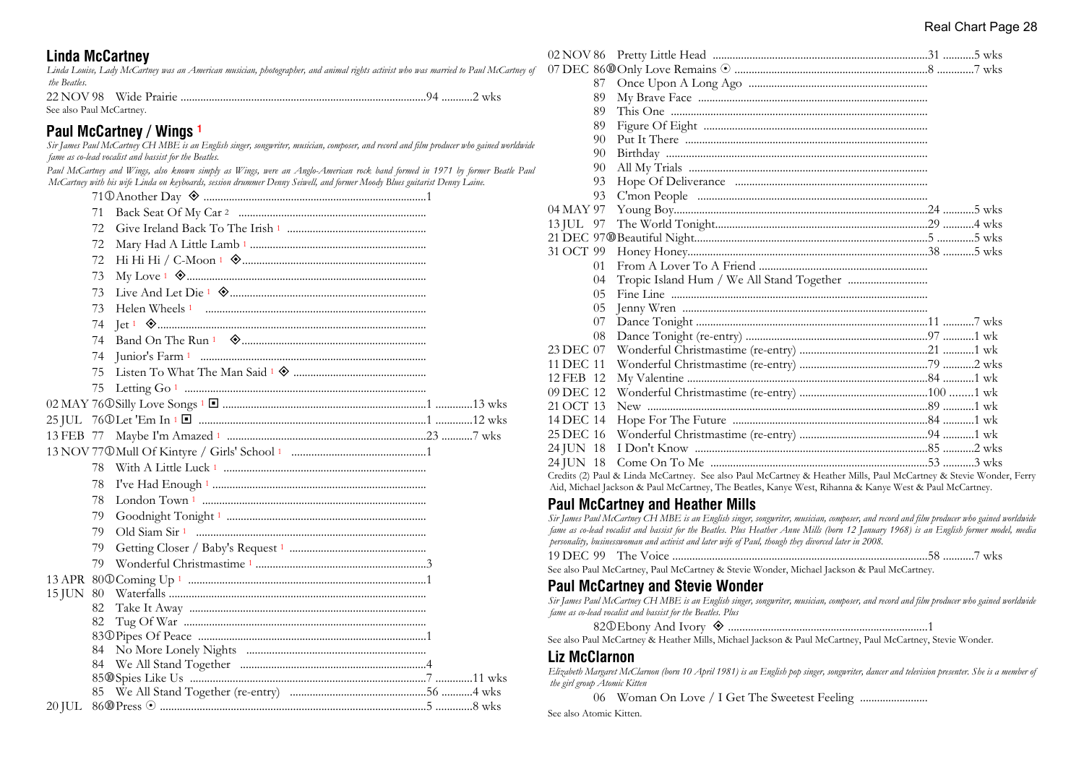## **Linda McCartney**

*Linda Louise, Lady McCartney was an American musician, photographer, and animal rights activist who was married to Paul McCartney of the Beatles.*

22 NOV 98 Wide Prairie .......................................................................................94 ...........2 wks See also Paul McCartney.

## **Paul McCartney / Wings <sup>1</sup>**

*Sir James Paul McCartney CH MBE is an English singer, songwriter, musician, composer, and record and film producer who gained worldwide fame as co-lead vocalist and bassist for the Beatles.*

*Paul McCartney and Wings, also known simply as Wings, were an Anglo-American rock band formed in 1971 by former Beatle Paul McCartney with his wife Linda on keyboards, session drummer Denny Seiwell, and former Moody Blues guitarist Denny Laine.*

|           | 71  |  |
|-----------|-----|--|
|           | 72. |  |
|           | 72  |  |
|           | 72  |  |
|           | 73  |  |
|           | 73  |  |
|           | 73  |  |
|           |     |  |
|           | 74  |  |
|           | 74  |  |
|           | 75  |  |
|           | 75  |  |
|           |     |  |
|           |     |  |
|           |     |  |
|           |     |  |
|           |     |  |
|           | 78  |  |
|           | 78  |  |
|           | 79  |  |
|           | 79  |  |
|           | 79  |  |
|           |     |  |
|           |     |  |
| 15 JUN 80 |     |  |
|           | 82  |  |
|           | 82  |  |
|           |     |  |
|           |     |  |
|           | 84  |  |
|           |     |  |
|           |     |  |
| 20 JUL    |     |  |

|           | 87 |                                                                                                                    |  |
|-----------|----|--------------------------------------------------------------------------------------------------------------------|--|
|           | 89 |                                                                                                                    |  |
|           | 89 |                                                                                                                    |  |
|           | 89 |                                                                                                                    |  |
|           | 90 |                                                                                                                    |  |
|           | 90 |                                                                                                                    |  |
|           | 90 |                                                                                                                    |  |
|           | 93 |                                                                                                                    |  |
|           | 93 |                                                                                                                    |  |
| 04 MAY 97 |    |                                                                                                                    |  |
| 13 JUL 97 |    |                                                                                                                    |  |
|           |    |                                                                                                                    |  |
| 31 OCT 99 |    |                                                                                                                    |  |
|           | 01 |                                                                                                                    |  |
|           | 04 |                                                                                                                    |  |
|           | 05 |                                                                                                                    |  |
|           | 05 |                                                                                                                    |  |
|           | 07 |                                                                                                                    |  |
|           | 08 |                                                                                                                    |  |
| 23 DEC 07 |    |                                                                                                                    |  |
| 11 DEC 11 |    |                                                                                                                    |  |
| 12 FEB 12 |    |                                                                                                                    |  |
| 09 DEC 12 |    |                                                                                                                    |  |
| 21 OCT 13 |    |                                                                                                                    |  |
| 14 DEC 14 |    |                                                                                                                    |  |
| 25 DEC 16 |    |                                                                                                                    |  |
| 24 JUN 18 |    |                                                                                                                    |  |
| 24 JUN 18 |    |                                                                                                                    |  |
|           |    | Credits (2) Paul & Linda McCartney. See also Paul McCartney & Heather Mills, Paul McCartney & Stevie Wonder, Ferry |  |

Aid, Michael Jackson & Paul McCartney, The Beatles, Kanye West, Rihanna & Kanye West & Paul McCartney.

## **Paul McCartney and Heather Mills**

*Sir James Paul McCartney CH MBE is an English singer, songwriter, musician, composer, and record and film producer who gained worldwide fame as co-lead vocalist and bassist for the Beatles. Plus Heather Anne Mills (born 12 January 1968) is an English former model, media personality, businesswoman and activist and later wife of Paul, though they divorced later in 2008.*

| $19$ DEC $-$<br>99 | The |        | WKS |
|--------------------|-----|--------|-----|
|                    |     | ------ |     |

See also Paul McCartney, Paul McCartney & Stevie Wonder, Michael Jackson & Paul McCartney.

#### **Paul McCartney and Stevie Wonder**

| Sir James Paul McCartney CH MBE is an English singer, songwriter, musician, composer, and record and film producer who gained worldwide |
|-----------------------------------------------------------------------------------------------------------------------------------------|
| fame as co-lead vocalist and bassist for the Beatles. Plus                                                                              |

82j Ebony And Ivory ± ......................................................................1

See also Paul McCartney & Heather Mills, Michael Jackson & Paul McCartney, Paul McCartney, Stevie Wonder.

#### **Liz McClarnon**

*Elizabeth Margaret McClarnon (born 10 April 1981) is an English pop singer, songwriter, dancer and television presenter. She is a member of the girl group Atomic Kitten*

06 Woman On Love / I Get The Sweetest Feeling ...................................

See also Atomic Kitten.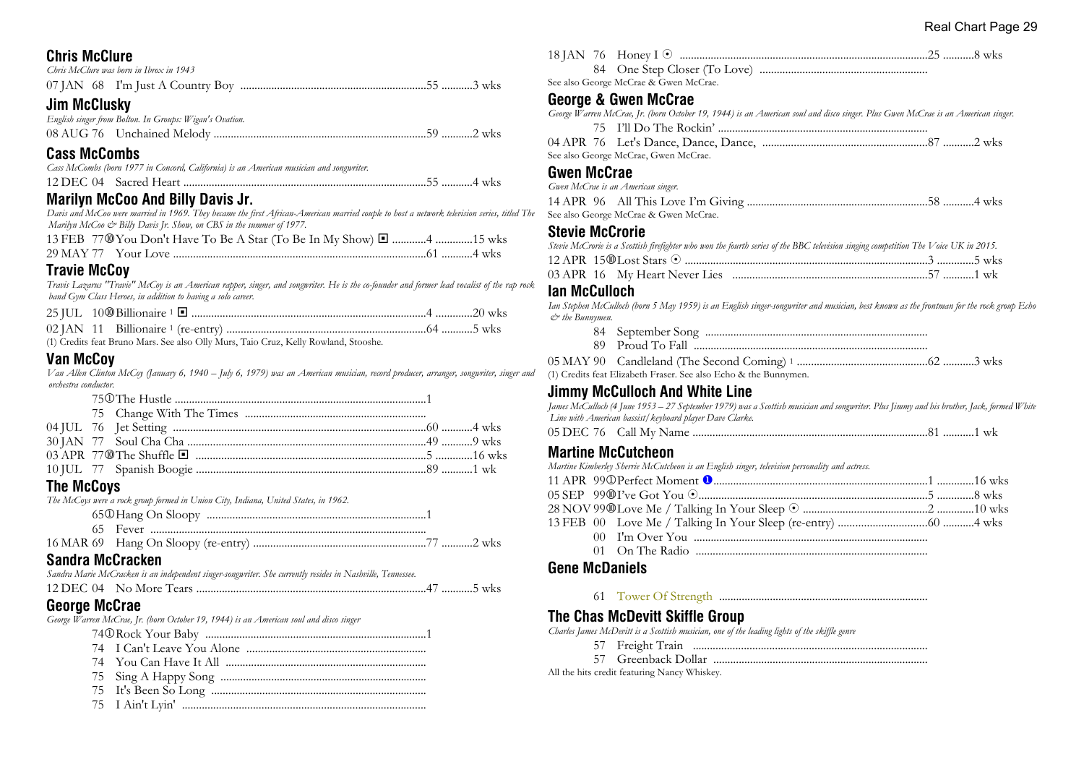#### Real Chart Page 29

## **Chris McClure**

|  | Chris McClure was born in Ibrox in 1943 |  |
|--|-----------------------------------------|--|
|  |                                         |  |

## **Jim McClusky**

| English singer from Bolton. In Groups: Wigan's Ovation. |  |
|---------------------------------------------------------|--|
|                                                         |  |

### **Cass McCombs**

| Cass McCombs (born 1977 in Concord, California) is an American musician and songwriter. |  |
|-----------------------------------------------------------------------------------------|--|
|                                                                                         |  |

## **Marilyn McCoo And Billy Davis Jr.**

*Davis and McCoo were married in 1969. They became the first African-American married couple to host a network television series, titled The Marilyn McCoo & Billy Davis Jr. Show, on CBS in the summer of 1977.*

| 13 FEB 77® You Don't Have To Be A Star (To Be In My Show) ■ 4 15 wks |  |
|----------------------------------------------------------------------|--|
|                                                                      |  |

## **Travie McCoy**

*Travis Lazarus "Travie" McCoy is an American rapper, singer, and songwriter. He is the co-founder and former lead vocalist of the rap rock band Gym Class Heroes, in addition to having a solo career.*

(1) Credits feat Bruno Mars. See also Olly Murs, Taio Cruz, Kelly Rowland, Stooshe.

## **Van McCoy**

*Van Allen Clinton McCoy (January 6, 1940 – July 6, 1979) was an American musician, record producer, arranger, songwriter, singer and orchestra conductor.*

| <b>The McCoys</b> | The McCoys were a rock group formed in Union City, Indiana, United States, in 1962. |  |
|-------------------|-------------------------------------------------------------------------------------|--|

### **Sandra McCracken**

| Sandra Marie McCracken is an independent singer-songwriter. She currently resides in Nashville, Tennessee. |  |  |  |
|------------------------------------------------------------------------------------------------------------|--|--|--|
|                                                                                                            |  |  |  |

#### **George McCrae**

*George Warren McCrae, Jr. (born October 19, 1944) is an American soul and disco singer*

- 74j Rock Your Baby ..............................................................................1
- 74 I Can't Leave You Alone ...............................................................
- 74 You Can Have It All .......................................................................
- 75 Sing A Happy Song .........................................................................
- 75 It's Been So Long ............................................................................
- 75 I Ain't Lyin' ......................................................................................

| See also George McCrae & Gwen McCrae. |  |
|---------------------------------------|--|

## **George & Gwen McCrae**

| George Warren McCrae, Jr. (born October 19, 1944) is an American soul and disco singer. Plus Gwen McCrae is an American singer. |
|---------------------------------------------------------------------------------------------------------------------------------|
|                                                                                                                                 |

| See also George McCrae. Gwen McCrae. |  |
|--------------------------------------|--|

#### **Gwen McCrae**

| Gwen McCrae is an American singer.    |  |
|---------------------------------------|--|
|                                       |  |
| See also George McCrae & Gwen McCrae. |  |

## **Stevie McCrorie**

|  | Stevie McCrorie is a Scottish firefighter who won the fourth series of the BBC television singing competition The Voice UK in 2015. |  |  |
|--|-------------------------------------------------------------------------------------------------------------------------------------|--|--|
|  |                                                                                                                                     |  |  |
|  |                                                                                                                                     |  |  |

## **Ian McCulloch**

*Ian Stephen McCulloch (born 5 May 1959) is an English singer-songwriter and musician, best known as the frontman for the rock group Echo & the Bunnymen.*

- 84 September Song ............................................................................... 89 Proud To Fall ...................................................................................
- 05 MAY 90 Candleland (The Second Coming) <sup>1</sup> ..............................................62 ...........3 wks (1) Credits feat Elizabeth Fraser. See also Echo & the Bunnymen.

## **Jimmy McCulloch And White Line**

*James McCulloch (4 June 1953 – 27 September 1979) was a Scottish musician and songwriter. Plus Jimmy and his brother, Jack, formed White Line with American bassist/keyboard player Dave Clarke.*

05 DEC 76 Call My Name ...................................................................................81 ...........1 wk

#### **Martine McCutcheon**

*Martine Kimberley Sherrie McCutcheon is an English singer, television personality and actress.*

#### **Gene McDaniels**

61 Tower Of Strength ..........................................................................

## **The Chas McDevitt Skiffle Group**

*Charles James McDevitt is a Scottish musician, one of the leading lights of the skiffle genre*

- 57 Freight Train ...................................................................................
- 57 Greenback Dollar ............................................................................

All the hits credit featuring Nancy Whiskey.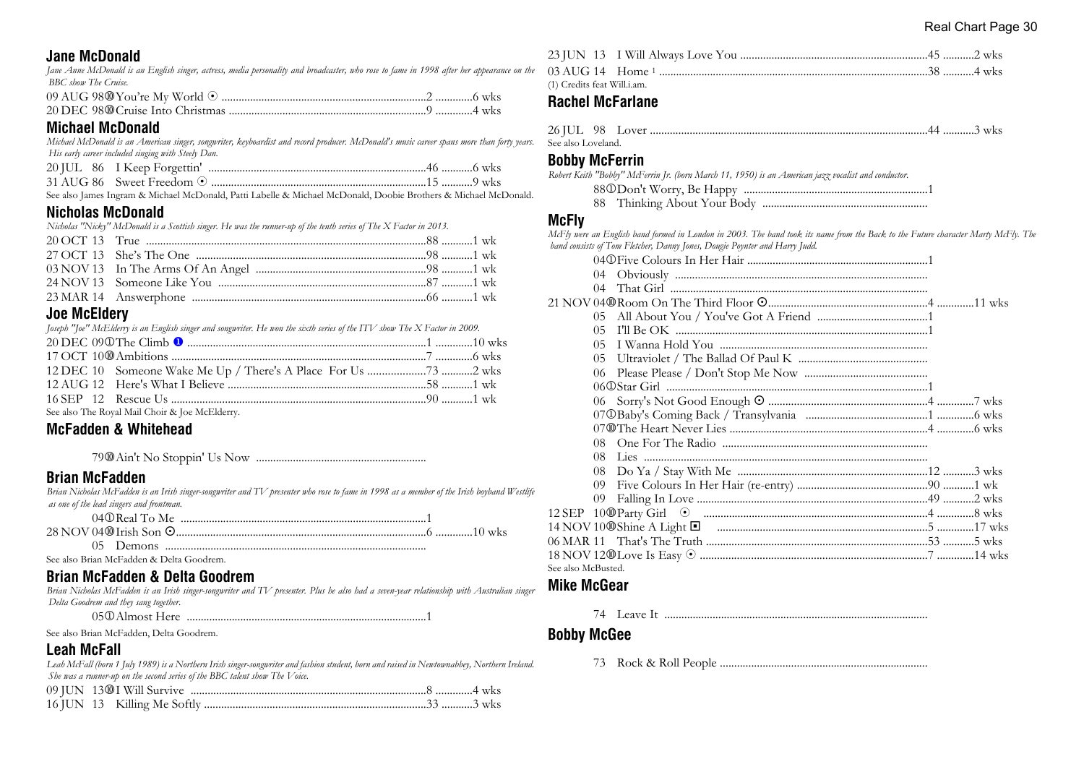### **Jane McDonald**

*Jane Anne McDonald is an English singer, actress, media personality and broadcaster, who rose to fame in 1998 after her appearance on the BBC show The Cruise.*

#### **Michael McDonald**

*Michael McDonald is an American singer, songwriter, keyboardist and record producer. McDonald's music career spans more than forty years. His early career included singing with Steely Dan.*

See also James Ingram & Michael McDonald, Patti Labelle & Michael McDonald, Doobie Brothers & Michael McDonald.

## **Nicholas McDonald**

*Nicholas "Nicky" McDonald is a Scottish singer. He was the runner-up of the tenth series of The X Factor in 2013.*

## **Joe McEldery**

| Joseph "Joe" McElderry is an English singer and songwriter. He won the sixth series of the ITV show The X Factor in 2009. |  |
|---------------------------------------------------------------------------------------------------------------------------|--|
|                                                                                                                           |  |
|                                                                                                                           |  |
|                                                                                                                           |  |
|                                                                                                                           |  |
|                                                                                                                           |  |
| See also The Royal Mail Choir & Joe McElderry.                                                                            |  |

## **McFadden & Whitehead**

79s Ain't No Stoppin' Us Now ............................................................

## **Brian McFadden**

*Brian Nicholas McFadden is an Irish singer-songwriter and TV presenter who rose to fame in 1998 as a member of the Irish boyband Westlife as one of the lead singers and frontman.*

| $\alpha$ in the set of $\alpha$ |  |
|---------------------------------|--|

#### See also Brian McFadden & Delta Goodrem.

## **Brian McFadden & Delta Goodrem**

*Brian Nicholas McFadden is an Irish singer-songwriter and TV presenter. Plus he also had a seven-year relationship with Australian singer Delta Goodrem and they sang together.*

| 050 Almost Here |  |  |
|-----------------|--|--|
|-----------------|--|--|

See also Brian McFadden, Delta Goodrem.

## **Leah McFall**

*Leah McFall (born 1 July 1989) is a Northern Irish singer-songwriter and fashion student, born and raised in Newtownabbey, Northern Ireland. She was a runner-up on the second series of the BBC talent show The Voice.*

| (1) Credits feat Will.i.am. |  |  |
|-----------------------------|--|--|

## **Rachel McFarlane**

| See also Loveland |  |  |  |
|-------------------|--|--|--|

### **Bobby McFerrin**

*Robert Keith "Bobby" McFerrin Jr. (born March 11, 1950) is an American jazz vocalist and conductor.*

88j Don't Worry, Be Happy .................................................................1

88 Thinking About Your Body ..........................................................

### **McFly**

*McFly were an English band formed in London in 2003. The band took its name from the Back to the Future character Marty McFly. The band consists of Tom Fletcher, Danny Jones, Dougie Poynter and Harry Judd.*

|                    | 04  |  |  |
|--------------------|-----|--|--|
|                    | 04  |  |  |
|                    |     |  |  |
|                    | 0.5 |  |  |
|                    | 05  |  |  |
|                    | 05  |  |  |
|                    | 05  |  |  |
|                    | 06  |  |  |
|                    |     |  |  |
|                    |     |  |  |
|                    |     |  |  |
|                    |     |  |  |
|                    | 08. |  |  |
|                    | 08. |  |  |
|                    | 08  |  |  |
|                    | 09  |  |  |
|                    | 09  |  |  |
|                    |     |  |  |
|                    |     |  |  |
|                    |     |  |  |
|                    |     |  |  |
| See also McBusted. |     |  |  |

## **Mike McGear**

74 Leave It .............................................................................................

## **Bobby McGee**

73 Rock & Roll People .........................................................................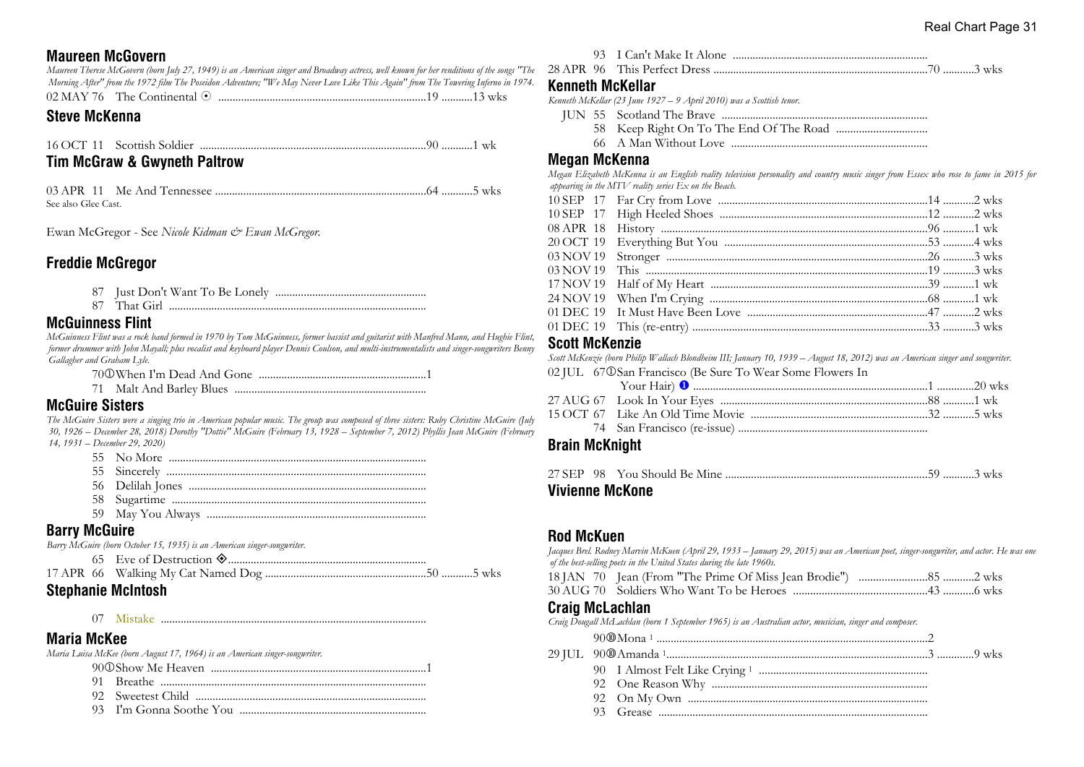## **Maureen McGovern**

*Maureen Therese McGovern (born July 27, 1949) is an American singer and Broadway actress, well known for her renditions of the songs "The Morning After" from the 1972 film The Poseidon Adventure; "We May Never Love Like This Again" from The Towering Inferno in 1974.*

| 02 MAY 76<br>The Continental |  |
|------------------------------|--|
|------------------------------|--|

### **Steve McKenna**

16 OCT 11 Scottish Soldier ................................................................................90 ...........1 wk

## **Tim McGraw & Gwyneth Paltrow**

03 APR 11 Me And Tennessee ...........................................................................64 ...........5 wks See also Glee Cast.

Ewan McGregor - See *Nicole Kidman & Ewan McGregor.*

## **Freddie McGregor**

87 Just Don't Want To Be Lonely .....................................................

87 That Girl ...........................................................................................

## **McGuinness Flint**

*McGuinness Flint was a rock band formed in 1970 by Tom McGuinness, former bassist and guitarist with Manfred Mann, and Hughie Flint, former drummer with John Mayall; plus vocalist and keyboard player Dennis Coulson, and multi-instrumentalists and singer-songwriters Benny Gallagher and Graham Lyle.*

70j When I'm Dead And Gone ...........................................................1

71 Malt And Barley Blues ....................................................................

## **McGuire Sisters**

*The McGuire Sisters were a singing trio in American popular music. The group was composed of three sisters: Ruby Christine McGuire (July 30, 1926 – December 28, 2018) Dorothy "Dottie" McGuire (February 13, 1928 – September 7, 2012) Phyllis Jean McGuire (February 14, 1931 – December 29, 2020)*

- 55 No More ...........................................................................................
- 55 Sincerely ............................................................................................
- 56 Delilah Jones ....................................................................................
- 58 Sugartime ..........................................................................................
- 59 May You Always .............................................................................

## **Barry McGuire**

*Barry McGuire (born October 15, 1935) is an American singer-songwriter.*

| ALI ' MILLI |  |
|-------------|--|
|             |  |
|             |  |

## **Stephanie McIntosh**

07 Mistake ..............................................................................................

## **Maria McKee**

*Maria Luisa McKee (born August 17, 1964) is an American singer-songwriter.*

- 90j Show Me Heaven ............................................................................1
- 91 Breathe ..............................................................................................
- 92 Sweetest Child .................................................................................
- 93 I'm Gonna Soothe You ..................................................................

28 APR 96 This Perfect Dress ............................................................................70 ...........3 wks

## **Kenneth McKellar**

*Kenneth McKellar (23 June 1927 – 9 April 2010) was a Scottish tenor.*

- JUN 55 Scotland The Brave .........................................................................
	- 58 Keep Right On To The End Of The Road ................................
	- 66 A Man Without Love .....................................................................

#### **Megan McKenna**

*Megan Elizabeth McKenna is an English reality television personality and country music singer from Essex who rose to fame in 2015 for appearing in the MTV reality series Ex on the Beach.*

### **Scott McKenzie**

*Scott McKenzie (born Philip Wallach Blondheim III; January 10, 1939 – August 18, 2012) was an American singer and songwriter.* 02 JUL 67 $\mathbb{O}$  San Francisco (Be Sure To Wear Some Flowers In

## **Brain McKnight**

|  | Vivienne McKone |  |  |
|--|-----------------|--|--|

## **Rod McKuen**

*Jacques Brel. Rodney Marvin McKuen (April 29, 1933 – January 29, 2015) was an American poet, singer-songwriter, and actor. He was one of the best-selling poets in the United States during the late 1960s.*

- 18 JAN 70 Jean (From "The Prime Of Miss Jean Brodie") ........................85 ...........2 wks
- 30 AUG 70 Soldiers Who Want To be Heroes ...............................................43 ...........6 wks

#### **Craig McLachlan**

*Craig Dougall McLachlan (born 1 September 1965) is an Australian actor, musician, singer and composer.*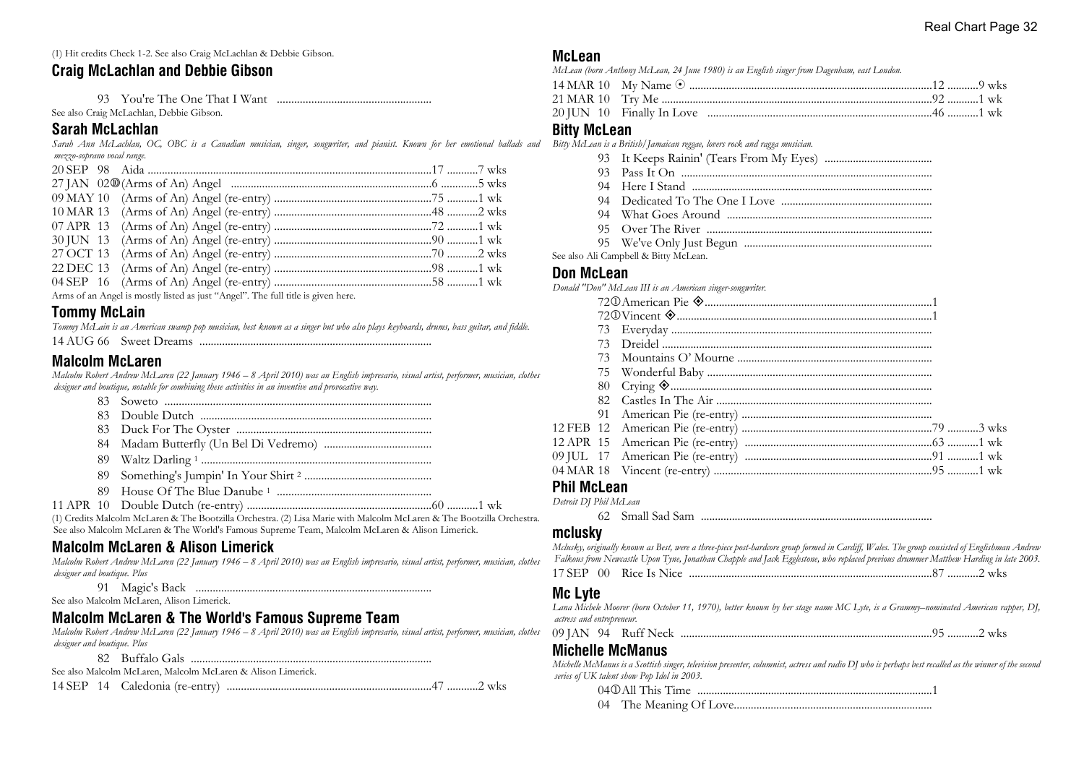(1) Hit credits Check 1-2. See also Craig McLachlan & Debbie Gibson.

## **Craig McLachlan and Debbie Gibson**

 93 You're The One That I Want ...................................................... See also Craig McLachlan, Debbie Gibson.

#### **Sarah McLachlan**

*Sarah Ann McLachlan, OC, OBC is a Canadian musician, singer, songwriter, and pianist. Known for her emotional ballads and mezzo-soprano vocal range.*

|  | $\mathbf{A}$ , and $\mathbf{A}$ , and $\mathbf{A}$ , and $\mathbf{A}$ , and $\mathbf{A}$ , and $\mathbf{A}$ , and $\mathbf{A}$ , and $\mathbf{A}$ , and $\mathbf{A}$ |  |  |
|--|----------------------------------------------------------------------------------------------------------------------------------------------------------------------|--|--|

Arms of an Angel is mostly listed as just "Angel". The full title is given here.

## **Tommy McLain**

| Tommy McLain is an American swamp pop musician, best known as a singer but who also plays keyboards, drums, bass guitar, and fiddle. |  |  |  |  |
|--------------------------------------------------------------------------------------------------------------------------------------|--|--|--|--|
|                                                                                                                                      |  |  |  |  |

## **Malcolm McLaren**

*Malcolm Robert Andrew McLaren (22 January 1946 – 8 April 2010) was an English impresario, visual artist, performer, musician, clothes designer and boutique, notable for combining these activities in an inventive and provocative way.*

| (1) Credits Malcolm McLaren & The Bootzilla Orchestra. (2) Lisa Marie with Malcolm McLaren & The Bootzilla Orchestra. |
|-----------------------------------------------------------------------------------------------------------------------|
| See also Malcolm McLaren & The World's Famous Supreme Team, Malcolm McLaren & Alison Limerick.                        |

## **Malcolm McLaren & Alison Limerick**

*Malcolm Robert Andrew McLaren (22 January 1946 – 8 April 2010) was an English impresario, visual artist, performer, musician, clothes designer and boutique. Plus*

91 Magic's Back ...................................................................................

See also Malcolm McLaren, Alison Limerick.

## **Malcolm McLaren & The World's Famous Supreme Team**

*Malcolm Robert Andrew McLaren (22 January 1946 – 8 April 2010) was an English impresario, visual artist, performer, musician, clothes designer and boutique. Plus*

|  | See also Malcolm McLaren, Malcolm McLaren & Alison Limerick. |
|--|--------------------------------------------------------------|
|  |                                                              |

#### **McLean**

*McLean (born Anthony McLean, 24 June 1980) is an English singer from Dagenham, east London.*

### **Bitty McLean**

*Bitty McLean is a British/Jamaican reggae, lovers rock and ragga musician.*

- 93 It Keeps Rainin' (Tears From My Eyes) ......................................
- 93 Pass It On .........................................................................................
- 94 Here I Stand .....................................................................................
- 94 Dedicated To The One I Love .....................................................
- 94 What Goes Around ........................................................................
- 95 Over The River ................................................................................
- 95 We've Only Just Begun ..................................................................

See also Ali Campbell & Bitty McLean.

#### **Don McLean**

*Donald "Don" McLean III is an American singer-songwriter.*

| 73 |  |
|----|--|
|    |  |
|    |  |
|    |  |
|    |  |
|    |  |
|    |  |
|    |  |
|    |  |
|    |  |

## **Phil McLean**

*Detroit DJ Phil McLean*

62 Small Sad Sam ..................................................................................

#### **mclusky**

| Mclusky, originally known as Best, were a three-piece post-hardcore group formed in Cardiff, Wales. The group consisted of Englishman Andrew |  |
|----------------------------------------------------------------------------------------------------------------------------------------------|--|
| Falkous from Newcastle Upon Tyne, Jonathan Chapple and Jack Egglestone, who replaced previous drummer Matthew Harding in late 2003.          |  |
|                                                                                                                                              |  |

## **Mc Lyte**

*Lana Michele Moorer (born October 11, 1970), better known by her stage name MC Lyte, is a Grammy–nominated American rapper, DJ, actress and entrepreneur.*

09 JAN 94 Ruff Neck .........................................................................................95 ...........2 wks

## **Michelle McManus**

*Michelle McManus is a Scottish singer, television presenter, columnist, actress and radio DJ who is perhaps best recalled as the winner of the second series of UK talent show Pop Idol in 2003.*

04j All This Time ...................................................................................1

04 The Meaning Of Love......................................................................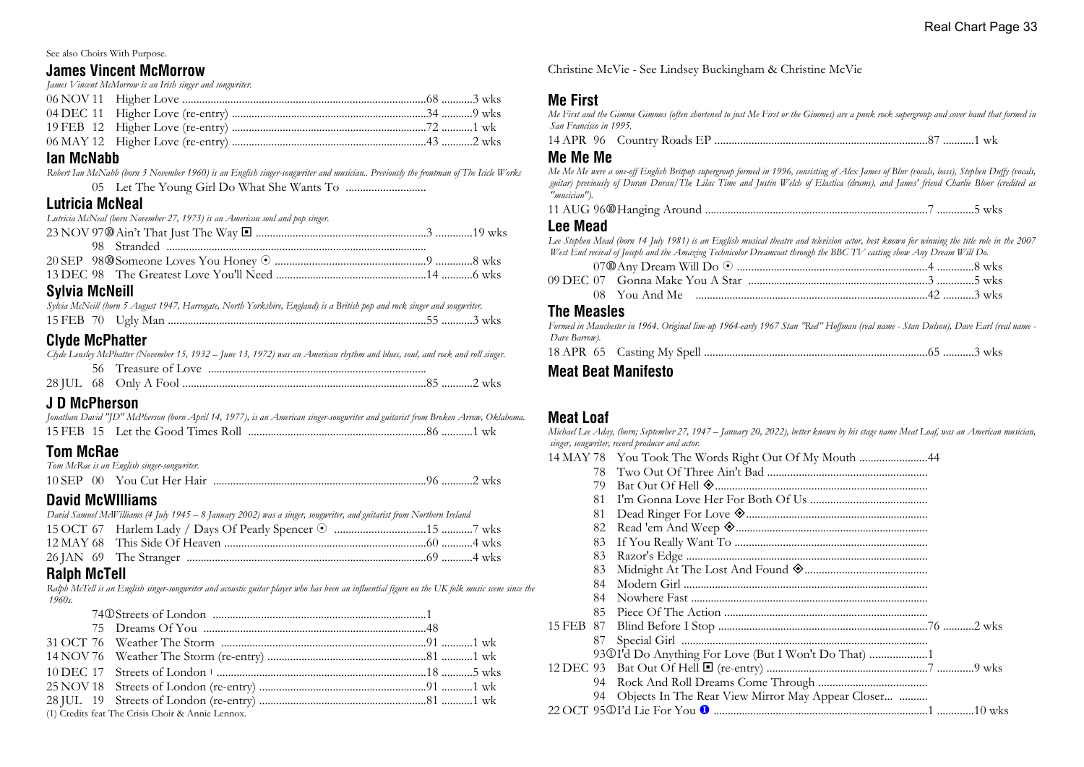See also Choirs With Purpose.

#### **James Vincent McMorrow**

*James Vincent McMorrow is an Irish singer and songwriter.*

#### **Ian McNabb**

*Robert Ian McNabb (born 3 November 1960) is an English singer-songwriter and musician.. Previously the frontman of The Icicle Works* 05 Let The Young Girl Do What She Wants To ............................

## **Lutricia McNeal**

*Lutricia McNeal (born November 27, 1973) is an American soul and pop singer.*

| <b>Culvie MeNeill</b> |  |
|-----------------------|--|

### **Sylvia McNeill**

| Sylvia McNeill (born 5 August 1947, Harrogate, North Yorkshire, England) is a British pop and rock singer and songwriter. |  |  |
|---------------------------------------------------------------------------------------------------------------------------|--|--|
|                                                                                                                           |  |  |

## **Clyde McPhatter**

|  | Clyde Lensley McPhatter (November 15, 1932 – June 13, 1972) was an American rhythm and blues, soul, and rock and roll singer. |
|--|-------------------------------------------------------------------------------------------------------------------------------|
|  |                                                                                                                               |
|  |                                                                                                                               |

## **J D McPherson**

| Jonathan David "JD" McPherson (born April 14, 1977), is an American singer-songwriter and guitarist from Broken Arrow, Oklahoma. |  |  |
|----------------------------------------------------------------------------------------------------------------------------------|--|--|
|                                                                                                                                  |  |  |

## **Tom McRae**

|  | Tom McRae is an English singer-songwriter. |  |  |
|--|--------------------------------------------|--|--|
|  |                                            |  |  |

## **David McWIlliams**

| David Samuel McWilliams (4 July 1945 – 8 January 2002) was a singer, songwriter, and guitarist from Northern Ireland |  |
|----------------------------------------------------------------------------------------------------------------------|--|
|                                                                                                                      |  |
|                                                                                                                      |  |
|                                                                                                                      |  |

### **Ralph McTell**

*Ralph McTell is an English singer-songwriter and acoustic guitar player who has been an influential figure on the UK folk music scene since the 1960s.*

| $(1)$ Cuadita foot The Cuisia Choix $2 - \Lambda$ ania Languar |  |  |
|----------------------------------------------------------------|--|--|

(1) Credits feat The Crisis Choir & Annie Lennox.

Christine McVie - See Lindsey Buckingham & Christine McVie

## **Me First**

*Me First and the Gimme Gimmes (often shortened to just Me First or the Gimmes) are a punk rock supergroup and cover band that formed in San Francisco in 1995.*

|  |  |  |  |  |  | …………1 wk |  |
|--|--|--|--|--|--|----------|--|
|--|--|--|--|--|--|----------|--|

#### **Me Me Me**

*Me Me Me were a one-off English Britpop supergroup formed in 1996, consisting of Alex James of Blur (vocals, bass), Stephen Duffy (vocals, guitar) previously of Duran Duran/The Lilac Time and Justin Welch of Elastica (drums), and James' friend Charlie Bloor (credited as "musician").*

|--|--|--|--|--|

## **Lee Mead**

| Lee Stephen Mead (born 14 July 1981) is an English musical theatre and television actor, best known for winning the title role in the 2007 |  |
|--------------------------------------------------------------------------------------------------------------------------------------------|--|
| West End revival of Joseph and the Amazing Technicolor Dreamcoat through the BBC TV casting show Any Dream Will Do.                        |  |
|                                                                                                                                            |  |
|                                                                                                                                            |  |

| 08 You And Me |  |  |  |  |
|---------------|--|--|--|--|

## **The Measles**

*Formed in Manchester in 1964. Original line-up 1964-early 1967 Stan "Red" Hoffman (real name - Stan Dulson), Dave Earl (real name - Dave Barrow).*

18 APR 65 Casting My Spell ...............................................................................65 ...........3 wks

## **Meat Beat Manifesto**

## **Meat Loaf**

*Michael Lee Aday, (born; September 27, 1947 – January 20, 2022), better known by his stage name Meat Loaf, was an American musician, singer, songwriter, record producer and actor.* 14 MAY 78 You Took The Words Right Out Of My Mouth ........................44

|           | 78. |                                                      |
|-----------|-----|------------------------------------------------------|
|           | 79  |                                                      |
|           | 81  |                                                      |
|           | 81  |                                                      |
|           | 82  |                                                      |
|           | 83  |                                                      |
|           | 83  |                                                      |
|           | 83  |                                                      |
|           | 84  |                                                      |
|           | 84  |                                                      |
|           | 85. |                                                      |
| 15 FEB 87 |     |                                                      |
|           | 87  |                                                      |
|           |     | 93 O I'd Do Anything For Love (But I Won't Do That)  |
|           |     |                                                      |
|           |     |                                                      |
|           |     | 94 Objects In The Rear View Mirror May Appear Closer |
|           |     |                                                      |
|           |     |                                                      |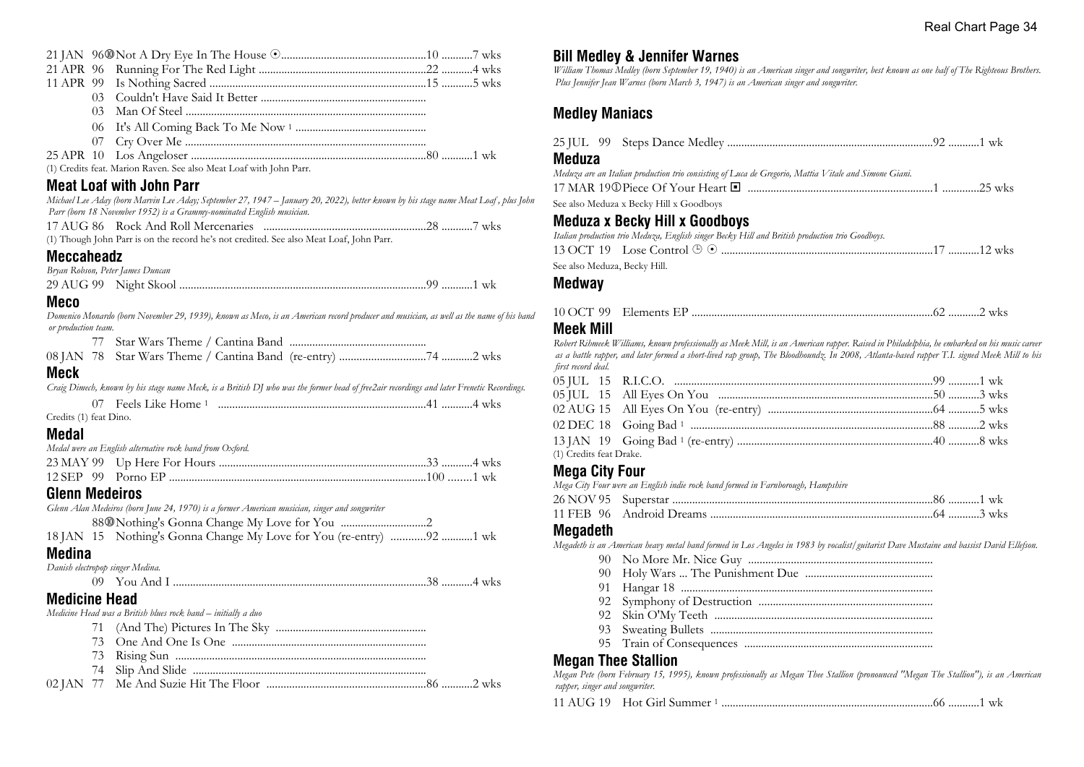| 21 APR 96                        |                                                                                                                                           |  |
|----------------------------------|-------------------------------------------------------------------------------------------------------------------------------------------|--|
|                                  |                                                                                                                                           |  |
| 0 <sub>3</sub>                   |                                                                                                                                           |  |
| 03                               |                                                                                                                                           |  |
| 06                               |                                                                                                                                           |  |
| 07                               |                                                                                                                                           |  |
| 25 APR 10                        |                                                                                                                                           |  |
|                                  | (1) Credits feat. Marion Raven. See also Meat Loaf with John Parr.                                                                        |  |
|                                  | <b>Meat Loaf with John Parr</b>                                                                                                           |  |
|                                  | Michael Lee Aday (born Marvin Lee Aday; September 27, 1947 – January 20, 2022), better known by his stage name Meat Loaf, plus John       |  |
|                                  | Parr (born 18 November 1952) is a Grammy-nominated English musician.                                                                      |  |
|                                  |                                                                                                                                           |  |
|                                  | (1) Though John Parr is on the record he's not credited. See also Meat Loaf, John Parr.                                                   |  |
| <b>Meccaheadz</b>                |                                                                                                                                           |  |
| Bryan Robson, Peter James Duncan |                                                                                                                                           |  |
|                                  |                                                                                                                                           |  |
| <b>Meco</b>                      |                                                                                                                                           |  |
|                                  | Domenico Monardo (born November 29, 1939), known as Meco, is an American record producer and musician, as well as the name of his bana    |  |
| or production team.              |                                                                                                                                           |  |
| 77                               |                                                                                                                                           |  |
| 08 JAN 78                        |                                                                                                                                           |  |
| Meck                             |                                                                                                                                           |  |
|                                  | Craig Dimech, known by his stage name Meck, is a British DJ who was the former head of free2air recordings and later Frenetic Recordings. |  |
| 07 -                             |                                                                                                                                           |  |
| Credits (1) feat Dino.           |                                                                                                                                           |  |
| <b>Medal</b>                     |                                                                                                                                           |  |
|                                  | Medal were an English alternative rock band from Oxford.                                                                                  |  |
|                                  |                                                                                                                                           |  |
|                                  |                                                                                                                                           |  |
| <b>Glenn Medeiros</b>            |                                                                                                                                           |  |
|                                  | Glenn Alan Medeiros (born June 24, 1970) is a former American musician, singer and songwriter                                             |  |
|                                  |                                                                                                                                           |  |
|                                  | 18 JAN 15 Nothing's Gonna Change My Love for You (re-entry) 92 1 wk                                                                       |  |
| <b>Medina</b>                    |                                                                                                                                           |  |
| Danish electropop singer Medina. |                                                                                                                                           |  |
|                                  |                                                                                                                                           |  |
| <b>Medicine Head</b>             |                                                                                                                                           |  |
|                                  | Medicine Head was a British blues rock band - initially a duo                                                                             |  |
| 71                               |                                                                                                                                           |  |
| 73                               |                                                                                                                                           |  |
| 73                               |                                                                                                                                           |  |
| 74                               |                                                                                                                                           |  |
|                                  |                                                                                                                                           |  |

02 JAN 77 Me And Suzie Hit The Floor ........................................................86 ...........2 wks

## **Bill Medley & Jennifer Warnes**

*William Thomas Medley (born September 19, 1940) is an American singer and songwriter, best known as one half of The Righteous Brothers. Plus Jennifer Jean Warnes (born March 3, 1947) is an American singer and songwriter.*

## **Medley Maniacs**

|      | <b>Meduza</b>                                                                                                                            |  |
|------|------------------------------------------------------------------------------------------------------------------------------------------|--|
|      | Meduza are an Italian production trio consisting of Luca de Gregorio, Mattia Vitale and Simone Giani.                                    |  |
|      |                                                                                                                                          |  |
| John | See also Meduza x Becky Hill x Goodboys                                                                                                  |  |
|      | <b>Meduza x Becky Hill x Goodboys</b><br>Italian production trio Meduza, English singer Becky Hill and British production trio Goodboys. |  |
|      |                                                                                                                                          |  |
|      | See also Meduza, Becky Hill.                                                                                                             |  |
|      | <b>Medway</b>                                                                                                                            |  |
| band | 10 OCT 99                                                                                                                                |  |
|      | Maak Mill                                                                                                                                |  |

#### **Meek Mill**

*Robert Rihmeek Williams, known professionally as Meek Mill, is an American rapper. Raised in Philadelphia, he embarked on his music career as a battle rapper, and later formed a short-lived rap group, The Bloodhoundz. In 2008, Atlanta-based rapper T.I. signed Meek Mill to his first record deal.*

| (1) Credits feat Drake. |  |  |
|-------------------------|--|--|

## **Mega City Four**

*Mega City Four were an English indie rock band formed in Farnborough, Hampshire*

## **Megadeth**

*Megadeth is an American heavy metal band formed in Los Angeles in 1983 by vocalist/guitarist Dave Mustaine and bassist David Ellefson.*

- 90 No More Mr. Nice Guy .................................................................
- 90 Holy Wars ... The Punishment Due .............................................
- 91 Hangar 18 .........................................................................................
- 92 Symphony of Destruction .............................................................
- 92 Skin O'My Teeth .............................................................................
- 93 Sweating Bullets ...............................................................................
- 95 Train of Consequences ...................................................................

## **Megan Thee Stallion**

*Megan Pete (born February 15, 1995), known professionally as Megan Thee Stallion (pronounced "Megan The Stallion"), is an American rapper, singer and songwriter.*

|  | 11 AUG 19 Hot Girl Summer 1 |  |  |  |
|--|-----------------------------|--|--|--|
|--|-----------------------------|--|--|--|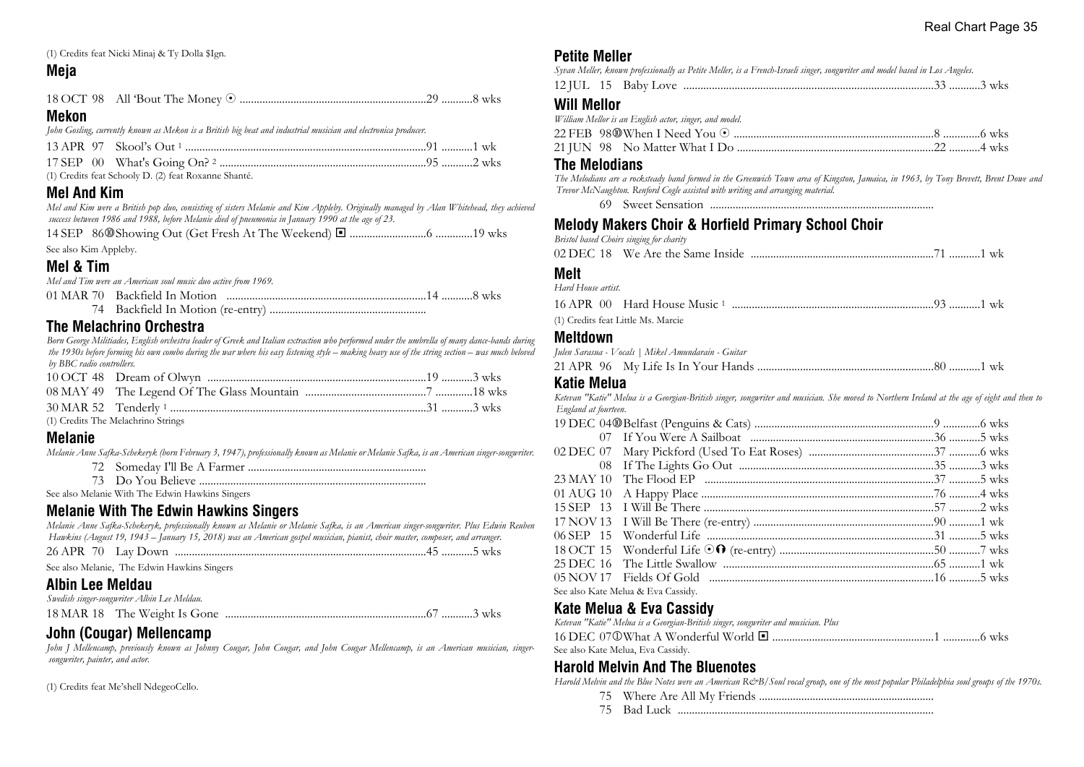(1) Credits feat Nicki Minaj & Ty Dolla \$Ign.

## **Meja**

#### **Mekon**

*John Gosling, currently known as Mekon is a British big beat and industrial musician and electronica producer.*

| (1) Credits feat Schooly D. (2) feat Roxanne Shanté. |  |
|------------------------------------------------------|--|

## **Mel And Kim**

*Mel and Kim were a British pop duo, consisting of sisters Melanie and Kim Appleby. Originally managed by Alan Whitehead, they achieved success between 1986 and 1988, before Melanie died of pneumonia in January 1990 at the age of 23.*

|--|--|--|--|--|--|--|

See also Kim Appleby.

## **Mel & Tim**

*Mel and Tim were an American soul music duo active from 1969.*

**The Melachrino Orchestra**

*Born George Militiades, English orchestra leader of Greek and Italian extraction who performed under the umbrella of many dance-bands during the 1930s before forming his own combo during the war where his easy listening style – making heavy use of the string section – was much beloved by BBC radio controllers.*

(1) Credits The Melachrino Strings

## **Melanie**

*Melanie Anne Safka-Schekeryk (born February 3, 1947), professionally known as Melanie or Melanie Safka, is an American singer-songwriter.*

See also Melanie With The Edwin Hawkins Singers

## **Melanie With The Edwin Hawkins Singers**

*Melanie Anne Safka-Schekeryk, professionally known as Melanie or Melanie Safka, is an American singer-songwriter. Plus Edwin Reuben Hawkins (August 19, 1943 – January 15, 2018) was an American gospel musician, pianist, choir master, composer, and arranger.*

| 26 APR | 70. | Lav Down |  |  | <b>WKS</b> |
|--------|-----|----------|--|--|------------|
|--------|-----|----------|--|--|------------|

See also Melanie, The Edwin Hawkins Singers

## **Albin Lee Meldau**

| Swedish singer-songwriter Albin Lee Meldau. |  |  |
|---------------------------------------------|--|--|
|                                             |  |  |

## **John (Cougar) Mellencamp**

*John J Mellencamp, previously known as Johnny Cougar, John Cougar, and John Cougar Mellencamp, is an American musician, singersongwriter, painter, and actor.*

(1) Credits feat Me'shell NdegeoCello.

## **Petite Meller**

|  |  | Syvan Meller, known professionally as Petite Meller, is a French-Israeli singer, songwriter and model based in Los Angeles. |  |  |  |
|--|--|-----------------------------------------------------------------------------------------------------------------------------|--|--|--|
|  |  |                                                                                                                             |  |  |  |

## **Will Mellor**

*William Mellor is an English actor, singer, and model.*

#### **The Melodians**

*The Melodians are a rocksteady band formed in the Greenwich Town area of Kingston, Jamaica, in 1963, by Tony Brevett, Brent Dowe and Trevor McNaughton. Renford Cogle assisted with writing and arranging material.*

69 Sweet Sensation ...............................................................................

## **Melody Makers Choir & Horfield Primary School Choir**

*Bristol based Choirs singing for charity*

|--|--|--|

#### **Melt**

| Hard House artist.                 |  |
|------------------------------------|--|
|                                    |  |
| (1) Credits feat Little Ms. Marcie |  |

#### **Meltdown**

| Julen Sarasua - Vocals   Mikel Amundarain - Guitar |  |
|----------------------------------------------------|--|
|                                                    |  |

#### **Katie Melua**

*Ketevan "Katie" Melua is a Georgian-British singer, songwriter and musician. She moved to Northern Ireland at the age of eight and then to England at fourteen.*

| See also Kate Melua & Eva Cassidy. |  |
|------------------------------------|--|

## **Kate Melua & Eva Cassidy**

*Ketevan "Katie" Melua is a Georgian-British singer, songwriter and musician. Plus*

| See also Kate Melua, Eva Cassidy. |  |
|-----------------------------------|--|

## **Harold Melvin And The Bluenotes**

Harold Melvin and the Blue Notes were an American R&B/Soul vocal group, one of the most popular Philadelphia soul groups of the 1970s.

- 75 Where Are All My Friends ..............................................................
- 75 Bad Luck ..........................................................................................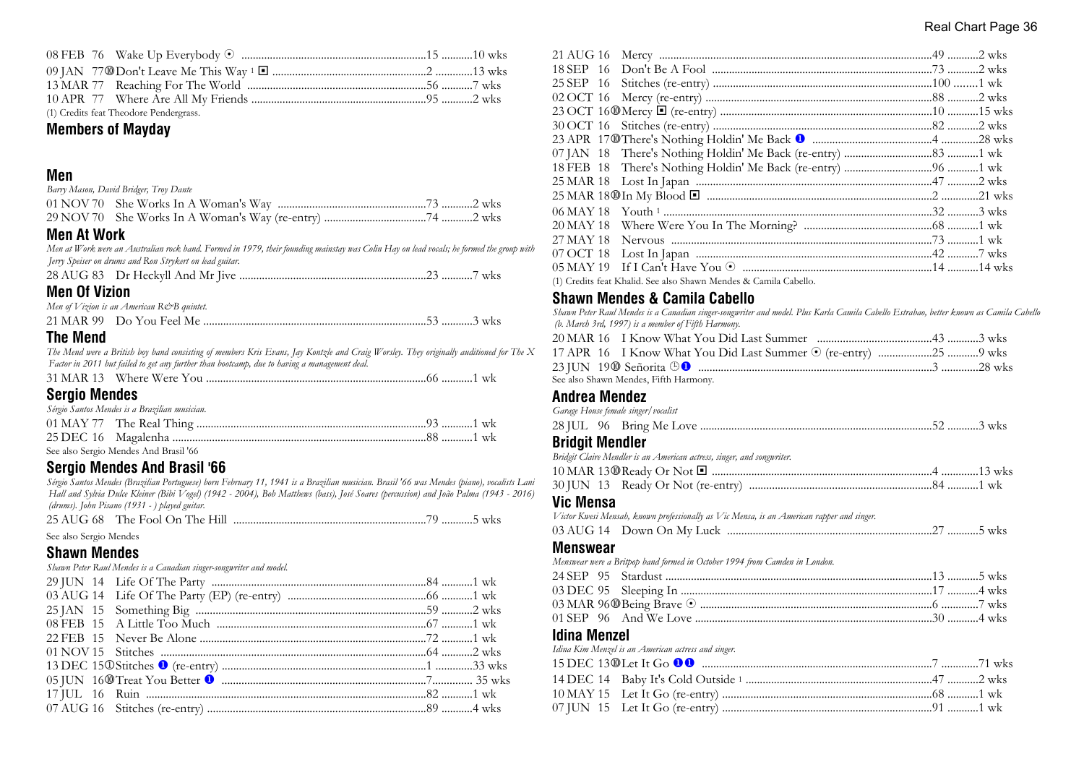| (1) Credits feat Theodore Pendergrass. |  |
|----------------------------------------|--|

## **Members of Mayday**

## **Men**

| Barry Mason, David Bridger, Troy Dante |  |
|----------------------------------------|--|
|                                        |  |
|                                        |  |

## **Men At Work**

*Men at Work were an Australian rock band. Formed in 1979, their founding mainstay was Colin Hay on lead vocals; he formed the group with Jerry Speiser on drums and Ron Strykert on lead guitar.* 28 AUG 83 Dr Heckyll And Mr Jive ..................................................................23 ...........7 wks

## **Men Of Vizion**

| Men of Vizion is an American R&B quintet. |  |
|-------------------------------------------|--|
|                                           |  |

## **The Mend**

*The Mend were a British boy band consisting of members Kris Evans, Jay Kontzle and Craig Worsley. They originally auditioned for The X Factor in 2011 but failed to get any further than bootcamp, due to having a management deal.*

|--|--|--|--|

## **Sergio Mendes**

| Sérgio Santos Mendes is a Brazilian musician. |  |  |
|-----------------------------------------------|--|--|
|                                               |  |  |
|                                               |  |  |
| See also Sergio Mendes And Brasil '66         |  |  |

## **Sergio Mendes And Brasil '66**

*Sérgio Santos Mendes (Brazilian Portuguese) born February 11, 1941 is a Brazilian musician. Brasil '66 was Mendes (piano), vocalists Lani Hall and Sylvia Dulce Kleiner (Bibi Vogel) (1942 - 2004), Bob Matthews (bass), José Soares (percussion) and João Palma (1943 - 2016) (drums). John Pisano (1931 - ) played guitar.*

|--|--|--|

See also Sergio Mendes

## **Shawn Mendes**

*Shawn Peter Raul Mendes is a Canadian singer-songwriter and model.*

| 20 MAY 18 |                                                                  |  |
|-----------|------------------------------------------------------------------|--|
| 27 MAY 18 |                                                                  |  |
| 07 OCT 18 |                                                                  |  |
|           |                                                                  |  |
|           | (1) Credits feat Khalid. See also Shawn Mendes & Camila Cabello. |  |

## **Shawn Mendes & Camila Cabello**

*Shawn Peter Raul Mendes is a Canadian singer-songwriter and model. Plus Karla Camila Cabello Estrabao, better known as Camila Cabello (b. March 3rd, 1997) is a member of Fifth Harmony.*

|  | See also Shawn Mendes, Fifth Harmony. |  |
|--|---------------------------------------|--|

#### **Andrea Mendez**

| Garage House female singer/vocalist |                                                                        |  |
|-------------------------------------|------------------------------------------------------------------------|--|
|                                     |                                                                        |  |
| <b>Bridgit Mendler</b>              |                                                                        |  |
|                                     | Bridgit Claire Mendler is an American actress, singer, and songwriter. |  |
|                                     |                                                                        |  |

|  | 30 JUN 13 Ready Or Not (re-entry) |  |
|--|-----------------------------------|--|

## **Vic Mensa**

*Victor Kwesi Mensah, known professionally as Vic Mensa, is an American rapper and singer.* 03 AUG 14 Down On My Luck ........................................................................27 ...........5 wks

#### **Menswear**

*Menswear were a Britpop band formed in October 1994 from Camden in London.*

#### **Idina Menzel**

| Idina Kim Menzel is an American actress and singer. |  |
|-----------------------------------------------------|--|
|                                                     |  |
|                                                     |  |
|                                                     |  |
|                                                     |  |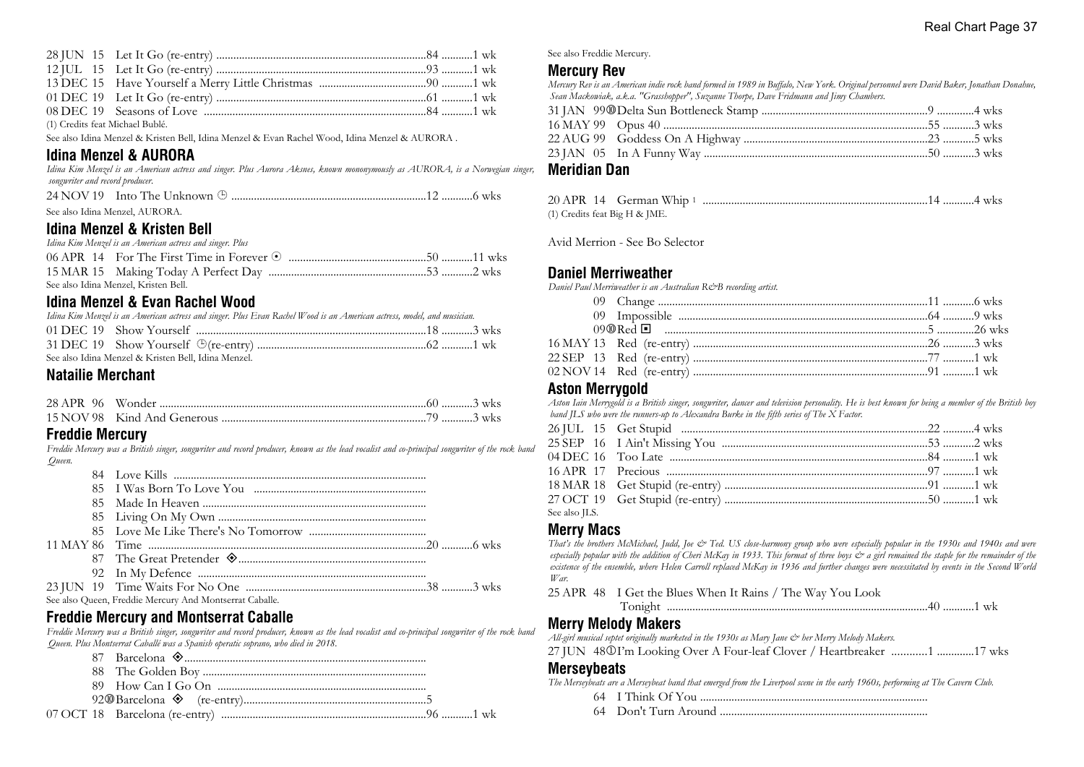| (1) Credits feat Michael Bublé. |  |  |
|---------------------------------|--|--|

See also Idina Menzel & Kristen Bell, Idina Menzel & Evan Rachel Wood, Idina Menzel & AURORA .

## **Idina Menzel & AURORA**

*Idina Kim Menzel is an American actress and singer. Plus Aurora Aksnes, known mononymously as AURORA, is a Norwegian singer, songwriter and record producer.*

| See also Idina Menzel, AURORA. |  |  |
|--------------------------------|--|--|

## **Idina Menzel & Kristen Bell**

| Idina Kim Menzel is an American actress and singer. Plus |  |
|----------------------------------------------------------|--|
|                                                          |  |
|                                                          |  |
| See also Idina Menzel, Kristen Bell.                     |  |

## **Idina Menzel & Evan Rachel Wood**

| Idina Kim Menzel is an American actress and singer. Plus Evan Rachel Wood is an American actress, model, and musician. |  |
|------------------------------------------------------------------------------------------------------------------------|--|
|                                                                                                                        |  |
|                                                                                                                        |  |
| See also Idina Menzel & Kristen Bell, Idina Menzel.                                                                    |  |

## **Natailie Merchant**

## **Freddie Mercury**

*Freddie Mercury was a British singer, songwriter and record producer, known as the lead vocalist and co-principal songwriter of the rock band Queen.*

|  | See also Queen, Freddie Mercury And Montserrat Caballe. |  |
|--|---------------------------------------------------------|--|
|  |                                                         |  |

## **Freddie Mercury and Montserrat Caballe**

*Freddie Mercury was a British singer, songwriter and record producer, known as the lead vocalist and co-principal songwriter of the rock band Queen. Plus Montserrat Caballé was a Spanish operatic soprano, who died in 2018.*



See also Freddie Mercury.

### **Mercury Rev**

*Mercury Rev is an American indie rock band formed in 1989 in Buffalo, New York. Original personnel were David Baker, Jonathan Donahue, Sean Mackowiak, a.k.a. "Grasshopper", Suzanne Thorpe, Dave Fridmann and Jimy Chambers.*

#### **Meridian Dan**

|  | 20 APR 14 German Whip 1       |  |
|--|-------------------------------|--|
|  | (1) Credits feat Big H & JME. |  |

Avid Merrion - See Bo Selector

### **Daniel Merriweather**

*Daniel Paul Merriweather is an Australian R&B recording artist.*

### **Aston Merrygold**

*Aston Iain Merrygold is a British singer, songwriter, dancer and television personality. He is best known for being a member of the British boy band JLS who were the runners-up to Alexandra Burke in the fifth series of The X Factor.*

| See also ILS. |  |  |
|---------------|--|--|

## **Merry Macs**

*That's the brothers McMichael, Judd, Joe & Ted. US close-harmony group who were especially popular in the 1930s and 1940s and were* especially popular with the addition of Cheri McKay in 1933. This format of three boys  $\dot{\mathcal{Z}}$  a girl remained the staple for the remainder of the *existence of the ensemble, where Helen Carroll replaced McKay in 1936 and further changes were necessitated by events in the Second World War.*

25 APR 48 I Get the Blues When It Rains / The Way You Look

Tonight ............................................................................................40 ...........1 wk

#### **Merry Melody Makers**

*All-girl musical septet originally marketed in the 1930s as Mary Jane & her Merry Melody Makers.*

27 JUN 48 $\mathbb{O}$ I'm Looking Over A Four-leaf Clover / Heartbreaker ............1 .............17 wks

#### **Merseybeats**

*The Merseybeats are a Merseybeat band that emerged from the Liverpool scene in the early 1960s, performing at The Cavern Club.*

- 64 I Think Of You ................................................................................
- 64 Don't Turn Around .........................................................................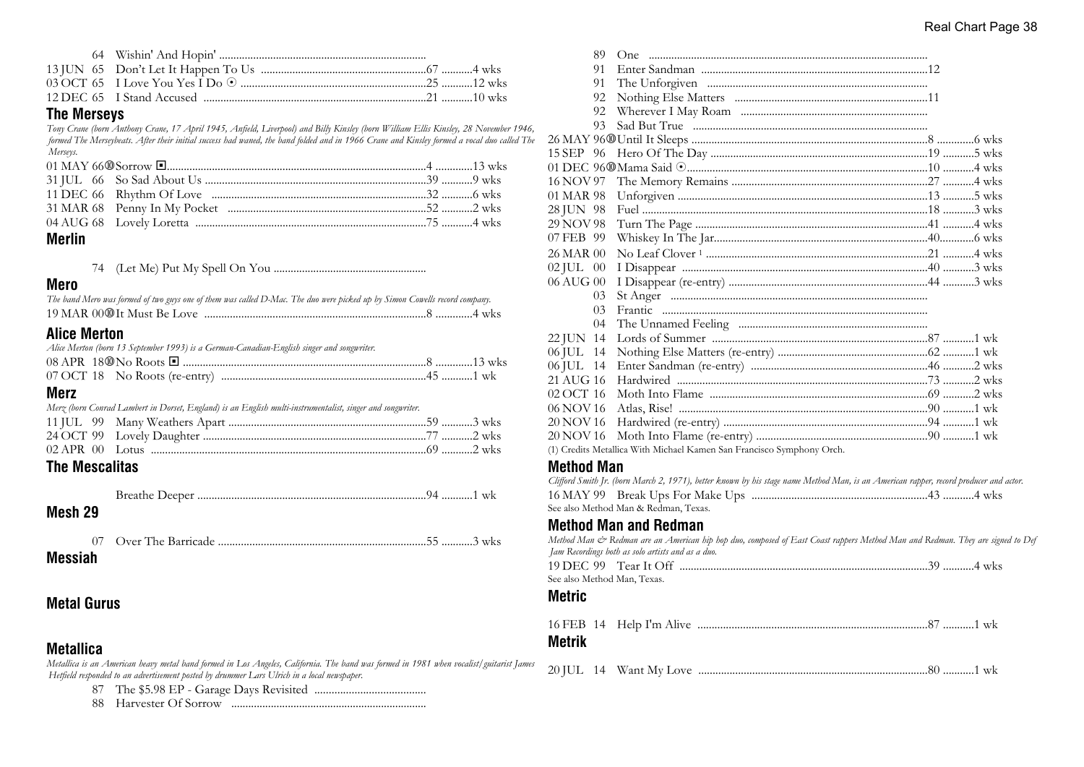### **The Merseys**

*Tony Crane (born Anthony Crane, 17 April 1945, Anfield, Liverpool) and Billy Kinsley (born William Ellis Kinsley, 28 November 1946, formed The Merseybeats. After their initial success had waned, the band folded and in 1966 Crane and Kinsley formed a vocal duo called The Merseys.*

### **Merlin**

74 (Let Me) Put My Spell On You ......................................................

#### **Mero**

| The band Mero was formed of two guys one of them was called D-Mac. The duo were picked up by Simon Cowells record company. |  |  |
|----------------------------------------------------------------------------------------------------------------------------|--|--|
|                                                                                                                            |  |  |

## **Alice Merton**

| Alice Merton (born 13 September 1993) is a German-Canadian-English singer and songwriter. |  |
|-------------------------------------------------------------------------------------------|--|
|                                                                                           |  |
|                                                                                           |  |
| Mor7                                                                                      |  |

## **Merz**

|  | Merz (born Conrad Lambert in Dorset, England) is an English multi-instrumentalist, singer and songwriter. |  |
|--|-----------------------------------------------------------------------------------------------------------|--|
|  |                                                                                                           |  |

| ____ |  |  |  |
|------|--|--|--|
|      |  |  |  |
|      |  |  |  |

## **The Mescalitas**

Breathe Deeper .................................................................................94 ...........1 wk

## **Mesh 29**

07 Over The Barricade .........................................................................55 ...........3 wks

**Messiah**

## **Metal Gurus**

## **Metallica**

*Metallica is an American heavy metal band formed in Los Angeles, California. The band was formed in 1981 when vocalist/guitarist James Hetfield responded to an advertisement posted by drummer Lars Ulrich in a local newspaper.*

87 The \$5.98 EP - Garage Days Revisited .......................................

88 Harvester Of Sorrow .....................................................................

|                   | 89 |                                                                       |  |
|-------------------|----|-----------------------------------------------------------------------|--|
|                   | 91 |                                                                       |  |
|                   | 91 |                                                                       |  |
|                   | 92 |                                                                       |  |
|                   | 92 |                                                                       |  |
|                   | 93 |                                                                       |  |
|                   |    |                                                                       |  |
| 15 SEP 96         |    |                                                                       |  |
|                   |    |                                                                       |  |
| 16 NOV 97         |    |                                                                       |  |
| 01 MAR 98         |    |                                                                       |  |
| 28 JUN 98         |    |                                                                       |  |
| 29 NOV 98         |    |                                                                       |  |
| 07 FEB 99         |    |                                                                       |  |
| 26 MAR 00         |    |                                                                       |  |
| $02$ JUL $00$     |    |                                                                       |  |
| 06 AUG 00         |    |                                                                       |  |
|                   | 03 |                                                                       |  |
|                   | 03 |                                                                       |  |
|                   | 04 |                                                                       |  |
| 22 JUN 14         |    |                                                                       |  |
| 06 JUL 14         |    |                                                                       |  |
| 06 JUL 14         |    |                                                                       |  |
| 21 AUG 16         |    |                                                                       |  |
| 02 OCT 16         |    |                                                                       |  |
| 06 NOV 16         |    |                                                                       |  |
| 20 NOV 16         |    |                                                                       |  |
| 20 NOV 16         |    |                                                                       |  |
|                   |    | (1) Credits Metallica With Michael Kamen San Francisco Symphony Orch. |  |
| <b>Method Man</b> |    |                                                                       |  |

#### *Clifford Smith Jr. (born March 2, 1971), better known by his stage name Method Man, is an American rapper, record producer and actor.* 16 MAY 99 Break Ups For Make Ups ..............................................................43 ...........4 wks See also Method Man & Redman, Texas.

## **Method Man and Redman**

|                             | Method Man & Redman are an American hip hop duo, composed of East Coast rappers Method Man and Redman. They are signed to Def<br>Jam Recordings both as solo artists and as a duo. |  |
|-----------------------------|------------------------------------------------------------------------------------------------------------------------------------------------------------------------------------|--|
|                             |                                                                                                                                                                                    |  |
| See also Method Man, Texas. |                                                                                                                                                                                    |  |
| <b>Metric</b>               |                                                                                                                                                                                    |  |
|                             |                                                                                                                                                                                    |  |
| Metrik                      |                                                                                                                                                                                    |  |

|  | 20 JUL 14 Want My Love |  |
|--|------------------------|--|
|  |                        |  |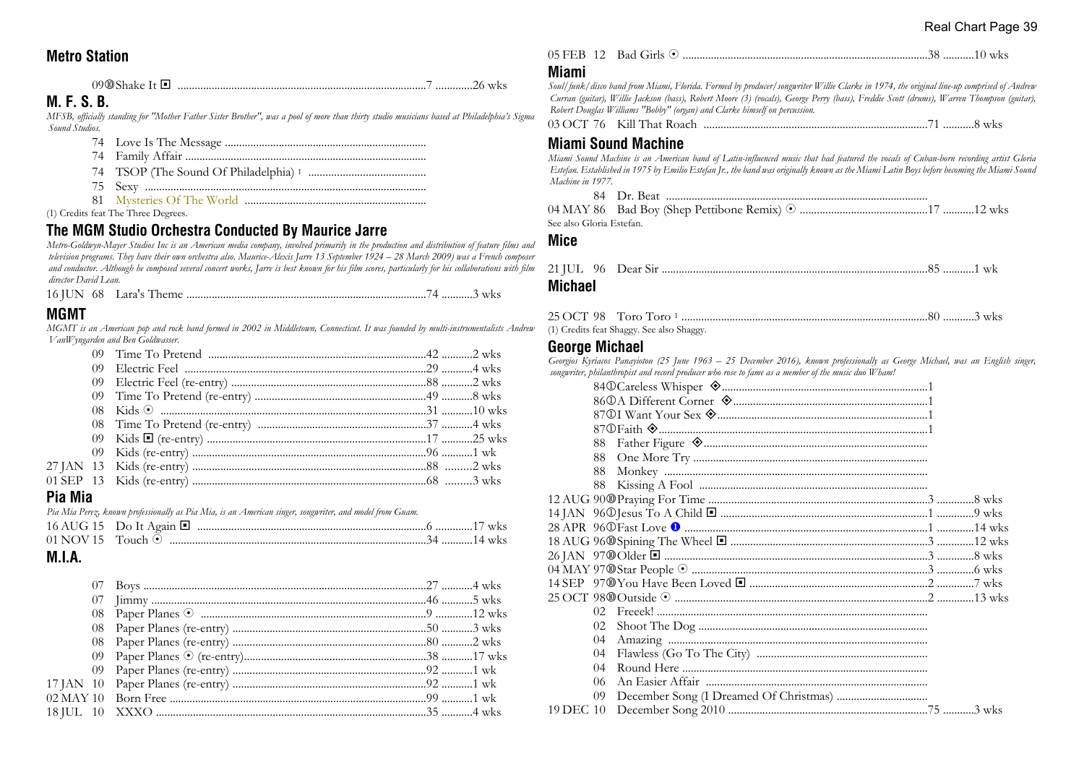## **Metro Station**

#### 09s Shake It ® ........................................................................................7 .............26 wks

## **M. F. S. B.**

*MFSB, officially standing for "Mother Father Sister Brother", was a pool of more than thirty studio musicians based at Philadelphia's Sigma Sound Studios.*

- 74 Love Is The Message .......................................................................
- 74 Family Affair .....................................................................................
- 74 TSOP (The Sound Of Philadelphia) <sup>1</sup> .........................................
- 75 Sexy ...................................................................................................
- 81 Mysteries Of The World ................................................................

(1) Credits feat The Three Degrees.

## **The MGM Studio Orchestra Conducted By Maurice Jarre**

*Metro-Goldwyn-Mayer Studios Inc is an American media company, involved primarily in the production and distribution of feature films and television programs. They have their own orchestra also. Maurice-Alexis Jarre 13 September 1924 – 28 March 2009) was a French composer and conductor. Although he composed several concert works, Jarre is best known for his film scores, particularly for his collaborations with film director David Lean.*

| 16 JUN 68 |  |  |  |  |  |  |  |
|-----------|--|--|--|--|--|--|--|
|-----------|--|--|--|--|--|--|--|

## **MGMT**

*MGMT is an American pop and rock band formed in 2002 in Middletown, Connecticut. It was founded by multi-instrumentalists Andrew VanWyngarden and Ben Goldwasser.*

| Pia Mia | $\mathbf{D}^{k-1} \mathbf{A}^{k-1} \mathbf{D}^{k-1} \mathbf{A}^{k-1} \mathbf{A}^{k-1} \mathbf{A}^{k-1} \mathbf{A}^{k-1} \mathbf{A}^{k-1} \mathbf{A}^{k-1} \mathbf{A}^{k-1} \mathbf{A}^{k-1} \mathbf{A}^{k-1} \mathbf{A}^{k-1} \mathbf{A}^{k-1} \mathbf{A}^{k-1} \mathbf{A}^{k-1} \mathbf{A}^{k-1} \mathbf{A}^{k-1} \mathbf{A}^{k-1} \mathbf{A}^{k-1}$ |  |
|---------|-------------------------------------------------------------------------------------------------------------------------------------------------------------------------------------------------------------------------------------------------------------------------------------------------------------------------------------------------------|--|

*Pia Mia Perez, known professionally as Pia Mia, is an American singer, songwriter, and model from Guam.*

| <b>MIA</b> |  |  |
|------------|--|--|

#### **M.I.A.**

**Pia Mia**

| $05$ FEB $12$ |  | Bad Girls ( |  |  |  |
|---------------|--|-------------|--|--|--|
|---------------|--|-------------|--|--|--|

#### **Miami**

*Soul/funk/disco band from Miami, Florida. Formed by producer/songwriter Willie Clarke in 1974, the original line-up comprised of Andrew Curran (guitar), Willie Jackson (bass), Robert Moore (3) (vocals), George Perry (bass), Freddie Scott (drums), Warren Thompson (guitar), Robert Douglas Williams "Bobby" (organ) and Clarke himself on percussion.*

|--|--|--|--|

## **Miami Sound Machine**

*Miami Sound Machine is an American band of Latin-influenced music that had featured the vocals of Cuban-born recording artist Gloria Estefan. Established in 1975 by Emilio Estefan Jr., the band was originally known as the Miami Latin Boys before becoming the Miami Sound Machine in 1977.*

| $\mathbf{r}$ and $\mathbf{r}$ |  |  |  |
|-------------------------------|--|--|--|

| See also Gloria Estefan. |  |  |  |
|--------------------------|--|--|--|

#### **Mice**

| 21 IUL | 96 |  |  |  |
|--------|----|--|--|--|
|--------|----|--|--|--|

#### **Michael**

| $25 \text{ OCT } 98$ Toro Toro 1                          |  |  |  |
|-----------------------------------------------------------|--|--|--|
| $\mathcal{U} \setminus \mathcal{U} \setminus \mathcal{U}$ |  |  |  |

(1) Credits feat Shaggy. See also Shaggy.

#### **George Michael**

*Georgios Kyriacos Panayiotou (25 June 1963 – 25 December 2016), known professionally as George Michael, was an English singer, songwriter, philanthropist and record producer who rose to fame as a member of the music duo Wham!*

|           | 88      |  |
|-----------|---------|--|
|           | 88      |  |
|           | 88      |  |
|           | 88      |  |
|           |         |  |
|           |         |  |
|           |         |  |
|           |         |  |
|           |         |  |
|           |         |  |
|           |         |  |
|           |         |  |
|           | 02      |  |
|           | 02      |  |
|           | 04      |  |
|           | 04      |  |
|           | $^{04}$ |  |
|           | 06      |  |
|           | 09      |  |
| 19 DEC 10 |         |  |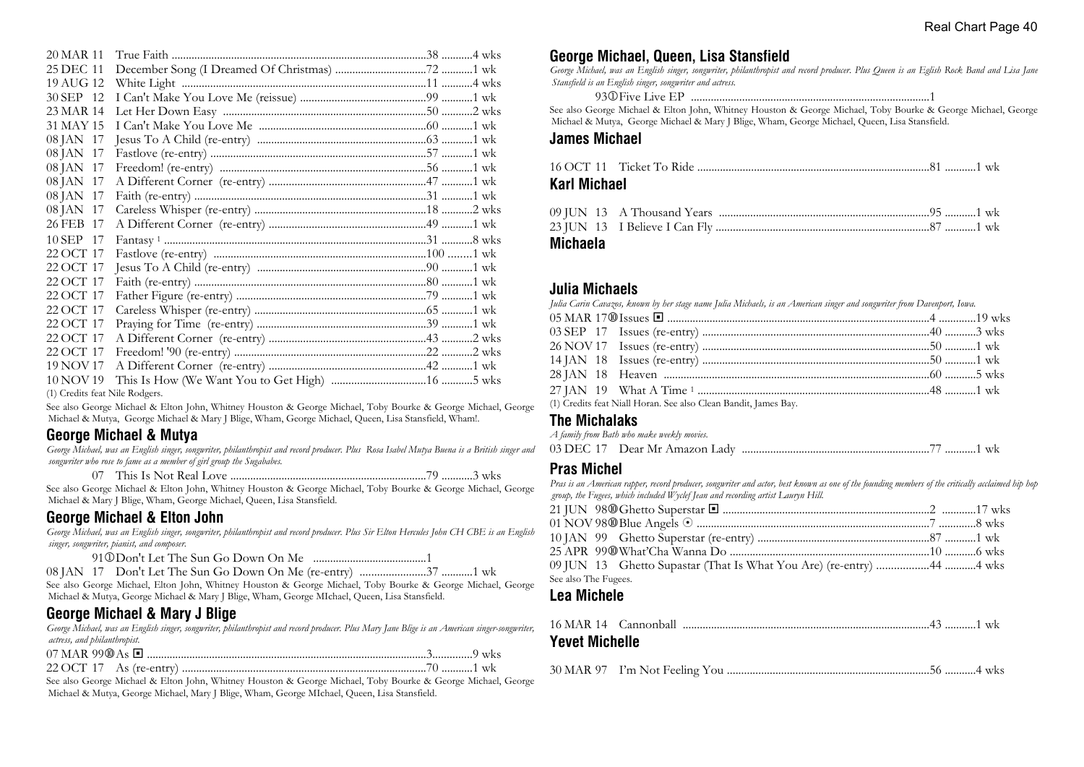| 20 MAR 11                      |                                                                                                                                                                                                                                                                                                                                                                                                                                                                 |  |
|--------------------------------|-----------------------------------------------------------------------------------------------------------------------------------------------------------------------------------------------------------------------------------------------------------------------------------------------------------------------------------------------------------------------------------------------------------------------------------------------------------------|--|
| 25 DEC 11                      |                                                                                                                                                                                                                                                                                                                                                                                                                                                                 |  |
| 19 AUG 12                      |                                                                                                                                                                                                                                                                                                                                                                                                                                                                 |  |
| 30 SEP 12                      |                                                                                                                                                                                                                                                                                                                                                                                                                                                                 |  |
| 23 MAR 14                      |                                                                                                                                                                                                                                                                                                                                                                                                                                                                 |  |
| 31 MAY 15                      |                                                                                                                                                                                                                                                                                                                                                                                                                                                                 |  |
| 08 JAN 17                      |                                                                                                                                                                                                                                                                                                                                                                                                                                                                 |  |
| 08 JAN 17                      |                                                                                                                                                                                                                                                                                                                                                                                                                                                                 |  |
| 08 JAN 17                      |                                                                                                                                                                                                                                                                                                                                                                                                                                                                 |  |
| 08 JAN 17                      |                                                                                                                                                                                                                                                                                                                                                                                                                                                                 |  |
| 08 JAN 17                      |                                                                                                                                                                                                                                                                                                                                                                                                                                                                 |  |
| 08 JAN 17                      |                                                                                                                                                                                                                                                                                                                                                                                                                                                                 |  |
| 26 FEB 17                      |                                                                                                                                                                                                                                                                                                                                                                                                                                                                 |  |
| 10 SEP 17                      | $\textbf{Functions of 1} \,\, \ldots \,\, \ldots \,\, \ldots \,\, \ldots \,\, \ldots \,\, \ldots \,\, \ldots \,\, \ldots \,\, \ldots \,\, \ldots \,\, \ldots \,\, \ldots \,\, \ldots \,\, \ldots \,\, \ldots \,\, \ldots \,\, \ldots \,\, \ldots \,\, \ldots \,\, \ldots \,\, \ldots \,\, \ldots \,\, \ldots \,\, \ldots \,\, \ldots \,\, \ldots \,\, \ldots \,\, \ldots \,\, \ldots \,\, \ldots \,\, \ldots \,\, \ldots \,\, \ldots \,\, \ldots \,\, \ldots \$ |  |
| 22 OCT 17                      |                                                                                                                                                                                                                                                                                                                                                                                                                                                                 |  |
| 22 OCT 17                      |                                                                                                                                                                                                                                                                                                                                                                                                                                                                 |  |
| 22 OCT 17                      |                                                                                                                                                                                                                                                                                                                                                                                                                                                                 |  |
| 22 OCT 17                      |                                                                                                                                                                                                                                                                                                                                                                                                                                                                 |  |
| 22 OCT 17                      |                                                                                                                                                                                                                                                                                                                                                                                                                                                                 |  |
| 22 OCT 17                      |                                                                                                                                                                                                                                                                                                                                                                                                                                                                 |  |
| 22 OCT 17                      |                                                                                                                                                                                                                                                                                                                                                                                                                                                                 |  |
| 22 OCT 17                      |                                                                                                                                                                                                                                                                                                                                                                                                                                                                 |  |
| 19 NOV 17                      |                                                                                                                                                                                                                                                                                                                                                                                                                                                                 |  |
| 10 NOV 19                      |                                                                                                                                                                                                                                                                                                                                                                                                                                                                 |  |
| (1) Credits feat Nile Rodgers. |                                                                                                                                                                                                                                                                                                                                                                                                                                                                 |  |

See also George Michael & Elton John, Whitney Houston & George Michael, Toby Bourke & George Michael, George Michael & Mutya, George Michael & Mary J Blige, Wham, George Michael, Queen, Lisa Stansfield, Wham!.

## **George Michael & Mutya**

*George Michael, was an English singer, songwriter, philanthropist and record producer. Plus Rosa Isabel Mutya Buena is a British singer and songwriter who rose to fame as a member of girl group the Sugababes.*

07 This Is Not Real Love .....................................................................79 ...........3 wks

See also George Michael & Elton John, Whitney Houston & George Michael, Toby Bourke & George Michael, George Michael & Mary J Blige, Wham, George Michael, Queen, Lisa Stansfield.

## **George Michael & Elton John**

*George Michael, was an English singer, songwriter, philanthropist and record producer. Plus Sir Elton Hercules John CH CBE is an English singer, songwriter, pianist, and composer.*

See also George Michael, Elton John, Whitney Houston & George Michael, Toby Bourke & George Michael, George Michael & Mutya, George Michael & Mary J Blige, Wham, George MIchael, Queen, Lisa Stansfield.

## **George Michael & Mary J Blige**

*George Michael, was an English singer, songwriter, philanthropist and record producer. Plus Mary Jane Blige is an American singer-songwriter, actress, and philanthropist.*

See also George Michael & Elton John, Whitney Houston & George Michael, Toby Bourke & George Michael, George Michael & Mutya, George Michael, Mary J Blige, Wham, George MIchael, Queen, Lisa Stansfield.

## **George Michael, Queen, Lisa Stansfield**

*George Michael, was an English singer, songwriter, philanthropist and record producer. Plus Queen is an Eglish Rock Band and Lisa Jane Stansfield is an English singer, songwriter and actress.*

93j Five Live EP ....................................................................................1

See also George Michael & Elton John, Whitney Houston & George Michael, Toby Bourke & George Michael, George Michael & Mutya, George Michael & Mary J Blige, Wham, George Michael, Queen, Lisa Stansfield.

#### **James Michael**

| Karl Michael |  |  |
|--------------|--|--|

| --- - - |  |  |  |
|---------|--|--|--|
|         |  |  |  |
|         |  |  |  |
|         |  |  |  |

**Michaela**

### **Julia Michaels**

*Julia Carin Cavazos, known by her stage name Julia Michaels, is an American singer and songwriter from Davenport, Iowa.*

|  | (1) Credits feat Niall Horan. See also Clean Bandit, James Bay. |  |
|--|-----------------------------------------------------------------|--|

### **The Michalaks**

| A family from Bath who make weekly movies. |  |
|--------------------------------------------|--|
| 03 DEC 17 Dear Mr Amazon Lady              |  |

## **Pras Michel**

*Pras is an American rapper, record producer, songwriter and actor, best known as one of the founding members of the critically acclaimed hip hop group, the Fugees, which included Wyclef Jean and recording artist Lauryn Hill.*

| 09 JUN 13 Ghetto Supastar (That Is What You Are) (re-entry) 44 4 wks |  |
|----------------------------------------------------------------------|--|
| See also The Fugees.                                                 |  |
|                                                                      |  |

## **Lea Michele**

| <b>Yevet Michelle</b> |  |  |
|-----------------------|--|--|

|--|--|--|--|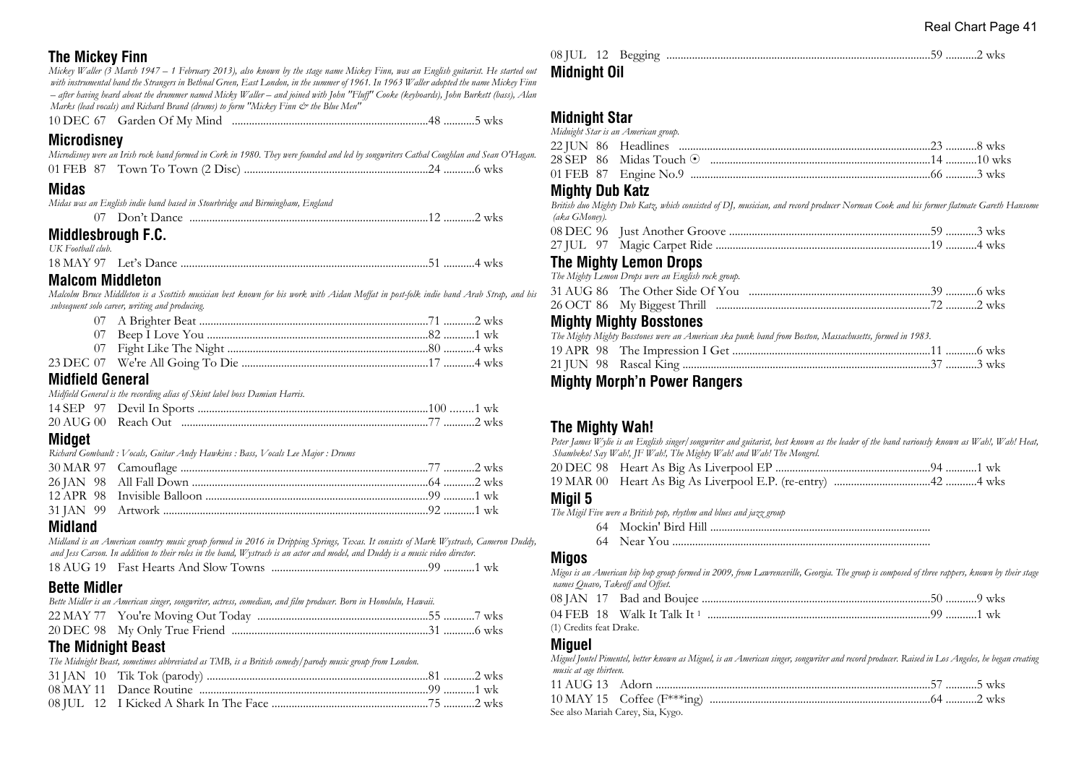## **The Mickey Finn**

*Mickey Waller (3 March 1947 – 1 February 2013), also known by the stage name Mickey Finn, was an English guitarist. He started out with instrumental band the Strangers in Bethnal Green, East London, in the summer of 1961. In 1963 Waller adopted the name Mickey Finn – after having heard about the drummer named Micky Waller – and joined with John "Fluff" Cooke (keyboards), John Burkett (bass), Alan Marks (lead vocals) and Richard Brand (drums) to form "Mickey Finn*  $\mathcal O^*$  *the Blue Men"* 

10 DEC 67 Garden Of My Mind .....................................................................48 ...........5 wks

**Microdisney**

| Microdisney were an Irish rock band formed in Cork in 1980. They were founded and led by songwriters Cathal Coughlan and Sean O'Hagan. |  |
|----------------------------------------------------------------------------------------------------------------------------------------|--|
|                                                                                                                                        |  |

### **Midas**

*Midas was an English indie band based in Stourbridge and Birmingham, England*

07 Don't Dance ....................................................................................12 ...........2 wks

## **Middlesbrough F.C.**

*UK Football club.*

| 18 MAY 97 |  |
|-----------|--|
|-----------|--|

#### **Malcom Middleton**

*Malcolm Bruce Middleton is a Scottish musician best known for his work with Aidan Moffat in post-folk indie band Arab Strap, and his subsequent solo career, writing and producing.*

#### **Midfield General**

*Midfield General is the recording alias of Skint label boss Damian Harris.*

## **Midget**

*Richard Gombault : Vocals, Guitar Andy Hawkins : Bass, Vocals Lee Major : Drums*

## **Midland**

*Midland is an American country music group formed in 2016 in Dripping Springs, Texas. It consists of Mark Wystrach, Cameron Duddy, and Jess Carson. In addition to their roles in the band, Wystrach is an actor and model, and Duddy is a music video director.*

```
18 AUG 19 Fast Hearts And Slow Towns .......................................................99 ...........1 wk
```
## **Bette Midler**

| Bette Midler is an American singer, songwriter, actress, comedian, and film producer. Born in Honolulu, Hawaii. |  |
|-----------------------------------------------------------------------------------------------------------------|--|
|                                                                                                                 |  |
|                                                                                                                 |  |

## **The Midnight Beast**

*The Midnight Beast, sometimes abbreviated as TMB, is a British comedy/parody music group from London.*

#### 08 JUL 12 Begging .............................................................................................59 ...........2 wks **Midnight Oil**

## **Midnight Star**

|  | Midnight Star is an American group. |  |  |
|--|-------------------------------------|--|--|
|  |                                     |  |  |
|  |                                     |  |  |
|  |                                     |  |  |

#### **Mighty Dub Katz**

*British duo Mighty Dub Katz, which consisted of DJ, musician, and record producer Norman Cook and his former flatmate Gareth Hansome (aka GMoney).*

## **The Mighty Lemon Drops**

| The Mighty Lemon Drops were an English rock group. |  |
|----------------------------------------------------|--|
|                                                    |  |
|                                                    |  |

## **Mighty Mighty Bosstones**

|  | The Mighty Mighty Bosstones were an American ska punk band from Boston, Massachusetts, formed in 1983. |  |  |
|--|--------------------------------------------------------------------------------------------------------|--|--|
|  |                                                                                                        |  |  |
|  |                                                                                                        |  |  |

## **Mighty Morph'n Power Rangers**

## **The Mighty Wah!**

*Peter James Wylie is an English singer/songwriter and guitarist, best known as the leader of the band variously known as Wah!, Wah! Heat, Shambeko! Say Wah!, JF Wah!, The Mighty Wah! and Wah! The Mongrel.*

|--|--|

|--|--|--|

#### **Migil 5**

*The Migil Five were a British pop, rhythm and blues and jazz group*

- 64 Mockin' Bird Hill ..............................................................................
- 64 Near You ...........................................................................................

#### **Migos**

*Migos is an American hip hop group formed in 2009, from Lawrenceville, Georgia. The group is composed of three rappers, known by their stage names Quavo, Takeoff and Offset.*

(1) Credits feat Drake.

## **Miguel**

*Miguel Jontel Pimentel, better known as Miguel, is an American singer, songwriter and record producer. Raised in Los Angeles, he began creating music at age thirteen.*

| See also Mariah Carey, Sia, Kygo. |  |
|-----------------------------------|--|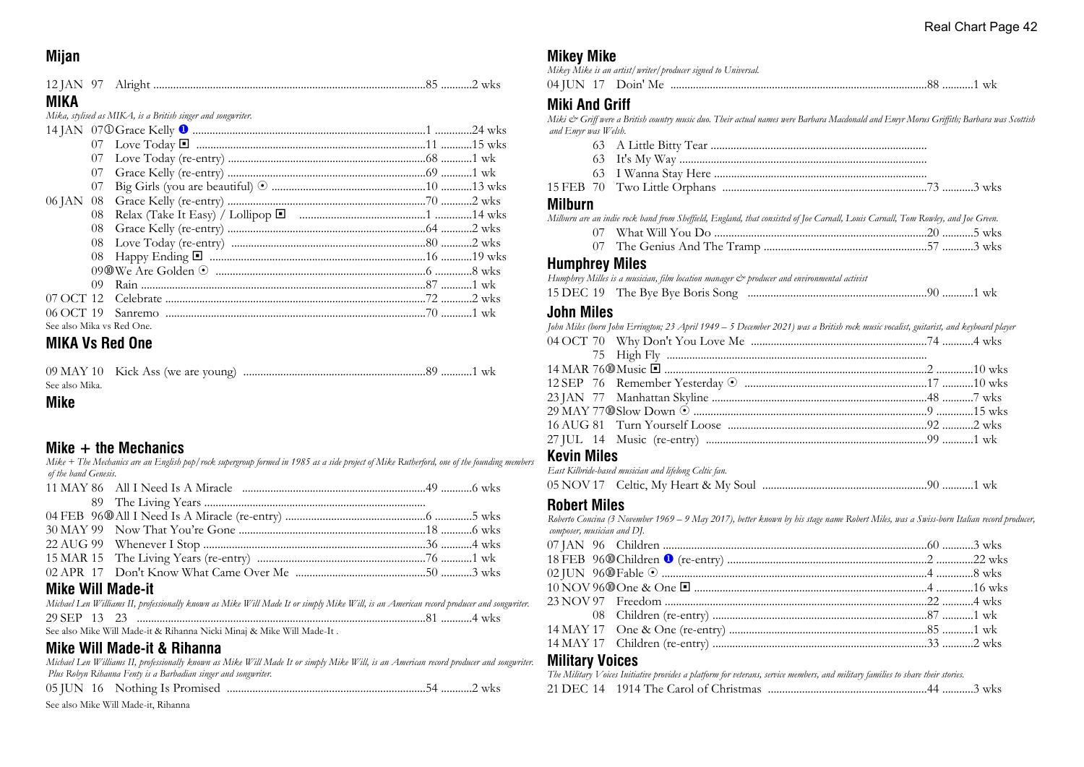## **Mijan**

| MIKA |                                                                                            |  |
|------|--------------------------------------------------------------------------------------------|--|
|      | Mika, stylised as MIKA, is a British singer and songwriter.                                |  |
|      |                                                                                            |  |
|      |                                                                                            |  |
|      |                                                                                            |  |
|      | $07 \text{ }$ $C_{\text{FQCD}}$ $K \text{ally}$ $(e_0 \text{ entry})$ (0 $1 \text{ w/s}$ ) |  |

| See also Mika vs Red One. |  |  |
|---------------------------|--|--|

## **MIKA Vs Red One**

| See also Mika. |  |
|----------------|--|

#### **Mike**

#### **Mike + the Mechanics**

*Mike + The Mechanics are an English pop/rock supergroup formed in 1985 as a side project of Mike Rutherford, one of the founding members of the band Genesis.*

| Mike Will Made <sub>-</sub> it |  |  |
|--------------------------------|--|--|

#### **Mike Will Made-it**

|  |  | Michael Len Williams II, professionally known as Mike Will Made It or simply Mike Will, is an American record producer and songwriter. |  |  |  |  |  |
|--|--|----------------------------------------------------------------------------------------------------------------------------------------|--|--|--|--|--|
|  |  |                                                                                                                                        |  |  |  |  |  |
|  |  | See also Mike Will Made-it & Rihanna Nicki Minaj & Mike Will Made-It.                                                                  |  |  |  |  |  |

## **Mike Will Made-it & Rihanna**

*Michael Len Williams II, professionally known as Mike Will Made It or simply Mike Will, is an American record producer and songwriter.* **Military Voices** *Plus Robyn Rihanna Fenty is a Barbadian singer and songwriter.* 05 JUN 16 Nothing Is Promised ......................................................................54 ...........2 wks

See also Mike Will Made-it, Rihanna

## **Mikey Mike**

*Mikey Mike is an artist/writer/producer signed to Universal.*

| $04$ H IN | ≒Me.<br>L JOIN |  | <b>WA</b> |
|-----------|----------------|--|-----------|
|-----------|----------------|--|-----------|

## **Miki And Griff**

*Miki & Griff were a British country music duo. Their actual names were Barbara Macdonald and Emyr Morus Griffith; Barbara was Scottish and Emyr was Welsh.*

- 63 A Little Bitty Tear ............................................................................
- 63 It's My Way .......................................................................................
- 63 I Wanna Stay Here ...........................................................................

|  | 15 FEB 70 Two Little Orphans |  |  |
|--|------------------------------|--|--|
|  |                              |  |  |

#### **Milburn**

*Milburn are an indie rock band from Sheffield, England, that consisted of Joe Carnall, Louis Carnall, Tom Rowley, and Joe Green.*

- 07 What Will You Do ...........................................................................20 ...........5 wks 07 The Genius And The Tramp .........................................................57 ...........3 wks
- 

#### **Humphrey Miles**

*Humphrey Milles is a musician, film location manager & producer and environmental activist*

|  | 15 DEC 19 The Bye Bye Boris Song |  |  |
|--|----------------------------------|--|--|
|--|----------------------------------|--|--|

### **John Miles**

| John Miles (born John Errington; 23 April 1949 – 5 December 2021) was a British rock music vocalist, guitarist, and keyboard player |  |
|-------------------------------------------------------------------------------------------------------------------------------------|--|
|                                                                                                                                     |  |
|                                                                                                                                     |  |
|                                                                                                                                     |  |
|                                                                                                                                     |  |
|                                                                                                                                     |  |
|                                                                                                                                     |  |
|                                                                                                                                     |  |
|                                                                                                                                     |  |
|                                                                                                                                     |  |

## **Kevin Miles**

| East Kilbride-based musician and lifelong Celtic fan. |  |
|-------------------------------------------------------|--|
|                                                       |  |

## **Robert Miles**

*Roberto Concina (3 November 1969 – 9 May 2017), better known by his stage name Robert Miles, was a Swiss-born Italian record producer, composer, musician and DJ.*

|  | The Military Voices Initiative provides a platform for veterans, service members, and military families to share their stories. |  |
|--|---------------------------------------------------------------------------------------------------------------------------------|--|
|  |                                                                                                                                 |  |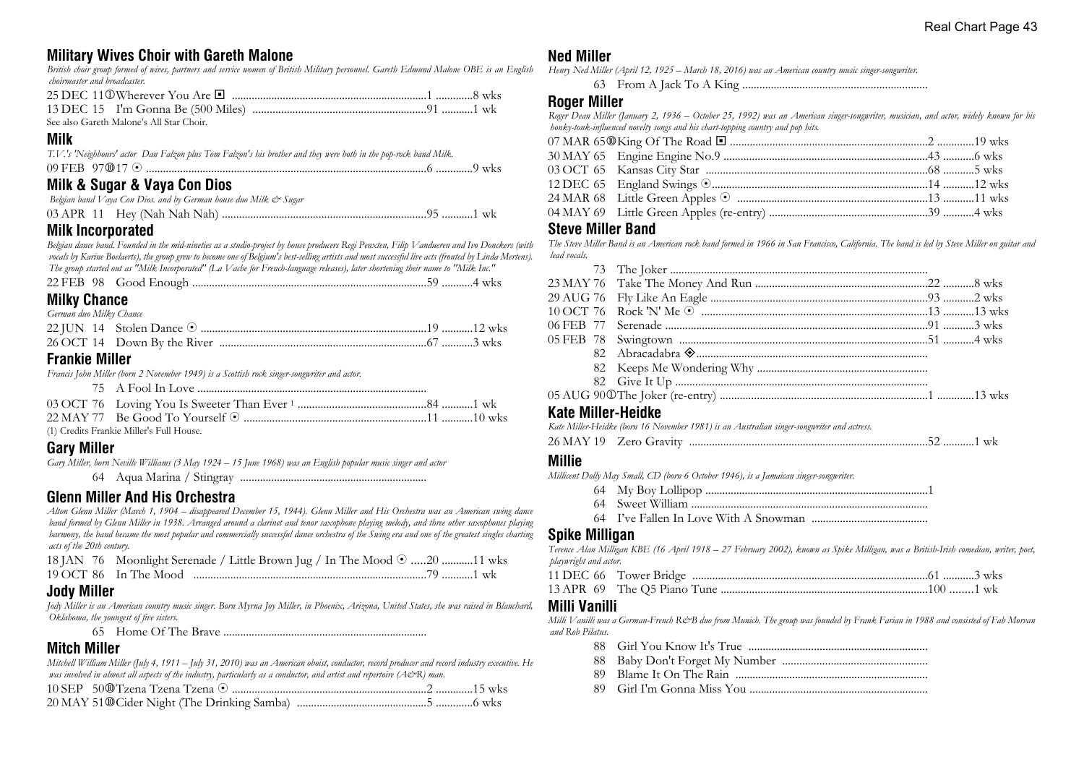## **Military Wives Choir with Gareth Malone**

*British choir group formed of wives, partners and service women of British Military personnel. Gareth Edmund Malone OBE is an English choirmaster and broadcaster.*

| - See also Gareth Malone's All Star Choir |  |
|-------------------------------------------|--|

## **Milk**

|  | T.V.'s 'Neighbours' actor Dan Falzon plus Tom Falzon's his brother and they were both in the pop-rock band Milk. |  |  |  |
|--|------------------------------------------------------------------------------------------------------------------|--|--|--|
|  |                                                                                                                  |  |  |  |
|  |                                                                                                                  |  |  |  |

## **Milk & Sugar & Vaya Con Dios**

| Belgian band V aya Con Dios. and by German house duo Milk. & Sugar |  |
|--------------------------------------------------------------------|--|
|                                                                    |  |

## **Milk Incorporated**

*Belgian dance band. Founded in the mid-nineties as a studio-project by house producers Regi Penxten, Filip Vandueren and Ivo Donckers (with vocals by Karine Boelaerts), the group grew to become one of Belgium's best-selling artists and most successful live acts (fronted by Linda Mertens). The group started out as "Milk Incorporated" (La Vache for French-language releases), later shortening their name to "Milk Inc."*

| <b>Milky Chance</b>     |  |
|-------------------------|--|
| German duo Milky Chance |  |
|                         |  |

## 26 OCT 14 Down By the River .........................................................................67 ...........3 wks

## **Frankie Miller**

*Francis John Miller (born 2 November 1949) is a Scottish rock singer-songwriter and actor.*

| (1) Credits Frankie Miller's Full House. |  |
|------------------------------------------|--|

**Gary Miller**

*Gary Miller, born Neville Williams (3 May 1924 – 15 June 1968) was an English popular music singer and actor* 64 Aqua Marina / Stingray ..................................................................

## **Glenn Miller And His Orchestra**

*Alton Glenn Miller (March 1, 1904 – disappeared December 15, 1944). Glenn Miller and His Orchestra was an American swing dance band formed by Glenn Miller in 1938. Arranged around a clarinet and tenor saxophone playing melody, and three other saxophones playing harmony, the band became the most popular and commercially successful dance orchestra of the Swing era and one of the greatest singles charting acts of the 20th century.*

| 18 JAN 76 Moonlight Serenade / Little Brown Jug / In The Mood $\odot$ 20 11 wks |  |
|---------------------------------------------------------------------------------|--|
|                                                                                 |  |

## **Jody Miller**

*Jody Miller is an American country music singer. Born Myrna Joy Miller, in Phoenix, Arizona, United States, she was raised in Blanchard, Oklahoma, the youngest of five sisters.*

65 Home Of The Brave ........................................................................

## **Mitch Miller**

*Mitchell William Miller (July 4, 1911 – July 31, 2010) was an American oboist, conductor, record producer and record industry executive. He was involved in almost all aspects of the industry, particularly as a conductor, and artist and repertoire (A&R) man.*

## **Ned Miller**

*Henry Ned Miller (April 12, 1925 – March 18, 2016) was an American country music singer-songwriter.*

63 From A Jack To A King .................................................................

## **Roger Miller**

*Roger Dean Miller (January 2, 1936 – October 25, 1992) was an American singer-songwriter, musician, and actor, widely known for his honky-tonk-influenced novelty songs and his chart-topping country and pop hits.*

| 03 OCT 65 Kansas City Star ………………………………………………………………………………………5 wks |  |
|-------------------------------------------------------------------|--|
|                                                                   |  |
| 24 MAR 68 Little Green Apples © …………………………………………………………………11 wks   |  |
|                                                                   |  |
|                                                                   |  |

#### **Steve Miller Band**

*The Steve Miller Band is an American rock band formed in 1966 in San Francisco, California. The band is led by Steve Miller on guitar and lead vocals.*

| Kate Miller-Heidke |  |  |
|--------------------|--|--|

|  | Kate Miller-Heidke (born 16 November 1981) is an Australian singer-songwriter and actress. |  |
|--|--------------------------------------------------------------------------------------------|--|
|  |                                                                                            |  |

## **Millie**

*Millicent Dolly May Small, CD (born 6 October 1946), is a Jamaican singer-songwriter.*

- 64 My Boy Lollipop ...............................................................................1
- 64 Sweet William ....................................................................................
- 64 I've Fallen In Love With A Snowman .........................................

## **Spike Milligan**

*Terence Alan Milligan KBE (16 April 1918 – 27 February 2002), known as Spike Milligan, was a British-Irish comedian, writer, poet, playwright and actor.*

#### **Milli Vanilli**

*Milli Vanilli was a German-French R&B duo from Munich. The group was founded by Frank Farian in 1988 and consisted of Fab Morvan and Rob Pilatus.*

- 88 Girl You Know It's True ...............................................................
- 88 Baby Don't Forget My Number ...................................................
- 89 Blame It On The Rain ....................................................................
- 89 Girl I'm Gonna Miss You ...............................................................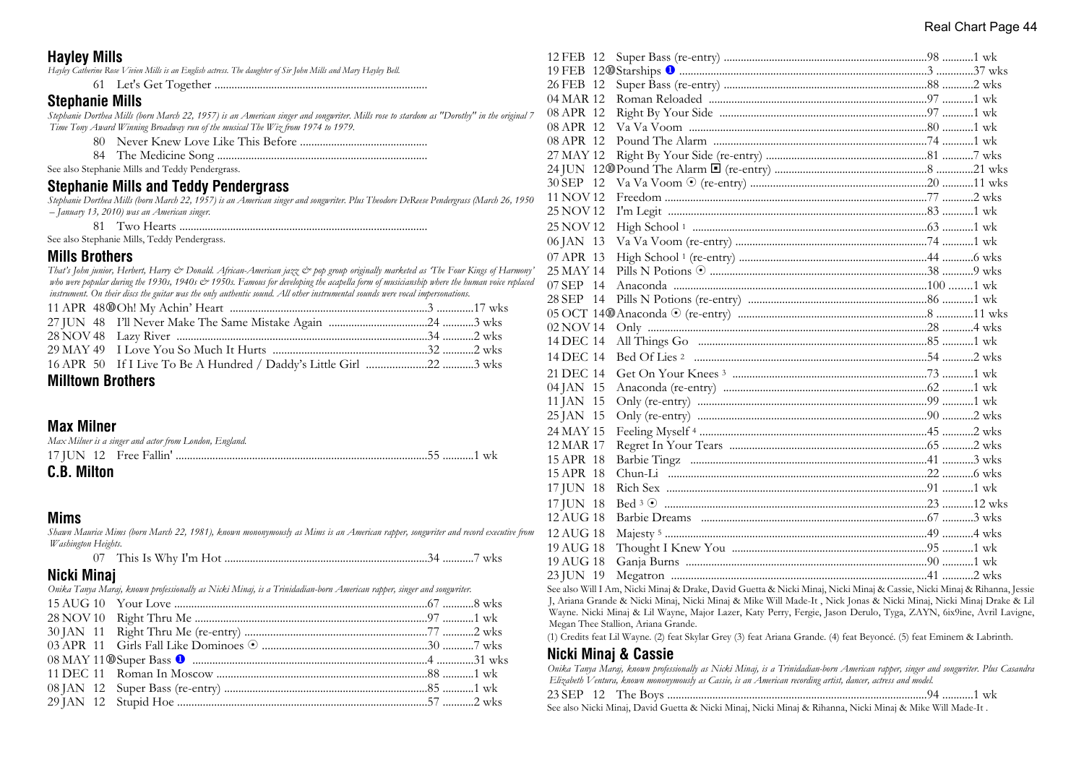## **Hayley Mills**

*Hayley Catherine Rose Vivien Mills is an English actress. The daughter of Sir John Mills and Mary Hayley Bell.*

61 Let's Get Together ...........................................................................

## **Stephanie Mills**

*Stephanie Dorthea Mills (born March 22, 1957) is an American singer and songwriter. Mills rose to stardom as "Dorothy" in the original 7 Time Tony Award Winning Broadway run of the musical The Wiz from 1974 to 1979.*

- 80 Never Knew Love Like This Before .............................................
- 84 The Medicine Song ..........................................................................

See also Stephanie Mills and Teddy Pendergrass.

### **Stephanie Mills and Teddy Pendergrass**

*Stephanie Dorthea Mills (born March 22, 1957) is an American singer and songwriter. Plus Theodore DeReese Pendergrass (March 26, 1950 – January 13, 2010) was an American singer.*

81 Two Hearts ........................................................................................

See also Stephanie Mills, Teddy Pendergrass.

#### **Mills Brothers**

*That's John junior, Herbert, Harry & Donald. African-American jazz & pop group originally marketed as 'The Four Kings of Harmony'* who were popular during the 1930s, 1940s & 1950s. Famous for developing the acapella form of musicianship where the human voice replaced *instrument. On their discs the guitar was the only authentic sound. All other instrumental sounds were vocal impersonations.*

### **Milltown Brothers**

## **Max Milner**

| Max Milner is a singer and actor from London, England. |  |  |  |  |  |  |
|--------------------------------------------------------|--|--|--|--|--|--|
|                                                        |  |  |  |  |  |  |
| <b>C.B. Milton</b>                                     |  |  |  |  |  |  |

## **Mims**

*Shawn Maurice Mims (born March 22, 1981), known mononymously as Mims is an American rapper, songwriter and record executive from Washington Heights.*

|  | <b>WKS</b> |  |
|--|------------|--|
|--|------------|--|

## **Nicki Minaj**

| IVIUNI IVIIIIAI                                                                                                       |  |
|-----------------------------------------------------------------------------------------------------------------------|--|
| Onika Tanya Maraj, known professionally as Nicki Minaj, is a Trinidadian-born American rapper, singer and songwriter. |  |
|                                                                                                                       |  |
|                                                                                                                       |  |
|                                                                                                                       |  |
|                                                                                                                       |  |
|                                                                                                                       |  |
|                                                                                                                       |  |
|                                                                                                                       |  |
|                                                                                                                       |  |
|                                                                                                                       |  |

| 12 FEB 12 |  |
|-----------|--|
|           |  |
| 26 FEB 12 |  |
| 04 MAR 12 |  |
| 08 APR 12 |  |
| 08 APR 12 |  |
| 08 APR 12 |  |
| 27 MAY 12 |  |
|           |  |
| 30 SEP 12 |  |
| 11 NOV 12 |  |
| 25 NOV 12 |  |
| 25 NOV 12 |  |
| 06 JAN 13 |  |
| 07 APR 13 |  |
| 25 MAY 14 |  |
| 07 SEP 14 |  |
| 28 SEP 14 |  |
|           |  |
| 02 NOV 14 |  |
| 14 DEC 14 |  |
| 14 DEC 14 |  |
| 21 DEC 14 |  |
| 04 JAN 15 |  |
| 11 JAN 15 |  |
| 25 JAN 15 |  |
| 24 MAY 15 |  |
| 12 MAR 17 |  |
| 15 APR 18 |  |
| 15 APR 18 |  |
| 17 JUN 18 |  |
| 17 JUN 18 |  |
| 12 AUG 18 |  |
| 12 AUG 18 |  |
| 19 AUG 18 |  |
| 19 AUG 18 |  |
| 23 JUN 19 |  |
|           |  |

See also Will I Am, Nicki Minaj & Drake, David Guetta & Nicki Minaj, Nicki Minaj & Cassie, Nicki Minaj & Rihanna, Jessie J, Ariana Grande & Nicki Minaj, Nicki Minaj & Mike Will Made-It , Nick Jonas & Nicki Minaj, Nicki Minaj Drake & Lil Wayne. Nicki Minaj & Lil Wayne, Major Lazer, Katy Perry, Fergie, Jason Derulo, Tyga, ZAYN, 6ix9ine, Avril Lavigne, Megan Thee Stallion, Ariana Grande.

(1) Credits feat Lil Wayne. (2) feat Skylar Grey (3) feat Ariana Grande. (4) feat Beyoncé. (5) feat Eminem & Labrinth.

## **Nicki Minaj & Cassie**

*Onika Tanya Maraj, known professionally as Nicki Minaj, is a Trinidadian-born American rapper, singer and songwriter. Plus Casandra Elizabeth Ventura, known mononymously as Cassie, is an American recording artist, dancer, actress and model.*

23 SEP 12 The Boys ............................................................................................94 ...........1 wk

See also Nicki Minaj, David Guetta & Nicki Minaj, Nicki Minaj & Rihanna, Nicki Minaj & Mike Will Made-It .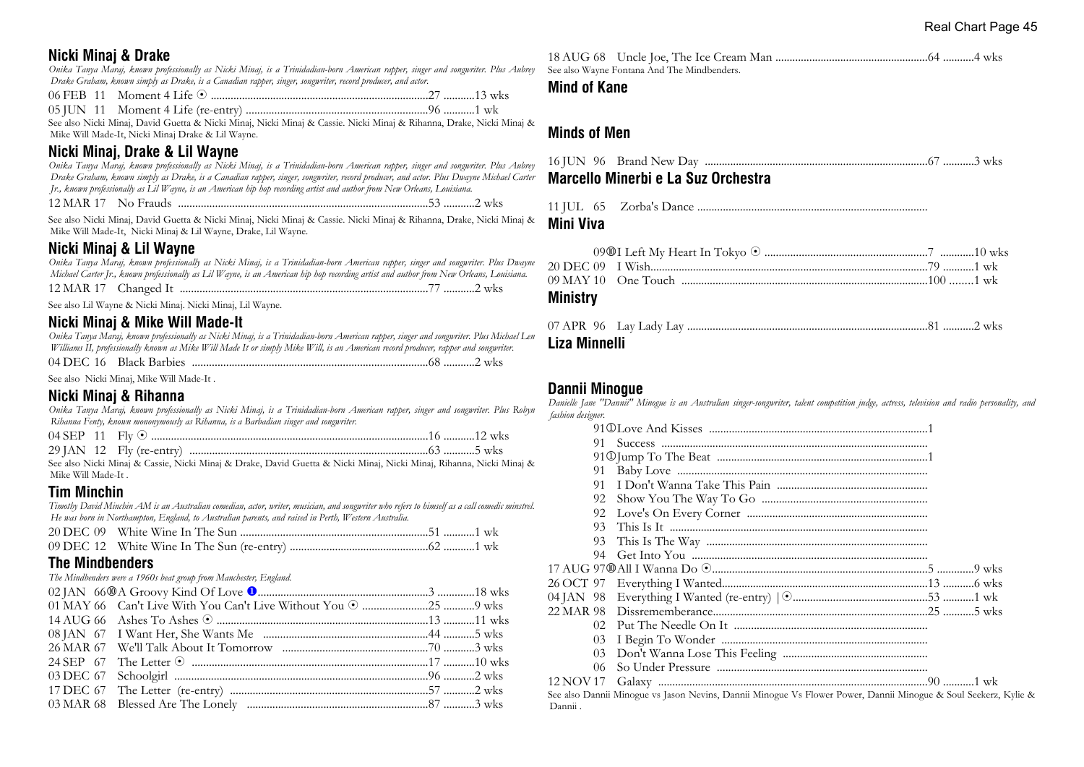## **Nicki Minaj & Drake**

*Onika Tanya Maraj, known professionally as Nicki Minaj, is a Trinidadian-born American rapper, singer and songwriter. Plus Aubrey Drake Graham, known simply as Drake, is a Canadian rapper, singer, songwriter, record producer, and actor.*

06 FEB 11 Moment 4 Life 8 .............................................................................27 ...........13 wks

05 JUN 11 Moment 4 Life (re-entry) ................................................................96 ...........1 wk

See also Nicki Minaj, David Guetta & Nicki Minaj, Nicki Minaj & Cassie. Nicki Minaj & Rihanna, Drake, Nicki Minaj & Mike Will Made-It, Nicki Minaj Drake & Lil Wayne.

## **Nicki Minaj, Drake & Lil Wayne**

*Onika Tanya Maraj, known professionally as Nicki Minaj, is a Trinidadian-born American rapper, singer and songwriter. Plus Aubrey Drake Graham, known simply as Drake, is a Canadian rapper, singer, songwriter, record producer, and actor. Plus Dwayne Michael Carter Jr., known professionally as Lil Wayne, is an American hip hop recording artist and author from New Orleans, Louisiana.* 12 MAR 17 No Frauds ........................................................................................53 ...........2 wks

See also Nicki Minaj, David Guetta & Nicki Minaj, Nicki Minaj & Cassie. Nicki Minaj & Rihanna, Drake, Nicki Minaj & Mike Will Made-It, Nicki Minaj & Lil Wayne, Drake, Lil Wayne.

## **Nicki Minaj & Lil Wayne**

*Onika Tanya Maraj, known professionally as Nicki Minaj, is a Trinidadian-born American rapper, singer and songwriter. Plus Dwayne Michael Carter Jr., known professionally as Lil Wayne, is an American hip hop recording artist and author from New Orleans, Louisiana.*

12 MAR 17 Changed It ........................................................................................77 ...........2 wks

See also Lil Wayne & Nicki Minaj. Nicki Minaj, Lil Wayne.

## **Nicki Minaj & Mike Will Made-It**

*Onika Tanya Maraj, known professionally as Nicki Minaj, is a Trinidadian-born American rapper, singer and songwriter. Plus Michael Len Williams II, professionally known as Mike Will Made It or simply Mike Will, is an American record producer, rapper and songwriter.* 04 DEC 16 Black Barbies ...................................................................................68 ...........2 wks

See also Nicki Minaj, Mike Will Made-It .

## **Nicki Minaj & Rihanna**

*Onika Tanya Maraj, known professionally as Nicki Minaj, is a Trinidadian-born American rapper, singer and songwriter. Plus Robyn Rihanna Fenty, known mononymously as Rihanna, is a Barbadian singer and songwriter.*

| 04 SEP 11 | wks                                        |
|-----------|--------------------------------------------|
|           | $29$ IAN $12$ Fly (re-entry)<br><b>WKS</b> |

See also Nicki Minaj & Cassie, Nicki Minaj & Drake, David Guetta & Nicki Minaj, Nicki Minaj, Rihanna, Nicki Minaj & Mike Will Made-It .

## **Tim Minchin**

*Timothy David Minchin AM is an Australian comedian, actor, writer, musician, and songwriter who refers to himself as a call comedic minstrel. He was born in Northampton, England, to Australian parents, and raised in Perth, Western Australia.*

## **The Mindbenders**

*The Mindbenders were a 1960s beat group from Manchester, England.*

18 AUG 68 Uncle Joe, The Ice Cream Man ......................................................64 ...........4 wks See also Wayne Fontana And The Mindbenders.

#### **Mind of Kane**

## **Minds of Men**

| Marcello Minerbi e La Suz Orchestra |  |
|-------------------------------------|--|
|                                     |  |

#### **Mini Viva**

#### **Ministry**

| Liza Minnelli |  |  |
|---------------|--|--|

## **Dannii Minogue**

*Danielle Jane "Dannii" Minogue is an Australian singer-songwriter, talent competition judge, actress, television and radio personality, and fashion designer.*

| 91        |                                                                                                                 |
|-----------|-----------------------------------------------------------------------------------------------------------------|
|           |                                                                                                                 |
| 91        |                                                                                                                 |
| 91        |                                                                                                                 |
| 92        |                                                                                                                 |
| 92        |                                                                                                                 |
| 93        |                                                                                                                 |
| 93        |                                                                                                                 |
| 94        |                                                                                                                 |
|           |                                                                                                                 |
|           |                                                                                                                 |
|           |                                                                                                                 |
|           |                                                                                                                 |
| 02.       |                                                                                                                 |
| 03        |                                                                                                                 |
| 03        |                                                                                                                 |
| 06        |                                                                                                                 |
| 12 NOV 17 |                                                                                                                 |
|           | See also Dannii Minogue vs Jason Nevins, Dannii Minogue Vs Flower Power, Dannii Minogue & Soul Seekerz, Kylie & |
| Dannii .  |                                                                                                                 |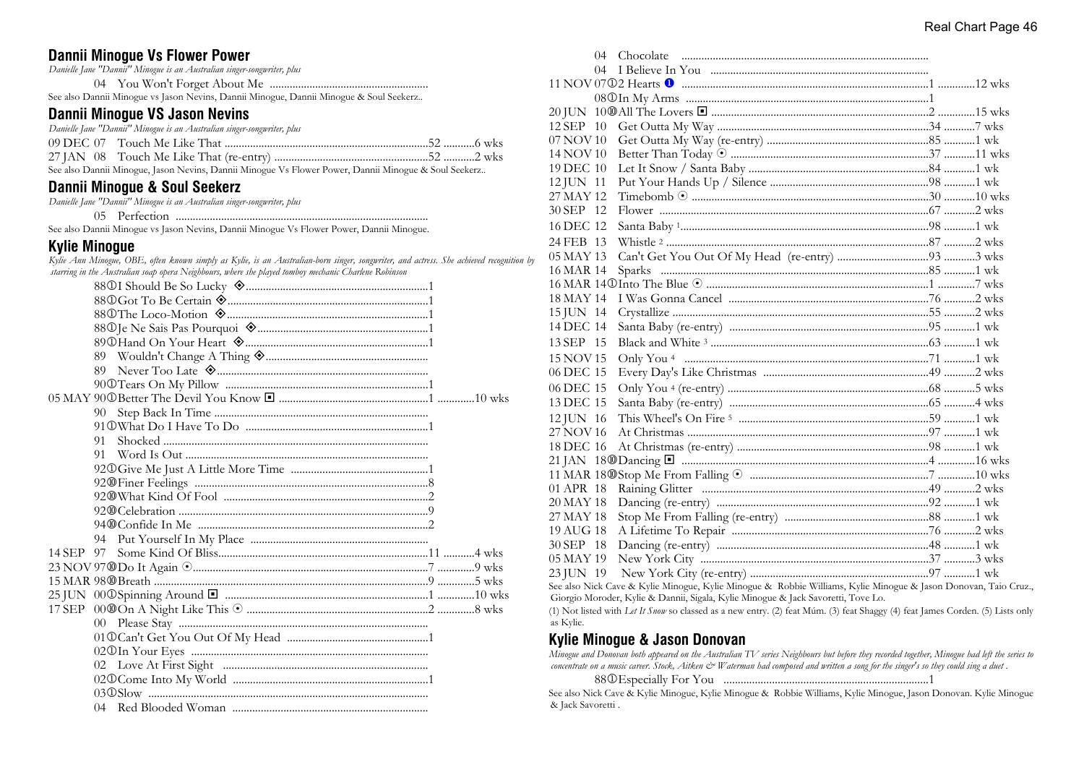## **Dannii Minogue Vs Flower Power**

*Danielle Jane "Dannii" Minogue is an Australian singer-songwriter, plus*

04 You Won't Forget About Me ........................................................

See also Dannii Minogue vs Jason Nevins, Dannii Minogue, Dannii Minogue & Soul Seekerz..

## **Dannii Minogue VS Jason Nevins**

*Danielle Jane "Dannii" Minogue is an Australian singer-songwriter, plus*

| $\mathcal{L}_1$ . The December of $\mathcal{L}_2$ . The Martin December of $\mathcal{L}_2$ . These December December of $\mathcal{L}_1$ . The $\mathcal{L}_2$ |  |  |
|---------------------------------------------------------------------------------------------------------------------------------------------------------------|--|--|

See also Dannii Minogue, Jason Nevins, Dannii Minogue Vs Flower Power, Dannii Minogue & Soul Seekerz..

### **Dannii Minogue & Soul Seekerz**

*Danielle Jane "Dannii" Minogue is an Australian singer-songwriter, plus*

05 Perfection .........................................................................................

See also Dannii Minogue vs Jason Nevins, Dannii Minogue Vs Flower Power, Dannii Minogue.

#### **Kylie Minogue**

*Kylie Ann Minogue, OBE, often known simply as Kylie, is an Australian-born singer, songwriter, and actress. She achieved recognition by starring in the Australian soap opera Neighbours, where she played tomboy mechanic Charlene Robinson*

| 90 |
|----|
|    |
| 91 |
| 91 |
|    |
|    |
|    |
|    |
|    |
|    |
|    |
|    |
|    |
|    |
|    |
|    |
|    |
|    |
|    |
|    |
|    |
|    |

|           | $04 -$ |                                                                                                           |  |
|-----------|--------|-----------------------------------------------------------------------------------------------------------|--|
|           |        |                                                                                                           |  |
|           |        |                                                                                                           |  |
|           |        |                                                                                                           |  |
|           |        |                                                                                                           |  |
| 12 SEP 10 |        |                                                                                                           |  |
| 07 NOV 10 |        |                                                                                                           |  |
| 14 NOV 10 |        |                                                                                                           |  |
| 19 DEC 10 |        |                                                                                                           |  |
| 12 JUN 11 |        |                                                                                                           |  |
| 27 MAY 12 |        |                                                                                                           |  |
| 30 SEP 12 |        |                                                                                                           |  |
| 16 DEC 12 |        |                                                                                                           |  |
| 24 FEB 13 |        |                                                                                                           |  |
| 05 MAY 13 |        |                                                                                                           |  |
| 16 MAR 14 |        |                                                                                                           |  |
|           |        |                                                                                                           |  |
| 18 MAY 14 |        |                                                                                                           |  |
| 15 JUN 14 |        |                                                                                                           |  |
| 14 DEC 14 |        |                                                                                                           |  |
| 13 SEP 15 |        |                                                                                                           |  |
| 15 NOV 15 |        |                                                                                                           |  |
| 06 DEC 15 |        |                                                                                                           |  |
| 06 DEC 15 |        |                                                                                                           |  |
| 13 DEC 15 |        |                                                                                                           |  |
| 12 JUN 16 |        |                                                                                                           |  |
| 27 NOV 16 |        |                                                                                                           |  |
| 18 DEC 16 |        |                                                                                                           |  |
|           |        |                                                                                                           |  |
|           |        |                                                                                                           |  |
| 01 APR 18 |        |                                                                                                           |  |
| 20 MAY 18 |        |                                                                                                           |  |
| 27 MAY 18 |        |                                                                                                           |  |
| 19 AUG 18 |        |                                                                                                           |  |
| 30 SEP 18 |        |                                                                                                           |  |
| 05 MAY 19 |        |                                                                                                           |  |
| 23 JUN 19 |        |                                                                                                           |  |
|           |        | See also Nick Cave & Kylie Minogue Kylie Minogue & Robbie Williams, Kylie Minogue & Jason Donovan, Tajo ( |  |

ick Cave & Kylie Minogue, Kylie Minogue & Robbie Williams, Kylie Minogue & Jason Donovan, Taio Cruz., Giorgio Moroder, Kylie & Dannii, Sigala, Kylie Minogue & Jack Savoretti, Tove Lo.

(1) Not listed with *Let It Snow* so classed as a new entry. (2) feat Múm. (3) feat Shaggy (4) feat James Corden. (5) Lists only as Kylie.

#### **Kylie Minogue & Jason Donovan**

*Minogue and Donovan both appeared on the Australian TV series Neighbours but before they recorded together, Minogue had left the series to* concentrate on a music career. Stock, Aitken & Waterman had composed and written a song for the singer's so they could sing a duet.

88j Especially For You ........................................................................1

See also Nick Cave & Kylie Minogue, Kylie Minogue & Robbie Williams, Kylie Minogue, Jason Donovan. Kylie Minogue & Jack Savoretti .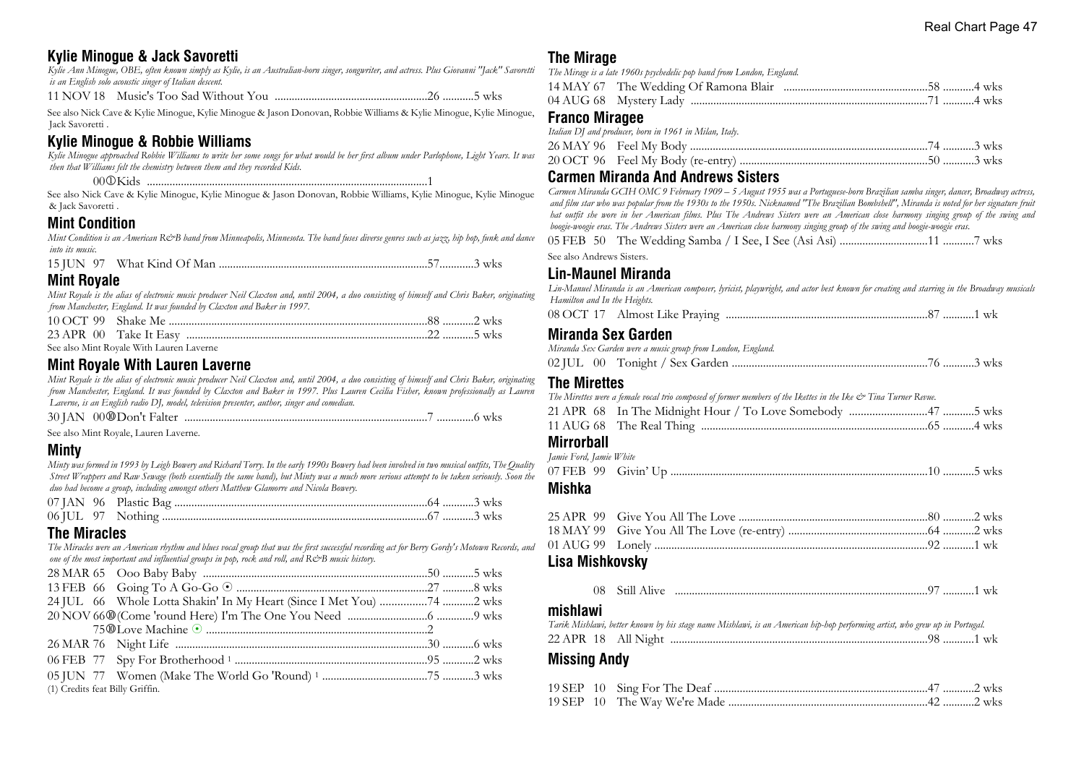## **Kylie Minogue & Jack Savoretti**

*Kylie Ann Minogue, OBE, often known simply as Kylie, is an Australian-born singer, songwriter, and actress. Plus Giovanni "Jack" Savoretti is an English solo acoustic singer of Italian descent.*

11 NOV 18 Music's Too Sad Without You ......................................................26 ...........5 wks

See also Nick Cave & Kylie Minogue, Kylie Minogue & Jason Donovan, Robbie Williams & Kylie Minogue, Kylie Minogue, Jack Savoretti .

## **Kylie Minogue & Robbie Williams**

*Kylie Minogue approached Robbie Williams to write her some songs for what would be her first album under Parlophone, Light Years. It was then that Williams felt the chemistry between them and they recorded Kids.* 00j Kids ...................................................................................................1

See also Nick Cave & Kylie Minogue, Kylie Minogue & Jason Donovan, Robbie Williams, Kylie Minogue, Kylie Minogue & Jack Savoretti .

#### **Mint Condition**

*Mint Condition is an American R&B band from Minneapolis, Minnesota. The band fuses diverse genres such as jazz, hip hop, funk and dance into its music.*

|--|--|--|--|--|

## **Mint Royale**

*Mint Royale is the alias of electronic music producer Neil Claxton and, until 2004, a duo consisting of himself and Chris Baker, originating from Manchester, England. It was founded by Claxton and Baker in 1997.*

| See also Mint Royale With Lauren Laverne |  |
|------------------------------------------|--|

### **Mint Royale With Lauren Laverne**

*Mint Royale is the alias of electronic music producer Neil Claxton and, until 2004, a duo consisting of himself and Chris Baker, originating from Manchester, England. It was founded by Claxton and Baker in 1997. Plus Lauren Cecilia Fisher, known professionally as Lauren Laverne, is an English radio DJ, model, television presenter, author, singer and comedian.*

30 JAN 00s Don't Falter ......................................................................................7 .............6 wks

See also Mint Royale, Lauren Laverne.

#### **Minty**

*Minty was formed in 1993 by Leigh Bowery and Richard Torry. In the early 1990s Bowery had been involved in two musical outfits, The Quality Street Wrappers and Raw Sewage (both essentially the same band), but Minty was a much more serious attempt to be taken seriously. Soon the duo had become a group, including amongst others Matthew Glamorre and Nicola Bowery.*

## **The Miracles**

*The Miracles were an American rhythm and blues vocal group that was the first successful recording act for Berry Gordy's Motown Records, and one of the most important and influential groups in pop, rock and roll, and R&B music history.*

|                                 | 24 JUL 66 Whole Lotta Shakin' In My Heart (Since I Met You) 74 2 wks |  |
|---------------------------------|----------------------------------------------------------------------|--|
|                                 |                                                                      |  |
|                                 |                                                                      |  |
|                                 |                                                                      |  |
|                                 |                                                                      |  |
|                                 |                                                                      |  |
| (1) Credits feat Billy Griffin. |                                                                      |  |
|                                 |                                                                      |  |

## **The Mirage**

*The Mirage is a late 1960s psychedelic pop band from London, England.*

## **Franco Miragee**

|  | Italian DJ and producer, born in 1961 in Milan, Italy. |  |  |
|--|--------------------------------------------------------|--|--|
|  |                                                        |  |  |
|  |                                                        |  |  |

#### **Carmen Miranda And Andrews Sisters**

*Carmen Miranda GCIH OMC 9 February 1909 – 5 August 1955 was a Portuguese-born Brazilian samba singer, dancer, Broadway actress, and film star who was popular from the 1930s to the 1950s. Nicknamed "The Brazilian Bombshell", Miranda is noted for her signature fruit hat outfit she wore in her American films. Plus The Andrews Sisters were an American close harmony singing group of the swing and boogie-woogie eras. The Andrews Sisters were an American close harmony singing group of the swing and boogie-woogie eras.* 05 FEB 50 The Wedding Samba / I See, I See (Asi Asi) ...............................11 ...........7 wks

## See also Andrews Sisters.

## **Lin-Maunel Miranda**

*Lin-Manuel Miranda is an American composer, lyricist, playwright, and actor best known for creating and starring in the Broadway musicals Hamilton and In the Heights.*

08 OCT 17 Almost Like Praying .......................................................................87 ...........1 wk

#### **Miranda Sex Garden**

|  |  | Miranda Sex Garden were a music group from London, England. |  |  |
|--|--|-------------------------------------------------------------|--|--|
|  |  |                                                             |  |  |

### **The Mirettes**

|                   | The Mirettes were a female vocal trio composed of former members of the Ikettes in the Ike & Tina Turner Revue. |  |  |
|-------------------|-----------------------------------------------------------------------------------------------------------------|--|--|
|                   |                                                                                                                 |  |  |
|                   |                                                                                                                 |  |  |
| <b>Mirrorball</b> |                                                                                                                 |  |  |

#### *Jamie Ford, Jamie White*

| famic 1 ora, famic w mic |  |  |
|--------------------------|--|--|
|                          |  |  |

## **Mishka**

## **Lisa Mishkovsky**

|  |  |  |  |  | 1 |  |  |
|--|--|--|--|--|---|--|--|
|--|--|--|--|--|---|--|--|

## **mishlawi**

|  |  |  | Tarik Mishlawi, better known by his stage name Mishlawi, is an American hip-hop performing artist, who grew up in Portugal. |  |
|--|--|--|-----------------------------------------------------------------------------------------------------------------------------|--|
|  |  |  |                                                                                                                             |  |

## **Missing Andy**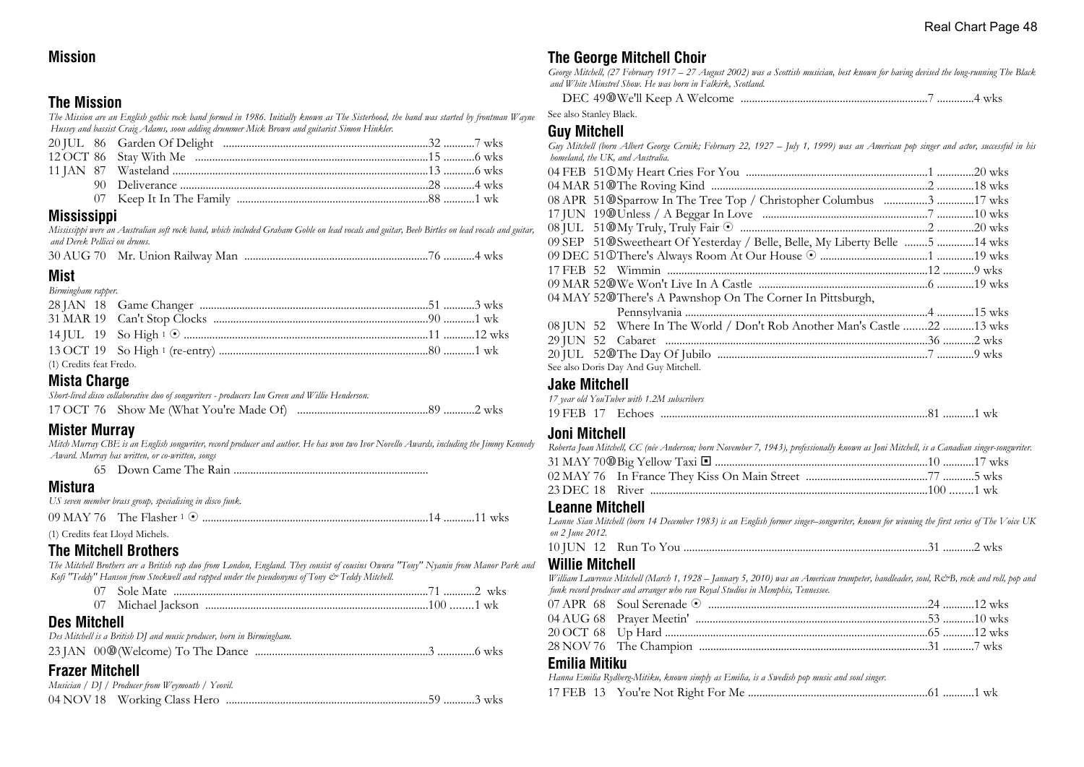## **Mission**

## **The Mission**

*The Mission are an English gothic rock band formed in 1986. Initially known as The Sisterhood, the band was started by frontman Wayne Hussey and bassist Craig Adams, soon adding drummer Mick Brown and guitarist Simon Hinkler.*

## **Mississippi**

*Mississippi were an Australian soft rock band, which included Graham Goble on lead vocals and guitar, Beeb Birtles on lead vocals and guitar, and Derek Pellicci on drums.*

|--|--|--|--|

## **Mist**

| Birmingham rapper.      |  |  |
|-------------------------|--|--|
|                         |  |  |
|                         |  |  |
|                         |  |  |
|                         |  |  |
| (1) Credits feat Fredo. |  |  |

## **Mista Charge**

| Short-lived disco collaborative duo of songwriters - producers Ian Green and Willie Henderson. |  |
|------------------------------------------------------------------------------------------------|--|
|                                                                                                |  |

## **Mister Murray**

*Mitch Murray CBE is an English songwriter, record producer and author. He has won two Ivor Novello Awards, including the Jimmy Kennedy Award. Murray has written, or co-written, songs*

65 Down Came The Rain .....................................................................

## **Mistura**

*US seven member brass group, specialising in disco funk.*

09 MAY 76 The Flasher <sup>1</sup> 8 ................................................................................14 ...........11 wks

(1) Credits feat Lloyd Michels.

## **The Mitchell Brothers**

*The Mitchell Brothers are a British rap duo from London, England. They consist of cousins Owura "Tony" Nyanin from Manor Park and Kofi "Teddy" Hanson from Stockwell and rapped under the pseudonyms of Tony & Teddy Mitchell.*

| Sole Mate<br>wks<br>71 27 |  |
|---------------------------|--|
|                           |  |

## **Des Mitchell**

| Des Mitchell is a British DJ and music producer, born in Birmingham. |  |
|----------------------------------------------------------------------|--|
|                                                                      |  |

## **Frazer Mitchell**

| -------------------                              |  |  |
|--------------------------------------------------|--|--|
| Musician / DJ / Producer from Weymouth / Yeovil. |  |  |
|                                                  |  |  |

## **The George Mitchell Choir**

*George Mitchell, (27 February 1917 – 27 August 2002) was a Scottish musician, best known for having devised the long-running The Black and White Minstrel Show. He was born in Falkirk, Scotland.*

DEC 49s We'll Keep A Welcome ..................................................................7 .............4 wks

See also Stanley Black.

## **Guy Mitchell**

*Guy Mitchell (born Albert George Cernik; February 22, 1927 – July 1, 1999) was an American pop singer and actor, successful in his homeland, the UK, and Australia.* 04 FEB 51j My Heart Cries For You ................................................................1 .............20 wks 04 MAR 51s The Roving Kind ............................................................................2 .............18 wks 08 APR 51@Sparrow In The Tree Top / Christopher Columbus ................3 .............17 wks

| 09 SEP 51@Sweetheart Of Yesterday / Belle, Belle, My Liberty Belle 5 14 wks |  |
|-----------------------------------------------------------------------------|--|
|                                                                             |  |
|                                                                             |  |
|                                                                             |  |

09 MAR 52s We Won't Live In A Castle ............................................................6 .............19 wks

04 MAY 52@There's A Pawnshop On The Corner In Pittsburgh,

|  | 08 JUN 52 Where In The World / Don't Rob Another Man's Castle 22 13 wks |  |
|--|-------------------------------------------------------------------------|--|
|  |                                                                         |  |
|  |                                                                         |  |
|  | See also Doris Day And Guy Mitchell.                                    |  |

| <b>Jake Mitchell</b>                       |  |
|--------------------------------------------|--|
| 17 year old YouTuber with 1.2M subscribers |  |
|                                            |  |

| 19 FEB |  |
|--------|--|
|--------|--|

## **Joni Mitchell**

| Roberta Joan Mitchell, CC (née Anderson; born November 7, 1943), professionally known as Joni Mitchell, is a Canadian singer-songwriter. |  |
|------------------------------------------------------------------------------------------------------------------------------------------|--|
|                                                                                                                                          |  |
|                                                                                                                                          |  |
|                                                                                                                                          |  |

## **Leanne Mitchell**

*Leanne Sian Mitchell (born 14 December 1983) is an English former singer–songwriter, known for winning the first series of The Voice UK on 2 June 2012.*

|--|--|--|--|--|--|

## **Willie Mitchell**

*William Lawrence Mitchell (March 1, 1928 – January 5, 2010) was an American trumpeter, bandleader, soul, R&B, rock and roll, pop and funk record producer and arranger who ran Royal Studios in Memphis, Tennessee.*

## **Emilia Mitiku**

*Hanna Emilia Rydberg-Mitiku, known simply as Emilia, is a Swedish pop music and soul singer.* 17 FEB 13 You're Not Right For Me ...............................................................61 ...........1 wk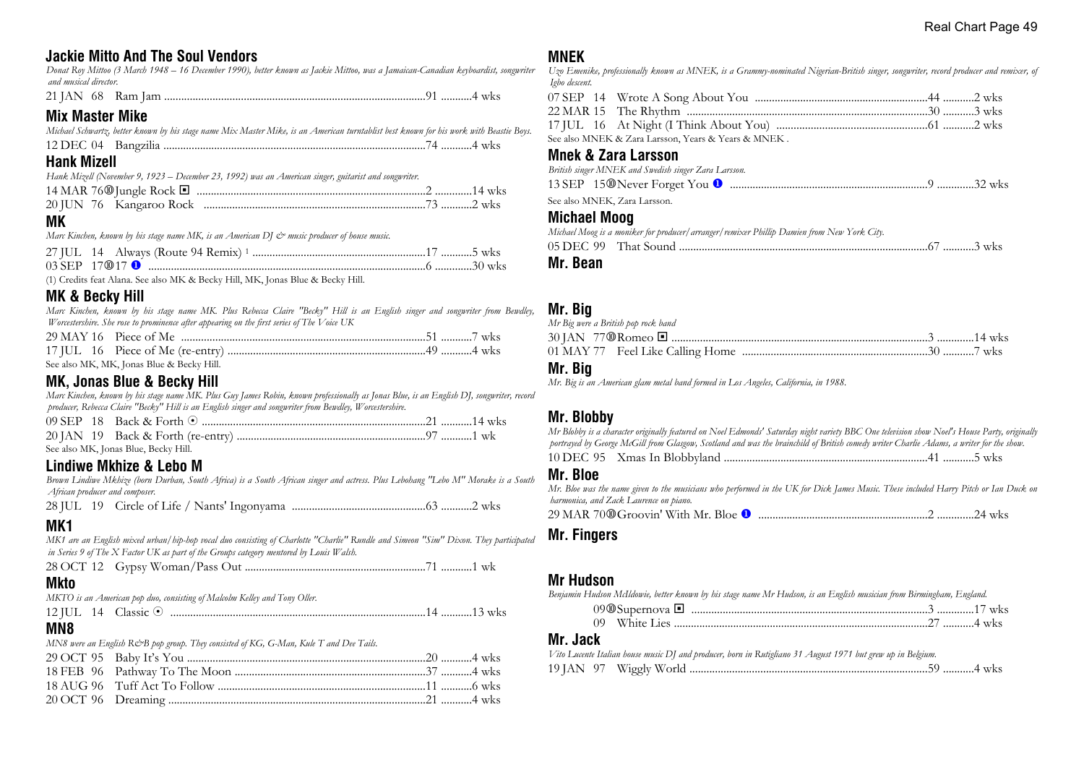## **Jackie Mitto And The Soul Vendors**

*Donat Roy Mittoo (3 March 1948 – 16 December 1990), better known as Jackie Mittoo, was a Jamaican-Canadian keyboardist, songwriter and musical director.*

21 JAN 68 Ram Jam ............................................................................................91 ...........4 wks

## **Mix Master Mike**

| Michael Schwartz, better known by his stage name Mix Master Mike, is an American turntablist best known for his work with Beastie Boys. |  |  |  |
|-----------------------------------------------------------------------------------------------------------------------------------------|--|--|--|
|                                                                                                                                         |  |  |  |

### **Hank Mizell**

*Hank Mizell (November 9, 1923 – December 23, 1992) was an American singer, guitarist and songwriter.*

## **MK**

*Marc Kinchen, known by his stage name MK, is an American DJ*  $\mathcal{O}$  *music producer of house music.* 

| $03$ SEP $17$ (00 17 (1) |
|--------------------------|

(1) Credits feat Alana. See also MK & Becky Hill, MK, Jonas Blue & Becky Hill.

## **MK & Becky Hill**

*Marc Kinchen, known by his stage name MK. Plus Rebecca Claire "Becky" Hill is an English singer and songwriter from Bewdley, Worcestershire. She rose to prominence after appearing on the first series of The Voice UK*

| See also MK, MK, Jonas Blue & Becky Hill. |  |
|-------------------------------------------|--|

## **MK, Jonas Blue & Becky Hill**

*Marc Kinchen, known by his stage name MK. Plus Guy James Robin, known professionally as Jonas Blue, is an English DJ, songwriter, record producer, Rebecca Claire "Becky" Hill is an English singer and songwriter from Bewdley, Worcestershire.*

|  | See also MK, Jonas Blue, Becky Hill. |  |
|--|--------------------------------------|--|

## **Lindiwe Mkhize & Lebo M**

*Brown Lindiwe Mkhize (born Durban, South Africa) is a South African singer and actress. Plus Lebohang "Lebo M" Morake is a South African producer and composer.*

28 JUL 19 Circle of Life / Nants' Ingonyama ...............................................63 ...........2 wks

## **MK1**

*MK1 are an English mixed urban/hip-hop vocal duo consisting of Charlotte "Charlie" Rundle and Simeon "Sim" Dixon. They participated in Series 9 of The X Factor UK as part of the Groups category mentored by Louis Walsh.*

28 OCT 12 Gypsy Woman/Pass Out ................................................................71 ...........1 wk

## **Mkto**

*MKTO is an American pop duo, consisting of Malcolm Kelley and Tony Oller.*

12 JUL 14 Classic 8 ..........................................................................................14 ...........13 wks

#### **MN8**

*MN8 were an English R&B pop group. They consisted of KG, G-Man, Kule T and Dee Tails.* 

## **MNEK**

*Uzo Emenike, professionally known as MNEK, is a Grammy-nominated Nigerian-British singer, songwriter, record producer and remixer, of Igbo descent.*

|  | See also MNEK & Zara Larsson, Years & Years & MNEK. |  |  |
|--|-----------------------------------------------------|--|--|

## **Mnek & Zara Larsson**

*British singer MNEK and Swedish singer Zara Larsson.* 13 SEP 15s Never Forget You u ......................................................................9 .............32 wks

See also MNEK, Zara Larsson.

### **Michael Moog**

|      | Michael Moog is a moniker for producer/arranger/remixer Phillip Damien from New York City. |  |  |
|------|--------------------------------------------------------------------------------------------|--|--|
|      |                                                                                            |  |  |
| -- - |                                                                                            |  |  |

**Mr. Bean**

## **Mr. Big**

| Mr Big were a British pop rock band |  |  |
|-------------------------------------|--|--|
|                                     |  |  |
|                                     |  |  |

### **Mr. Big**

*Mr. Big is an American glam metal band formed in Los Angeles, California, in 1988.*

## **Mr. Blobby**

*Mr Blobby is a character originally featured on Noel Edmonds' Saturday night variety BBC One television show Noel's House Party, originally portrayed by George McGill from Glasgow, Scotland and was the brainchild of British comedy writer Charlie Adams, a writer for the show.* 10 DEC 95 Xmas In Blobbyland ........................................................................41 ...........5 wks

## **Mr. Bloe**

*Mr. Bloe was the name given to the musicians who performed in the UK for Dick James Music. These included Harry Pitch or Ian Duck on harmonica, and Zack Laurence on piano.* 29 MAR 70s Groovin' With Mr. Bloe u ............................................................2 .............24 wks

## **Mr. Fingers**

## **Mr Hudson**

| Benjamin Hudson McIldowie, better known by his stage name Mr Hudson, is an English musician from Birmingham, England. |  |
|-----------------------------------------------------------------------------------------------------------------------|--|
|                                                                                                                       |  |
|                                                                                                                       |  |

#### **Mr. Jack**

| Vito Lucente Italian house music DJ and producer, born in Rutigliano 31 August 1971 but grew up in Belgium. |  |
|-------------------------------------------------------------------------------------------------------------|--|
|                                                                                                             |  |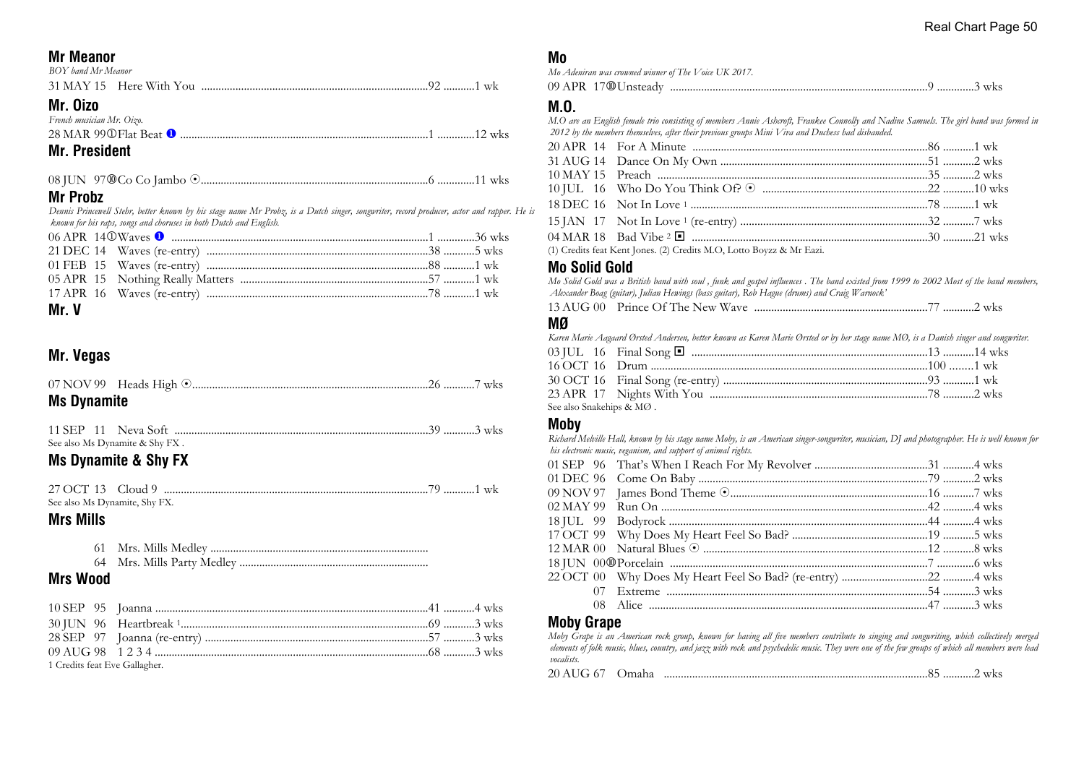## **Mr Meanor**

| BOY band Mr Meanor |  |
|--------------------|--|
|                    |  |

## **Mr. Oizo**

*French musician Mr. Oizo.*

| 28 MAR 99 O Flat Beat <sup>O</sup> |  |
|------------------------------------|--|
|                                    |  |

## **Mr. President**

|--|--|--|

## **Mr Probz**

*Dennis Princewell Stehr, better known by his stage name Mr Probz, is a Dutch singer, songwriter, record producer, actor and rapper. He is known for his raps, songs and choruses in both Dutch and English.*

## **Mr. V**

## **Mr. Vegas**

| <b>Ms Dynamite</b> |  |  |
|--------------------|--|--|

|  | See also Ms Dynamite & Shy FX. |  |  |
|--|--------------------------------|--|--|

## **Ms Dynamite & Shy FX**

27 OCT 13 Cloud 9 .............................................................................................79 ...........1 wk See also Ms Dynamite, Shy FX.

## **Mrs Mills**

| 61 | Mrs. Mills Medlev |  |
|----|-------------------|--|
|----|-------------------|--|

64 Mrs. Mills Party Medley ...................................................................

## **Mrs Wood**

| 1 Credits feat Eve Gallagher. |  |  |
|-------------------------------|--|--|

## **Mo**

*Mo Adeniran was crowned winner of The Voice UK 2017.*

09 APR 17s Unsteady ...........................................................................................9 .............3 wks

## **M.O.**

*M.O are an English female trio consisting of members Annie Ashcroft, Frankee Connolly and Nadine Samuels. The girl band was formed in 2012 by the members themselves, after their previous groups Mini Viva and Duchess had disbanded.*

(1) Credits feat Kent Jones. (2) Credits M.O, Lotto Boyzz & Mr Eazi.

#### **Mo Solid Gold**

*Mo Solid Gold was a British band with soul , funk and gospel influences . The band existed from 1999 to 2002 Most of the band members, Alexander Boag (guitar), Julian Hewings (bass guitar), Rob Hague (drums) and Craig Warnock'*

|--|--|--|

## **MØ**

*Karen Marie Aagaard Ørsted Andersen, better known as Karen Marie Ørsted or by her stage name MØ, is a Danish singer and songwriter.*

| See also Snakehips & MØ . |  |  |
|---------------------------|--|--|

#### **Moby**

*Richard Melville Hall, known by his stage name Moby, is an American singer-songwriter, musician, DJ and photographer. He is well known for his electronic music, veganism, and support of animal rights.*

## **Moby Grape**

*Moby Grape is an American rock group, known for having all five members contribute to singing and songwriting, which collectively merged elements of folk music, blues, country, and jazz with rock and psychedelic music. They were one of the few groups of which all members were lead vocalists.*

| 20 AUG 67<br><b>Omaha</b> |  |  | <b>WKS</b> |
|---------------------------|--|--|------------|
|---------------------------|--|--|------------|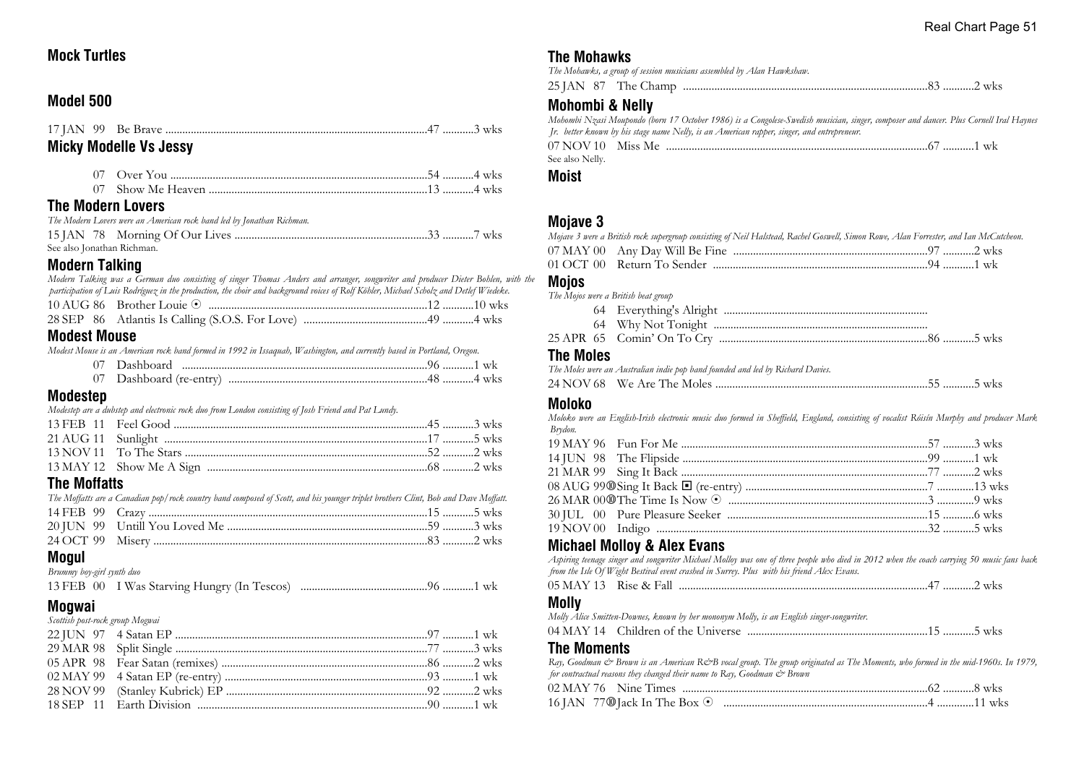## **Mock Turtles**

## **Model 500**

|                          | <b>Micky Modelle Vs Jessy</b> |  |
|--------------------------|-------------------------------|--|
|                          |                               |  |
|                          |                               |  |
| <b>The Modern Lovers</b> |                               |  |

| The Modern Lovers were an American rock band led by Jonathan Richman. |  |
|-----------------------------------------------------------------------|--|
|                                                                       |  |
| See also Jonathan Richman.                                            |  |

## **Modern Talking**

| Modoot Mouno                                                                                                                          |  |
|---------------------------------------------------------------------------------------------------------------------------------------|--|
|                                                                                                                                       |  |
|                                                                                                                                       |  |
| participation of Luis Rodríguez in the production, the choir and background voices of Rolf Köhler, Michael Scholz and Detlef Wiedeke. |  |
| Modern Talking was a German duo consisting of singer Thomas Anders and arranger, songwriter and producer Dieter Bohlen, with the      |  |

#### **Modest Mouse**

*Modest Mouse is an American rock band formed in 1992 in Issaquah, Washington, and currently based in Portland, Oregon.*

| Dashboard               |
|-------------------------|
| ' Dashboard (re-entry). |

## **Modestep**

*Modestep are a dubstep and electronic rock duo from London consisting of Josh Friend and Pat Lundy.*

## **The Moffatts**

| The Moffatts are a Canadian pop/rock country band composed of Scott, and his younger triplet brothers Clint, Bob and Dave Moffatt. |  |
|------------------------------------------------------------------------------------------------------------------------------------|--|
|                                                                                                                                    |  |
|                                                                                                                                    |  |
|                                                                                                                                    |  |

## **Mogul**

*Brummy boy-girl synth duo*

|--|--|--|--|--|

## **Mogwai**

| Scottish post-rock group Mogwai |  |
|---------------------------------|--|
|                                 |  |
|                                 |  |
|                                 |  |
|                                 |  |
|                                 |  |
|                                 |  |

## **The Mohawks**

| The Mohawks, a group of session musicians assembled by Alan Hawkshaw. |  |
|-----------------------------------------------------------------------|--|
|                                                                       |  |

## **Mohombi & Nelly**

*Mohombi Nzasi Moupondo (born 17 October 1986) is a Congolese-Swedish musician, singer, composer and dancer. Plus Cornell Iral Haynes Jr. better known by his stage name Nelly, is an American rapper, singer, and entrepreneur.* 07 NOV 10 Miss Me ............................................................................................67 ...........1 wk See also Nelly.

### **Moist**

## **Mojave 3**

| Mojave 3 were a British rock supergroup consisting of Neil Halstead, Rachel Goswell, Simon Rowe, Alan Forrester, and Ian McCutcheon. |  |  |
|--------------------------------------------------------------------------------------------------------------------------------------|--|--|
|                                                                                                                                      |  |  |
|                                                                                                                                      |  |  |

# **Mojos**

| .                                   |  |
|-------------------------------------|--|
|                                     |  |
|                                     |  |
|                                     |  |
| The Mojos were a British beat group |  |

## **The Moles**

|  | The Moles were an Australian indie pop band founded and led by Richard Davies. |  |
|--|--------------------------------------------------------------------------------|--|
|  |                                                                                |  |

## **Moloko**

*Moloko were an English-Irish electronic music duo formed in Sheffield, England, consisting of vocalist Róisín Murphy and producer Mark Brydon.*

## **Michael Molloy & Alex Evans**

*Aspiring teenage singer and songwriter Michael Molloy was one of three people who died in 2012 when the coach carrying 50 music fans back from the Isle Of Wight Bestival event crashed in Surrey. Plus with his friend Alex Evans.*

| 05 MAY 13 Rise & Fall |  |  | . | WKS |
|-----------------------|--|--|---|-----|
|-----------------------|--|--|---|-----|

#### **Molly**

*Molly Alice Smitten-Downes, known by her mononym Molly, is an English singer-songwriter.*

|--|--|--|

## **The Moments**

*Ray, Goodman & Brown is an American R&B vocal group. The group originated as The Moments, who formed in the mid-1960s. In 1979, for contractual reasons they changed their name to Ray, Goodman & Brown*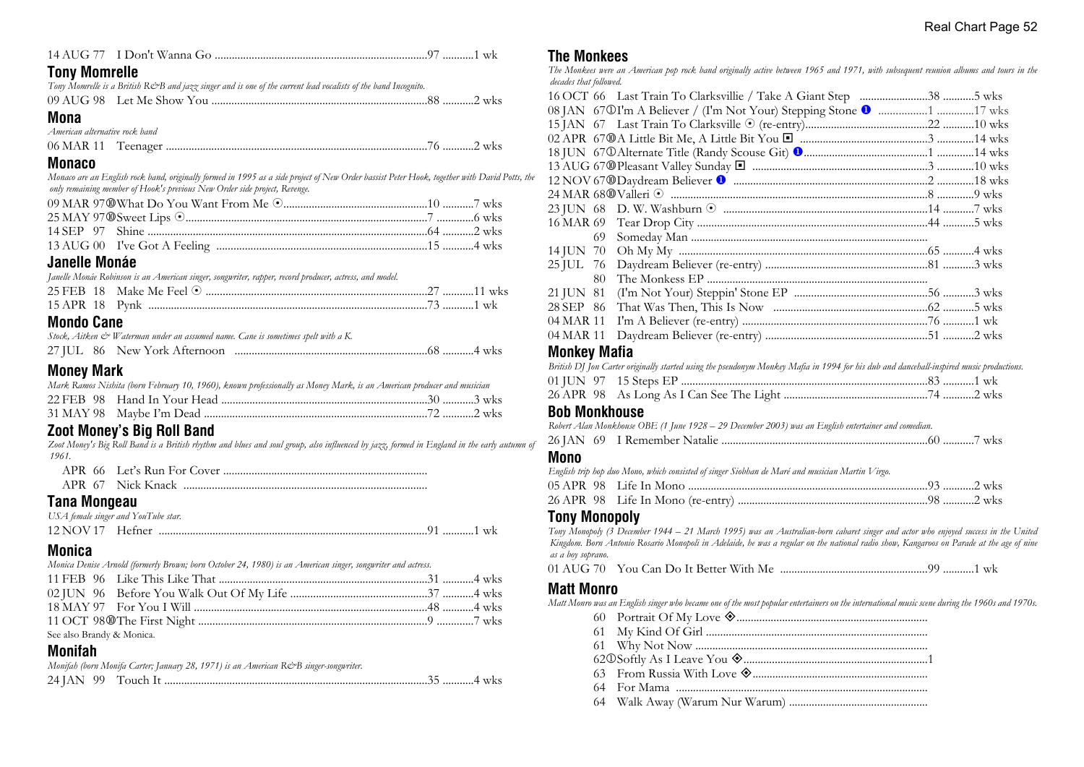|  |  |  | ′ …………1 wk |  |
|--|--|--|------------|--|
|--|--|--|------------|--|

### **Tony Momrelle**

|  | Tony Momrelle is a British R&B and jazz singer and is one of the current lead vocalists of the band Incognito. |  |
|--|----------------------------------------------------------------------------------------------------------------|--|
|  |                                                                                                                |  |

#### **Mona**

| American alternative rock band |  |  |
|--------------------------------|--|--|
|                                |  |  |

#### **Monaco**

*Monaco are an English rock band, originally formed in 1995 as a side project of New Order bassist Peter Hook, together with David Potts, the only remaining member of Hook's previous New Order side project, Revenge.*

## **Janelle Monáe**

|  | Janelle Monáe Robinson is an American singer, songwriter, rapper, record producer, actress, and model. |  |
|--|--------------------------------------------------------------------------------------------------------|--|
|  |                                                                                                        |  |
|  |                                                                                                        |  |

## **Mondo Cane**

|  | Stock, Aitken & Waterman under an assumed name. Cane is sometimes spelt with a K. |
|--|-----------------------------------------------------------------------------------|
|  |                                                                                   |

## **Money Mark**

|  | Mark Ramos Nishita (born February 10, 1960), known professionally as Money Mark, is an American producer and musician |  |  |  |
|--|-----------------------------------------------------------------------------------------------------------------------|--|--|--|
|  |                                                                                                                       |  |  |  |

#### 31 MAY 98 Maybe I'm Dead ...............................................................................72 ...........2 wks **Zoot Money's Big Roll Band**

*Zoot Money's Big Roll Band is a British rhythm and blues and soul group, also influenced by jazz, formed in England in the early autumn of 1961.*

| APR 67 Nick Knack |
|-------------------|

## **Tana Mongeau**

| USA female singer and YouTube star. |  |  |
|-------------------------------------|--|--|
|                                     |  |  |

## **Monica**

*Monica Denise Arnold (formerly Brown; born October 24, 1980) is an American singer, songwriter and actress.*

| See also Brandy & Monica. |  |  |
|---------------------------|--|--|

## **Monifah**

| Monifah (born Monifa Carter; January 28, 1971) is an American R&B singer-songwriter. |  |
|--------------------------------------------------------------------------------------|--|
|                                                                                      |  |

#### **The Monkees**

*The Monkees were an American pop rock band originally active between 1965 and 1971, with subsequent reunion albums and tours in the decades that followed.*

| 69.       |  |  |
|-----------|--|--|
| 14 JUN 70 |  |  |
| 25 JUL 76 |  |  |
| 80.       |  |  |
| 21 JUN 81 |  |  |
| 28 SEP 86 |  |  |
| 04 MAR 11 |  |  |
| 04 MAR 11 |  |  |
| .         |  |  |

#### **Monkey Mafia**

| British DJ Jon Carter originally started using the pseudonym Monkey Mafia in 1994 for his dub and dancehall-inspired music productions. |  |
|-----------------------------------------------------------------------------------------------------------------------------------------|--|
|                                                                                                                                         |  |
|                                                                                                                                         |  |

#### **Bob Monkhouse**

*Robert Alan Monkhouse OBE (1 June 1928 – 29 December 2003) was an English entertainer and comedian.*

#### **Mono**

| English trip hop duo Mono, which consisted of singer Siobhan de Maré and musician Martin Virgo. |  |  |
|-------------------------------------------------------------------------------------------------|--|--|
|                                                                                                 |  |  |
|                                                                                                 |  |  |

## **Tony Monopoly**

*Tony Monopoly (3 December 1944 – 21 March 1995) was an Australian-born cabaret singer and actor who enjoyed success in the United Kingdom. Born Antonio Rosario Monopoli in Adelaide, he was a regular on the national radio show, Kangaroos on Parade at the age of nine as a boy soprano.*

01 AUG 70 You Can Do It Better With Me ....................................................99 ...........1 wk

## **Matt Monro**

*Matt Monro was an English singer who became one of the most popular entertainers on the international music scene during the 1960s and 1970s.*

- 60 Portrait Of My Love ±...................................................................
- 61 My Kind Of Girl ..............................................................................
- 61 Why Not Now ..................................................................................
- 62j Softly As I Leave You ±.................................................................1
- 63 From Russia With Love ±..............................................................
- 64 For Mama .........................................................................................
- 64 Walk Away (Warum Nur Warum) .................................................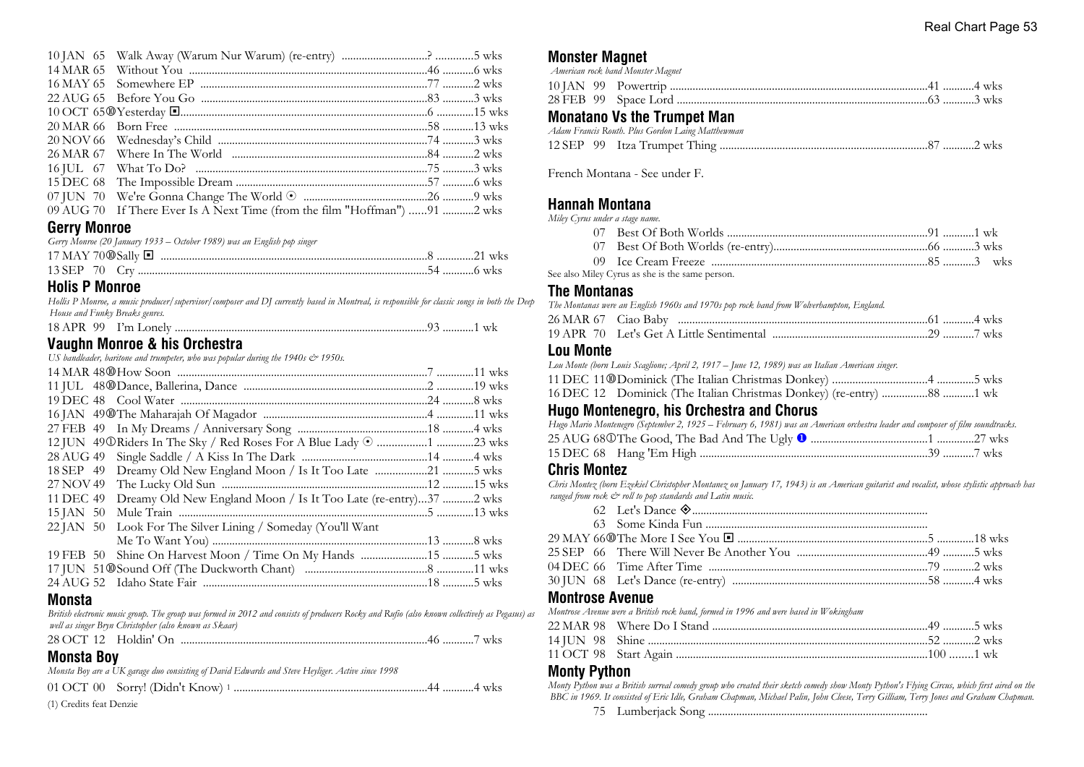| 09 AUG 70 If There Ever Is A Next Time (from the film "Hoffman") 91  wks |  |
|--------------------------------------------------------------------------|--|

## **Gerry Monroe**

| Gerry Monroe (20 January 1933 – October 1989) was an English pop singer |  |
|-------------------------------------------------------------------------|--|
|                                                                         |  |
|                                                                         |  |

#### **Holis P Monroe**

*Hollis P Monroe, a music producer/supervisor/composer and DJ currently based in Montreal, is responsible for classic songs in both the Deep House and Funky Breaks genres.*

| 18 APR 99 | I'm Lonely |  |  |  |  |
|-----------|------------|--|--|--|--|
|-----------|------------|--|--|--|--|

## **Vaughn Monroe & his Orchestra**

*US bandleader, baritone and trumpeter, who was popular during the 1940s*  $\approx$  *1950s.* 

| 12 JUN 49 O Riders In The Sky / Red Roses For A Blue Lady (am must must must be also who |  |
|------------------------------------------------------------------------------------------|--|
|                                                                                          |  |
| 18 SEP 49 Dreamy Old New England Moon / Is It Too Late 5 wks                             |  |
|                                                                                          |  |
| 11 DEC 49 Dreamy Old New England Moon / Is It Too Late (re-entry)37 2 wks                |  |
|                                                                                          |  |
| 22 JAN 50 Look For The Silver Lining / Someday (You'll Want                              |  |
|                                                                                          |  |
| 19 FEB 50 Shine On Harvest Moon / Time On My Hands 5 wks                                 |  |
|                                                                                          |  |
|                                                                                          |  |

#### **Monsta**

*British electronic music group. The group was formed in 2012 and consists of producers Rocky and Rufio (also known collectively as Pegasus) as well as singer Bryn Christopher (also known as Skaar)*

|  | <b>WKS</b> |
|--|------------|
|--|------------|

## **Monsta Boy**

*Monsta Boy are a UK garage duo consisting of David Edwards and Steve Heyliger. Active since 1998*

01 OCT 00 Sorry! (Didn't Know) <sup>1</sup> ....................................................................44 ...........4 wks

(1) Credits feat Denzie

### **Monster Magnet**

|  | American rock band Monster Magnet  |  |
|--|------------------------------------|--|
|  |                                    |  |
|  |                                    |  |
|  | <b>Monatano Vs the Trumnet Man</b> |  |

## **Monatano Vs the Trumpet Man**

|  | Adam Francis Routh. Plus Gordon Laing Matthewman |  |  |  |
|--|--------------------------------------------------|--|--|--|
|  |                                                  |  |  |  |

French Montana - See under F.

## **Hannah Montana**

*Miley Cyrus under a stage name.*

See also Miley Cyrus as she is the same person.

#### **The Montanas**

*The Montanas were an English 1960s and 1970s pop rock band from Wolverhampton, England.*

| 26 MAR 67 - Ciao Baby - |  |  |
|-------------------------|--|--|
|                         |  |  |

#### **Lou Monte**

*Lou Monte (born Louis Scaglione; April 2, 1917 – June 12, 1989) was an Italian American singer.* 11 DEC 11s Dominick (The Italian Christmas Donkey) .................................4 .............5 wks 16 DEC 12 Dominick (The Italian Christmas Donkey) (re-entry) ................88 ...........1 wk

## **Hugo Montenegro, his Orchestra and Chorus**

| Hugo Mario Montenegro (September 2, 1925 – February 6, 1981) was an American orchestra leader and composer of film soundtracks. |  |  |
|---------------------------------------------------------------------------------------------------------------------------------|--|--|
|                                                                                                                                 |  |  |
|                                                                                                                                 |  |  |

## **Chris Montez**

*Chris Montez (born Ezekiel Christopher Montanez on January 17, 1943) is an American guitarist and vocalist, whose stylistic approach has ranged from rock*  $\mathcal{O}$  *roll to pop standards and Latin music.* 

#### **Montrose Avenue**

*Montrose Avenue were a British rock band, formed in 1996 and were based in Wokingham*

## **Monty Python**

*Monty Python was a British surreal comedy group who created their sketch comedy show Monty Python's Flying Circus, which first aired on the BBC in 1969. It consisted of Eric Idle, Graham Chapman, Michael Palin, John Cleese, Terry Gilliam, Terry Jones and Graham Chapman.*

75 Lumberjack Song ..............................................................................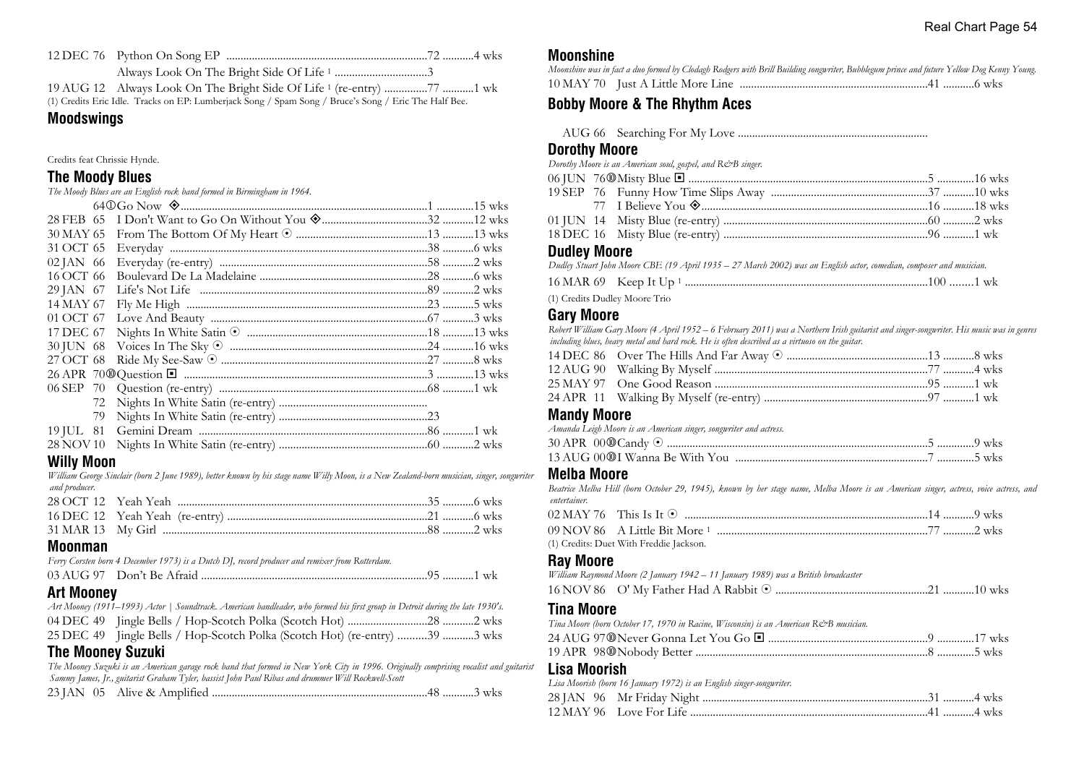(1) Credits Eric Idle. Tracks on EP: Lumberjack Song / Spam Song / Bruce's Song / Eric The Half Bee.

#### **Moodswings**

Credits feat Chrissie Hynde.

#### **The Moody Blues**

| The Moody Blues are an English rock band formed in Birmingham in 1964.                                                                                                                                                                                                                                                                                    |  |
|-----------------------------------------------------------------------------------------------------------------------------------------------------------------------------------------------------------------------------------------------------------------------------------------------------------------------------------------------------------|--|
|                                                                                                                                                                                                                                                                                                                                                           |  |
|                                                                                                                                                                                                                                                                                                                                                           |  |
|                                                                                                                                                                                                                                                                                                                                                           |  |
|                                                                                                                                                                                                                                                                                                                                                           |  |
| $\lambda$ and $\lambda$ and $\lambda$ and $\lambda$ and $\lambda$ and $\lambda$ and $\lambda$ and $\lambda$ and $\lambda$ and $\lambda$ and $\lambda$ and $\lambda$ and $\lambda$ and $\lambda$ and $\lambda$ and $\lambda$ and $\lambda$ and $\lambda$ and $\lambda$ and $\lambda$ and $\lambda$ and $\lambda$ and $\lambda$ and $\lambda$ and $\lambda$ |  |

| 28 FEB 65 |  |  |
|-----------|--|--|
| 30 MAY 65 |  |  |
| 31 OCT 65 |  |  |
| 02 JAN 66 |  |  |
| 16 OCT 66 |  |  |
| 29 JAN 67 |  |  |
| 14 MAY 67 |  |  |
| 01 OCT 67 |  |  |
| 17 DEC 67 |  |  |
| 30 JUN 68 |  |  |
| 27 OCT 68 |  |  |
|           |  |  |
|           |  |  |
| 72        |  |  |
| 79        |  |  |
|           |  |  |
| 28 NOV 10 |  |  |

#### **Willy Moon**

*William George Sinclair (born 2 June 1989), better known by his stage name Willy Moon, is a New Zealand-born musician, singer, songwriter and producer.*

#### **Moonman**

*Ferry Corsten born 4 December 1973) is a Dutch DJ, record producer and remixer from Rotterdam.*

## **Art Mooney**

| Art Mooney (1911–1993) Actor   Soundtrack. American bandleader, who formed his first group in Detroit during the late 1930's. |  |
|-------------------------------------------------------------------------------------------------------------------------------|--|
|                                                                                                                               |  |
| 25 DEC 49 Jingle Bells / Hop-Scotch Polka (Scotch Hot) (re-entry) 39 3 wks                                                    |  |

## **The Mooney Suzuki**

*The Mooney Suzuki is an American garage rock band that formed in New York City in 1996. Originally comprising vocalist and guitarist Sammy James, Jr., guitarist Graham Tyler, bassist John Paul Ribas and drummer Will Rockwell-Scott*

23 JAN 05 Alive & Amplified ............................................................................48 ...........3 wks

#### **Moonshine**

| Moonshine was in fact a duo formed by Clodagh Rodgers with Brill Building songwriter, Bubblegum prince and future Yellow Dog Kenny Young. |  |
|-------------------------------------------------------------------------------------------------------------------------------------------|--|
|                                                                                                                                           |  |

## **Bobby Moore & The Rhythm Aces**

AUG 66 Searching For My Love ...................................................................

## **Dorothy Moore**

*Dorothy Moore is an American soul, gospel, and R&B singer.*

#### **Dudley Moore**

*Dudley Stuart John Moore CBE (19 April 1935 – 27 March 2002) was an English actor, comedian, composer and musician.*

|  | 16 MAR 69 Keep It Up 1 |  |  |  |
|--|------------------------|--|--|--|
|--|------------------------|--|--|--|

(1) Credits Dudley Moore Trio

### **Gary Moore**

*Robert William Gary Moore (4 April 1952 – 6 February 2011) was a Northern Irish guitarist and singer-songwriter. His music was in genres including blues, heavy metal and hard rock. He is often described as a virtuoso on the guitar.*

#### **Mandy Moore**

*Amanda Leigh Moore is an American singer, songwriter and actress.*

#### **Melba Moore**

*Beatrice Melba Hill (born October 29, 1945), known by her stage name, Melba Moore is an American singer, actress, voice actress, and entertainer.*

| (1) Credits: Duet With Freddie Jackson. |  |
|-----------------------------------------|--|

## **Ray Moore**

| William Raymond Moore (2 January 1942 - 11 January 1989) was a British broadcaster   |  |
|--------------------------------------------------------------------------------------|--|
|                                                                                      |  |
| Tina Moore                                                                           |  |
| Tina Moore (born October 17, 1970 in Racine, Wisconsin) is an American R&B musician. |  |
|                                                                                      |  |
|                                                                                      |  |
| Lisa Moorish<br>Lisa Moorish (born 16 January 1972) is an English singer-songwriter. |  |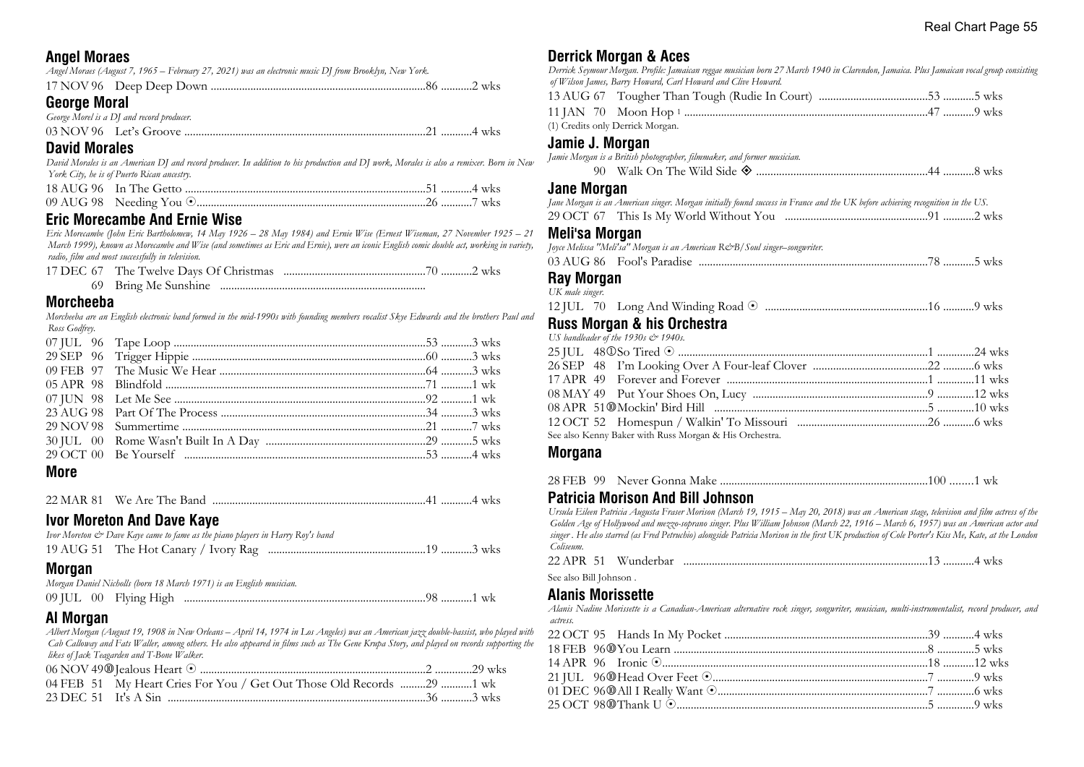## **Angel Moraes**

| Angel Moraes (August 7, 1965 – February 27, 2021) was an electronic music DJ from Brooklyn, New York. |  |
|-------------------------------------------------------------------------------------------------------|--|
|                                                                                                       |  |
| <b>George Moral</b>                                                                                   |  |
| George Morel is a DJ and record producer.                                                             |  |

### **David Morales**

*David Morales is an American DJ and record producer. In addition to his production and DJ work, Morales is also a remixer. Born in New York City, he is of Puerto Rican ancestry.*

### **Eric Morecambe And Ernie Wise**

*Eric Morecambe (John Eric Bartholomew, 14 May 1926 – 28 May 1984) and Ernie Wise (Ernest Wiseman, 27 November 1925 – 21 March 1999), known as Morecambe and Wise (and sometimes as Eric and Ernie), were an iconic English comic double act, working in variety, radio, film and most successfully in television.*

| 69 Bring Me Sunshine |  |
|----------------------|--|

#### **Morcheeba**

*Morcheeba are an English electronic band formed in the mid-1990s with founding members vocalist Skye Edwards and the brothers Paul and Ross Godfrey.*

#### **More**

| 22 MAR 81 We Are The Band |  |
|---------------------------|--|
|                           |  |

## **Ivor Moreton And Dave Kaye**

| Ivor Moreton & Dave Kaye came to fame as the piano players in Harry Roy's band |  |
|--------------------------------------------------------------------------------|--|
|                                                                                |  |

## **Morgan**

|  | Morgan Daniel Nicholls (born 18 March 1971) is an English musician. |
|--|---------------------------------------------------------------------|
|  |                                                                     |

## **Al Morgan**

*Albert Morgan (August 19, 1908 in New Orleans – April 14, 1974 in Los Angeles) was an American jazz double-bassist, who played with Cab Calloway and Fats Waller, among others. He also appeared in films such as The Gene Krupa Story, and played on records supporting the likes of Jack Teagarden and T-Bone Walker.*

| 04 FEB 51 My Heart Cries For You / Get Out Those Old Records 29 1 wk |  |
|----------------------------------------------------------------------|--|
|                                                                      |  |

**Derrick Morgan & Aces** *Derrick Seymour Morgan. Profile: Jamaican reggae musician born 27 March 1940 in Clarendon, Jamaica. Plus Jamaican vocal group consisting of Wilson James, Barry Howard, Carl Howard and Clive Howard.* 13 AUG 67 Tougher Than Tough (Rudie In Court) ......................................53 ...........5 wks 11 JAN 70 Moon Hop <sup>1</sup> ......................................................................................47 ...........9 wks (1) Credits only Derrick Morgan. **Jamie J. Morgan** *Jamie Morgan is a British photographer, filmmaker, and former musician.* 90 Walk On The Wild Side ± ............................................................44 ...........8 wks **Jane Morgan** *Jane Morgan is an American singer. Morgan initially found success in France and the UK before achieving recognition in the US.* 29 OCT 67 This Is My World Without You ..................................................91 ...........2 wks **Meli'sa Morgan** *Joyce Melissa "Meli'sa" Morgan is an American R&B/Soul singer–songwriter.* 03 AUG 86 Fool's Paradise .................................................................................78 ...........5 wks **Ray Morgan** *UK male singer.* 12 JUL 70 Long And Winding Road 8 .........................................................16 ...........9 wks **Russ Morgan & his Orchestra** *US bandleader of the 1930s & 1940s.*<br>25 IIII A80So Tired  $\odot$ 

|  | See also Kenny Baker with Russ Morgan & His Orchestra. |  |
|--|--------------------------------------------------------|--|
|  |                                                        |  |

#### **Morgana**

|--|--|--|--|--|--|--|--|

## **Patricia Morison And Bill Johnson**

*Ursula Eileen Patricia Augusta Fraser Morison (March 19, 1915 – May 20, 2018) was an American stage, television and film actress of the Golden Age of Hollywood and mezzo-soprano singer. Plus William Johnson (March 22, 1916 – March 6, 1957) was an American actor and singer . He also starred (as Fred Petruchio) alongside Patricia Morison in the first UK production of Cole Porter's Kiss Me, Kate, at the London Coliseum.*

| 22 APR 51 | Wunderbar | · WKS |
|-----------|-----------|-------|
|           |           |       |

See also Bill Johnson .

## **Alanis Morissette**

*Alanis Nadine Morissette is a Canadian-American alternative rock singer, songwriter, musician, multi-instrumentalist, record producer, and actress.*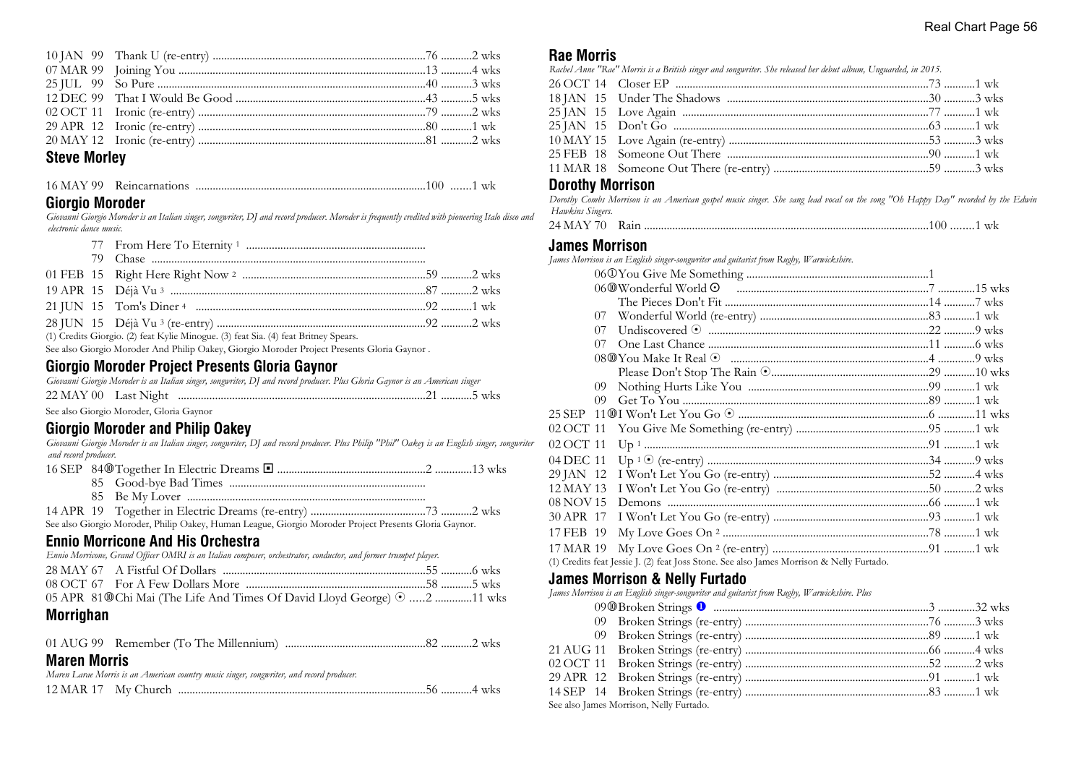## **Steve Morley**

| 16 MAY 99 Reincarnations |  |  |
|--------------------------|--|--|
|--------------------------|--|--|

#### **Giorgio Moroder**

*Giovanni Giorgio Moroder is an Italian singer, songwriter, DJ and record producer. Moroder is frequently credited with pioneering Italo disco and electronic dance music.*

|  | (1) Credits Giorgio. (2) feat Kylie Minogue. (3) feat Sia. (4) feat Britney Spears. |  |
|--|-------------------------------------------------------------------------------------|--|

See also Giorgio Moroder And Philip Oakey, Giorgio Moroder Project Presents Gloria Gaynor .

## **Giorgio Moroder Project Presents Gloria Gaynor**

|  | Giovanni Giorgio Moroder is an Italian singer, songwriter, DJ and record producer. Plus Gloria Gaynor is an American singer |  |
|--|-----------------------------------------------------------------------------------------------------------------------------|--|
|  |                                                                                                                             |  |

See also Giorgio Moroder, Gloria Gaynor

#### **Giorgio Moroder and Philip Oakey**

*Giovanni Giorgio Moroder is an Italian singer, songwriter, DJ and record producer. Plus Philip "Phil" Oakey is an English singer, songwriter and record producer.*

|  | See also Giorgio Moroder, Philip Oakey, Human League, Giorgio Moroder Project Presents Gloria Gaynor. |
|--|-------------------------------------------------------------------------------------------------------|

## **Ennio Morricone And His Orchestra**

| Ennio Morricone, Grand Officer OMRI is an Italian composer, orchestrator, conductor, and former trumpet player. |  |
|-----------------------------------------------------------------------------------------------------------------|--|
|                                                                                                                 |  |
|                                                                                                                 |  |
| 05 APR 81@Chi Mai (The Life And Times Of David Lloyd George) $\odot$ 2 11 wks                                   |  |

## **Morrighan**

|--|--|--|

## **Maren Morris**

|  | Maren Larae Morris is an American country music singer, songwriter, and record producer. |  |
|--|------------------------------------------------------------------------------------------|--|
|  |                                                                                          |  |

### **Rae Morris**

| Rachel Anne "Rae" Morris is a British singer and songwriter. She released her debut album, Unguarded, in 2015. |         |
|----------------------------------------------------------------------------------------------------------------|---------|
|                                                                                                                |         |
| 18 JAN 15 Hoder The Shadows                                                                                    | $-3$ wk |

## **Dorothy Morrison**

*Dorothy Combs Morrison is an American gospel music singer. She sang lead vocal on the song "Oh Happy Day" recorded by the Edwin Hawkins Singers.*

#### **James Morrison**

*James Morrison is an English singer-songwriter and guitarist from Rugby, Warwickshire.*

| 07        |                                                                                          |  |
|-----------|------------------------------------------------------------------------------------------|--|
| 07        |                                                                                          |  |
| 07        |                                                                                          |  |
|           |                                                                                          |  |
|           |                                                                                          |  |
| 09        |                                                                                          |  |
| (19)      |                                                                                          |  |
|           |                                                                                          |  |
| 02 OCT 11 |                                                                                          |  |
| 02 OCT 11 |                                                                                          |  |
| 04 DEC 11 |                                                                                          |  |
| 29 JAN 12 |                                                                                          |  |
| 12 MAY 13 |                                                                                          |  |
| 08 NOV 15 |                                                                                          |  |
| 30 APR 17 |                                                                                          |  |
| 17 FEB 19 |                                                                                          |  |
| 17 MAR 19 |                                                                                          |  |
|           | (1) Credits feat Jessie J. (2) feat Joss Stone. See also James Morrison & Nelly Furtado. |  |

## **James Morrison & Nelly Furtado**

*James Morrison is an English singer-songwriter and guitarist from Rugby, Warwickshire. Plus*

| See also James Morrison, Nelly Furtado. |  |
|-----------------------------------------|--|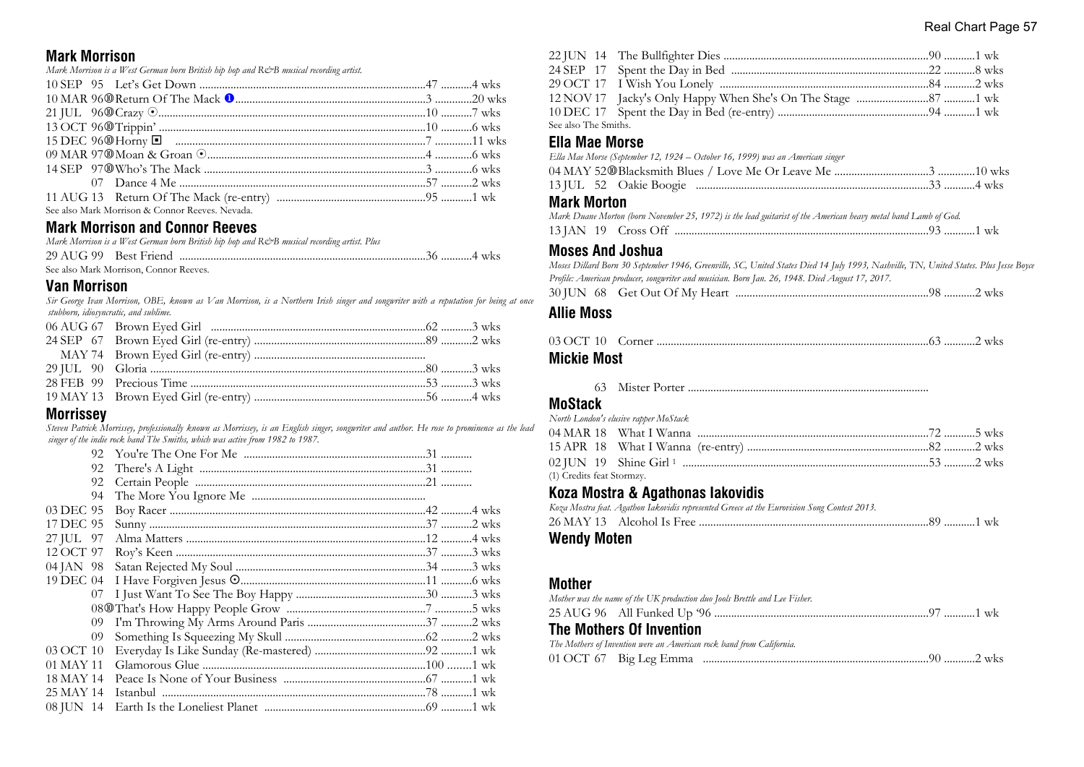### **Mark Morrison**

*Mark Morrison is a West German born British hip hop and R&B musical recording artist.* 

| See also Mark Morrison & Connor Reeves. Nevada. |  |
|-------------------------------------------------|--|

## **Mark Morrison and Connor Reeves**

| Mark Morrison is a West German born British hip hop and R&B musical recording artist. Plus |  |
|--------------------------------------------------------------------------------------------|--|
|                                                                                            |  |
| See also Mark Morrison, Connor Reeves.                                                     |  |

### **Van Morrison**

*Sir George Ivan Morrison, OBE, known as Van Morrison, is a Northern Irish singer and songwriter with a reputation for being at once stubborn, idiosyncratic, and sublime.*

### **Morrissey**

*Steven Patrick Morrissey, professionally known as Morrissey, is an English singer, songwriter and author. He rose to prominence as the lead singer of the indie rock band The Smiths, which was active from 1982 to 1987.*

| 92        |  |  |
|-----------|--|--|
| 92        |  |  |
| 94        |  |  |
| 03 DEC 95 |  |  |
| 17 DEC 95 |  |  |
| 27 JUL 97 |  |  |
| 12 OCT 97 |  |  |
| 04 JAN 98 |  |  |
| 19 DEC 04 |  |  |
| 07        |  |  |
|           |  |  |
| 09        |  |  |
| 09        |  |  |
| 03 OCT 10 |  |  |
| 01 MAY 11 |  |  |
| 18 MAY 14 |  |  |
| 25 MAY 14 |  |  |
| 08 JUN 14 |  |  |
|           |  |  |

| See also The Smiths. |  |  |
|----------------------|--|--|

## **Ella Mae Morse**

| Ella Mae Morse (September 12, 1924 – October 16, 1999) was an American singer |  |
|-------------------------------------------------------------------------------|--|
|                                                                               |  |
|                                                                               |  |
|                                                                               |  |

## **Mark Morton**

|  | Mark Duane Morton (born November 25, 1972) is the lead guitarist of the American heavy metal band Lamb of God. |  |  |  |  |
|--|----------------------------------------------------------------------------------------------------------------|--|--|--|--|
|  |                                                                                                                |  |  |  |  |

## **Moses And Joshua**

*Moses Dillard Born 30 September 1946, Greenville, SC, United States Died 14 July 1993, Nashville, TN, United States. Plus Jesse Boyce Profile: American producer, songwriter and musician. Born Jan. 26, 1948. Died August 17, 2017.*

|--|--|--|--|--|

## **Allie Moss**

#### **Mickie Most**

63 Mister Porter .....................................................................................

## **MoStack**

| North London's elusive rapper MoStack |  |  |
|---------------------------------------|--|--|
|                                       |  |  |
|                                       |  |  |
|                                       |  |  |
| (1) Credits feat Stormzy.             |  |  |

#### **Koza Mostra & Agathonas Iakovidis**

| Koza Mostra feat. Agathon Iakovidis represented Greece at the Eurovision Song Contest 2013. |  |
|---------------------------------------------------------------------------------------------|--|
|                                                                                             |  |

## **Wendy Moten**

#### **Mother**

|                                 | Mother was the name of the UK production duo Jools Brettle and Lee Fisher. |  |
|---------------------------------|----------------------------------------------------------------------------|--|
|                                 |                                                                            |  |
| <b>The Mothers Of Invention</b> |                                                                            |  |
|                                 | The Mothers of Invention were an American rock band from California.       |  |
|                                 |                                                                            |  |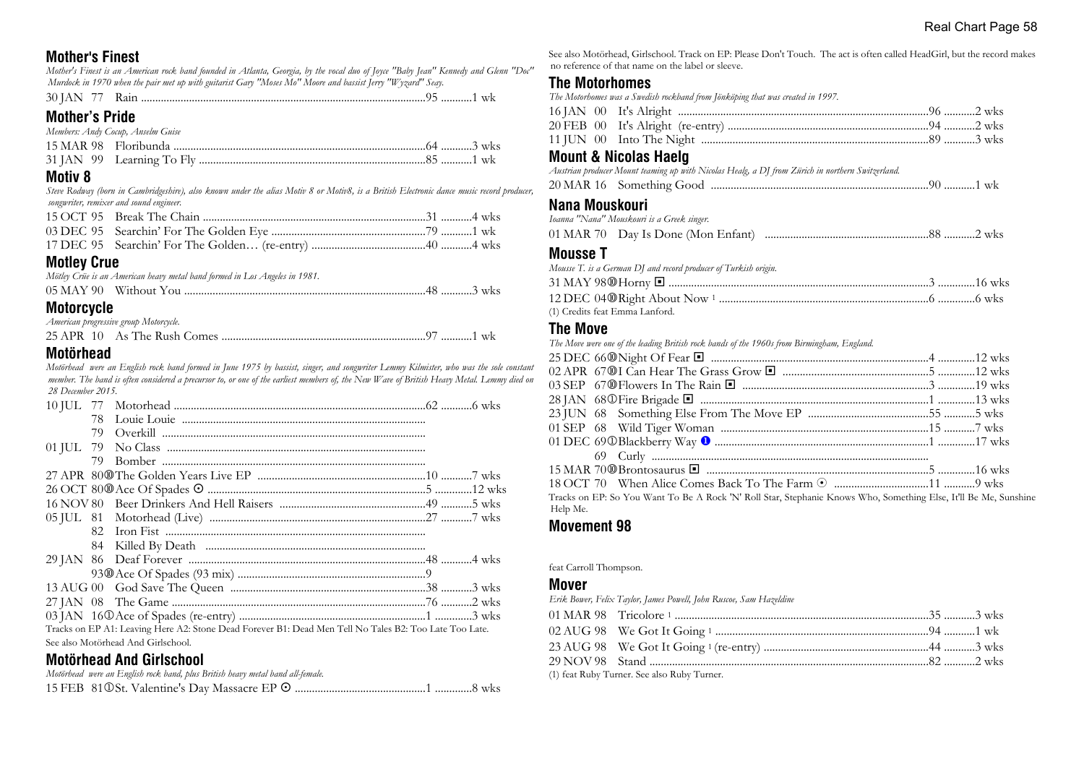## **Mother's Finest**

*Mother's Finest is an American rock band founded in Atlanta, Georgia, by the vocal duo of Joyce "Baby Jean" Kennedy and Glenn "Doc" Murdock in 1970 when the pair met up with guitarist Gary "Moses Mo" Moore and bassist Jerry "Wyzard" Seay.*

|--|--|--|--|--|

## **Mother's Pride**

| Members: Andy Cocup, Anselm Guise |  |  |
|-----------------------------------|--|--|
|                                   |  |  |
|                                   |  |  |

### **Motiv 8**

*Steve Rodway (born in Cambridgeshire), also known under the alias Motiv 8 or Motiv8, is a British Electronic dance music record producer, songwriter, remixer and sound engineer.*

## **Motley Crue**

| Mötley Crüe is an American heavy metal band formed in Los Angeles in 1981. |  |
|----------------------------------------------------------------------------|--|
|                                                                            |  |

## **Motorcycle**

*American progressive group Motorcycle.*

|  |  |  |  | ' …………1 wk |  |
|--|--|--|--|------------|--|
|--|--|--|--|------------|--|

### **Motörhead**

*Motörhead were an English rock band formed in June 1975 by bassist, singer, and songwriter Lemmy Kilmister, who was the sole constant member. The band is often considered a precursor to, or one of the earliest members of, the New Wave of British Heavy Metal. Lemmy died on 28 December 2015.*

| 79. |                                                                                                        |  |
|-----|--------------------------------------------------------------------------------------------------------|--|
|     |                                                                                                        |  |
|     |                                                                                                        |  |
|     |                                                                                                        |  |
|     |                                                                                                        |  |
|     |                                                                                                        |  |
|     |                                                                                                        |  |
|     |                                                                                                        |  |
|     |                                                                                                        |  |
|     |                                                                                                        |  |
|     |                                                                                                        |  |
|     |                                                                                                        |  |
|     |                                                                                                        |  |
|     |                                                                                                        |  |
|     | Tracks on EP A1: Leaving Here A2: Stone Dead Forever B1: Dead Men Tell No Tales B2: Too Late Too Late. |  |

See also Motörhead And Girlschool.

## **Motörhead And Girlschool**

| Motörhead were an English rock band, plus British heavy metal band all-female. |  |
|--------------------------------------------------------------------------------|--|
|                                                                                |  |

See also Motörhead, Girlschool. Track on EP: Please Don't Touch. The act is often called HeadGirl, but the record makes no reference of that name on the label or sleeve.

## **The Motorhomes**

*The Motorhomes was a Swedish rockband from Jönköping that was created in 1997.*

## **Mount & Nicolas Haelg**

*Austrian producer Mount teaming up with Nicolas Healg, a DJ from Zürich in northern Switzerland.*

|--|--|--|--|

#### **Nana Mouskouri**

| Ioanna "Nana" Mouskouri is a Greek singer. |  |
|--------------------------------------------|--|
|                                            |  |

#### **Mousse T**

| Mousse T. is a German DJ and record producer of Turkish origin. |  |
|-----------------------------------------------------------------|--|
|                                                                 |  |
|                                                                 |  |
| (1) Credits feat Emma Lanford.                                  |  |

## **The Move**

*The Move were one of the leading British rock bands of the 1960s from Birmingham, England.*

|          | Tracks on EP: So You Want To Be A Rock 'N' Roll Star, Stephanie Knows Who, Something Else, It'll Be Me, Sunshine |  |
|----------|------------------------------------------------------------------------------------------------------------------|--|
| Help Me. |                                                                                                                  |  |

## **Movement 98**

#### feat Carroll Thompson.

#### **Mover**

*Erik Bower, Felix Taylor, James Powell, John Ruscoe, Sam Hazeldine*

(1) feat Ruby Turner. See also Ruby Turner.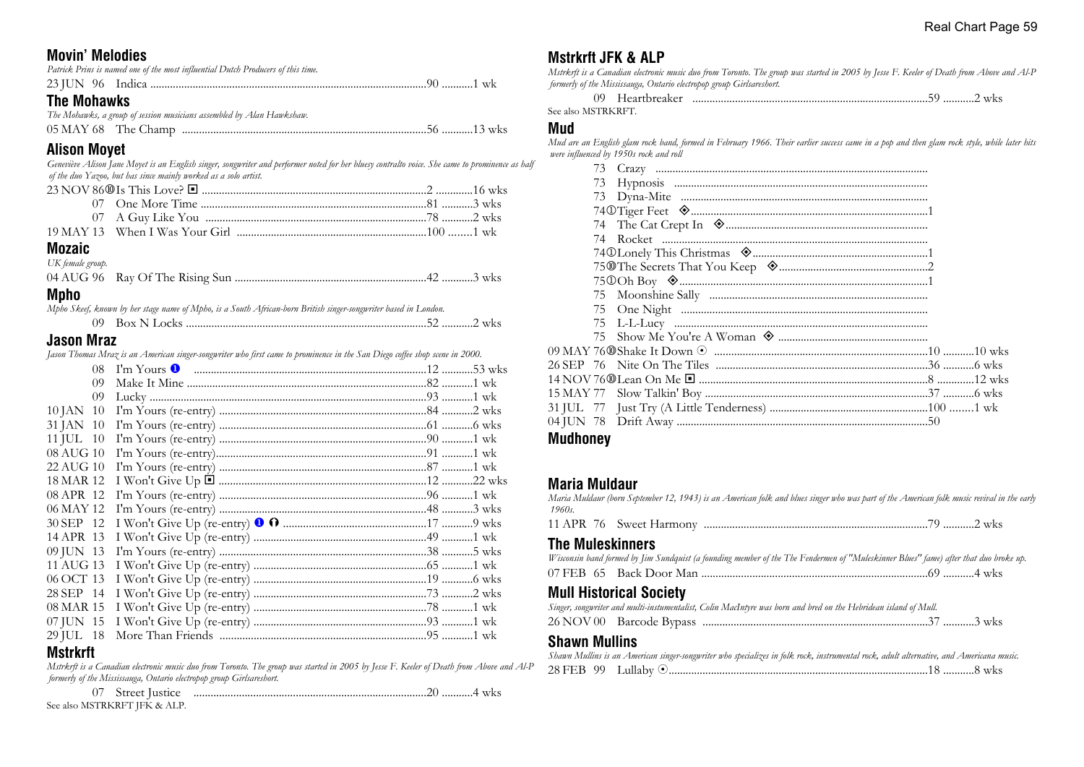## **Movin' Melodies**

| <b>The Mohawks</b>                                                               |  |
|----------------------------------------------------------------------------------|--|
|                                                                                  |  |
| Patrick Prins is named one of the most influential Dutch Producers of this time. |  |

#### **The Mohawks** *The Mohawks, a group of session musicians assembled by Alan Hawkshaw.*

| The introduces, a group of session musicians assembled by $\angle$ -tian Trawkshaw. |  |
|-------------------------------------------------------------------------------------|--|
|                                                                                     |  |

## **Alison Moyet**

*Geneviève Alison Jane Moyet is an English singer, songwriter and performer noted for her bluesy contralto voice. She came to prominence as half of the duo Yazoo, but has since mainly worked as a solo artist.*

#### **Mozaic** *UK female group.*

| UK <i>jemale group</i> . |  |  |
|--------------------------|--|--|
|                          |  |  |

## **Mpho**

*Mpho Skeef, known by her stage name of Mpho, is a South African-born British singer-songwriter based in London.*

|  |  | WKS |
|--|--|-----|
|--|--|-----|

## **Jason Mraz**

*Jason Thomas Mraz is an American singer-songwriter who first came to prominence in the San Diego coffee shop scene in 2000.*

| 08               |  |  |
|------------------|--|--|
| 09               |  |  |
| 09               |  |  |
| $10$ JAN $10$    |  |  |
| 31 JAN 10        |  |  |
| 11 JUL 10        |  |  |
| 08 AUG 10        |  |  |
| 22 AUG 10        |  |  |
| 18 MAR 12        |  |  |
| 08 APR 12        |  |  |
| 06 MAY 12        |  |  |
| 30 SEP 12        |  |  |
| 14 APR 13        |  |  |
| 09 JUN 13        |  |  |
| 11 AUG 13        |  |  |
| 06 OCT 13        |  |  |
| 28 SEP 14        |  |  |
| 08 MAR 15        |  |  |
| 07 JUN 15        |  |  |
| 29 JUL 18        |  |  |
| <b>BA-4-1-44</b> |  |  |

## **Mstrkrft**

*Mstrkrft is a Canadian electronic music duo from Toronto. The group was started in 2005 by Jesse F. Keeler of Death from Above and Al-P formerly of the Mississauga, Ontario electropop group Girlsareshort.*

07 Street Justice ..................................................................................20 ...........4 wks

#### See also MSTRKRFT JFK & ALP.

## **Mstrkrft JFK & ALP**

*Mstrkrft is a Canadian electronic music duo from Toronto. The group was started in 2005 by Jesse F. Keeler of Death from Above and Al-P formerly of the Mississauga, Ontario electropop group Girlsareshort.*

 09 Heartbreaker ...................................................................................59 ...........2 wks See also MSTRKRFT.

#### **Mud**

*Mud are an English glam rock band, formed in February 1966. Their earlier success came in a pop and then glam rock style, while later hits were influenced by 1950s rock and roll*

| <b>Mudhoney</b> |
|-----------------|

## **Maria Muldaur**

*Maria Muldaur (born September 12, 1943) is an American folk and blues singer who was part of the American folk music revival in the early 1960s.* 11 APR 76 Sweet Harmony ...............................................................................79 ...........2 wks

#### **The Muleskinners**

| Wisconsin band formed by Jim Sundquist (a founding member of the The Fendermen of "Muleskinner Blues" fame) after that duo broke up. |  |
|--------------------------------------------------------------------------------------------------------------------------------------|--|
|                                                                                                                                      |  |

## **Mull Historical Society**

|  | Singer, songwriter and multi-instumentalist, Colin MacIntyre was born and bred on the Hebridean island of Mull. |  |
|--|-----------------------------------------------------------------------------------------------------------------|--|
|  |                                                                                                                 |  |

## **Shawn Mullins**

| Shawn Mullins is an American singer-songwriter who specializes in folk rock, instrumental rock, adult alternative, and Americana music. |  |  |
|-----------------------------------------------------------------------------------------------------------------------------------------|--|--|
|                                                                                                                                         |  |  |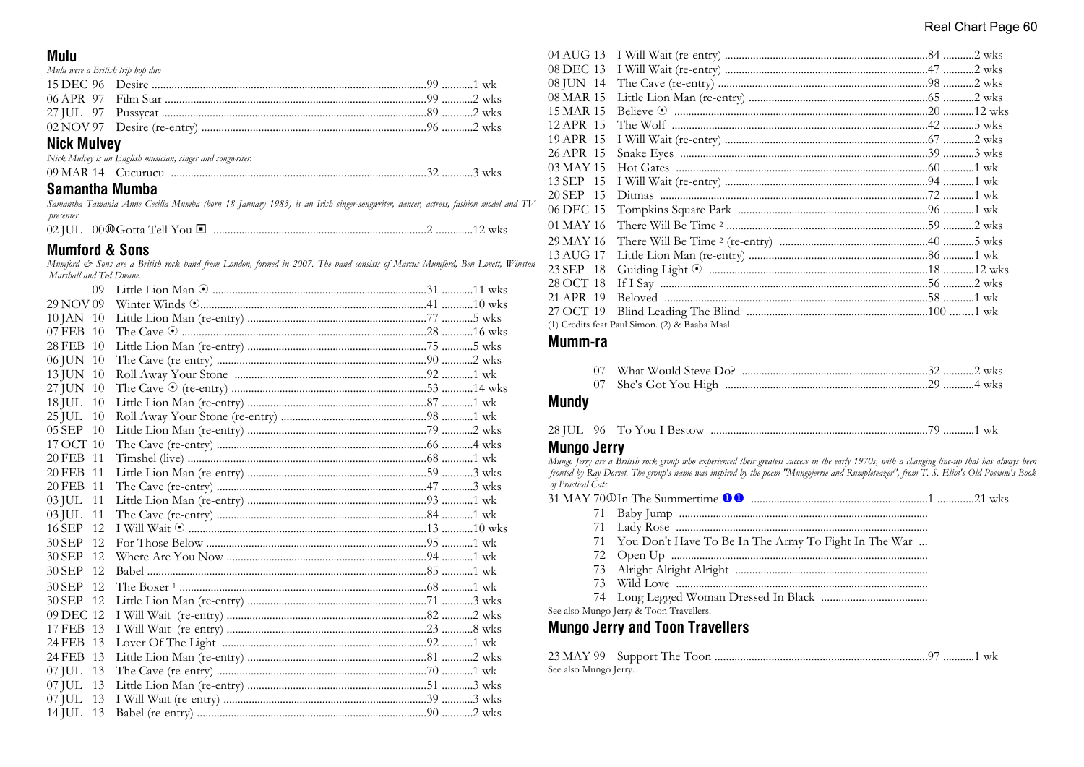#### Real Chart Page 60

#### **Mulu**

| Mulu were a British trip hop duo |                                                            |  |
|----------------------------------|------------------------------------------------------------|--|
|                                  |                                                            |  |
|                                  |                                                            |  |
|                                  |                                                            |  |
|                                  |                                                            |  |
| <b>Nick Mulvey</b>               |                                                            |  |
|                                  | Nick Mulvey is an English musician, singer and songwriter. |  |
|                                  |                                                            |  |
| Samantha Mumba                   |                                                            |  |

|            |  |  |  |  |  | Samantha Tamania Anne Cecilia Mumba (born 18 January 1983) is an Irish singer-songwriter, dancer, actress, fashion model and TV |  |  |  |
|------------|--|--|--|--|--|---------------------------------------------------------------------------------------------------------------------------------|--|--|--|
| presenter. |  |  |  |  |  |                                                                                                                                 |  |  |  |

### **Mumford & Sons**

Mumford & Sons are a British rock band from London, formed in 2007. The band consists of Marcus Mumford, Ben Lovett, Winston Marshall and Ted Dwane.

| 09             |  |  |
|----------------|--|--|
| 29 NOV 09      |  |  |
| 10 JAN 10      |  |  |
| 07 FEB 10      |  |  |
| 28 FEB 10      |  |  |
| 06 JUN 10      |  |  |
| 13 JUN 10      |  |  |
| 27 JUN 10      |  |  |
| 18 JUL<br>10   |  |  |
| 25 JUL<br>10   |  |  |
| 05 SEP 10      |  |  |
| 17 OCT 10      |  |  |
| 20 FEB 11      |  |  |
| 20 FEB 11      |  |  |
| 20 FEB 11      |  |  |
| 03 JUL<br>11   |  |  |
| $03$ JUL<br>11 |  |  |
| 16 SEP 12      |  |  |
| 30 SEP<br>12   |  |  |
| 30 SEP<br>12   |  |  |
| 30 SEP 12      |  |  |
| $30$ SEP $12$  |  |  |
| 30 SEP 12      |  |  |
| 09 DEC 12      |  |  |
| 17 FEB 13      |  |  |
| 24 FEB 13      |  |  |
| 24 FEB 13      |  |  |
| $07$ JUL<br>13 |  |  |
| $07$ JUL<br>13 |  |  |
| 07 JUL 13      |  |  |
| 14 JUL 13      |  |  |
|                |  |  |

| 04 AUG 13 |                                                |  |
|-----------|------------------------------------------------|--|
| 08 DEC 13 |                                                |  |
| 08 JUN 14 |                                                |  |
| 08 MAR 15 |                                                |  |
| 15 MAR 15 |                                                |  |
| 12 APR 15 |                                                |  |
| 19 APR 15 |                                                |  |
| 26 APR 15 |                                                |  |
| 03 MAY 15 |                                                |  |
| 13 SEP 15 |                                                |  |
| 20 SEP 15 |                                                |  |
| 06 DEC 15 |                                                |  |
| 01 MAY 16 |                                                |  |
| 29 MAY 16 |                                                |  |
| 13 AUG 17 |                                                |  |
| 23 SEP 18 |                                                |  |
| 28 OCT 18 |                                                |  |
| 21 APR 19 |                                                |  |
| 27 OCT 19 |                                                |  |
|           | (1) Credits feat Paul Simon. (2) & Baaba Maal. |  |

#### Mumm-ra

#### **Mundy**

|  |  |  |  |  | 28 IUL 96 To You I Bestow |  |  |  |  |  |
|--|--|--|--|--|---------------------------|--|--|--|--|--|
|--|--|--|--|--|---------------------------|--|--|--|--|--|

#### **Mungo Jerry**

Mungo Jerry are a British rock group who experienced their greatest success in the early 1970s, with a changing line-up that has always heen fronted by Ray Dorset. The group's name was inspired by the poem "Mungojerrie and Rumpleteazer", from T. S. Eliot's Old Possum's Book of Practical Cats.

| 71 You Don't Have To Be In The Army To Fight In The War |
|---------------------------------------------------------|
|                                                         |
|                                                         |

- 
- 

See also Mungo Jerry & Toon Travellers.

## **Mungo Jerry and Toon Travellers**

| See also Mungo Jerry. |  |
|-----------------------|--|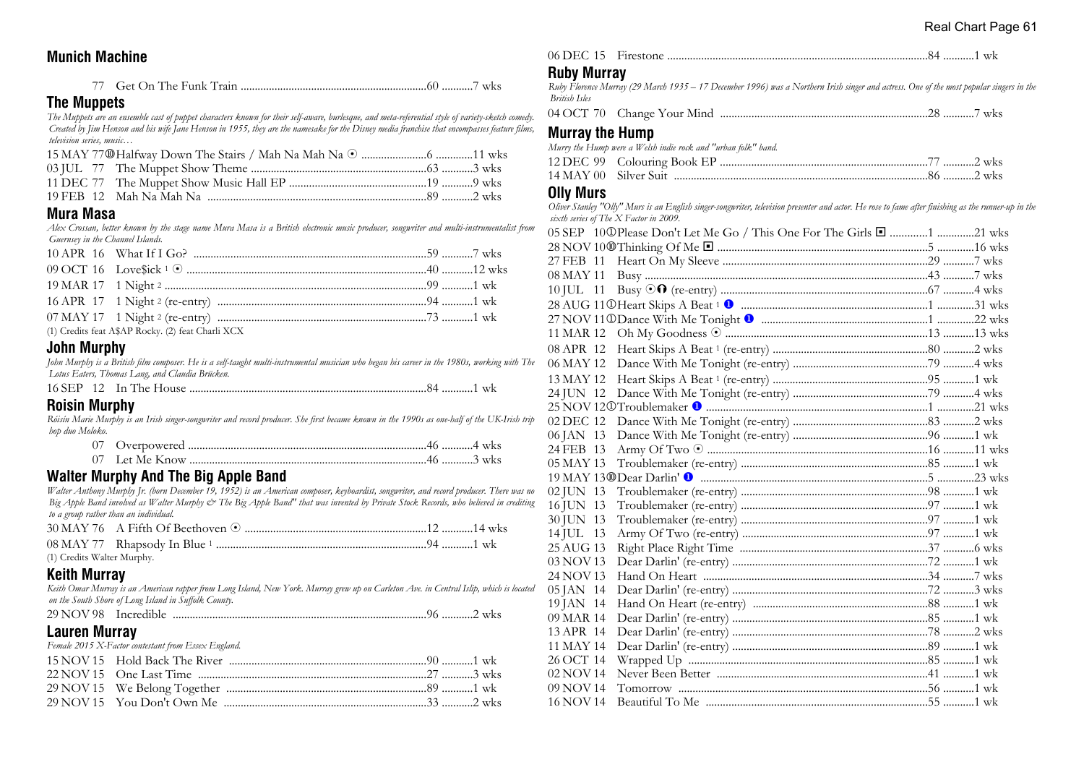## **Munich Machine**

77 Get On The Funk Train ..................................................................60 ...........7 wks

## **The Muppets**

*The Muppets are an ensemble cast of puppet characters known for their self-aware, burlesque, and meta-referential style of variety-sketch comedy. Created by Jim Henson and his wife Jane Henson in 1955, they are the namesake for the Disney media franchise that encompasses feature films, television series, music…*

## **Mura Masa**

*Alex Crossan, better known by the stage name Mura Masa is a British electronic music producer, songwriter and multi-instrumentalist from Guernsey in the Channel Islands.*

| (1) Credits feat A\$AP Rocky. (2) feat Charli XCX |  |
|---------------------------------------------------|--|

### **John Murphy**

*John Murphy is a British film composer. He is a self-taught multi-instrumental musician who began his career in the 1980s, working with The Lotus Eaters, Thomas Lang, and Claudia Brücken.*

|--|--|--|--|--|

## **Roisin Murphy**

*Róisín Marie Murphy is an Irish singer-songwriter and record producer. She first became known in the 1990s as one-half of the UK-Irish trip hop duo Moloko.*

#### **Walter Murphy And The Big Apple Band**

*Walter Anthony Murphy Jr. (born December 19, 1952) is an American composer, keyboardist, songwriter, and record producer. There was no Big Apple Band involved as Walter Murphy & The Big Apple Band" that was invented by Private Stock Records, who believed in crediting to a group rather than an individual.*

| (1) Credits Walter Murphy. |  |  |
|----------------------------|--|--|

#### **Keith Murray**

*Keith Omar Murray is an American rapper from Long Island, New York. Murray grew up on Carleton Ave. in Central Islip, which is located on the South Shore of Long Island in Suffolk County.*

#### **Lauren Murray**

*Female 2015 X-Factor contestant from Essex England.* 15 NOV 15 Hold Back The River ......................................................................90 ...........1 wk 22 NOV 15 One Last Time .................................................................................27 ...........3 wks 29 NOV 15 We Belong Together .......................................................................89 ...........1 wk 29 NOV 15 You Don't Own Me ........................................................................33 ...........2 wks

## **Ruby Murray**

*Ruby Florence Murray (29 March 1935 – 17 December 1996) was a Northern Irish singer and actress. One of the most popular singers in the British Isles*

04 OCT 70 Change Your Mind .........................................................................28 ...........7 wks

#### **Murray the Hump**

*Murry the Hump were a Welsh indie rock and "urban folk" band.*

#### **Olly Murs**

*Oliver Stanley "Olly" Murs is an English singer-songwriter, television presenter and actor. He rose to fame after finishing as the runner-up in the sixth series of The X Factor in 2009.*

|           | 05 SEP 10 © Please Don't Let Me Go / This One For The Girls ■ 1 21 wks |  |
|-----------|------------------------------------------------------------------------|--|
|           |                                                                        |  |
| 27 FEB 11 |                                                                        |  |
| 08 MAY 11 |                                                                        |  |
| 10 JUL 11 |                                                                        |  |
|           |                                                                        |  |
|           |                                                                        |  |
|           |                                                                        |  |
| 08 APR 12 |                                                                        |  |
| 06 MAY 12 |                                                                        |  |
| 13 MAY 12 |                                                                        |  |
|           |                                                                        |  |
|           |                                                                        |  |
| 02 DEC 12 |                                                                        |  |
| 06 JAN 13 |                                                                        |  |
| 24 FEB 13 |                                                                        |  |
| 05 MAY 13 |                                                                        |  |
|           |                                                                        |  |
| 02 JUN 13 |                                                                        |  |
| 16 JUN 13 |                                                                        |  |
| 30 JUN 13 |                                                                        |  |
| 14 JUL 13 |                                                                        |  |
| 25 AUG 13 |                                                                        |  |
| 03 NOV 13 |                                                                        |  |
| 24 NOV 13 |                                                                        |  |
| 05 JAN 14 |                                                                        |  |
| 19 JAN 14 |                                                                        |  |
| 09 MAR 14 |                                                                        |  |
| 13 APR 14 |                                                                        |  |
| 11 MAY 14 |                                                                        |  |
| 26 OCT 14 |                                                                        |  |
| 02 NOV 14 |                                                                        |  |
| 09 NOV 14 |                                                                        |  |
| 16 NOV 14 |                                                                        |  |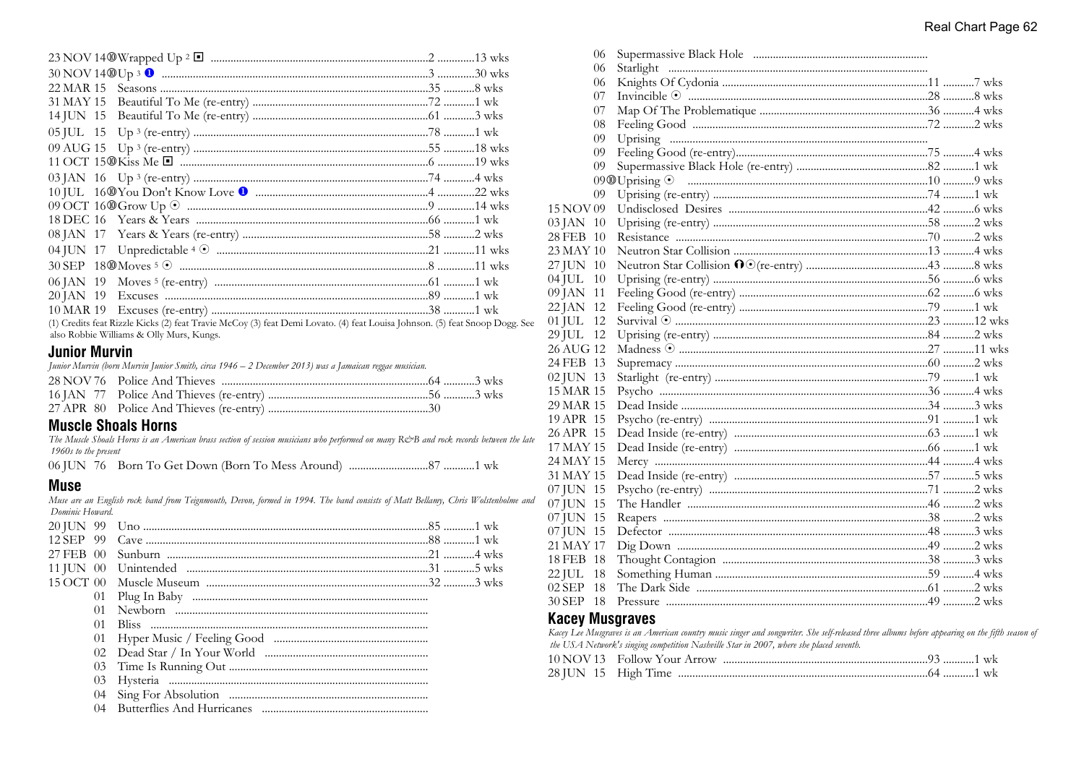| 22 MAR 15                                                                                                            |  |
|----------------------------------------------------------------------------------------------------------------------|--|
| 31 MAY 15                                                                                                            |  |
| 14 JUN 15                                                                                                            |  |
|                                                                                                                      |  |
|                                                                                                                      |  |
|                                                                                                                      |  |
|                                                                                                                      |  |
|                                                                                                                      |  |
|                                                                                                                      |  |
|                                                                                                                      |  |
|                                                                                                                      |  |
|                                                                                                                      |  |
|                                                                                                                      |  |
|                                                                                                                      |  |
|                                                                                                                      |  |
|                                                                                                                      |  |
| (1) Credite feet Rivele Kicke (2) feet Travie McCoy (3) feet Demi Lovato (4) feet Louise Johnson (5) feet Snoon Dogs |  |

(1) Credits feat Rizzle Kicks (2) feat Travie McCoy (3) feat Demi Lovato. (4) feat Louisa Johnson. (5) feat Snoop Dogg. See also Robbie Williams & Olly Murs, Kungs.

### **Junior Murvin**

Junior Murvin (born Murvin Junior Smith, circa 1946 – 2 December 2013) was a Jamaican reggae musician.

## **Muscle Shoals Horns**

The Muscle Shoals Horns is an American brass section of session musicians who performed on many R&B and rock records between the late 1960s to the present

## **Muse**

Muse are an English rock band from Teignmouth, Devon, formed in 1994. The band consists of Matt Bellamy, Chris Wolstenholme and Dominic Howard.

| 12 SEP 99       |  |
|-----------------|--|
|                 |  |
|                 |  |
|                 |  |
|                 |  |
| (1)             |  |
| (1)             |  |
| 01              |  |
| 02 <sub>z</sub> |  |
| 0 <sub>3</sub>  |  |
| 03              |  |
| (1)4            |  |
| 04              |  |
|                 |  |

|           | VV. |  |  |
|-----------|-----|--|--|
|           | 06  |  |  |
|           | 06  |  |  |
|           | 07  |  |  |
|           | 07  |  |  |
|           | 08  |  |  |
|           | 09  |  |  |
|           | 09  |  |  |
|           | 09  |  |  |
|           |     |  |  |
|           | 09  |  |  |
| 15 NOV 09 |     |  |  |
| 03 JAN 10 |     |  |  |
| 28 FEB 10 |     |  |  |
| 23 MAY 10 |     |  |  |
| 27 JUN 10 |     |  |  |
| $04$ JUL  | 10  |  |  |
| 09 JAN 11 |     |  |  |
| 22 JAN 12 |     |  |  |
| 01 JUL 12 |     |  |  |
| 29 JUL 12 |     |  |  |
| 26 AUG 12 |     |  |  |
| 24 FEB 13 |     |  |  |
| 02 JUN 13 |     |  |  |
| 15 MAR 15 |     |  |  |
| 29 MAR 15 |     |  |  |
| 19 APR 15 |     |  |  |
| 26 APR 15 |     |  |  |
| 17 MAY 15 |     |  |  |
| 24 MAY 15 |     |  |  |
| 31 MAY 15 |     |  |  |
| 07 JUN 15 |     |  |  |
| 07 JUN 15 |     |  |  |
| 07 JUN 15 |     |  |  |
| 07 JUN 15 |     |  |  |
| 21 MAY 17 |     |  |  |
| 18 FEB 18 |     |  |  |
| 22 JUL    | 18  |  |  |
| $02$ SEP  | 18  |  |  |
| 30 SEP 18 |     |  |  |
|           |     |  |  |

 $OC$   $C_{\text{max}}$  and  $D1$ ,  $1$ ,  $1$ ,  $1$ ,  $1$ 

## **Kacey Musgraves**

Kacey Lee Musgraves is an American country music singer and songwriter. She self-released three albums before appearing on the fifth season of the USA Network's singing competition Nashville Star in 2007, where she placed seventh.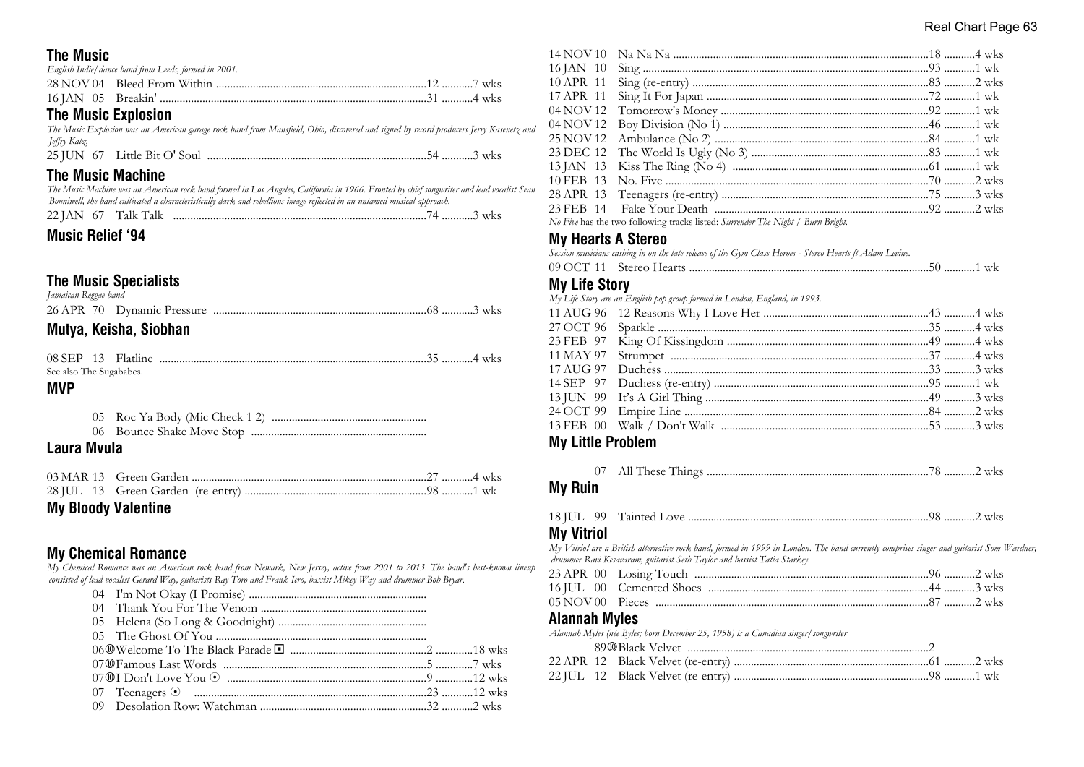#### Real Chart Page 63

## **The Music**

| English Indie/ dance band from Leeds, formed in 2001. |  |  |
|-------------------------------------------------------|--|--|
|                                                       |  |  |
|                                                       |  |  |

## **The Music Explosion**

*The Music Explosion was an American garage rock band from Mansfield, Ohio, discovered and signed by record producers Jerry Kasenetz and Jeffry Katz.*

25 JUN 67 Little Bit O' Soul .............................................................................54 ...........3 wks

## **The Music Machine**

*The Music Machine was an American rock band formed in Los Angeles, California in 1966. Fronted by chief songwriter and lead vocalist Sean Bonniwell, the band cultivated a characteristically dark and rebellious image reflected in an untamed musical approach.* 22 JAN 67 Talk Talk .........................................................................................74 ...........3 wks

## **Music Relief '94**

## **The Music Specialists**

| Jamaican Reggae band |  |  |  |
|----------------------|--|--|--|
|                      |  |  |  |

## **Mutya, Keisha, Siobhan**

| See also The Sugababes. |  |  |
|-------------------------|--|--|

#### **MVP**

## **Laura Mvula**

| <b>My Bloody Valentine</b> |  |  |
|----------------------------|--|--|

## **My Chemical Romance**

*My Chemical Romance was an American rock band from Newark, New Jersey, active from 2001 to 2013. The band's best-known lineup consisted of lead vocalist Gerard Way, guitarists Ray Toro and Frank Iero, bassist Mikey Way and drummer Bob Bryar.*

*No Five* has the two following tracks listed: *Surrender The Night / Burn Bright.*

### **My Hearts A Stereo**

|  |  |  |  | Session musicians cashing in on the late release of the Gym Class Heroes - Stereo Hearts ft Adam Levine. |  |
|--|--|--|--|----------------------------------------------------------------------------------------------------------|--|
|--|--|--|--|----------------------------------------------------------------------------------------------------------|--|

| . . |  |  |
|-----|--|--|
|     |  |  |

#### **My Life Story**

| $\mathbf{u}$ |                                                                            |  |
|--------------|----------------------------------------------------------------------------|--|
|              | My Life Story are an English pop group formed in London, England, in 1993. |  |
|              |                                                                            |  |
|              |                                                                            |  |
|              |                                                                            |  |
|              |                                                                            |  |
|              |                                                                            |  |
|              |                                                                            |  |
|              |                                                                            |  |
|              |                                                                            |  |
|              |                                                                            |  |
|              |                                                                            |  |

## **My Little Problem**

|--|--|--|--|--|

#### **My Ruin**

| <b>18 JUL</b> | 99 |  |  |  |  |  |
|---------------|----|--|--|--|--|--|
|---------------|----|--|--|--|--|--|

## **My Vitriol**

*My Vitriol are a British alternative rock band, formed in 1999 in London. The band currently comprises singer and guitarist Som Wardner, drummer Ravi Kesavaram, guitarist Seth Taylor and bassist Tatia Starkey.*

#### **Alannah Myles**

*Alannah Myles (née Byles; born December 25, 1958) is a Canadian singer/songwriter*